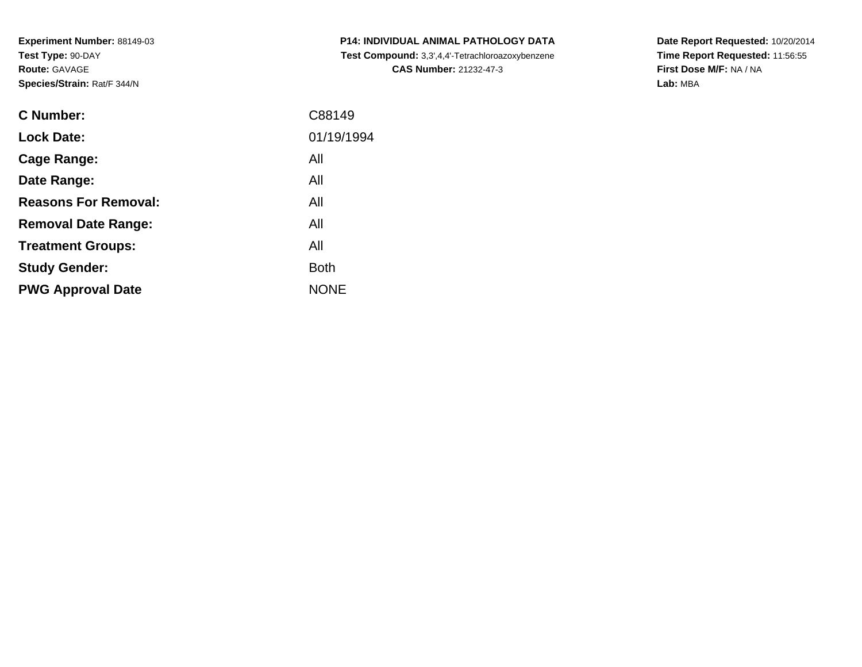**Experiment Number:** 88149-03**Test Type:** 90-DAY**Route:** GAVAGE**Species/Strain:** Rat/F 344/N

| <b>C Number:</b>            | C88149      |
|-----------------------------|-------------|
| <b>Lock Date:</b>           | 01/19/1994  |
| <b>Cage Range:</b>          | All         |
| Date Range:                 | All         |
| <b>Reasons For Removal:</b> | All         |
| <b>Removal Date Range:</b>  | All         |
| <b>Treatment Groups:</b>    | All         |
| <b>Study Gender:</b>        | <b>Both</b> |
| <b>PWG Approval Date</b>    | <b>NONE</b> |
|                             |             |

**P14: INDIVIDUAL ANIMAL PATHOLOGY DATA Test Compound:** 3,3',4,4'-Tetrachloroazoxybenzene**CAS Number:** 21232-47-3

**Date Report Requested:** 10/20/2014 **Time Report Requested:** 11:56:55**First Dose M/F:** NA / NA**Lab:** MBA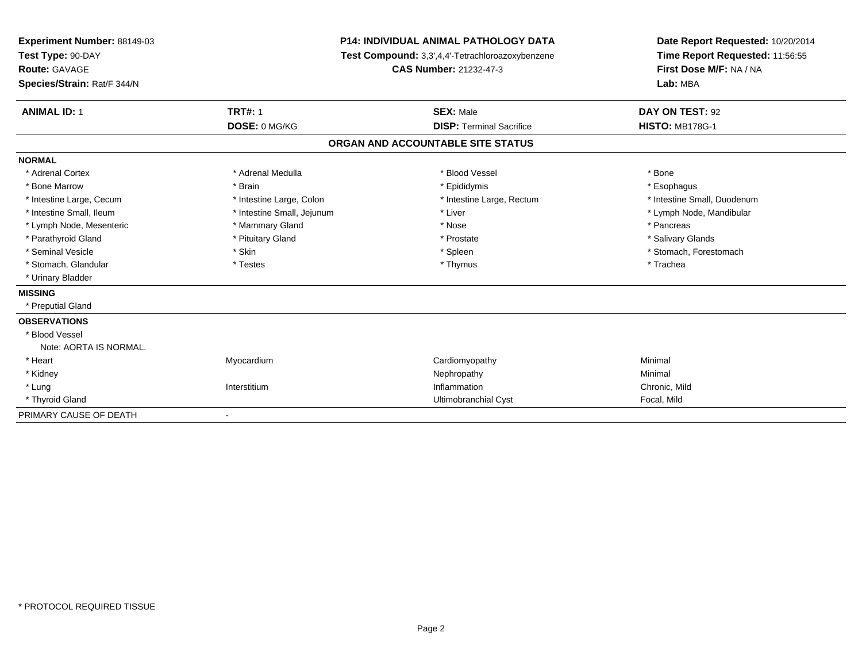| Experiment Number: 88149-03<br>Test Type: 90-DAY<br><b>Route: GAVAGE</b> |                              | <b>P14: INDIVIDUAL ANIMAL PATHOLOGY DATA</b><br>Test Compound: 3,3',4,4'-Tetrachloroazoxybenzene<br><b>CAS Number: 21232-47-3</b> | Date Report Requested: 10/20/2014<br>Time Report Requested: 11:56:55<br>First Dose M/F: NA / NA |
|--------------------------------------------------------------------------|------------------------------|-----------------------------------------------------------------------------------------------------------------------------------|-------------------------------------------------------------------------------------------------|
| Species/Strain: Rat/F 344/N                                              |                              |                                                                                                                                   | Lab: MBA                                                                                        |
| <b>ANIMAL ID: 1</b>                                                      | <b>TRT#: 1</b>               | <b>SEX: Male</b>                                                                                                                  | DAY ON TEST: 92                                                                                 |
|                                                                          | DOSE: 0 MG/KG                | <b>DISP: Terminal Sacrifice</b>                                                                                                   | <b>HISTO: MB178G-1</b>                                                                          |
|                                                                          |                              | ORGAN AND ACCOUNTABLE SITE STATUS                                                                                                 |                                                                                                 |
| <b>NORMAL</b>                                                            |                              |                                                                                                                                   |                                                                                                 |
| * Adrenal Cortex                                                         | * Adrenal Medulla            | * Blood Vessel                                                                                                                    | * Bone                                                                                          |
| * Bone Marrow                                                            | * Brain                      | * Epididymis                                                                                                                      | * Esophagus                                                                                     |
| * Intestine Large, Cecum                                                 | * Intestine Large, Colon     | * Intestine Large, Rectum                                                                                                         | * Intestine Small, Duodenum                                                                     |
| * Intestine Small, Ileum                                                 | * Intestine Small, Jejunum   | * Liver                                                                                                                           | * Lymph Node, Mandibular                                                                        |
| * Lymph Node, Mesenteric                                                 | * Mammary Gland              | * Nose                                                                                                                            | * Pancreas                                                                                      |
| * Parathyroid Gland                                                      | * Pituitary Gland            | * Prostate                                                                                                                        | * Salivary Glands                                                                               |
| * Seminal Vesicle                                                        | * Skin                       | * Spleen                                                                                                                          | * Stomach, Forestomach                                                                          |
| * Stomach, Glandular                                                     | * Testes                     | * Thymus                                                                                                                          | * Trachea                                                                                       |
| * Urinary Bladder                                                        |                              |                                                                                                                                   |                                                                                                 |
| <b>MISSING</b>                                                           |                              |                                                                                                                                   |                                                                                                 |
| * Preputial Gland                                                        |                              |                                                                                                                                   |                                                                                                 |
| <b>OBSERVATIONS</b>                                                      |                              |                                                                                                                                   |                                                                                                 |
| * Blood Vessel                                                           |                              |                                                                                                                                   |                                                                                                 |
| Note: AORTA IS NORMAL.                                                   |                              |                                                                                                                                   |                                                                                                 |
| * Heart                                                                  | Myocardium                   | Cardiomyopathy                                                                                                                    | Minimal                                                                                         |
| * Kidney                                                                 |                              | Nephropathy                                                                                                                       | Minimal                                                                                         |
| * Lung                                                                   | Interstitium                 | Inflammation                                                                                                                      | Chronic, Mild                                                                                   |
| * Thyroid Gland                                                          |                              | Ultimobranchial Cyst                                                                                                              | Focal, Mild                                                                                     |
| PRIMARY CAUSE OF DEATH                                                   | $\qquad \qquad \blacksquare$ |                                                                                                                                   |                                                                                                 |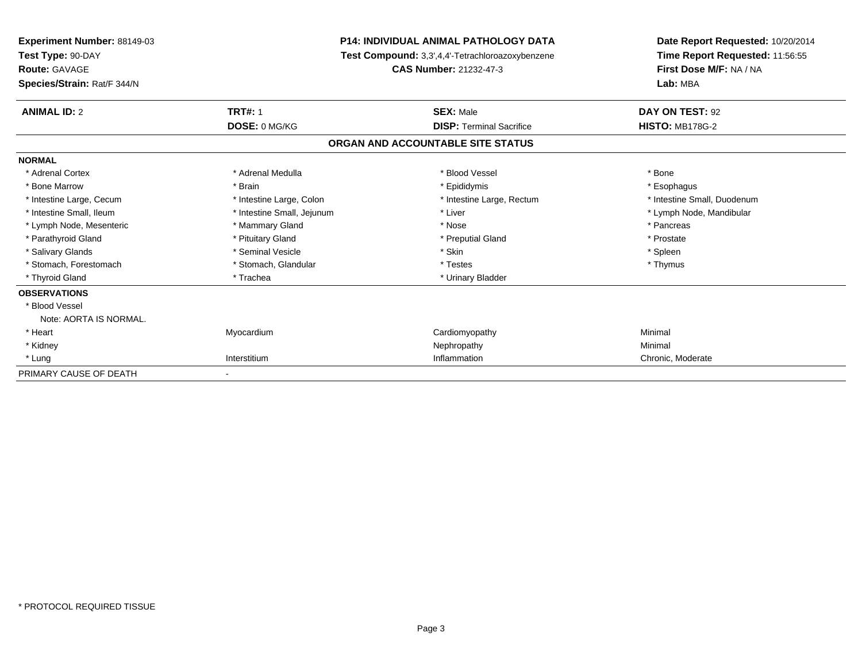| <b>Experiment Number: 88149-03</b><br>Test Type: 90-DAY |                            | <b>P14: INDIVIDUAL ANIMAL PATHOLOGY DATA</b>            | Date Report Requested: 10/20/2014<br>Time Report Requested: 11:56:55 |
|---------------------------------------------------------|----------------------------|---------------------------------------------------------|----------------------------------------------------------------------|
|                                                         |                            | <b>Test Compound:</b> 3,3',4,4'-Tetrachloroazoxybenzene |                                                                      |
| <b>Route: GAVAGE</b>                                    |                            | CAS Number: 21232-47-3                                  | First Dose M/F: NA / NA                                              |
| Species/Strain: Rat/F 344/N                             |                            |                                                         | Lab: MBA                                                             |
| <b>ANIMAL ID: 2</b>                                     | <b>TRT#: 1</b>             | <b>SEX: Male</b>                                        | DAY ON TEST: 92                                                      |
|                                                         | DOSE: 0 MG/KG              | <b>DISP: Terminal Sacrifice</b>                         | <b>HISTO: MB178G-2</b>                                               |
|                                                         |                            | ORGAN AND ACCOUNTABLE SITE STATUS                       |                                                                      |
| <b>NORMAL</b>                                           |                            |                                                         |                                                                      |
| * Adrenal Cortex                                        | * Adrenal Medulla          | * Blood Vessel                                          | * Bone                                                               |
| * Bone Marrow                                           | * Brain                    | * Epididymis                                            | * Esophagus                                                          |
| * Intestine Large, Cecum                                | * Intestine Large, Colon   | * Intestine Large, Rectum                               | * Intestine Small, Duodenum                                          |
| * Intestine Small, Ileum                                | * Intestine Small, Jejunum | * Liver                                                 | * Lymph Node, Mandibular                                             |
| * Lymph Node, Mesenteric                                | * Mammary Gland            | * Nose                                                  | * Pancreas                                                           |
| * Parathyroid Gland                                     | * Pituitary Gland          | * Preputial Gland                                       | * Prostate                                                           |
| * Salivary Glands                                       | * Seminal Vesicle          | * Skin                                                  | * Spleen                                                             |
| * Stomach, Forestomach                                  | * Stomach, Glandular       | * Testes                                                | * Thymus                                                             |
| * Thyroid Gland                                         | * Trachea                  | * Urinary Bladder                                       |                                                                      |
| <b>OBSERVATIONS</b>                                     |                            |                                                         |                                                                      |
| * Blood Vessel                                          |                            |                                                         |                                                                      |
| Note: AORTA IS NORMAL.                                  |                            |                                                         |                                                                      |
| * Heart                                                 | Myocardium                 | Cardiomyopathy                                          | Minimal                                                              |
| * Kidney                                                |                            | Nephropathy                                             | Minimal                                                              |
| * Lung                                                  | Interstitium               | Inflammation                                            | Chronic, Moderate                                                    |
| PRIMARY CAUSE OF DEATH                                  |                            |                                                         |                                                                      |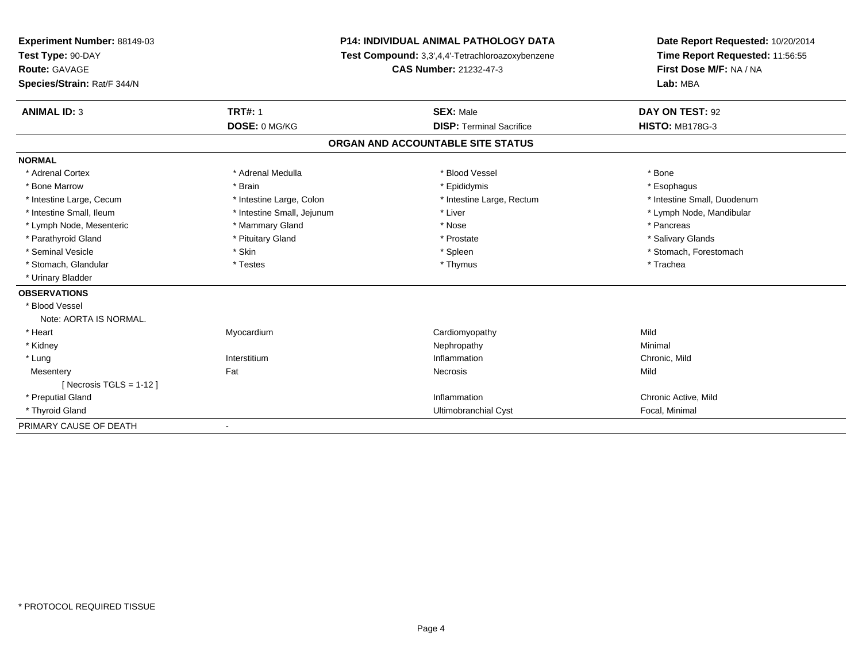| Experiment Number: 88149-03 |                                                  | <b>P14: INDIVIDUAL ANIMAL PATHOLOGY DATA</b> | Date Report Requested: 10/20/2014 |
|-----------------------------|--------------------------------------------------|----------------------------------------------|-----------------------------------|
| Test Type: 90-DAY           | Test Compound: 3,3',4,4'-Tetrachloroazoxybenzene |                                              | Time Report Requested: 11:56:55   |
| <b>Route: GAVAGE</b>        |                                                  | CAS Number: 21232-47-3                       | First Dose M/F: NA / NA           |
| Species/Strain: Rat/F 344/N |                                                  |                                              | Lab: MBA                          |
| <b>ANIMAL ID: 3</b>         | <b>TRT#: 1</b>                                   | <b>SEX: Male</b>                             | DAY ON TEST: 92                   |
|                             | DOSE: 0 MG/KG                                    | <b>DISP: Terminal Sacrifice</b>              | <b>HISTO: MB178G-3</b>            |
|                             |                                                  | ORGAN AND ACCOUNTABLE SITE STATUS            |                                   |
| <b>NORMAL</b>               |                                                  |                                              |                                   |
| * Adrenal Cortex            | * Adrenal Medulla                                | * Blood Vessel                               | * Bone                            |
| * Bone Marrow               | * Brain                                          | * Epididymis                                 | * Esophagus                       |
| * Intestine Large, Cecum    | * Intestine Large, Colon                         | * Intestine Large, Rectum                    | * Intestine Small, Duodenum       |
| * Intestine Small, Ileum    | * Intestine Small, Jejunum                       | * Liver                                      | * Lymph Node, Mandibular          |
| * Lymph Node, Mesenteric    | * Mammary Gland                                  | * Nose                                       | * Pancreas                        |
| * Parathyroid Gland         | * Pituitary Gland                                | * Prostate                                   | * Salivary Glands                 |
| * Seminal Vesicle           | * Skin                                           | * Spleen                                     | * Stomach, Forestomach            |
| * Stomach, Glandular        | * Testes                                         | * Thymus                                     | * Trachea                         |
| * Urinary Bladder           |                                                  |                                              |                                   |
| <b>OBSERVATIONS</b>         |                                                  |                                              |                                   |
| * Blood Vessel              |                                                  |                                              |                                   |
| Note: AORTA IS NORMAL.      |                                                  |                                              |                                   |
| * Heart                     | Myocardium                                       | Cardiomyopathy                               | Mild                              |
| * Kidney                    |                                                  | Nephropathy                                  | Minimal                           |
| * Lung                      | Interstitium                                     | Inflammation                                 | Chronic, Mild                     |
| Mesentery                   | Fat                                              | Necrosis                                     | Mild                              |
| [Necrosis $TGLS = 1-12$ ]   |                                                  |                                              |                                   |
| * Preputial Gland           |                                                  | Inflammation                                 | Chronic Active, Mild              |
| * Thyroid Gland             |                                                  | Ultimobranchial Cyst                         | Focal, Minimal                    |
| PRIMARY CAUSE OF DEATH      | $\overline{\phantom{a}}$                         |                                              |                                   |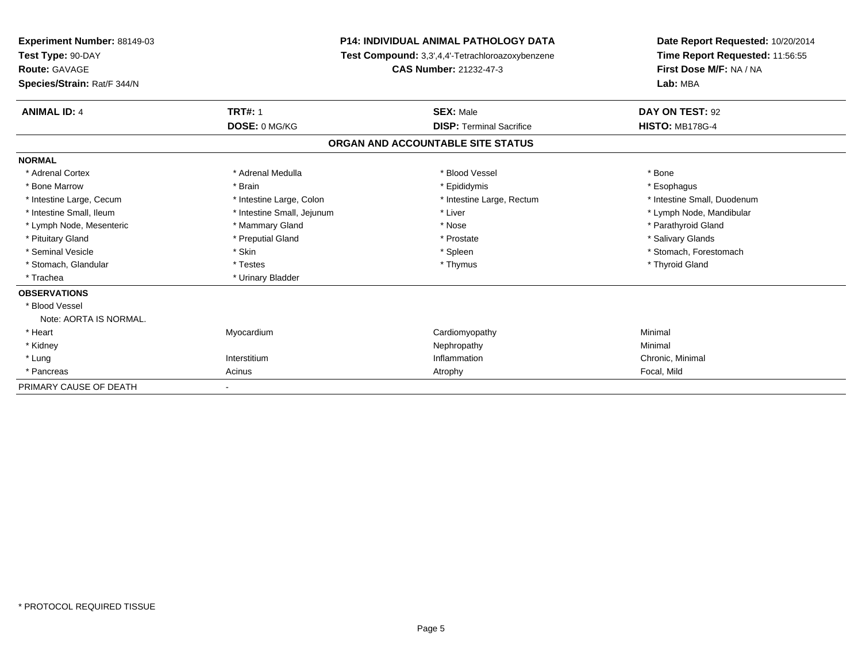| <b>Experiment Number: 88149-03</b><br>Test Type: 90-DAY |                            | <b>P14: INDIVIDUAL ANIMAL PATHOLOGY DATA</b>     | Date Report Requested: 10/20/2014<br>Time Report Requested: 11:56:55 |
|---------------------------------------------------------|----------------------------|--------------------------------------------------|----------------------------------------------------------------------|
|                                                         |                            | Test Compound: 3,3',4,4'-Tetrachloroazoxybenzene |                                                                      |
| Route: GAVAGE                                           |                            | CAS Number: 21232-47-3                           | First Dose M/F: NA / NA                                              |
| Species/Strain: Rat/F 344/N                             |                            |                                                  | Lab: MBA                                                             |
| <b>ANIMAL ID: 4</b>                                     | <b>TRT#: 1</b>             | <b>SEX: Male</b>                                 | DAY ON TEST: 92                                                      |
|                                                         | DOSE: 0 MG/KG              | <b>DISP: Terminal Sacrifice</b>                  | <b>HISTO: MB178G-4</b>                                               |
|                                                         |                            | ORGAN AND ACCOUNTABLE SITE STATUS                |                                                                      |
| <b>NORMAL</b>                                           |                            |                                                  |                                                                      |
| * Adrenal Cortex                                        | * Adrenal Medulla          | * Blood Vessel                                   | * Bone                                                               |
| * Bone Marrow                                           | * Brain                    | * Epididymis                                     | * Esophagus                                                          |
| * Intestine Large, Cecum                                | * Intestine Large, Colon   | * Intestine Large, Rectum                        | * Intestine Small, Duodenum                                          |
| * Intestine Small, Ileum                                | * Intestine Small, Jejunum | * Liver                                          | * Lymph Node, Mandibular                                             |
| * Lymph Node, Mesenteric                                | * Mammary Gland            | * Nose                                           | * Parathyroid Gland                                                  |
| * Pituitary Gland                                       | * Preputial Gland          | * Prostate                                       | * Salivary Glands                                                    |
| * Seminal Vesicle                                       | * Skin                     | * Spleen                                         | * Stomach, Forestomach                                               |
| * Stomach, Glandular                                    | * Testes                   | * Thymus                                         | * Thyroid Gland                                                      |
| * Trachea                                               | * Urinary Bladder          |                                                  |                                                                      |
| <b>OBSERVATIONS</b>                                     |                            |                                                  |                                                                      |
| * Blood Vessel                                          |                            |                                                  |                                                                      |
| Note: AORTA IS NORMAL.                                  |                            |                                                  |                                                                      |
| * Heart                                                 | Myocardium                 | Cardiomyopathy                                   | Minimal                                                              |
| * Kidney                                                |                            | Nephropathy                                      | Minimal                                                              |
| * Lung                                                  | Interstitium               | Inflammation                                     | Chronic, Minimal                                                     |
| * Pancreas                                              | Acinus                     | Atrophy                                          | Focal, Mild                                                          |
| PRIMARY CAUSE OF DEATH                                  |                            |                                                  |                                                                      |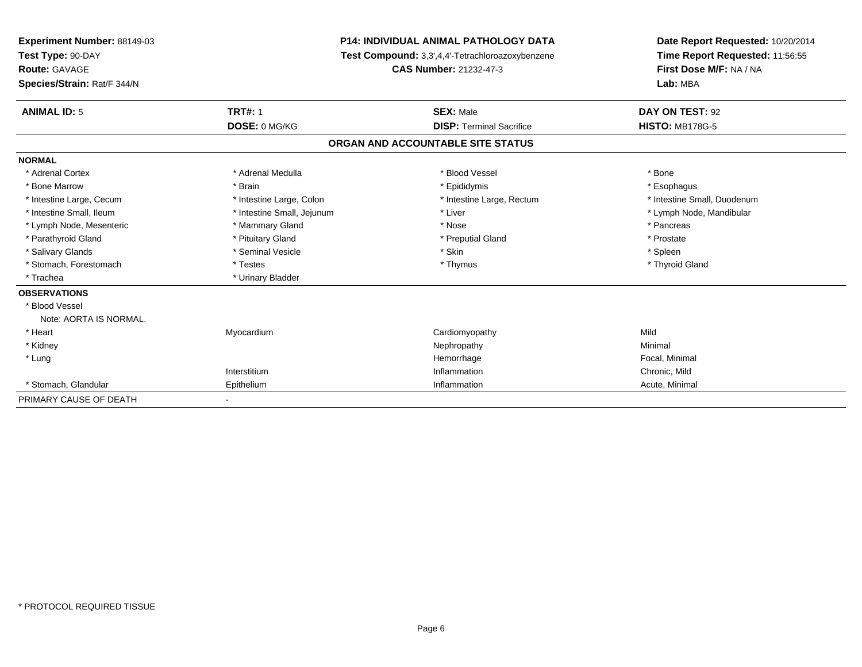| Experiment Number: 88149-03<br>Test Type: 90-DAY |                            | <b>P14: INDIVIDUAL ANIMAL PATHOLOGY DATA</b><br>Test Compound: 3,3',4,4'-Tetrachloroazoxybenzene | Date Report Requested: 10/20/2014<br>Time Report Requested: 11:56:55 |
|--------------------------------------------------|----------------------------|--------------------------------------------------------------------------------------------------|----------------------------------------------------------------------|
| <b>Route: GAVAGE</b>                             |                            | <b>CAS Number: 21232-47-3</b>                                                                    | First Dose M/F: NA / NA                                              |
| Species/Strain: Rat/F 344/N                      |                            |                                                                                                  | Lab: MBA                                                             |
| <b>ANIMAL ID: 5</b>                              | <b>TRT#: 1</b>             | <b>SEX: Male</b>                                                                                 | DAY ON TEST: 92                                                      |
|                                                  | DOSE: 0 MG/KG              | <b>DISP: Terminal Sacrifice</b>                                                                  | <b>HISTO: MB178G-5</b>                                               |
|                                                  |                            | ORGAN AND ACCOUNTABLE SITE STATUS                                                                |                                                                      |
| <b>NORMAL</b>                                    |                            |                                                                                                  |                                                                      |
| * Adrenal Cortex                                 | * Adrenal Medulla          | * Blood Vessel                                                                                   | * Bone                                                               |
| * Bone Marrow                                    | * Brain                    | * Epididymis                                                                                     | * Esophagus                                                          |
| * Intestine Large, Cecum                         | * Intestine Large, Colon   | * Intestine Large, Rectum                                                                        | * Intestine Small, Duodenum                                          |
| * Intestine Small. Ileum                         | * Intestine Small, Jejunum | * Liver                                                                                          | * Lymph Node, Mandibular                                             |
| * Lymph Node, Mesenteric                         | * Mammary Gland            | * Nose                                                                                           | * Pancreas                                                           |
| * Parathyroid Gland                              | * Pituitary Gland          | * Preputial Gland                                                                                | * Prostate                                                           |
| * Salivary Glands                                | * Seminal Vesicle          | * Skin                                                                                           | * Spleen                                                             |
| * Stomach, Forestomach                           | * Testes                   | * Thymus                                                                                         | * Thyroid Gland                                                      |
| * Trachea                                        | * Urinary Bladder          |                                                                                                  |                                                                      |
| <b>OBSERVATIONS</b>                              |                            |                                                                                                  |                                                                      |
| * Blood Vessel                                   |                            |                                                                                                  |                                                                      |
| Note: AORTA IS NORMAL.                           |                            |                                                                                                  |                                                                      |
| * Heart                                          | Myocardium                 | Cardiomyopathy                                                                                   | Mild                                                                 |
| * Kidney                                         |                            | Nephropathy                                                                                      | Minimal                                                              |
| * Lung                                           |                            | Hemorrhage                                                                                       | Focal, Minimal                                                       |
|                                                  | Interstitium               | Inflammation                                                                                     | Chronic, Mild                                                        |
| * Stomach, Glandular                             | Epithelium                 | Inflammation                                                                                     | Acute, Minimal                                                       |
| PRIMARY CAUSE OF DEATH                           |                            |                                                                                                  |                                                                      |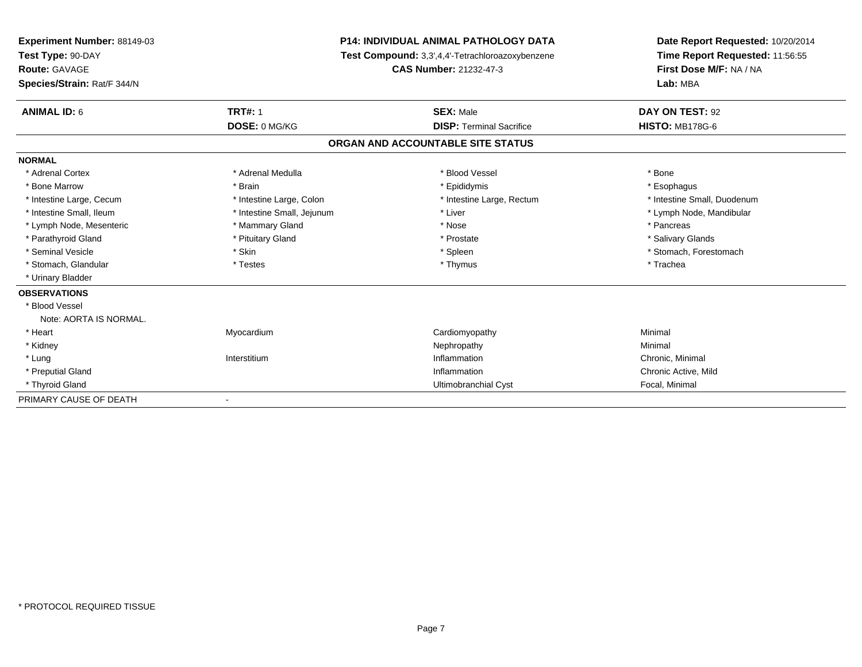| Experiment Number: 88149-03 |                            | <b>P14: INDIVIDUAL ANIMAL PATHOLOGY DATA</b>     | Date Report Requested: 10/20/2014 |  |
|-----------------------------|----------------------------|--------------------------------------------------|-----------------------------------|--|
| Test Type: 90-DAY           |                            | Test Compound: 3,3',4,4'-Tetrachloroazoxybenzene | Time Report Requested: 11:56:55   |  |
| <b>Route: GAVAGE</b>        |                            | CAS Number: 21232-47-3                           | First Dose M/F: NA / NA           |  |
| Species/Strain: Rat/F 344/N |                            |                                                  | Lab: MBA                          |  |
| <b>ANIMAL ID: 6</b>         | <b>TRT#: 1</b>             | <b>SEX: Male</b>                                 | DAY ON TEST: 92                   |  |
|                             | DOSE: 0 MG/KG              | <b>DISP: Terminal Sacrifice</b>                  | <b>HISTO: MB178G-6</b>            |  |
|                             |                            | ORGAN AND ACCOUNTABLE SITE STATUS                |                                   |  |
| <b>NORMAL</b>               |                            |                                                  |                                   |  |
| * Adrenal Cortex            | * Adrenal Medulla          | * Blood Vessel                                   | * Bone                            |  |
| * Bone Marrow               | * Brain                    | * Epididymis                                     | * Esophagus                       |  |
| * Intestine Large, Cecum    | * Intestine Large, Colon   | * Intestine Large, Rectum                        | * Intestine Small, Duodenum       |  |
| * Intestine Small, Ileum    | * Intestine Small, Jejunum | * Liver                                          | * Lymph Node, Mandibular          |  |
| * Lymph Node, Mesenteric    | * Mammary Gland            | * Nose                                           | * Pancreas                        |  |
| * Parathyroid Gland         | * Pituitary Gland          | * Prostate                                       | * Salivary Glands                 |  |
| * Seminal Vesicle           | * Skin                     | * Spleen                                         | * Stomach, Forestomach            |  |
| * Stomach, Glandular        | * Testes                   | * Thymus                                         | * Trachea                         |  |
| * Urinary Bladder           |                            |                                                  |                                   |  |
| <b>OBSERVATIONS</b>         |                            |                                                  |                                   |  |
| * Blood Vessel              |                            |                                                  |                                   |  |
| Note: AORTA IS NORMAL.      |                            |                                                  |                                   |  |
| * Heart                     | Myocardium                 | Cardiomyopathy                                   | Minimal                           |  |
| * Kidney                    |                            | Nephropathy                                      | Minimal                           |  |
| * Lung                      | Interstitium               | Inflammation                                     | Chronic, Minimal                  |  |
| * Preputial Gland           |                            | Inflammation                                     | Chronic Active, Mild              |  |
| * Thyroid Gland             |                            | Ultimobranchial Cyst                             | Focal, Minimal                    |  |
| PRIMARY CAUSE OF DEATH      |                            |                                                  |                                   |  |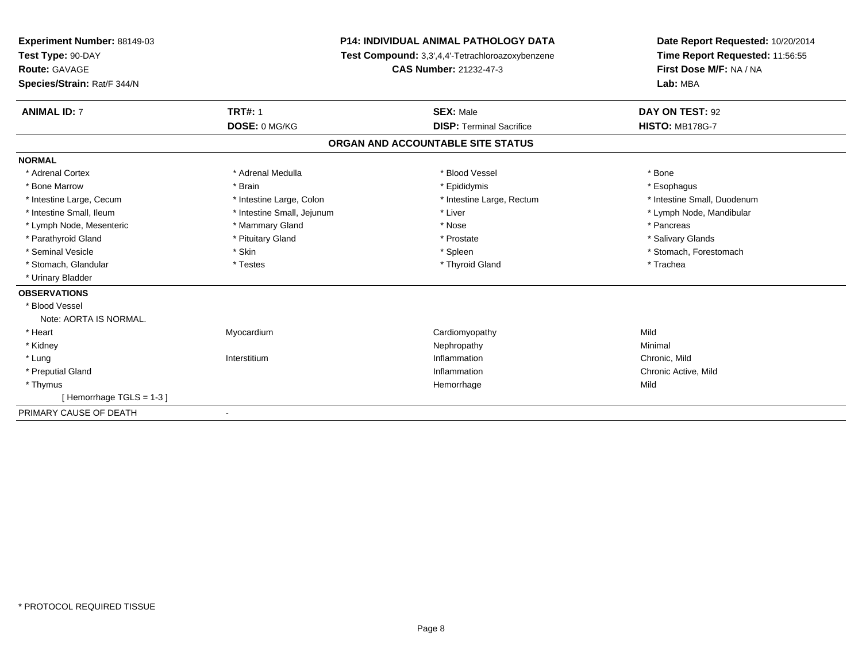| Experiment Number: 88149-03 |                                                  | P14: INDIVIDUAL ANIMAL PATHOLOGY DATA |                                 |
|-----------------------------|--------------------------------------------------|---------------------------------------|---------------------------------|
| Test Type: 90-DAY           | Test Compound: 3,3',4,4'-Tetrachloroazoxybenzene |                                       | Time Report Requested: 11:56:55 |
| <b>Route: GAVAGE</b>        |                                                  | <b>CAS Number: 21232-47-3</b>         | First Dose M/F: NA / NA         |
| Species/Strain: Rat/F 344/N |                                                  |                                       | Lab: MBA                        |
| <b>ANIMAL ID: 7</b>         | <b>TRT#: 1</b>                                   | <b>SEX: Male</b>                      | DAY ON TEST: 92                 |
|                             | DOSE: 0 MG/KG                                    | <b>DISP: Terminal Sacrifice</b>       | <b>HISTO: MB178G-7</b>          |
|                             |                                                  | ORGAN AND ACCOUNTABLE SITE STATUS     |                                 |
| <b>NORMAL</b>               |                                                  |                                       |                                 |
| * Adrenal Cortex            | * Adrenal Medulla                                | * Blood Vessel                        | * Bone                          |
| * Bone Marrow               | * Brain                                          | * Epididymis                          | * Esophagus                     |
| * Intestine Large, Cecum    | * Intestine Large, Colon                         | * Intestine Large, Rectum             | * Intestine Small, Duodenum     |
| * Intestine Small. Ileum    | * Intestine Small, Jejunum                       | * Liver                               | * Lymph Node, Mandibular        |
| * Lymph Node, Mesenteric    | * Mammary Gland                                  | * Nose                                | * Pancreas                      |
| * Parathyroid Gland         | * Pituitary Gland                                | * Prostate                            | * Salivary Glands               |
| * Seminal Vesicle           | * Skin                                           | * Spleen                              | * Stomach, Forestomach          |
| * Stomach, Glandular        | * Testes                                         | * Thyroid Gland                       | * Trachea                       |
| * Urinary Bladder           |                                                  |                                       |                                 |
| <b>OBSERVATIONS</b>         |                                                  |                                       |                                 |
| * Blood Vessel              |                                                  |                                       |                                 |
| Note: AORTA IS NORMAL.      |                                                  |                                       |                                 |
| * Heart                     | Myocardium                                       | Cardiomyopathy                        | Mild                            |
| * Kidney                    |                                                  | Nephropathy                           | Minimal                         |
| * Lung                      | Interstitium                                     | Inflammation                          | Chronic, Mild                   |
| * Preputial Gland           |                                                  | Inflammation                          | Chronic Active, Mild            |
| * Thymus                    |                                                  | Hemorrhage                            | Mild                            |
| [Hemorrhage TGLS = 1-3]     |                                                  |                                       |                                 |
| PRIMARY CAUSE OF DEATH      | $\blacksquare$                                   |                                       |                                 |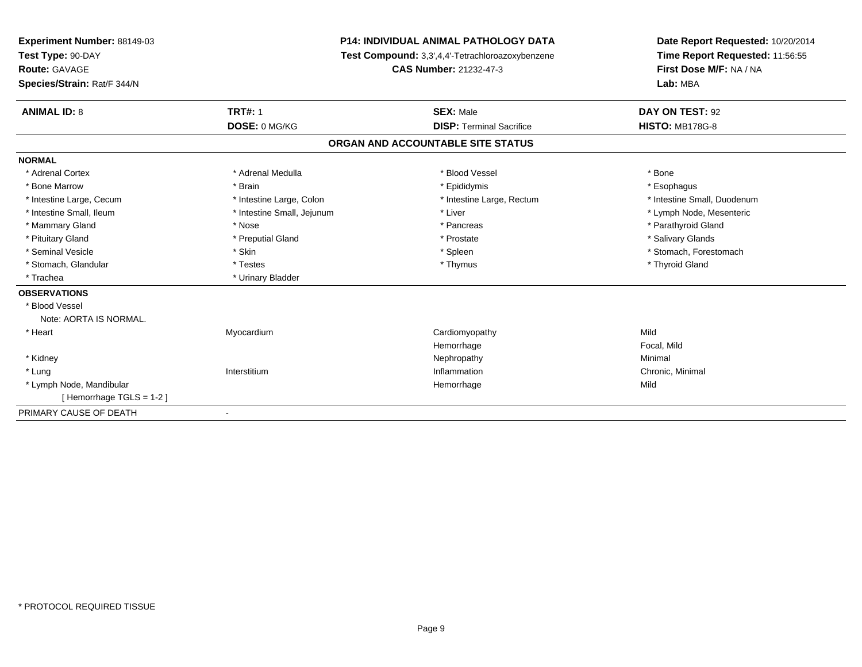| Experiment Number: 88149-03 |                                                  | <b>P14: INDIVIDUAL ANIMAL PATHOLOGY DATA</b> |                                 |
|-----------------------------|--------------------------------------------------|----------------------------------------------|---------------------------------|
| Test Type: 90-DAY           | Test Compound: 3,3',4,4'-Tetrachloroazoxybenzene |                                              | Time Report Requested: 11:56:55 |
| <b>Route: GAVAGE</b>        |                                                  | <b>CAS Number: 21232-47-3</b>                | First Dose M/F: NA / NA         |
| Species/Strain: Rat/F 344/N |                                                  |                                              | Lab: MBA                        |
| <b>ANIMAL ID: 8</b>         | <b>TRT#: 1</b>                                   | <b>SEX: Male</b>                             | DAY ON TEST: 92                 |
|                             | DOSE: 0 MG/KG                                    | <b>DISP: Terminal Sacrifice</b>              | <b>HISTO: MB178G-8</b>          |
|                             |                                                  | ORGAN AND ACCOUNTABLE SITE STATUS            |                                 |
| <b>NORMAL</b>               |                                                  |                                              |                                 |
| * Adrenal Cortex            | * Adrenal Medulla                                | * Blood Vessel                               | * Bone                          |
| * Bone Marrow               | * Brain                                          | * Epididymis                                 | * Esophagus                     |
| * Intestine Large, Cecum    | * Intestine Large, Colon                         | * Intestine Large, Rectum                    | * Intestine Small, Duodenum     |
| * Intestine Small. Ileum    | * Intestine Small, Jejunum                       | * Liver                                      | * Lymph Node, Mesenteric        |
| * Mammary Gland             | * Nose                                           | * Pancreas                                   | * Parathyroid Gland             |
| * Pituitary Gland           | * Preputial Gland                                | * Prostate                                   | * Salivary Glands               |
| * Seminal Vesicle           | * Skin                                           | * Spleen                                     | * Stomach, Forestomach          |
| * Stomach, Glandular        | * Testes                                         | * Thymus                                     | * Thyroid Gland                 |
| * Trachea                   | * Urinary Bladder                                |                                              |                                 |
| <b>OBSERVATIONS</b>         |                                                  |                                              |                                 |
| * Blood Vessel              |                                                  |                                              |                                 |
| Note: AORTA IS NORMAL.      |                                                  |                                              |                                 |
| * Heart                     | Myocardium                                       | Cardiomyopathy                               | Mild                            |
|                             |                                                  | Hemorrhage                                   | Focal, Mild                     |
| * Kidney                    |                                                  | Nephropathy                                  | Minimal                         |
| * Lung                      | Interstitium                                     | Inflammation                                 | Chronic, Minimal                |
| * Lymph Node, Mandibular    |                                                  | Hemorrhage                                   | Mild                            |
| [Hemorrhage TGLS = $1-2$ ]  |                                                  |                                              |                                 |
| PRIMARY CAUSE OF DEATH      | $\blacksquare$                                   |                                              |                                 |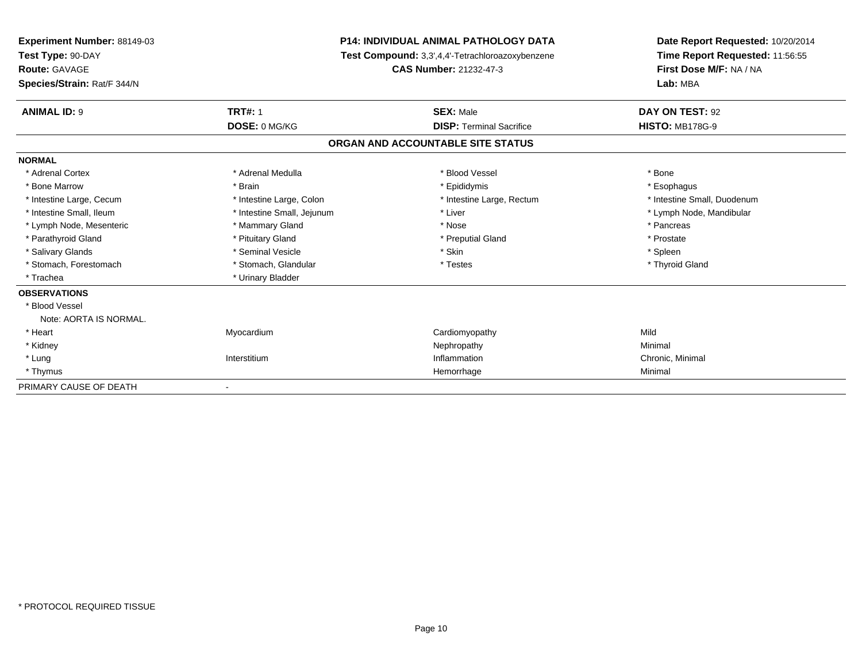| Experiment Number: 88149-03<br>Test Type: 90-DAY |                            | P14: INDIVIDUAL ANIMAL PATHOLOGY DATA            | Date Report Requested: 10/20/2014<br>Time Report Requested: 11:56:55 |
|--------------------------------------------------|----------------------------|--------------------------------------------------|----------------------------------------------------------------------|
|                                                  |                            | Test Compound: 3,3',4,4'-Tetrachloroazoxybenzene |                                                                      |
| <b>Route: GAVAGE</b>                             |                            | CAS Number: 21232-47-3                           | First Dose M/F: NA / NA                                              |
| Species/Strain: Rat/F 344/N                      |                            |                                                  | Lab: MBA                                                             |
| <b>ANIMAL ID: 9</b>                              | <b>TRT#: 1</b>             | <b>SEX: Male</b>                                 | DAY ON TEST: 92                                                      |
|                                                  | DOSE: 0 MG/KG              | <b>DISP: Terminal Sacrifice</b>                  | <b>HISTO: MB178G-9</b>                                               |
|                                                  |                            | ORGAN AND ACCOUNTABLE SITE STATUS                |                                                                      |
| <b>NORMAL</b>                                    |                            |                                                  |                                                                      |
| * Adrenal Cortex                                 | * Adrenal Medulla          | * Blood Vessel                                   | * Bone                                                               |
| * Bone Marrow                                    | * Brain                    | * Epididymis                                     | * Esophagus                                                          |
| * Intestine Large, Cecum                         | * Intestine Large, Colon   | * Intestine Large, Rectum                        | * Intestine Small, Duodenum                                          |
| * Intestine Small, Ileum                         | * Intestine Small, Jejunum | * Liver                                          | * Lymph Node, Mandibular                                             |
| * Lymph Node, Mesenteric                         | * Mammary Gland            | * Nose                                           | * Pancreas                                                           |
| * Parathyroid Gland                              | * Pituitary Gland          | * Preputial Gland                                | * Prostate                                                           |
| * Salivary Glands                                | * Seminal Vesicle          | * Skin                                           | * Spleen                                                             |
| * Stomach, Forestomach                           | * Stomach, Glandular       | * Testes                                         | * Thyroid Gland                                                      |
| * Trachea                                        | * Urinary Bladder          |                                                  |                                                                      |
| <b>OBSERVATIONS</b>                              |                            |                                                  |                                                                      |
| * Blood Vessel                                   |                            |                                                  |                                                                      |
| Note: AORTA IS NORMAL.                           |                            |                                                  |                                                                      |
| * Heart                                          | Myocardium                 | Cardiomyopathy                                   | Mild                                                                 |
| * Kidney                                         |                            | Nephropathy                                      | Minimal                                                              |
| * Lung                                           | Interstitium               | Inflammation                                     | Chronic, Minimal                                                     |
| * Thymus                                         |                            | Hemorrhage                                       | Minimal                                                              |
| PRIMARY CAUSE OF DEATH                           |                            |                                                  |                                                                      |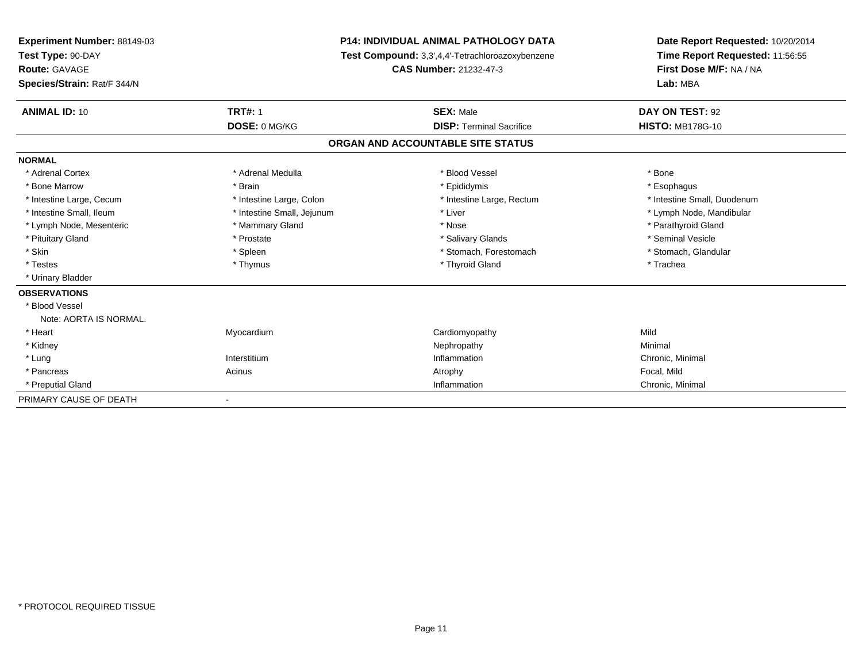| Experiment Number: 88149-03<br>Test Type: 90-DAY |                            | <b>P14: INDIVIDUAL ANIMAL PATHOLOGY DATA</b>     | Date Report Requested: 10/20/2014<br>Time Report Requested: 11:56:55 |
|--------------------------------------------------|----------------------------|--------------------------------------------------|----------------------------------------------------------------------|
|                                                  |                            | Test Compound: 3,3',4,4'-Tetrachloroazoxybenzene |                                                                      |
| <b>Route: GAVAGE</b>                             |                            | <b>CAS Number: 21232-47-3</b>                    | First Dose M/F: NA / NA                                              |
| Species/Strain: Rat/F 344/N                      |                            |                                                  | Lab: MBA                                                             |
| <b>ANIMAL ID: 10</b>                             | <b>TRT#: 1</b>             | <b>SEX: Male</b>                                 | DAY ON TEST: 92                                                      |
|                                                  | DOSE: 0 MG/KG              | <b>DISP: Terminal Sacrifice</b>                  | <b>HISTO: MB178G-10</b>                                              |
|                                                  |                            | ORGAN AND ACCOUNTABLE SITE STATUS                |                                                                      |
| <b>NORMAL</b>                                    |                            |                                                  |                                                                      |
| * Adrenal Cortex                                 | * Adrenal Medulla          | * Blood Vessel                                   | * Bone                                                               |
| * Bone Marrow                                    | * Brain                    | * Epididymis                                     | * Esophagus                                                          |
| * Intestine Large, Cecum                         | * Intestine Large, Colon   | * Intestine Large, Rectum                        | * Intestine Small, Duodenum                                          |
| * Intestine Small. Ileum                         | * Intestine Small, Jejunum | * Liver                                          | * Lymph Node, Mandibular                                             |
| * Lymph Node, Mesenteric                         | * Mammary Gland            | * Nose                                           | * Parathyroid Gland                                                  |
| * Pituitary Gland                                | * Prostate                 | * Salivary Glands                                | * Seminal Vesicle                                                    |
| * Skin                                           | * Spleen                   | * Stomach, Forestomach                           | * Stomach, Glandular                                                 |
| * Testes                                         | * Thymus                   | * Thyroid Gland                                  | * Trachea                                                            |
| * Urinary Bladder                                |                            |                                                  |                                                                      |
| <b>OBSERVATIONS</b>                              |                            |                                                  |                                                                      |
| * Blood Vessel                                   |                            |                                                  |                                                                      |
| Note: AORTA IS NORMAL.                           |                            |                                                  |                                                                      |
| * Heart                                          | Myocardium                 | Cardiomyopathy                                   | Mild                                                                 |
| * Kidney                                         |                            | Nephropathy                                      | Minimal                                                              |
| * Lung                                           | Interstitium               | Inflammation                                     | Chronic, Minimal                                                     |
| * Pancreas                                       | Acinus                     | Atrophy                                          | Focal, Mild                                                          |
| * Preputial Gland                                |                            | Inflammation                                     | Chronic, Minimal                                                     |
| PRIMARY CAUSE OF DEATH                           |                            |                                                  |                                                                      |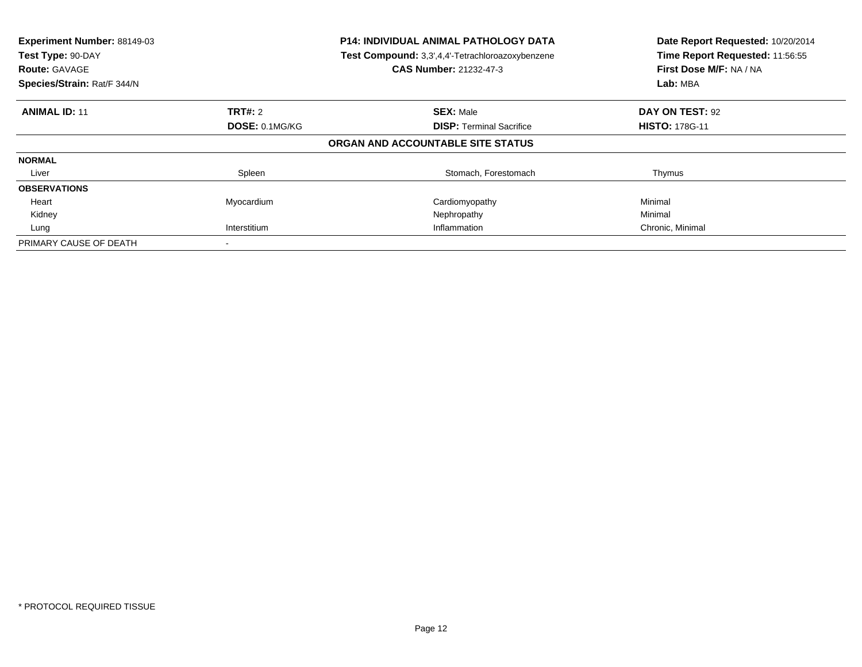| Experiment Number: 88149-03<br>Test Type: 90-DAY<br><b>Route: GAVAGE</b><br>Species/Strain: Rat/F 344/N |                | <b>P14: INDIVIDUAL ANIMAL PATHOLOGY DATA</b><br>Test Compound: 3,3',4,4'-Tetrachloroazoxybenzene<br><b>CAS Number: 21232-47-3</b> | Date Report Requested: 10/20/2014<br>Time Report Requested: 11:56:55<br>First Dose M/F: NA / NA<br>Lab: MBA |
|---------------------------------------------------------------------------------------------------------|----------------|-----------------------------------------------------------------------------------------------------------------------------------|-------------------------------------------------------------------------------------------------------------|
| <b>ANIMAL ID: 11</b>                                                                                    | <b>TRT#:</b> 2 | <b>SEX: Male</b>                                                                                                                  | DAY ON TEST: 92                                                                                             |
|                                                                                                         | DOSE: 0.1MG/KG | <b>DISP:</b> Terminal Sacrifice                                                                                                   | <b>HISTO: 178G-11</b>                                                                                       |
|                                                                                                         |                | ORGAN AND ACCOUNTABLE SITE STATUS                                                                                                 |                                                                                                             |
| <b>NORMAL</b>                                                                                           |                |                                                                                                                                   |                                                                                                             |
| Liver                                                                                                   | Spleen         | Stomach, Forestomach                                                                                                              | Thymus                                                                                                      |
| <b>OBSERVATIONS</b>                                                                                     |                |                                                                                                                                   |                                                                                                             |
| Heart                                                                                                   | Myocardium     | Cardiomyopathy                                                                                                                    | Minimal                                                                                                     |
| Kidney                                                                                                  |                | Nephropathy                                                                                                                       | Minimal                                                                                                     |
| Lung                                                                                                    | Interstitium   | Inflammation                                                                                                                      | Chronic, Minimal                                                                                            |
| PRIMARY CAUSE OF DEATH                                                                                  |                |                                                                                                                                   |                                                                                                             |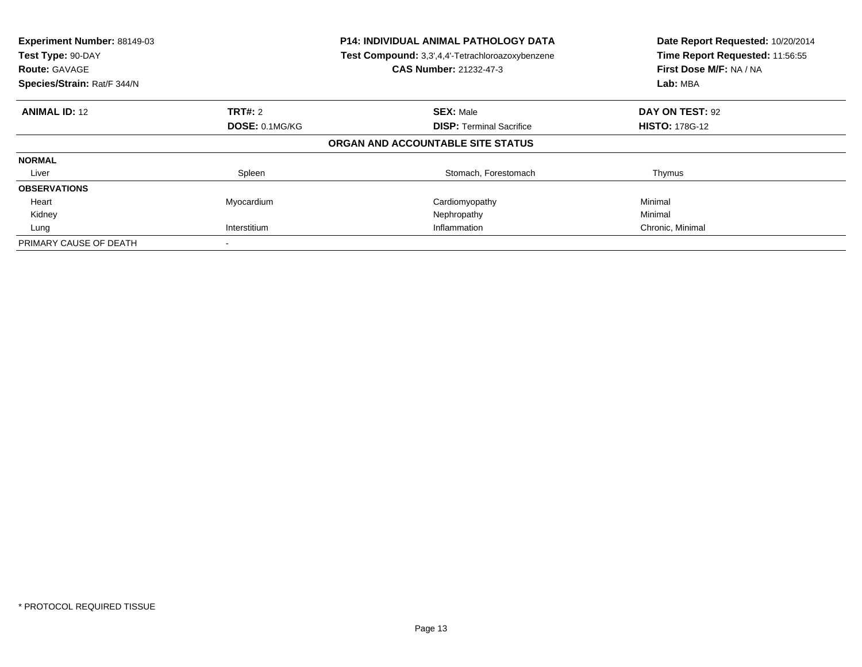| Experiment Number: 88149-03<br>Test Type: 90-DAY<br><b>Route: GAVAGE</b><br>Species/Strain: Rat/F 344/N |                | <b>P14: INDIVIDUAL ANIMAL PATHOLOGY DATA</b><br>Test Compound: 3,3',4,4'-Tetrachloroazoxybenzene<br><b>CAS Number: 21232-47-3</b> | Date Report Requested: 10/20/2014<br>Time Report Requested: 11:56:55<br>First Dose M/F: NA / NA<br>Lab: MBA |
|---------------------------------------------------------------------------------------------------------|----------------|-----------------------------------------------------------------------------------------------------------------------------------|-------------------------------------------------------------------------------------------------------------|
| <b>ANIMAL ID: 12</b>                                                                                    | <b>TRT#: 2</b> | <b>SEX: Male</b>                                                                                                                  | DAY ON TEST: 92                                                                                             |
|                                                                                                         | DOSE: 0.1MG/KG | <b>DISP:</b> Terminal Sacrifice                                                                                                   | <b>HISTO: 178G-12</b>                                                                                       |
|                                                                                                         |                | ORGAN AND ACCOUNTABLE SITE STATUS                                                                                                 |                                                                                                             |
| <b>NORMAL</b>                                                                                           |                |                                                                                                                                   |                                                                                                             |
| Liver                                                                                                   | Spleen         | Stomach, Forestomach                                                                                                              | Thymus                                                                                                      |
| <b>OBSERVATIONS</b>                                                                                     |                |                                                                                                                                   |                                                                                                             |
| Heart                                                                                                   | Myocardium     | Cardiomyopathy                                                                                                                    | Minimal                                                                                                     |
| Kidney                                                                                                  |                | Nephropathy                                                                                                                       | Minimal                                                                                                     |
| Lung                                                                                                    | Interstitium   | Inflammation                                                                                                                      | Chronic, Minimal                                                                                            |
| PRIMARY CAUSE OF DEATH                                                                                  |                |                                                                                                                                   |                                                                                                             |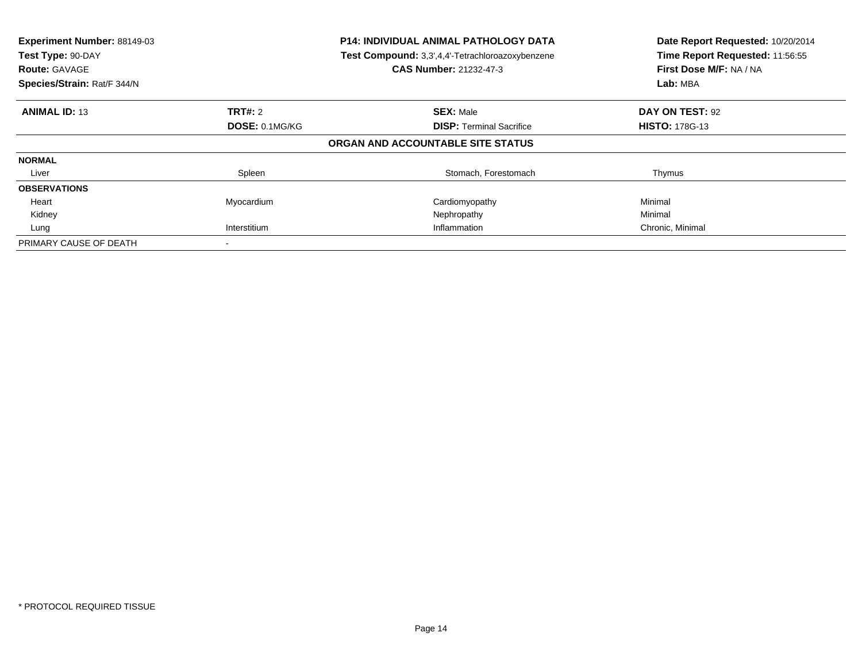| Experiment Number: 88149-03<br>Test Type: 90-DAY<br><b>Route: GAVAGE</b><br>Species/Strain: Rat/F 344/N |                              | <b>P14: INDIVIDUAL ANIMAL PATHOLOGY DATA</b><br>Test Compound: 3,3',4,4'-Tetrachloroazoxybenzene<br><b>CAS Number: 21232-47-3</b> | Date Report Requested: 10/20/2014<br>Time Report Requested: 11:56:55<br>First Dose M/F: NA / NA<br>Lab: MBA |
|---------------------------------------------------------------------------------------------------------|------------------------------|-----------------------------------------------------------------------------------------------------------------------------------|-------------------------------------------------------------------------------------------------------------|
| <b>ANIMAL ID: 13</b>                                                                                    | <b>TRT#: 2</b>               | <b>SEX: Male</b>                                                                                                                  | DAY ON TEST: 92                                                                                             |
|                                                                                                         | DOSE: 0.1MG/KG               | <b>DISP:</b> Terminal Sacrifice                                                                                                   | <b>HISTO: 178G-13</b>                                                                                       |
|                                                                                                         |                              | ORGAN AND ACCOUNTABLE SITE STATUS                                                                                                 |                                                                                                             |
| <b>NORMAL</b>                                                                                           |                              |                                                                                                                                   |                                                                                                             |
| Liver                                                                                                   | Spleen                       | Stomach, Forestomach                                                                                                              | Thymus                                                                                                      |
| <b>OBSERVATIONS</b>                                                                                     |                              |                                                                                                                                   |                                                                                                             |
| Heart                                                                                                   | Myocardium                   | Cardiomyopathy                                                                                                                    | Minimal                                                                                                     |
| Kidney                                                                                                  |                              | Nephropathy                                                                                                                       | Minimal                                                                                                     |
| Lung                                                                                                    | Interstitium<br>Inflammation |                                                                                                                                   | Chronic, Minimal                                                                                            |
| PRIMARY CAUSE OF DEATH                                                                                  |                              |                                                                                                                                   |                                                                                                             |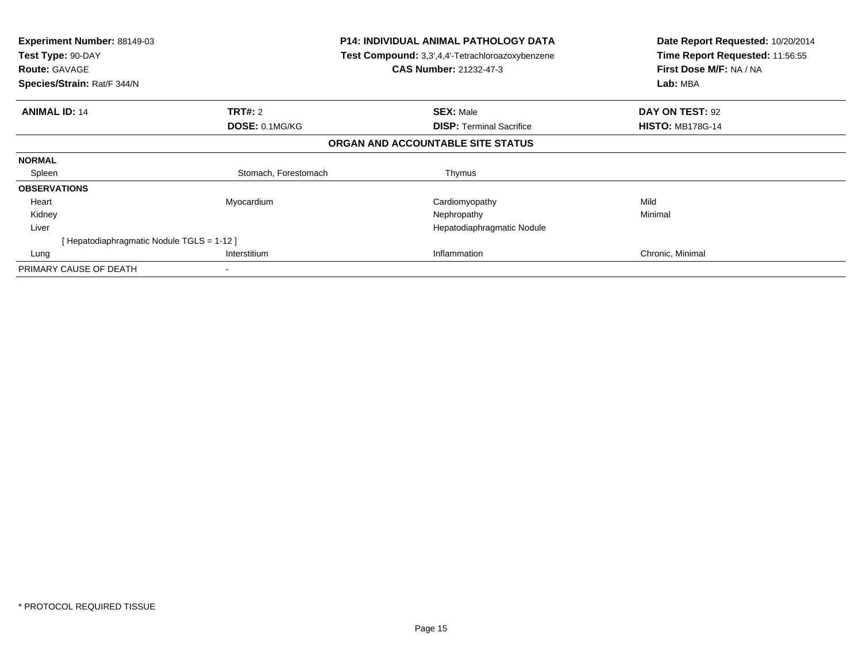| Experiment Number: 88149-03<br>Test Type: 90-DAY<br><b>Route: GAVAGE</b><br>Species/Strain: Rat/F 344/N |                      | <b>P14: INDIVIDUAL ANIMAL PATHOLOGY DATA</b><br>Test Compound: 3,3',4,4'-Tetrachloroazoxybenzene<br><b>CAS Number: 21232-47-3</b> | Date Report Requested: 10/20/2014<br>Time Report Requested: 11:56:55<br>First Dose M/F: NA / NA<br>Lab: MBA |  |
|---------------------------------------------------------------------------------------------------------|----------------------|-----------------------------------------------------------------------------------------------------------------------------------|-------------------------------------------------------------------------------------------------------------|--|
| <b>ANIMAL ID: 14</b>                                                                                    | <b>TRT#: 2</b>       | <b>SEX: Male</b>                                                                                                                  | DAY ON TEST: 92                                                                                             |  |
|                                                                                                         | DOSE: 0.1MG/KG       | <b>DISP:</b> Terminal Sacrifice                                                                                                   | <b>HISTO: MB178G-14</b>                                                                                     |  |
|                                                                                                         |                      | ORGAN AND ACCOUNTABLE SITE STATUS                                                                                                 |                                                                                                             |  |
| <b>NORMAL</b>                                                                                           |                      |                                                                                                                                   |                                                                                                             |  |
| Spleen                                                                                                  | Stomach, Forestomach | Thymus                                                                                                                            |                                                                                                             |  |
| <b>OBSERVATIONS</b>                                                                                     |                      |                                                                                                                                   |                                                                                                             |  |
| Heart                                                                                                   | Myocardium           | Cardiomyopathy                                                                                                                    | Mild                                                                                                        |  |
| Kidney                                                                                                  |                      | Nephropathy                                                                                                                       | Minimal                                                                                                     |  |
| Liver                                                                                                   |                      | Hepatodiaphragmatic Nodule                                                                                                        |                                                                                                             |  |
| [Hepatodiaphragmatic Nodule TGLS = 1-12]                                                                |                      |                                                                                                                                   |                                                                                                             |  |
| Lung                                                                                                    | Interstitium         | Inflammation                                                                                                                      | Chronic, Minimal                                                                                            |  |
| PRIMARY CAUSE OF DEATH                                                                                  |                      |                                                                                                                                   |                                                                                                             |  |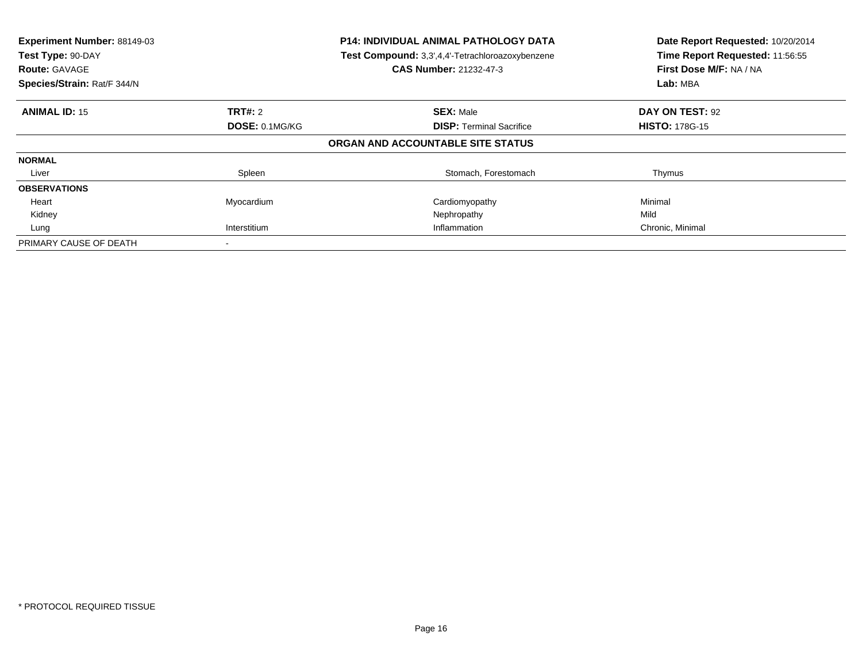| Experiment Number: 88149-03<br>Test Type: 90-DAY<br><b>Route: GAVAGE</b><br>Species/Strain: Rat/F 344/N |                | <b>P14: INDIVIDUAL ANIMAL PATHOLOGY DATA</b><br>Test Compound: 3,3',4,4'-Tetrachloroazoxybenzene<br><b>CAS Number: 21232-47-3</b> | Date Report Requested: 10/20/2014<br>Time Report Requested: 11:56:55<br>First Dose M/F: NA / NA<br>Lab: MBA |
|---------------------------------------------------------------------------------------------------------|----------------|-----------------------------------------------------------------------------------------------------------------------------------|-------------------------------------------------------------------------------------------------------------|
| <b>ANIMAL ID: 15</b>                                                                                    | TRT#: 2        | <b>SEX: Male</b>                                                                                                                  | DAY ON TEST: 92                                                                                             |
|                                                                                                         | DOSE: 0.1MG/KG | <b>DISP:</b> Terminal Sacrifice                                                                                                   | <b>HISTO: 178G-15</b>                                                                                       |
|                                                                                                         |                | ORGAN AND ACCOUNTABLE SITE STATUS                                                                                                 |                                                                                                             |
| <b>NORMAL</b>                                                                                           |                |                                                                                                                                   |                                                                                                             |
| Liver                                                                                                   | Spleen         | Stomach, Forestomach                                                                                                              | Thymus                                                                                                      |
| <b>OBSERVATIONS</b>                                                                                     |                |                                                                                                                                   |                                                                                                             |
| Heart                                                                                                   | Myocardium     | Cardiomyopathy                                                                                                                    | Minimal                                                                                                     |
| Kidney                                                                                                  |                | Nephropathy                                                                                                                       | Mild                                                                                                        |
| Lung                                                                                                    | Interstitium   | Inflammation                                                                                                                      | Chronic, Minimal                                                                                            |
| PRIMARY CAUSE OF DEATH                                                                                  |                |                                                                                                                                   |                                                                                                             |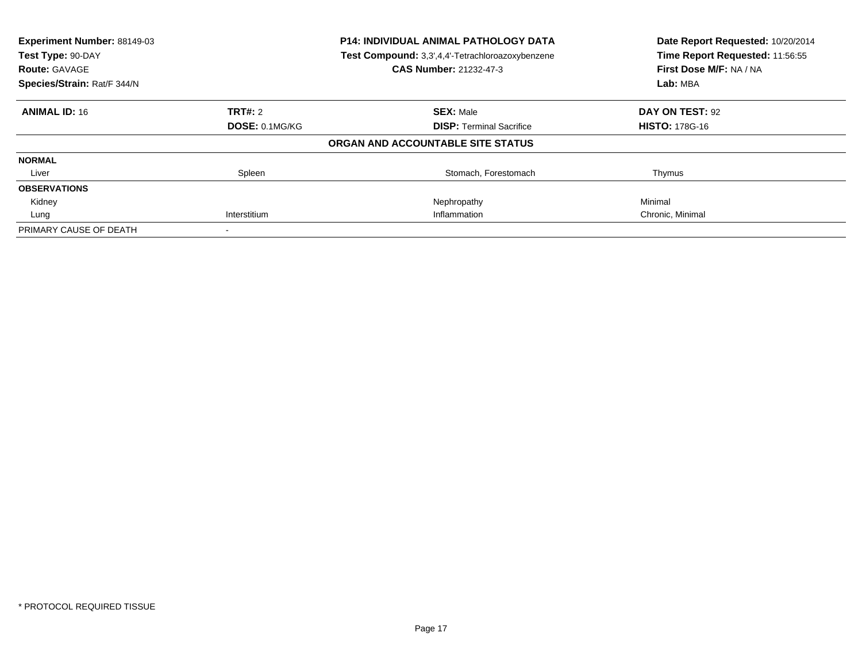| Experiment Number: 88149-03<br>Test Type: 90-DAY |                              | <b>P14: INDIVIDUAL ANIMAL PATHOLOGY DATA</b>     | Date Report Requested: 10/20/2014<br>Time Report Requested: 11:56:55 |
|--------------------------------------------------|------------------------------|--------------------------------------------------|----------------------------------------------------------------------|
|                                                  |                              | Test Compound: 3,3',4,4'-Tetrachloroazoxybenzene |                                                                      |
| <b>Route: GAVAGE</b>                             |                              | CAS Number: 21232-47-3                           | First Dose M/F: NA / NA                                              |
| Species/Strain: Rat/F 344/N                      |                              |                                                  | Lab: MBA                                                             |
| <b>ANIMAL ID: 16</b>                             | TRT#: 2                      | <b>SEX: Male</b>                                 | DAY ON TEST: 92                                                      |
|                                                  | DOSE: 0.1MG/KG               | <b>DISP:</b> Terminal Sacrifice                  | <b>HISTO: 178G-16</b>                                                |
|                                                  |                              | ORGAN AND ACCOUNTABLE SITE STATUS                |                                                                      |
| <b>NORMAL</b>                                    |                              |                                                  |                                                                      |
| Liver                                            | Spleen                       | Stomach, Forestomach                             | Thymus                                                               |
| <b>OBSERVATIONS</b>                              |                              |                                                  |                                                                      |
| Kidney                                           |                              | Nephropathy                                      | Minimal                                                              |
| Lung                                             | Inflammation<br>Interstitium |                                                  | Chronic, Minimal                                                     |
| PRIMARY CAUSE OF DEATH                           |                              |                                                  |                                                                      |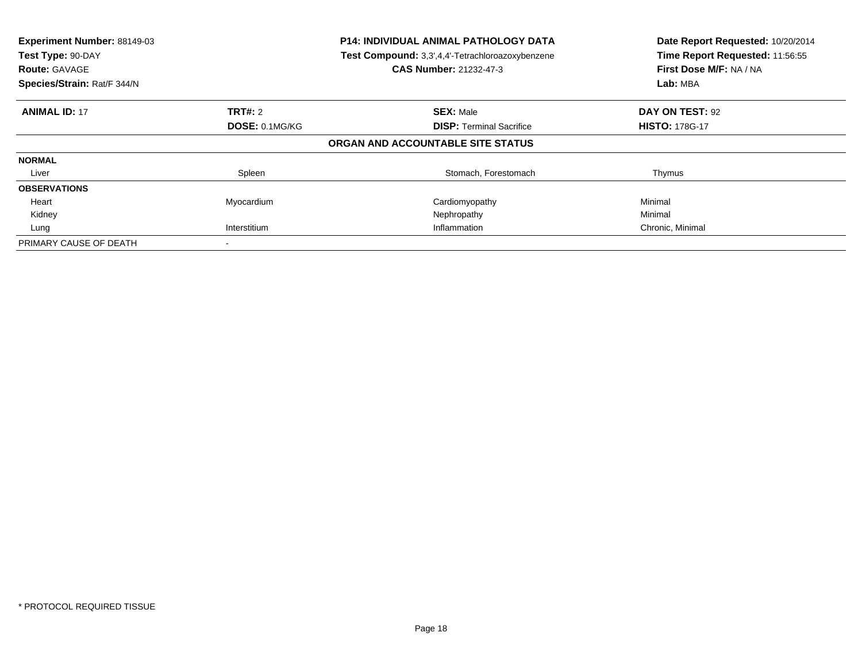| Experiment Number: 88149-03<br>Test Type: 90-DAY<br><b>Route: GAVAGE</b><br>Species/Strain: Rat/F 344/N |                              | <b>P14: INDIVIDUAL ANIMAL PATHOLOGY DATA</b><br>Test Compound: 3,3',4,4'-Tetrachloroazoxybenzene<br><b>CAS Number: 21232-47-3</b> | Date Report Requested: 10/20/2014<br>Time Report Requested: 11:56:55<br>First Dose M/F: NA / NA<br>Lab: MBA |
|---------------------------------------------------------------------------------------------------------|------------------------------|-----------------------------------------------------------------------------------------------------------------------------------|-------------------------------------------------------------------------------------------------------------|
| <b>ANIMAL ID: 17</b>                                                                                    | <b>TRT#: 2</b>               | <b>SEX: Male</b>                                                                                                                  | DAY ON TEST: 92                                                                                             |
|                                                                                                         | DOSE: 0.1MG/KG               | <b>DISP:</b> Terminal Sacrifice                                                                                                   | <b>HISTO: 178G-17</b>                                                                                       |
|                                                                                                         |                              | ORGAN AND ACCOUNTABLE SITE STATUS                                                                                                 |                                                                                                             |
| <b>NORMAL</b>                                                                                           |                              |                                                                                                                                   |                                                                                                             |
| Liver                                                                                                   | Spleen                       | Stomach, Forestomach                                                                                                              | Thymus                                                                                                      |
| <b>OBSERVATIONS</b>                                                                                     |                              |                                                                                                                                   |                                                                                                             |
| Heart                                                                                                   | Myocardium                   | Cardiomyopathy                                                                                                                    | Minimal                                                                                                     |
| Kidney                                                                                                  |                              | Nephropathy                                                                                                                       | Minimal                                                                                                     |
| Lung                                                                                                    | Interstitium<br>Inflammation |                                                                                                                                   | Chronic, Minimal                                                                                            |
| PRIMARY CAUSE OF DEATH                                                                                  |                              |                                                                                                                                   |                                                                                                             |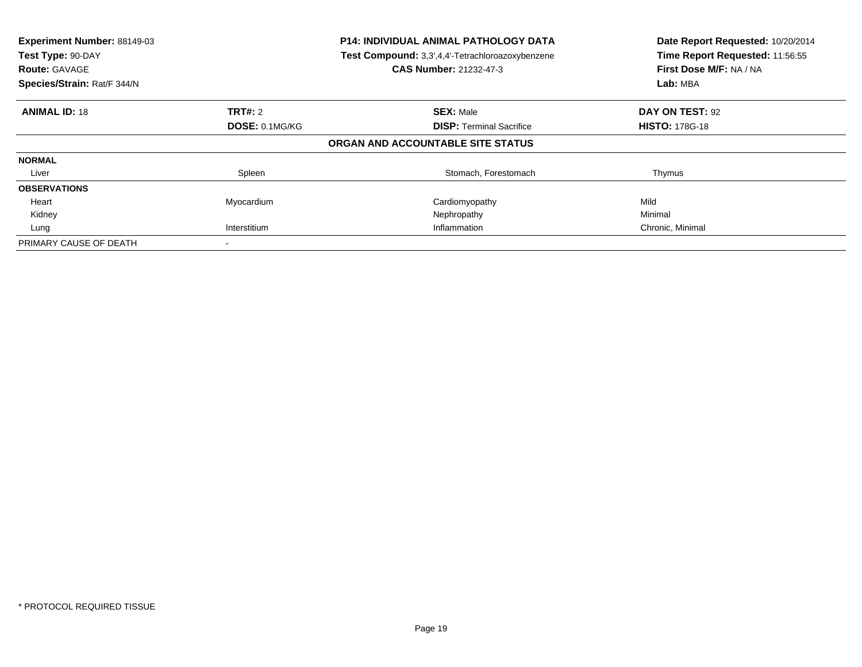| Experiment Number: 88149-03<br>Test Type: 90-DAY<br><b>Route: GAVAGE</b><br>Species/Strain: Rat/F 344/N |                | <b>P14: INDIVIDUAL ANIMAL PATHOLOGY DATA</b><br>Test Compound: 3,3',4,4'-Tetrachloroazoxybenzene<br><b>CAS Number: 21232-47-3</b> | Date Report Requested: 10/20/2014<br>Time Report Requested: 11:56:55<br>First Dose M/F: NA / NA<br>Lab: MBA |
|---------------------------------------------------------------------------------------------------------|----------------|-----------------------------------------------------------------------------------------------------------------------------------|-------------------------------------------------------------------------------------------------------------|
| <b>ANIMAL ID: 18</b>                                                                                    | <b>TRT#: 2</b> | <b>SEX: Male</b>                                                                                                                  | DAY ON TEST: 92                                                                                             |
|                                                                                                         | DOSE: 0.1MG/KG | <b>DISP:</b> Terminal Sacrifice                                                                                                   | <b>HISTO: 178G-18</b>                                                                                       |
|                                                                                                         |                | ORGAN AND ACCOUNTABLE SITE STATUS                                                                                                 |                                                                                                             |
| <b>NORMAL</b>                                                                                           |                |                                                                                                                                   |                                                                                                             |
| Liver                                                                                                   | Spleen         | Stomach, Forestomach                                                                                                              | Thymus                                                                                                      |
| <b>OBSERVATIONS</b>                                                                                     |                |                                                                                                                                   |                                                                                                             |
| Heart                                                                                                   | Myocardium     | Cardiomyopathy                                                                                                                    | Mild                                                                                                        |
| Kidney                                                                                                  |                | Nephropathy                                                                                                                       | Minimal                                                                                                     |
| Lung                                                                                                    | Interstitium   | Inflammation                                                                                                                      | Chronic, Minimal                                                                                            |
| PRIMARY CAUSE OF DEATH                                                                                  |                |                                                                                                                                   |                                                                                                             |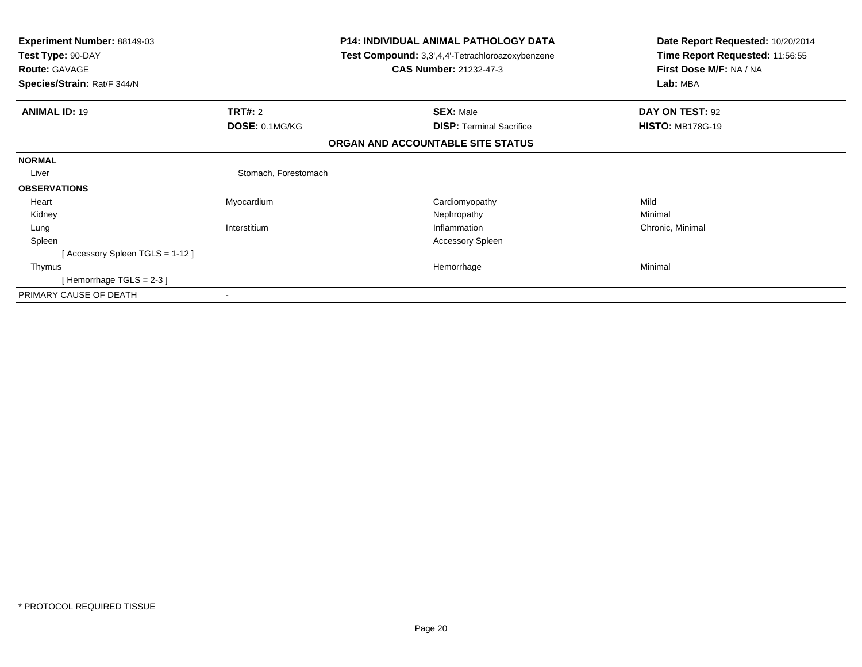| Experiment Number: 88149-03<br>Test Type: 90-DAY<br><b>Route: GAVAGE</b><br>Species/Strain: Rat/F 344/N | <b>P14: INDIVIDUAL ANIMAL PATHOLOGY DATA</b><br>Test Compound: 3,3',4,4'-Tetrachloroazoxybenzene<br><b>CAS Number: 21232-47-3</b> |                                   | Date Report Requested: 10/20/2014<br>Time Report Requested: 11:56:55<br>First Dose M/F: NA / NA<br>Lab: MBA |
|---------------------------------------------------------------------------------------------------------|-----------------------------------------------------------------------------------------------------------------------------------|-----------------------------------|-------------------------------------------------------------------------------------------------------------|
|                                                                                                         |                                                                                                                                   |                                   |                                                                                                             |
| <b>ANIMAL ID: 19</b>                                                                                    | TRT#: 2                                                                                                                           | <b>SEX: Male</b>                  | DAY ON TEST: 92                                                                                             |
|                                                                                                         | DOSE: 0.1MG/KG                                                                                                                    | <b>DISP:</b> Terminal Sacrifice   | <b>HISTO: MB178G-19</b>                                                                                     |
|                                                                                                         |                                                                                                                                   | ORGAN AND ACCOUNTABLE SITE STATUS |                                                                                                             |
| <b>NORMAL</b>                                                                                           |                                                                                                                                   |                                   |                                                                                                             |
| Liver                                                                                                   | Stomach, Forestomach                                                                                                              |                                   |                                                                                                             |
| <b>OBSERVATIONS</b>                                                                                     |                                                                                                                                   |                                   |                                                                                                             |
| Heart                                                                                                   | Myocardium                                                                                                                        | Cardiomyopathy                    | Mild                                                                                                        |
| Kidney                                                                                                  |                                                                                                                                   | Nephropathy                       | Minimal                                                                                                     |
| Lung                                                                                                    | Interstitium                                                                                                                      | Inflammation                      | Chronic, Minimal                                                                                            |
| Spleen                                                                                                  |                                                                                                                                   | <b>Accessory Spleen</b>           |                                                                                                             |
| [Accessory Spleen TGLS = 1-12]                                                                          |                                                                                                                                   |                                   |                                                                                                             |
| Thymus                                                                                                  |                                                                                                                                   | Hemorrhage                        | Minimal                                                                                                     |
| [Hemorrhage TGLS = $2-3$ ]                                                                              |                                                                                                                                   |                                   |                                                                                                             |
| PRIMARY CAUSE OF DEATH                                                                                  |                                                                                                                                   |                                   |                                                                                                             |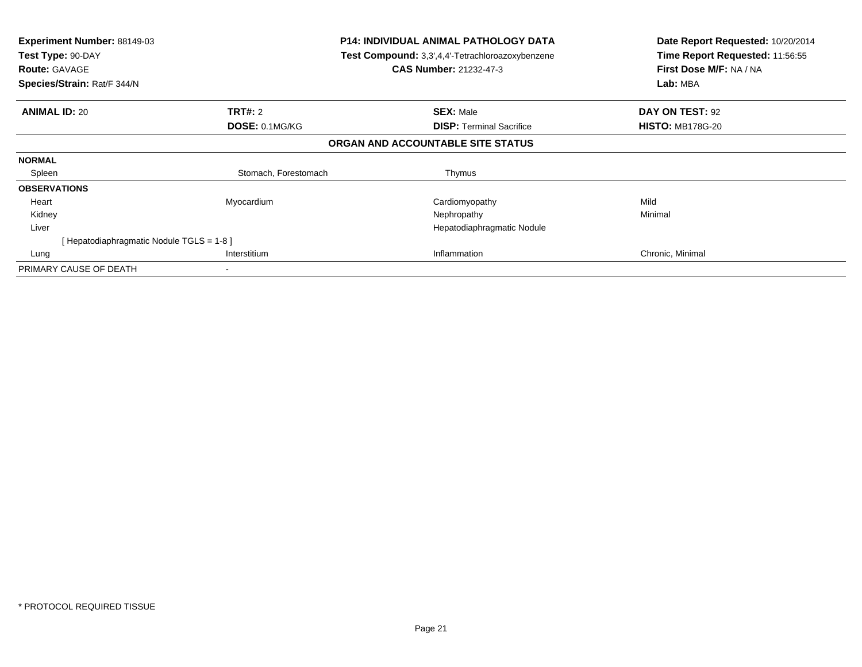| Experiment Number: 88149-03<br>Test Type: 90-DAY<br><b>Route: GAVAGE</b><br>Species/Strain: Rat/F 344/N |                      | <b>P14: INDIVIDUAL ANIMAL PATHOLOGY DATA</b><br>Test Compound: 3,3',4,4'-Tetrachloroazoxybenzene<br><b>CAS Number: 21232-47-3</b> | Date Report Requested: 10/20/2014<br>Time Report Requested: 11:56:55<br>First Dose M/F: NA / NA<br>Lab: MBA |  |
|---------------------------------------------------------------------------------------------------------|----------------------|-----------------------------------------------------------------------------------------------------------------------------------|-------------------------------------------------------------------------------------------------------------|--|
| <b>ANIMAL ID: 20</b>                                                                                    | <b>TRT#: 2</b>       | <b>SEX: Male</b>                                                                                                                  | DAY ON TEST: 92                                                                                             |  |
|                                                                                                         | DOSE: 0.1MG/KG       | <b>DISP:</b> Terminal Sacrifice                                                                                                   | <b>HISTO: MB178G-20</b>                                                                                     |  |
|                                                                                                         |                      | ORGAN AND ACCOUNTABLE SITE STATUS                                                                                                 |                                                                                                             |  |
| <b>NORMAL</b>                                                                                           |                      |                                                                                                                                   |                                                                                                             |  |
| Spleen                                                                                                  | Stomach, Forestomach | Thymus                                                                                                                            |                                                                                                             |  |
| <b>OBSERVATIONS</b>                                                                                     |                      |                                                                                                                                   |                                                                                                             |  |
| Heart                                                                                                   | Myocardium           | Cardiomyopathy                                                                                                                    | Mild                                                                                                        |  |
| Kidney                                                                                                  |                      | Nephropathy                                                                                                                       | Minimal                                                                                                     |  |
| Liver                                                                                                   |                      | Hepatodiaphragmatic Nodule                                                                                                        |                                                                                                             |  |
| [ Hepatodiaphragmatic Nodule TGLS = 1-8 ]                                                               |                      |                                                                                                                                   |                                                                                                             |  |
| Lung                                                                                                    | Interstitium         | Inflammation                                                                                                                      | Chronic, Minimal                                                                                            |  |
| PRIMARY CAUSE OF DEATH                                                                                  |                      |                                                                                                                                   |                                                                                                             |  |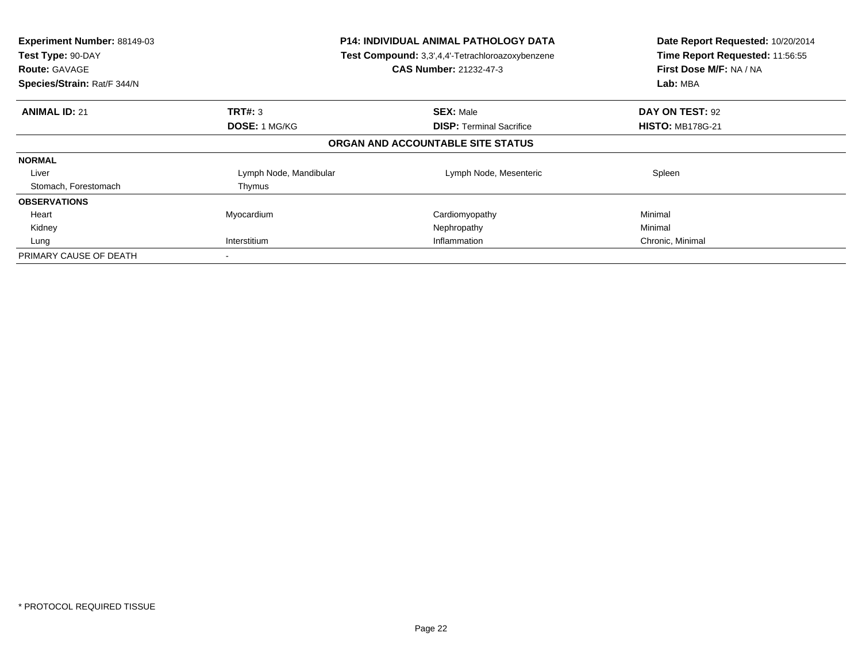| Experiment Number: 88149-03<br>Test Type: 90-DAY<br><b>Route: GAVAGE</b><br>Species/Strain: Rat/F 344/N | <b>P14: INDIVIDUAL ANIMAL PATHOLOGY DATA</b><br>Test Compound: 3,3',4,4'-Tetrachloroazoxybenzene<br><b>CAS Number: 21232-47-3</b> |                                   | Date Report Requested: 10/20/2014<br>Time Report Requested: 11:56:55<br>First Dose M/F: NA / NA<br>Lab: MBA |
|---------------------------------------------------------------------------------------------------------|-----------------------------------------------------------------------------------------------------------------------------------|-----------------------------------|-------------------------------------------------------------------------------------------------------------|
| <b>ANIMAL ID: 21</b>                                                                                    | TRT#: 3                                                                                                                           | <b>SEX: Male</b>                  | DAY ON TEST: 92                                                                                             |
|                                                                                                         | <b>DOSE: 1 MG/KG</b>                                                                                                              | <b>DISP:</b> Terminal Sacrifice   | <b>HISTO: MB178G-21</b>                                                                                     |
|                                                                                                         |                                                                                                                                   | ORGAN AND ACCOUNTABLE SITE STATUS |                                                                                                             |
| <b>NORMAL</b>                                                                                           |                                                                                                                                   |                                   |                                                                                                             |
| Liver                                                                                                   | Lymph Node, Mandibular                                                                                                            | Lymph Node, Mesenteric            | Spleen                                                                                                      |
| Stomach, Forestomach                                                                                    | Thymus                                                                                                                            |                                   |                                                                                                             |
| <b>OBSERVATIONS</b>                                                                                     |                                                                                                                                   |                                   |                                                                                                             |
| Heart                                                                                                   | Myocardium                                                                                                                        | Cardiomyopathy                    | Minimal                                                                                                     |
| Kidney                                                                                                  |                                                                                                                                   | Nephropathy                       | Minimal                                                                                                     |
| Lung                                                                                                    | Interstitium                                                                                                                      | Inflammation                      | Chronic, Minimal                                                                                            |
| PRIMARY CAUSE OF DEATH                                                                                  |                                                                                                                                   |                                   |                                                                                                             |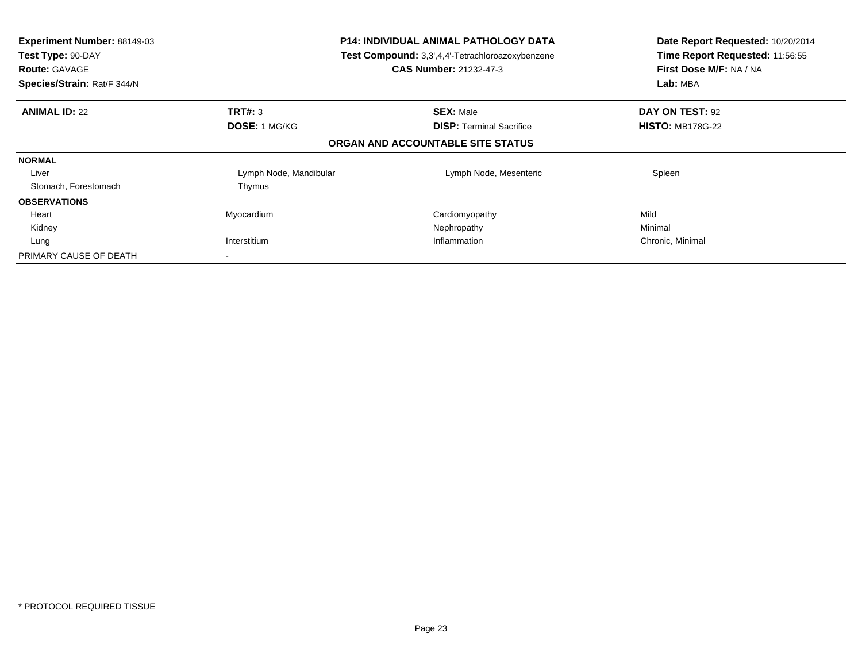| Experiment Number: 88149-03<br>Test Type: 90-DAY<br><b>Route: GAVAGE</b><br>Species/Strain: Rat/F 344/N | <b>P14: INDIVIDUAL ANIMAL PATHOLOGY DATA</b><br>Test Compound: 3,3',4,4'-Tetrachloroazoxybenzene<br><b>CAS Number: 21232-47-3</b> |                                   | Date Report Requested: 10/20/2014<br>Time Report Requested: 11:56:55<br>First Dose M/F: NA / NA<br>Lab: MBA |
|---------------------------------------------------------------------------------------------------------|-----------------------------------------------------------------------------------------------------------------------------------|-----------------------------------|-------------------------------------------------------------------------------------------------------------|
| <b>ANIMAL ID: 22</b>                                                                                    | TRT#: 3                                                                                                                           | <b>SEX: Male</b>                  | DAY ON TEST: 92                                                                                             |
|                                                                                                         | <b>DOSE: 1 MG/KG</b>                                                                                                              | <b>DISP:</b> Terminal Sacrifice   | <b>HISTO: MB178G-22</b>                                                                                     |
|                                                                                                         |                                                                                                                                   | ORGAN AND ACCOUNTABLE SITE STATUS |                                                                                                             |
| <b>NORMAL</b>                                                                                           |                                                                                                                                   |                                   |                                                                                                             |
| Liver                                                                                                   | Lymph Node, Mandibular                                                                                                            | Lymph Node, Mesenteric            | Spleen                                                                                                      |
| Stomach, Forestomach                                                                                    | Thymus                                                                                                                            |                                   |                                                                                                             |
| <b>OBSERVATIONS</b>                                                                                     |                                                                                                                                   |                                   |                                                                                                             |
| Heart                                                                                                   | Myocardium                                                                                                                        | Cardiomyopathy                    | Mild                                                                                                        |
| Kidney                                                                                                  |                                                                                                                                   | Nephropathy                       | Minimal                                                                                                     |
| Lung                                                                                                    | Interstitium                                                                                                                      | Inflammation                      | Chronic, Minimal                                                                                            |
| PRIMARY CAUSE OF DEATH                                                                                  |                                                                                                                                   |                                   |                                                                                                             |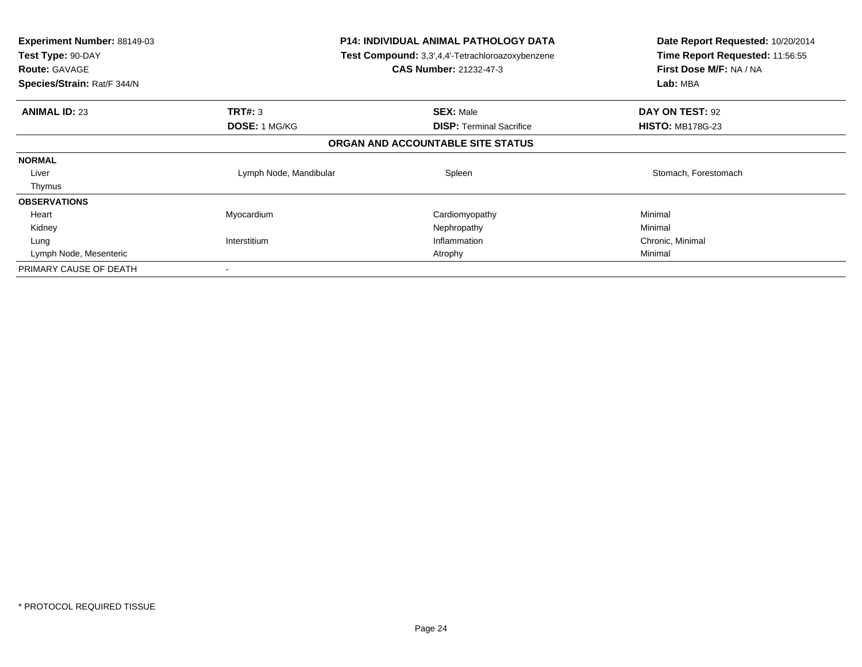| <b>Experiment Number: 88149-03</b><br>Test Type: 90-DAY<br><b>Route: GAVAGE</b><br>Species/Strain: Rat/F 344/N |                        | P14: INDIVIDUAL ANIMAL PATHOLOGY DATA<br><b>Test Compound:</b> 3,3',4,4'-Tetrachloroazoxybenzene<br><b>CAS Number: 21232-47-3</b> | Date Report Requested: 10/20/2014<br>Time Report Requested: 11:56:55<br>First Dose M/F: NA / NA<br>Lab: MBA |
|----------------------------------------------------------------------------------------------------------------|------------------------|-----------------------------------------------------------------------------------------------------------------------------------|-------------------------------------------------------------------------------------------------------------|
| <b>ANIMAL ID: 23</b>                                                                                           | TRT#: 3                | <b>SEX: Male</b>                                                                                                                  | DAY ON TEST: 92                                                                                             |
|                                                                                                                | <b>DOSE: 1 MG/KG</b>   | <b>DISP: Terminal Sacrifice</b>                                                                                                   | <b>HISTO: MB178G-23</b>                                                                                     |
|                                                                                                                |                        | ORGAN AND ACCOUNTABLE SITE STATUS                                                                                                 |                                                                                                             |
| <b>NORMAL</b>                                                                                                  |                        |                                                                                                                                   |                                                                                                             |
| Liver                                                                                                          | Lymph Node, Mandibular | Spleen                                                                                                                            | Stomach, Forestomach                                                                                        |
| Thymus                                                                                                         |                        |                                                                                                                                   |                                                                                                             |
| <b>OBSERVATIONS</b>                                                                                            |                        |                                                                                                                                   |                                                                                                             |
| Heart                                                                                                          | Myocardium             | Cardiomyopathy                                                                                                                    | Minimal                                                                                                     |
| Kidney                                                                                                         |                        | Nephropathy                                                                                                                       | Minimal                                                                                                     |
| Lung                                                                                                           | Interstitium           | Inflammation                                                                                                                      | Chronic, Minimal                                                                                            |
| Lymph Node, Mesenteric                                                                                         |                        | Atrophy                                                                                                                           | Minimal                                                                                                     |
| PRIMARY CAUSE OF DEATH                                                                                         |                        |                                                                                                                                   |                                                                                                             |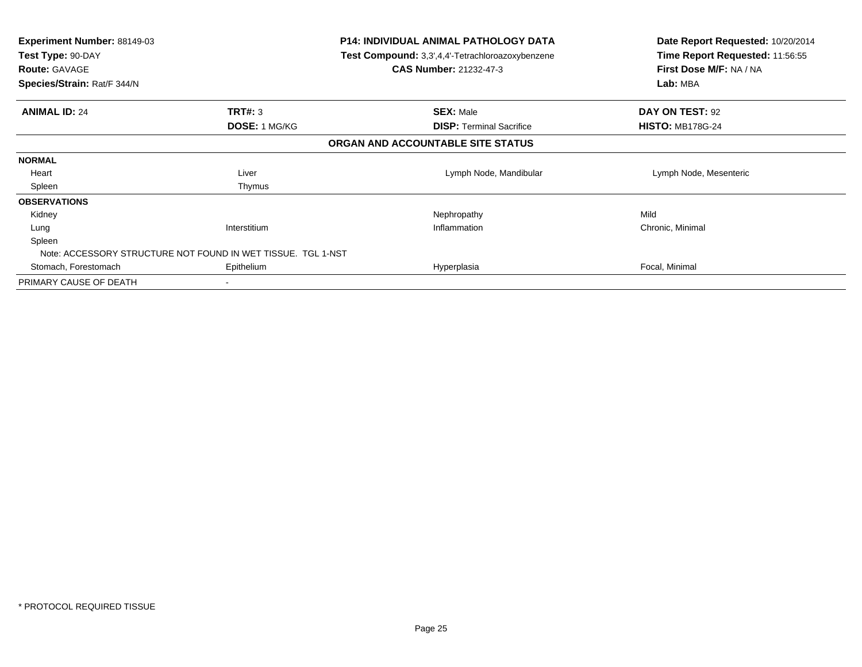| Experiment Number: 88149-03<br>Test Type: 90-DAY<br><b>Route: GAVAGE</b><br>Species/Strain: Rat/F 344/N | P14: INDIVIDUAL ANIMAL PATHOLOGY DATA<br>Test Compound: 3,3',4,4'-Tetrachloroazoxybenzene<br><b>CAS Number: 21232-47-3</b> |                                   | Date Report Requested: 10/20/2014<br>Time Report Requested: 11:56:55<br>First Dose M/F: NA / NA<br>Lab: MBA |  |
|---------------------------------------------------------------------------------------------------------|----------------------------------------------------------------------------------------------------------------------------|-----------------------------------|-------------------------------------------------------------------------------------------------------------|--|
| <b>ANIMAL ID: 24</b>                                                                                    | <b>TRT#: 3</b>                                                                                                             | <b>SEX: Male</b>                  | DAY ON TEST: 92                                                                                             |  |
|                                                                                                         | DOSE: 1 MG/KG                                                                                                              | <b>DISP:</b> Terminal Sacrifice   | <b>HISTO: MB178G-24</b>                                                                                     |  |
|                                                                                                         |                                                                                                                            | ORGAN AND ACCOUNTABLE SITE STATUS |                                                                                                             |  |
| <b>NORMAL</b>                                                                                           |                                                                                                                            |                                   |                                                                                                             |  |
| Heart                                                                                                   | Liver                                                                                                                      | Lymph Node, Mandibular            | Lymph Node, Mesenteric                                                                                      |  |
| Spleen                                                                                                  | Thymus                                                                                                                     |                                   |                                                                                                             |  |
| <b>OBSERVATIONS</b>                                                                                     |                                                                                                                            |                                   |                                                                                                             |  |
| Kidney                                                                                                  |                                                                                                                            | Nephropathy                       | Mild                                                                                                        |  |
| Lung                                                                                                    | Interstitium                                                                                                               | Inflammation                      | Chronic, Minimal                                                                                            |  |
| Spleen                                                                                                  |                                                                                                                            |                                   |                                                                                                             |  |
| Note: ACCESSORY STRUCTURE NOT FOUND IN WET TISSUE. TGL 1-NST                                            |                                                                                                                            |                                   |                                                                                                             |  |
| Stomach, Forestomach                                                                                    | Epithelium                                                                                                                 | Hyperplasia                       | Focal, Minimal                                                                                              |  |
| PRIMARY CAUSE OF DEATH                                                                                  |                                                                                                                            |                                   |                                                                                                             |  |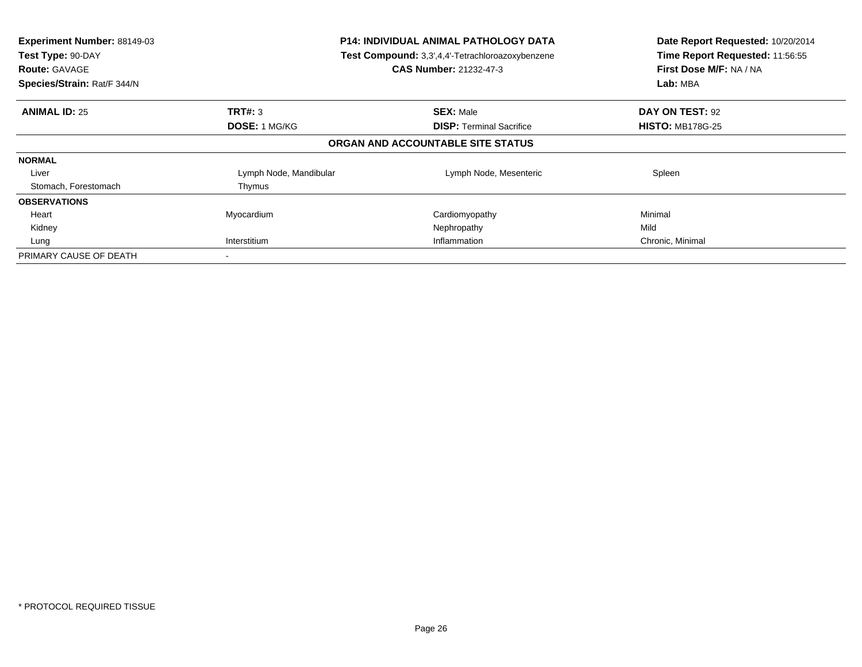| Experiment Number: 88149-03<br>Test Type: 90-DAY<br><b>Route: GAVAGE</b><br>Species/Strain: Rat/F 344/N | <b>P14: INDIVIDUAL ANIMAL PATHOLOGY DATA</b><br>Test Compound: 3,3',4,4'-Tetrachloroazoxybenzene<br>CAS Number: 21232-47-3 |                                   | Date Report Requested: 10/20/2014<br>Time Report Requested: 11:56:55<br>First Dose M/F: NA / NA<br>Lab: MBA |
|---------------------------------------------------------------------------------------------------------|----------------------------------------------------------------------------------------------------------------------------|-----------------------------------|-------------------------------------------------------------------------------------------------------------|
| <b>ANIMAL ID: 25</b>                                                                                    | TRT#: 3                                                                                                                    | <b>SEX: Male</b>                  | DAY ON TEST: 92                                                                                             |
|                                                                                                         | <b>DOSE: 1 MG/KG</b>                                                                                                       | <b>DISP:</b> Terminal Sacrifice   | <b>HISTO: MB178G-25</b>                                                                                     |
|                                                                                                         |                                                                                                                            | ORGAN AND ACCOUNTABLE SITE STATUS |                                                                                                             |
| <b>NORMAL</b>                                                                                           |                                                                                                                            |                                   |                                                                                                             |
| Liver                                                                                                   | Lymph Node, Mandibular                                                                                                     | Lymph Node, Mesenteric            | Spleen                                                                                                      |
| Stomach, Forestomach                                                                                    | Thymus                                                                                                                     |                                   |                                                                                                             |
| <b>OBSERVATIONS</b>                                                                                     |                                                                                                                            |                                   |                                                                                                             |
| Heart                                                                                                   | Myocardium                                                                                                                 | Cardiomyopathy                    | Minimal                                                                                                     |
| Kidney                                                                                                  |                                                                                                                            | Nephropathy                       | Mild                                                                                                        |
| Lung                                                                                                    | Interstitium                                                                                                               | Inflammation                      | Chronic, Minimal                                                                                            |
| PRIMARY CAUSE OF DEATH                                                                                  |                                                                                                                            |                                   |                                                                                                             |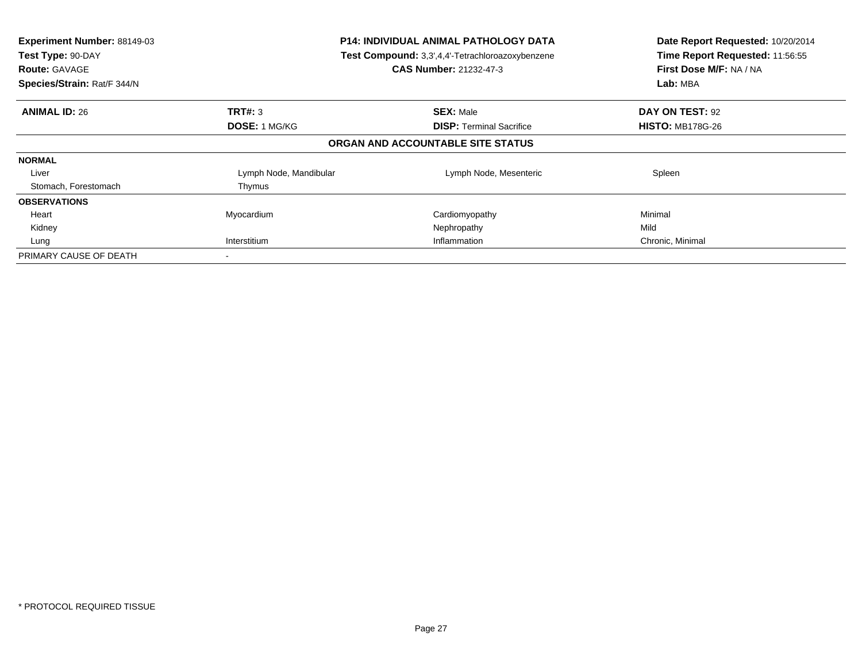| Experiment Number: 88149-03<br>Test Type: 90-DAY<br><b>Route: GAVAGE</b><br>Species/Strain: Rat/F 344/N | <b>P14: INDIVIDUAL ANIMAL PATHOLOGY DATA</b><br>Test Compound: 3,3',4,4'-Tetrachloroazoxybenzene<br>CAS Number: 21232-47-3 |                                   | Date Report Requested: 10/20/2014<br>Time Report Requested: 11:56:55<br>First Dose M/F: NA / NA<br>Lab: MBA |
|---------------------------------------------------------------------------------------------------------|----------------------------------------------------------------------------------------------------------------------------|-----------------------------------|-------------------------------------------------------------------------------------------------------------|
| <b>ANIMAL ID: 26</b>                                                                                    | <b>TRT#: 3</b>                                                                                                             | <b>SEX: Male</b>                  | DAY ON TEST: 92                                                                                             |
|                                                                                                         | <b>DOSE: 1 MG/KG</b>                                                                                                       | <b>DISP:</b> Terminal Sacrifice   | <b>HISTO: MB178G-26</b>                                                                                     |
|                                                                                                         |                                                                                                                            | ORGAN AND ACCOUNTABLE SITE STATUS |                                                                                                             |
| <b>NORMAL</b>                                                                                           |                                                                                                                            |                                   |                                                                                                             |
| Liver                                                                                                   | Lymph Node, Mandibular                                                                                                     | Lymph Node, Mesenteric            | Spleen                                                                                                      |
| Stomach, Forestomach                                                                                    | Thymus                                                                                                                     |                                   |                                                                                                             |
| <b>OBSERVATIONS</b>                                                                                     |                                                                                                                            |                                   |                                                                                                             |
| Heart                                                                                                   | Myocardium                                                                                                                 | Cardiomyopathy                    | Minimal                                                                                                     |
| Kidney                                                                                                  |                                                                                                                            | Nephropathy                       | Mild                                                                                                        |
| Lung                                                                                                    | Interstitium                                                                                                               | Inflammation                      | Chronic, Minimal                                                                                            |
| PRIMARY CAUSE OF DEATH                                                                                  |                                                                                                                            |                                   |                                                                                                             |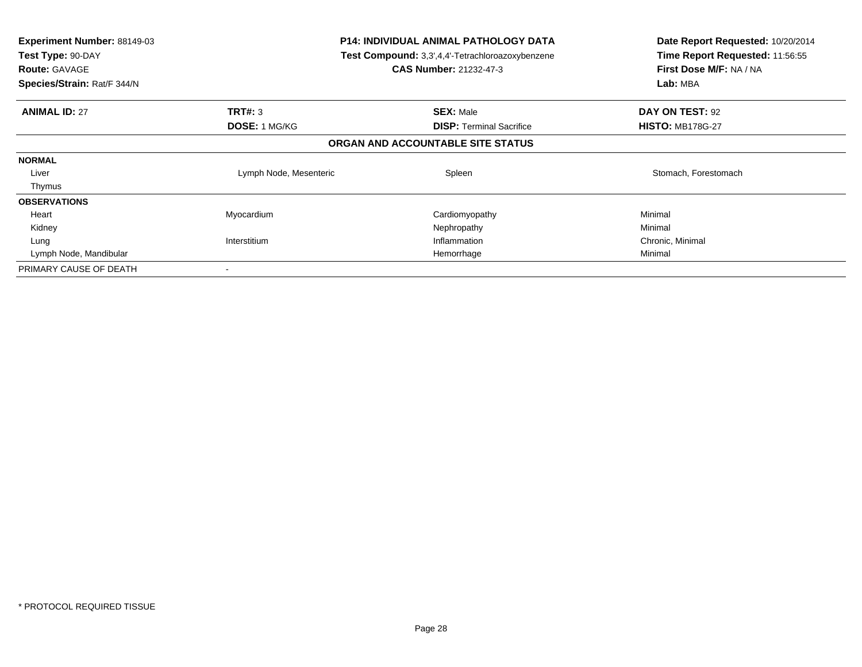| <b>Experiment Number: 88149-03</b><br>Test Type: 90-DAY<br><b>Route: GAVAGE</b><br>Species/Strain: Rat/F 344/N | P14: INDIVIDUAL ANIMAL PATHOLOGY DATA<br><b>Test Compound:</b> 3,3',4,4'-Tetrachloroazoxybenzene<br><b>CAS Number: 21232-47-3</b> |                                   | Date Report Requested: 10/20/2014<br>Time Report Requested: 11:56:55<br>First Dose M/F: NA / NA<br>Lab: MBA |
|----------------------------------------------------------------------------------------------------------------|-----------------------------------------------------------------------------------------------------------------------------------|-----------------------------------|-------------------------------------------------------------------------------------------------------------|
| <b>ANIMAL ID: 27</b>                                                                                           | TRT#: 3                                                                                                                           | <b>SEX: Male</b>                  | DAY ON TEST: 92                                                                                             |
|                                                                                                                | <b>DOSE: 1 MG/KG</b>                                                                                                              | <b>DISP: Terminal Sacrifice</b>   | <b>HISTO: MB178G-27</b>                                                                                     |
|                                                                                                                |                                                                                                                                   | ORGAN AND ACCOUNTABLE SITE STATUS |                                                                                                             |
| <b>NORMAL</b>                                                                                                  |                                                                                                                                   |                                   |                                                                                                             |
| Liver                                                                                                          | Lymph Node, Mesenteric                                                                                                            | Spleen                            | Stomach, Forestomach                                                                                        |
| Thymus                                                                                                         |                                                                                                                                   |                                   |                                                                                                             |
| <b>OBSERVATIONS</b>                                                                                            |                                                                                                                                   |                                   |                                                                                                             |
| Heart                                                                                                          | Myocardium                                                                                                                        | Cardiomyopathy                    | Minimal                                                                                                     |
| Kidney                                                                                                         |                                                                                                                                   | Nephropathy                       | Minimal                                                                                                     |
| Lung                                                                                                           | Interstitium                                                                                                                      | Inflammation                      | Chronic, Minimal                                                                                            |
| Lymph Node, Mandibular                                                                                         |                                                                                                                                   | Hemorrhage                        | Minimal                                                                                                     |
| PRIMARY CAUSE OF DEATH                                                                                         |                                                                                                                                   |                                   |                                                                                                             |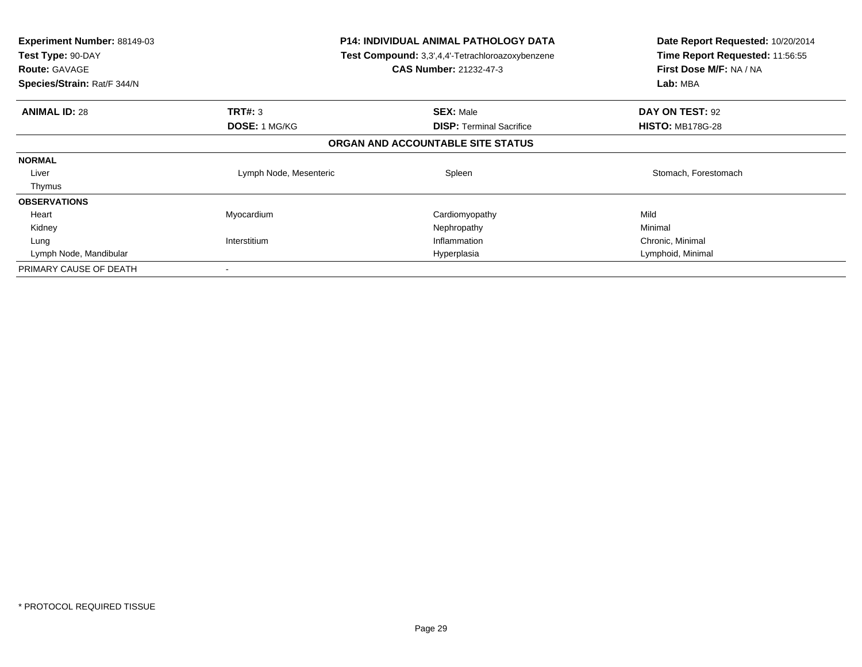| <b>Experiment Number: 88149-03</b><br>Test Type: 90-DAY<br><b>Route: GAVAGE</b><br>Species/Strain: Rat/F 344/N | P14: INDIVIDUAL ANIMAL PATHOLOGY DATA<br><b>Test Compound:</b> 3,3',4,4'-Tetrachloroazoxybenzene<br><b>CAS Number: 21232-47-3</b> |                                   | Date Report Requested: 10/20/2014<br>Time Report Requested: 11:56:55<br>First Dose M/F: NA / NA<br>Lab: MBA |
|----------------------------------------------------------------------------------------------------------------|-----------------------------------------------------------------------------------------------------------------------------------|-----------------------------------|-------------------------------------------------------------------------------------------------------------|
| <b>ANIMAL ID: 28</b>                                                                                           | TRT#: 3                                                                                                                           | <b>SEX: Male</b>                  | DAY ON TEST: 92                                                                                             |
|                                                                                                                | <b>DOSE: 1 MG/KG</b>                                                                                                              | <b>DISP: Terminal Sacrifice</b>   | <b>HISTO: MB178G-28</b>                                                                                     |
|                                                                                                                |                                                                                                                                   | ORGAN AND ACCOUNTABLE SITE STATUS |                                                                                                             |
| <b>NORMAL</b>                                                                                                  |                                                                                                                                   |                                   |                                                                                                             |
| Liver                                                                                                          | Lymph Node, Mesenteric                                                                                                            | Spleen                            | Stomach, Forestomach                                                                                        |
| Thymus                                                                                                         |                                                                                                                                   |                                   |                                                                                                             |
| <b>OBSERVATIONS</b>                                                                                            |                                                                                                                                   |                                   |                                                                                                             |
| Heart                                                                                                          | Myocardium                                                                                                                        | Cardiomyopathy                    | Mild                                                                                                        |
| Kidney                                                                                                         |                                                                                                                                   | Nephropathy                       | Minimal                                                                                                     |
| Lung                                                                                                           | Interstitium                                                                                                                      | Inflammation                      | Chronic, Minimal                                                                                            |
| Lymph Node, Mandibular                                                                                         |                                                                                                                                   | Hyperplasia                       | Lymphoid, Minimal                                                                                           |
| PRIMARY CAUSE OF DEATH                                                                                         |                                                                                                                                   |                                   |                                                                                                             |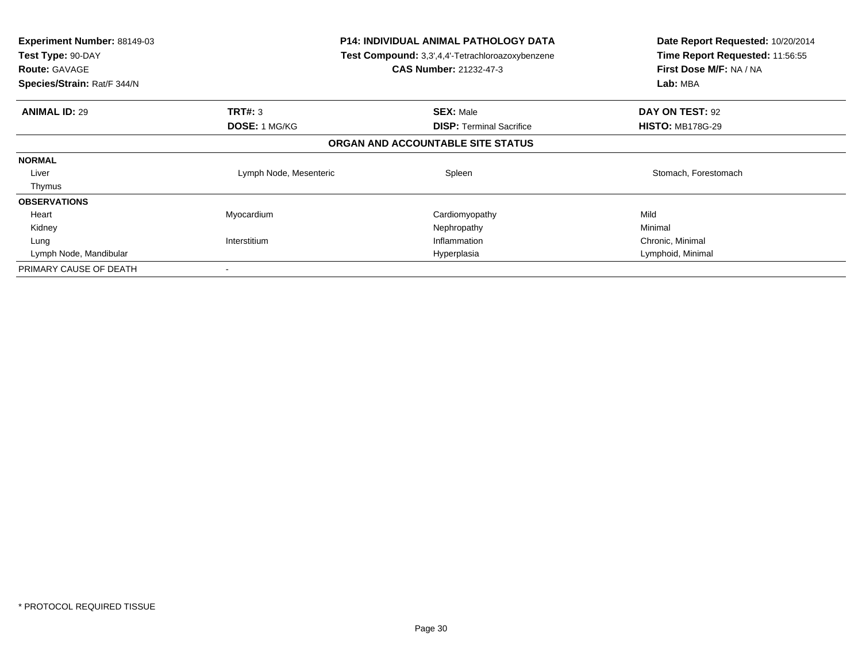| <b>Experiment Number: 88149-03</b><br>Test Type: 90-DAY<br><b>Route: GAVAGE</b><br>Species/Strain: Rat/F 344/N |                        | <b>P14: INDIVIDUAL ANIMAL PATHOLOGY DATA</b><br><b>Test Compound:</b> 3,3',4,4'-Tetrachloroazoxybenzene<br><b>CAS Number: 21232-47-3</b> | Date Report Requested: 10/20/2014<br>Time Report Requested: 11:56:55<br>First Dose M/F: NA / NA<br>Lab: MBA |  |
|----------------------------------------------------------------------------------------------------------------|------------------------|------------------------------------------------------------------------------------------------------------------------------------------|-------------------------------------------------------------------------------------------------------------|--|
| <b>ANIMAL ID: 29</b>                                                                                           | TRT#: 3                | <b>SEX: Male</b>                                                                                                                         | DAY ON TEST: 92                                                                                             |  |
|                                                                                                                | DOSE: 1 MG/KG          | <b>DISP:</b> Terminal Sacrifice                                                                                                          | <b>HISTO: MB178G-29</b>                                                                                     |  |
|                                                                                                                |                        | ORGAN AND ACCOUNTABLE SITE STATUS                                                                                                        |                                                                                                             |  |
| <b>NORMAL</b>                                                                                                  |                        |                                                                                                                                          |                                                                                                             |  |
| Liver                                                                                                          | Lymph Node, Mesenteric | Spleen                                                                                                                                   | Stomach, Forestomach                                                                                        |  |
| Thymus                                                                                                         |                        |                                                                                                                                          |                                                                                                             |  |
| <b>OBSERVATIONS</b>                                                                                            |                        |                                                                                                                                          |                                                                                                             |  |
| Heart                                                                                                          | Myocardium             | Cardiomyopathy                                                                                                                           | Mild                                                                                                        |  |
| Kidney                                                                                                         |                        | Nephropathy                                                                                                                              | Minimal                                                                                                     |  |
| Lung                                                                                                           | Interstitium           | Inflammation                                                                                                                             | Chronic, Minimal                                                                                            |  |
| Lymph Node, Mandibular                                                                                         |                        | Hyperplasia                                                                                                                              | Lymphoid, Minimal                                                                                           |  |
| PRIMARY CAUSE OF DEATH                                                                                         |                        |                                                                                                                                          |                                                                                                             |  |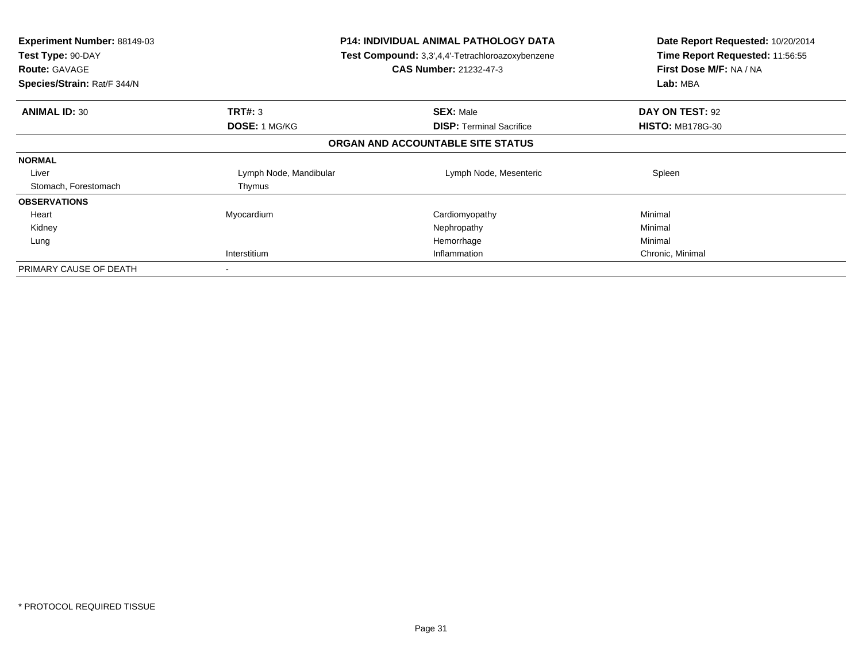| <b>Experiment Number: 88149-03</b><br>Test Type: 90-DAY<br><b>Route: GAVAGE</b><br>Species/Strain: Rat/F 344/N |                        | <b>P14: INDIVIDUAL ANIMAL PATHOLOGY DATA</b><br>Test Compound: 3,3',4,4'-Tetrachloroazoxybenzene<br><b>CAS Number: 21232-47-3</b> | Date Report Requested: 10/20/2014<br>Time Report Requested: 11:56:55<br>First Dose M/F: NA / NA<br>Lab: MBA |
|----------------------------------------------------------------------------------------------------------------|------------------------|-----------------------------------------------------------------------------------------------------------------------------------|-------------------------------------------------------------------------------------------------------------|
| <b>ANIMAL ID: 30</b>                                                                                           | TRT#: 3                | <b>SEX: Male</b>                                                                                                                  | DAY ON TEST: 92                                                                                             |
|                                                                                                                | DOSE: 1 MG/KG          | <b>DISP:</b> Terminal Sacrifice                                                                                                   | <b>HISTO: MB178G-30</b>                                                                                     |
|                                                                                                                |                        | ORGAN AND ACCOUNTABLE SITE STATUS                                                                                                 |                                                                                                             |
| <b>NORMAL</b>                                                                                                  |                        |                                                                                                                                   |                                                                                                             |
| Liver                                                                                                          | Lymph Node, Mandibular | Lymph Node, Mesenteric                                                                                                            | Spleen                                                                                                      |
| Stomach, Forestomach                                                                                           | Thymus                 |                                                                                                                                   |                                                                                                             |
| <b>OBSERVATIONS</b>                                                                                            |                        |                                                                                                                                   |                                                                                                             |
| Heart                                                                                                          | Myocardium             | Cardiomyopathy                                                                                                                    | Minimal                                                                                                     |
| Kidney                                                                                                         |                        | Nephropathy                                                                                                                       | Minimal                                                                                                     |
| Lung                                                                                                           |                        | Hemorrhage                                                                                                                        | Minimal                                                                                                     |
|                                                                                                                | Interstitium           | Inflammation                                                                                                                      | Chronic, Minimal                                                                                            |
| PRIMARY CAUSE OF DEATH                                                                                         |                        |                                                                                                                                   |                                                                                                             |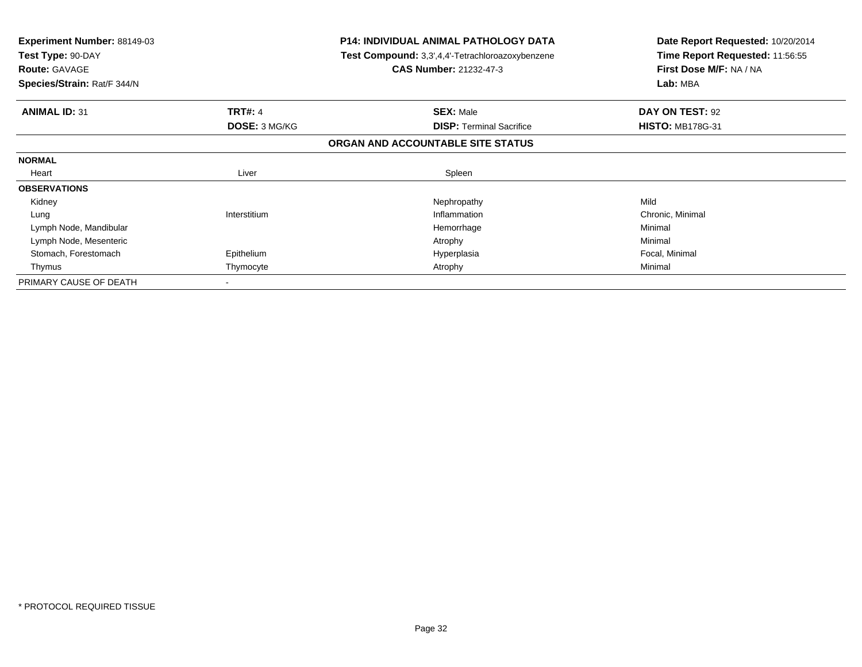| <b>Experiment Number: 88149-03</b><br>Test Type: 90-DAY<br><b>Route: GAVAGE</b><br>Species/Strain: Rat/F 344/N |                | <b>P14: INDIVIDUAL ANIMAL PATHOLOGY DATA</b><br>Test Compound: 3,3',4,4'-Tetrachloroazoxybenzene<br><b>CAS Number: 21232-47-3</b> | Date Report Requested: 10/20/2014<br>Time Report Requested: 11:56:55<br>First Dose M/F: NA / NA<br>Lab: MBA |
|----------------------------------------------------------------------------------------------------------------|----------------|-----------------------------------------------------------------------------------------------------------------------------------|-------------------------------------------------------------------------------------------------------------|
|                                                                                                                |                |                                                                                                                                   |                                                                                                             |
| <b>ANIMAL ID: 31</b>                                                                                           | <b>TRT#: 4</b> | <b>SEX: Male</b>                                                                                                                  | DAY ON TEST: 92                                                                                             |
|                                                                                                                | DOSE: 3 MG/KG  | <b>DISP:</b> Terminal Sacrifice                                                                                                   | <b>HISTO: MB178G-31</b>                                                                                     |
|                                                                                                                |                | ORGAN AND ACCOUNTABLE SITE STATUS                                                                                                 |                                                                                                             |
| <b>NORMAL</b>                                                                                                  |                |                                                                                                                                   |                                                                                                             |
| Heart                                                                                                          | Liver          | Spleen                                                                                                                            |                                                                                                             |
| <b>OBSERVATIONS</b>                                                                                            |                |                                                                                                                                   |                                                                                                             |
| Kidney                                                                                                         |                | Nephropathy                                                                                                                       | Mild                                                                                                        |
| Lung                                                                                                           | Interstitium   | Inflammation                                                                                                                      | Chronic, Minimal                                                                                            |
| Lymph Node, Mandibular                                                                                         |                | Hemorrhage                                                                                                                        | Minimal                                                                                                     |
| Lymph Node, Mesenteric                                                                                         |                | Atrophy                                                                                                                           | Minimal                                                                                                     |
| Stomach, Forestomach                                                                                           | Epithelium     | Hyperplasia                                                                                                                       | Focal, Minimal                                                                                              |
| Thymus                                                                                                         | Thymocyte      | Atrophy                                                                                                                           | Minimal                                                                                                     |
| PRIMARY CAUSE OF DEATH                                                                                         |                |                                                                                                                                   |                                                                                                             |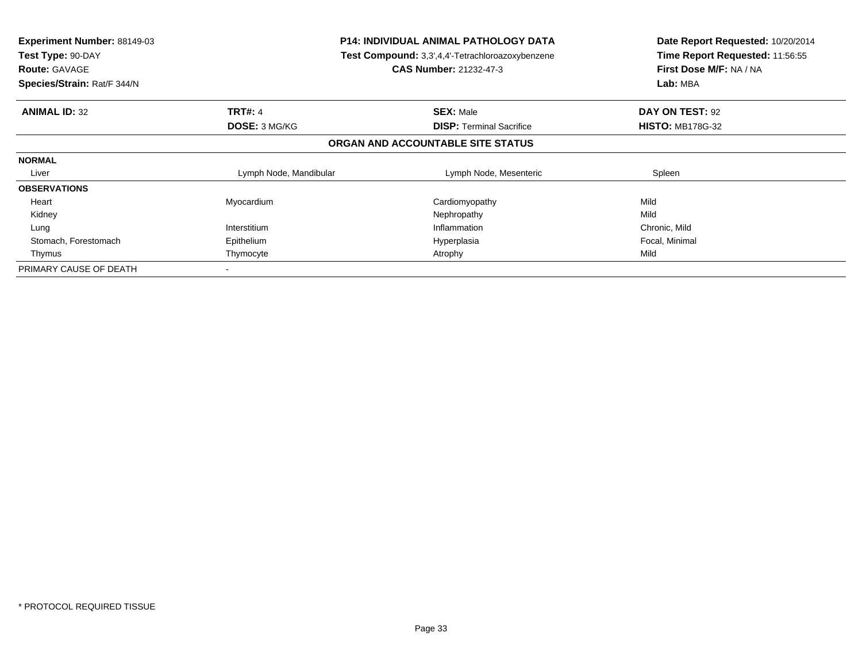| Experiment Number: 88149-03<br>Test Type: 90-DAY<br><b>Route: GAVAGE</b><br>Species/Strain: Rat/F 344/N | <b>P14: INDIVIDUAL ANIMAL PATHOLOGY DATA</b><br><b>Test Compound:</b> 3,3',4,4'-Tetrachloroazoxybenzene<br><b>CAS Number: 21232-47-3</b> |                                   | Date Report Requested: 10/20/2014<br>Time Report Requested: 11:56:55<br>First Dose M/F: NA / NA<br>Lab: MBA |
|---------------------------------------------------------------------------------------------------------|------------------------------------------------------------------------------------------------------------------------------------------|-----------------------------------|-------------------------------------------------------------------------------------------------------------|
| <b>ANIMAL ID: 32</b>                                                                                    | <b>TRT#: 4</b>                                                                                                                           | <b>SEX: Male</b>                  | DAY ON TEST: 92                                                                                             |
|                                                                                                         | DOSE: 3 MG/KG                                                                                                                            | <b>DISP:</b> Terminal Sacrifice   | <b>HISTO: MB178G-32</b>                                                                                     |
|                                                                                                         |                                                                                                                                          | ORGAN AND ACCOUNTABLE SITE STATUS |                                                                                                             |
| <b>NORMAL</b>                                                                                           |                                                                                                                                          |                                   |                                                                                                             |
| Liver                                                                                                   | Lymph Node, Mandibular                                                                                                                   | Lymph Node, Mesenteric            | Spleen                                                                                                      |
| <b>OBSERVATIONS</b>                                                                                     |                                                                                                                                          |                                   |                                                                                                             |
| Heart                                                                                                   | Myocardium                                                                                                                               | Cardiomyopathy                    | Mild                                                                                                        |
| Kidney                                                                                                  |                                                                                                                                          | Nephropathy                       | Mild                                                                                                        |
| Lung                                                                                                    | Interstitium                                                                                                                             | Inflammation                      | Chronic, Mild                                                                                               |
| Stomach, Forestomach                                                                                    | Epithelium                                                                                                                               | Hyperplasia                       | Focal, Minimal                                                                                              |
| Thymus                                                                                                  | Thymocyte                                                                                                                                | Atrophy                           | Mild                                                                                                        |
| PRIMARY CAUSE OF DEATH                                                                                  |                                                                                                                                          |                                   |                                                                                                             |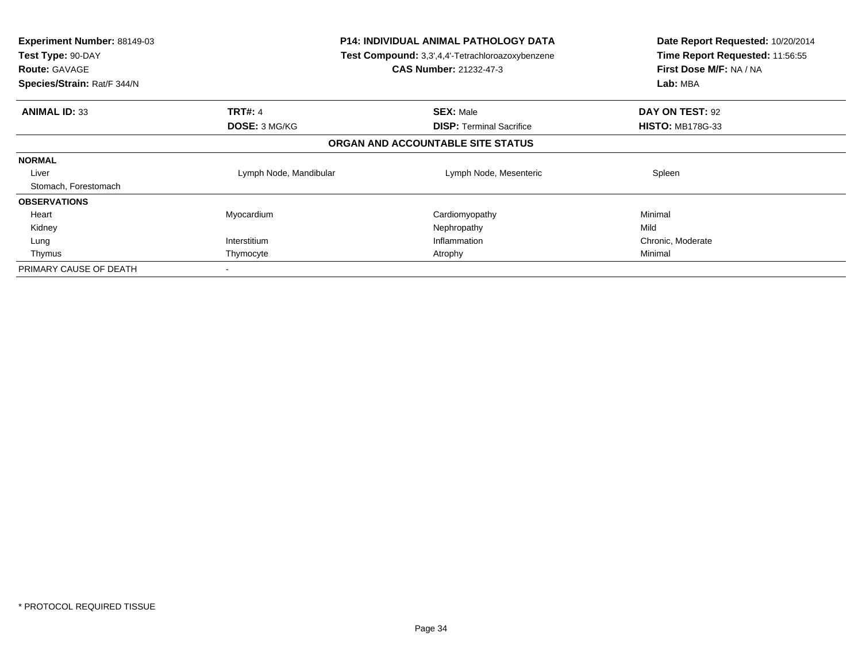| <b>Experiment Number: 88149-03</b><br>Test Type: 90-DAY<br><b>Route: GAVAGE</b><br>Species/Strain: Rat/F 344/N | <b>P14: INDIVIDUAL ANIMAL PATHOLOGY DATA</b><br><b>Test Compound:</b> 3,3',4,4'-Tetrachloroazoxybenzene<br><b>CAS Number: 21232-47-3</b> |                                   | Date Report Requested: 10/20/2014<br>Time Report Requested: 11:56:55<br>First Dose M/F: NA / NA<br>Lab: MBA |
|----------------------------------------------------------------------------------------------------------------|------------------------------------------------------------------------------------------------------------------------------------------|-----------------------------------|-------------------------------------------------------------------------------------------------------------|
| <b>ANIMAL ID: 33</b>                                                                                           | <b>TRT#: 4</b>                                                                                                                           | <b>SEX: Male</b>                  | DAY ON TEST: 92                                                                                             |
|                                                                                                                | <b>DOSE: 3 MG/KG</b>                                                                                                                     | <b>DISP:</b> Terminal Sacrifice   | <b>HISTO: MB178G-33</b>                                                                                     |
|                                                                                                                |                                                                                                                                          | ORGAN AND ACCOUNTABLE SITE STATUS |                                                                                                             |
| <b>NORMAL</b>                                                                                                  |                                                                                                                                          |                                   |                                                                                                             |
| Liver                                                                                                          | Lymph Node, Mandibular                                                                                                                   | Lymph Node, Mesenteric            | Spleen                                                                                                      |
| Stomach, Forestomach                                                                                           |                                                                                                                                          |                                   |                                                                                                             |
| <b>OBSERVATIONS</b>                                                                                            |                                                                                                                                          |                                   |                                                                                                             |
| Heart                                                                                                          | Myocardium                                                                                                                               | Cardiomyopathy                    | Minimal                                                                                                     |
| Kidney                                                                                                         |                                                                                                                                          | Nephropathy                       | Mild                                                                                                        |
| Lung                                                                                                           | Interstitium                                                                                                                             | Inflammation                      | Chronic, Moderate                                                                                           |
| Thymus                                                                                                         | Thymocyte                                                                                                                                | Atrophy                           | Minimal                                                                                                     |
| PRIMARY CAUSE OF DEATH                                                                                         |                                                                                                                                          |                                   |                                                                                                             |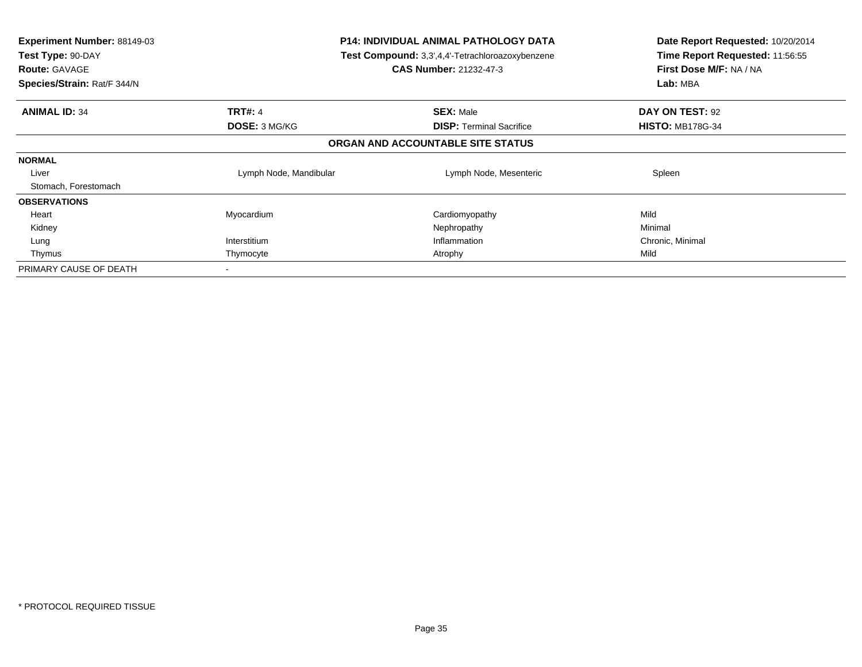| <b>Experiment Number: 88149-03</b><br>Test Type: 90-DAY<br><b>Route: GAVAGE</b><br>Species/Strain: Rat/F 344/N | <b>P14: INDIVIDUAL ANIMAL PATHOLOGY DATA</b><br><b>Test Compound:</b> 3,3',4,4'-Tetrachloroazoxybenzene<br><b>CAS Number: 21232-47-3</b> |                                   | Date Report Requested: 10/20/2014<br>Time Report Requested: 11:56:55<br>First Dose M/F: NA / NA<br>Lab: MBA |
|----------------------------------------------------------------------------------------------------------------|------------------------------------------------------------------------------------------------------------------------------------------|-----------------------------------|-------------------------------------------------------------------------------------------------------------|
| <b>ANIMAL ID: 34</b>                                                                                           | <b>TRT#: 4</b>                                                                                                                           | <b>SEX: Male</b>                  | DAY ON TEST: 92                                                                                             |
|                                                                                                                | <b>DOSE: 3 MG/KG</b>                                                                                                                     | <b>DISP:</b> Terminal Sacrifice   | <b>HISTO: MB178G-34</b>                                                                                     |
|                                                                                                                |                                                                                                                                          | ORGAN AND ACCOUNTABLE SITE STATUS |                                                                                                             |
| <b>NORMAL</b>                                                                                                  |                                                                                                                                          |                                   |                                                                                                             |
| Liver                                                                                                          | Lymph Node, Mandibular                                                                                                                   | Lymph Node, Mesenteric            | Spleen                                                                                                      |
| Stomach, Forestomach                                                                                           |                                                                                                                                          |                                   |                                                                                                             |
| <b>OBSERVATIONS</b>                                                                                            |                                                                                                                                          |                                   |                                                                                                             |
| Heart                                                                                                          | Myocardium                                                                                                                               | Cardiomyopathy                    | Mild                                                                                                        |
| Kidney                                                                                                         |                                                                                                                                          | Nephropathy                       | Minimal                                                                                                     |
| Lung                                                                                                           | Interstitium                                                                                                                             | Inflammation                      | Chronic, Minimal                                                                                            |
| Thymus                                                                                                         | Thymocyte                                                                                                                                | Atrophy                           | Mild                                                                                                        |
| PRIMARY CAUSE OF DEATH                                                                                         |                                                                                                                                          |                                   |                                                                                                             |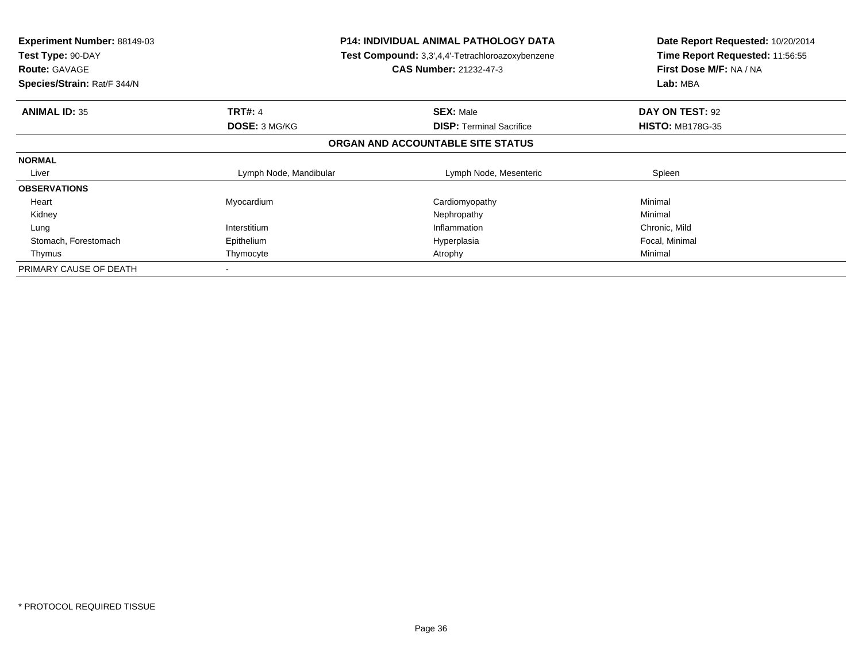| <b>Experiment Number: 88149-03</b><br>Test Type: 90-DAY<br><b>Route: GAVAGE</b><br>Species/Strain: Rat/F 344/N | <b>P14: INDIVIDUAL ANIMAL PATHOLOGY DATA</b><br>Test Compound: 3,3',4,4'-Tetrachloroazoxybenzene<br><b>CAS Number: 21232-47-3</b> |                                   | Date Report Requested: 10/20/2014<br>Time Report Requested: 11:56:55<br>First Dose M/F: NA / NA<br>Lab: MBA |
|----------------------------------------------------------------------------------------------------------------|-----------------------------------------------------------------------------------------------------------------------------------|-----------------------------------|-------------------------------------------------------------------------------------------------------------|
| <b>ANIMAL ID: 35</b>                                                                                           | <b>TRT#: 4</b>                                                                                                                    | <b>SEX: Male</b>                  | DAY ON TEST: 92                                                                                             |
|                                                                                                                | <b>DOSE: 3 MG/KG</b>                                                                                                              | <b>DISP:</b> Terminal Sacrifice   | <b>HISTO: MB178G-35</b>                                                                                     |
|                                                                                                                |                                                                                                                                   | ORGAN AND ACCOUNTABLE SITE STATUS |                                                                                                             |
| <b>NORMAL</b>                                                                                                  |                                                                                                                                   |                                   |                                                                                                             |
| Liver                                                                                                          | Lymph Node, Mandibular                                                                                                            | Lymph Node, Mesenteric            | Spleen                                                                                                      |
| <b>OBSERVATIONS</b>                                                                                            |                                                                                                                                   |                                   |                                                                                                             |
| Heart                                                                                                          | Myocardium                                                                                                                        | Cardiomyopathy                    | Minimal                                                                                                     |
| Kidney                                                                                                         |                                                                                                                                   | Nephropathy                       | Minimal                                                                                                     |
| Lung                                                                                                           | Interstitium                                                                                                                      | Inflammation                      | Chronic, Mild                                                                                               |
| Stomach, Forestomach                                                                                           | Epithelium                                                                                                                        | Hyperplasia                       | Focal, Minimal                                                                                              |
| Thymus                                                                                                         | Thymocyte                                                                                                                         | Atrophy                           | Minimal                                                                                                     |
| PRIMARY CAUSE OF DEATH                                                                                         |                                                                                                                                   |                                   |                                                                                                             |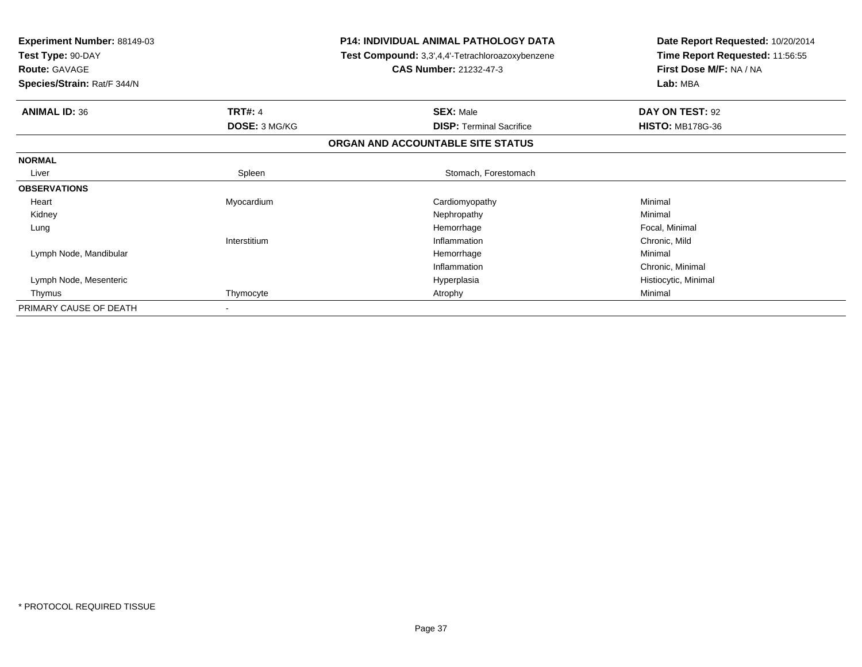| <b>Experiment Number: 88149-03</b><br>Test Type: 90-DAY |                | <b>P14: INDIVIDUAL ANIMAL PATHOLOGY DATA</b><br>Test Compound: 3,3',4,4'-Tetrachloroazoxybenzene | Date Report Requested: 10/20/2014<br>Time Report Requested: 11:56:55 |  |
|---------------------------------------------------------|----------------|--------------------------------------------------------------------------------------------------|----------------------------------------------------------------------|--|
| <b>Route: GAVAGE</b>                                    |                | <b>CAS Number: 21232-47-3</b>                                                                    | First Dose M/F: NA / NA                                              |  |
| Species/Strain: Rat/F 344/N                             |                |                                                                                                  | Lab: MBA                                                             |  |
| <b>ANIMAL ID: 36</b>                                    | <b>TRT#: 4</b> | <b>SEX: Male</b>                                                                                 | DAY ON TEST: 92                                                      |  |
|                                                         | DOSE: 3 MG/KG  | <b>DISP:</b> Terminal Sacrifice                                                                  | <b>HISTO: MB178G-36</b>                                              |  |
|                                                         |                | ORGAN AND ACCOUNTABLE SITE STATUS                                                                |                                                                      |  |
| <b>NORMAL</b>                                           |                |                                                                                                  |                                                                      |  |
| Liver                                                   | Spleen         | Stomach, Forestomach                                                                             |                                                                      |  |
| <b>OBSERVATIONS</b>                                     |                |                                                                                                  |                                                                      |  |
| Heart                                                   | Myocardium     | Cardiomyopathy                                                                                   | Minimal                                                              |  |
| Kidney                                                  |                | Nephropathy                                                                                      | Minimal                                                              |  |
| Lung                                                    |                | Hemorrhage                                                                                       | Focal, Minimal                                                       |  |
|                                                         | Interstitium   | Inflammation                                                                                     | Chronic, Mild                                                        |  |
| Lymph Node, Mandibular                                  |                | Hemorrhage                                                                                       | Minimal                                                              |  |
|                                                         |                | Inflammation                                                                                     | Chronic, Minimal                                                     |  |
| Lymph Node, Mesenteric                                  |                | Hyperplasia                                                                                      | Histiocytic, Minimal                                                 |  |
| Thymus                                                  | Thymocyte      | Atrophy                                                                                          | Minimal                                                              |  |
| PRIMARY CAUSE OF DEATH                                  |                |                                                                                                  |                                                                      |  |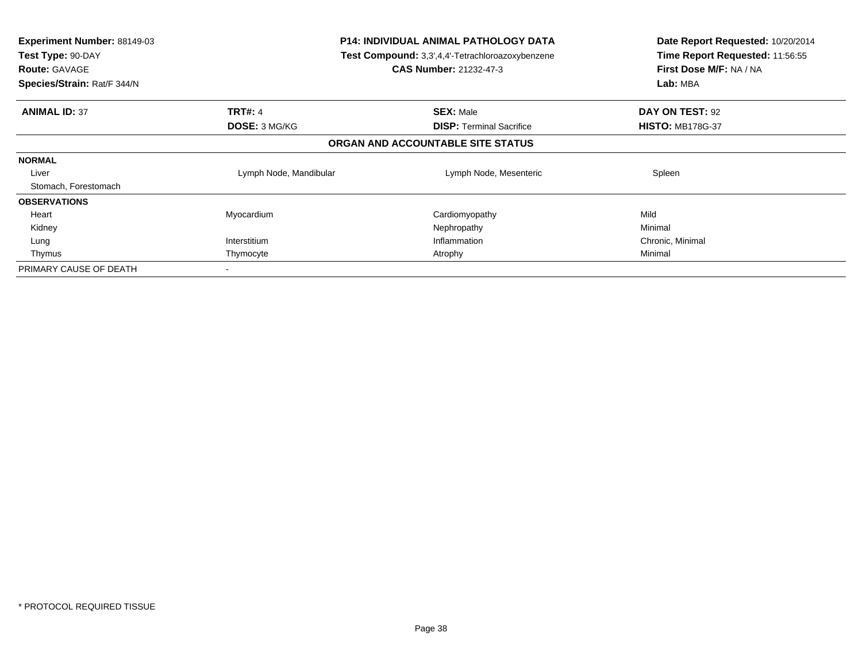| <b>Experiment Number: 88149-03</b><br>Test Type: 90-DAY<br><b>Route: GAVAGE</b><br>Species/Strain: Rat/F 344/N | <b>P14: INDIVIDUAL ANIMAL PATHOLOGY DATA</b><br><b>Test Compound:</b> 3,3',4,4'-Tetrachloroazoxybenzene<br><b>CAS Number: 21232-47-3</b> |                                   | Date Report Requested: 10/20/2014<br>Time Report Requested: 11:56:55<br>First Dose M/F: NA / NA<br>Lab: MBA |
|----------------------------------------------------------------------------------------------------------------|------------------------------------------------------------------------------------------------------------------------------------------|-----------------------------------|-------------------------------------------------------------------------------------------------------------|
| <b>ANIMAL ID: 37</b>                                                                                           | <b>TRT#: 4</b>                                                                                                                           | <b>SEX: Male</b>                  | DAY ON TEST: 92                                                                                             |
|                                                                                                                | <b>DOSE: 3 MG/KG</b>                                                                                                                     | <b>DISP: Terminal Sacrifice</b>   | <b>HISTO: MB178G-37</b>                                                                                     |
|                                                                                                                |                                                                                                                                          | ORGAN AND ACCOUNTABLE SITE STATUS |                                                                                                             |
| <b>NORMAL</b>                                                                                                  |                                                                                                                                          |                                   |                                                                                                             |
| Liver                                                                                                          | Lymph Node, Mandibular                                                                                                                   | Lymph Node, Mesenteric            | Spleen                                                                                                      |
| Stomach, Forestomach                                                                                           |                                                                                                                                          |                                   |                                                                                                             |
| <b>OBSERVATIONS</b>                                                                                            |                                                                                                                                          |                                   |                                                                                                             |
| Heart                                                                                                          | Myocardium                                                                                                                               | Cardiomyopathy                    | Mild                                                                                                        |
| Kidney                                                                                                         |                                                                                                                                          | Nephropathy                       | Minimal                                                                                                     |
| Lung                                                                                                           | Interstitium                                                                                                                             | Inflammation                      | Chronic, Minimal                                                                                            |
| Thymus                                                                                                         | Thymocyte<br>Atrophy                                                                                                                     |                                   | Minimal                                                                                                     |
| PRIMARY CAUSE OF DEATH                                                                                         |                                                                                                                                          |                                   |                                                                                                             |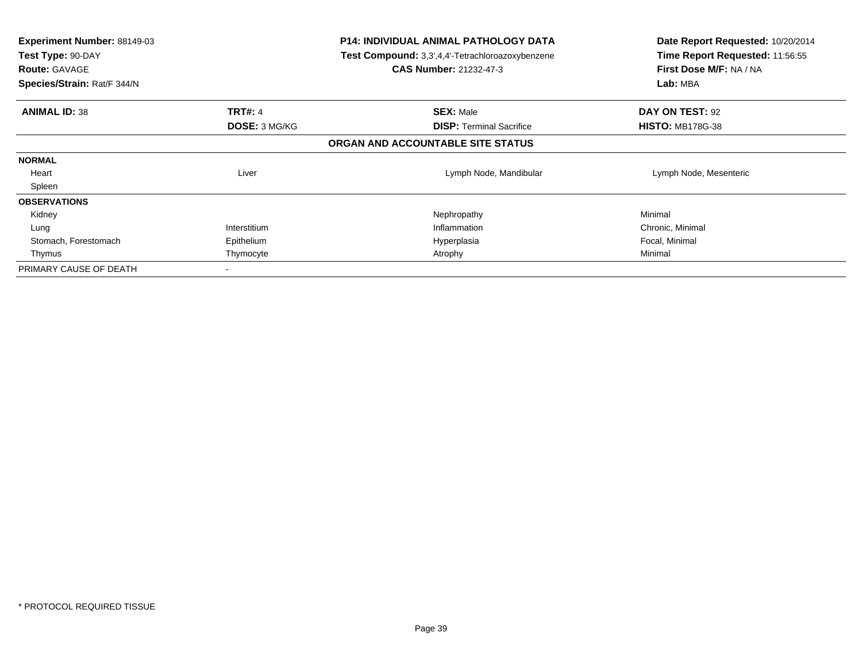| <b>Experiment Number: 88149-03</b><br>Test Type: 90-DAY<br><b>Route: GAVAGE</b><br>Species/Strain: Rat/F 344/N |                      | <b>P14: INDIVIDUAL ANIMAL PATHOLOGY DATA</b><br><b>Test Compound:</b> 3,3',4,4'-Tetrachloroazoxybenzene<br><b>CAS Number: 21232-47-3</b> | Date Report Requested: 10/20/2014<br>Time Report Requested: 11:56:55<br>First Dose M/F: NA / NA<br>Lab: MBA |
|----------------------------------------------------------------------------------------------------------------|----------------------|------------------------------------------------------------------------------------------------------------------------------------------|-------------------------------------------------------------------------------------------------------------|
| <b>ANIMAL ID: 38</b>                                                                                           | <b>TRT#: 4</b>       | <b>SEX: Male</b>                                                                                                                         | DAY ON TEST: 92                                                                                             |
|                                                                                                                | <b>DOSE: 3 MG/KG</b> | <b>DISP:</b> Terminal Sacrifice                                                                                                          | <b>HISTO: MB178G-38</b>                                                                                     |
|                                                                                                                |                      | ORGAN AND ACCOUNTABLE SITE STATUS                                                                                                        |                                                                                                             |
| <b>NORMAL</b>                                                                                                  |                      |                                                                                                                                          |                                                                                                             |
| Heart                                                                                                          | Liver                | Lymph Node, Mandibular                                                                                                                   | Lymph Node, Mesenteric                                                                                      |
| Spleen                                                                                                         |                      |                                                                                                                                          |                                                                                                             |
| <b>OBSERVATIONS</b>                                                                                            |                      |                                                                                                                                          |                                                                                                             |
| Kidney                                                                                                         |                      | Nephropathy                                                                                                                              | Minimal                                                                                                     |
| Lung                                                                                                           | Interstitium         | Inflammation                                                                                                                             | Chronic, Minimal                                                                                            |
| Stomach, Forestomach                                                                                           | Epithelium           | Hyperplasia                                                                                                                              | Focal, Minimal                                                                                              |
| Thymus                                                                                                         | Thymocyte            | Atrophy                                                                                                                                  | Minimal                                                                                                     |
| PRIMARY CAUSE OF DEATH                                                                                         | $\,$                 |                                                                                                                                          |                                                                                                             |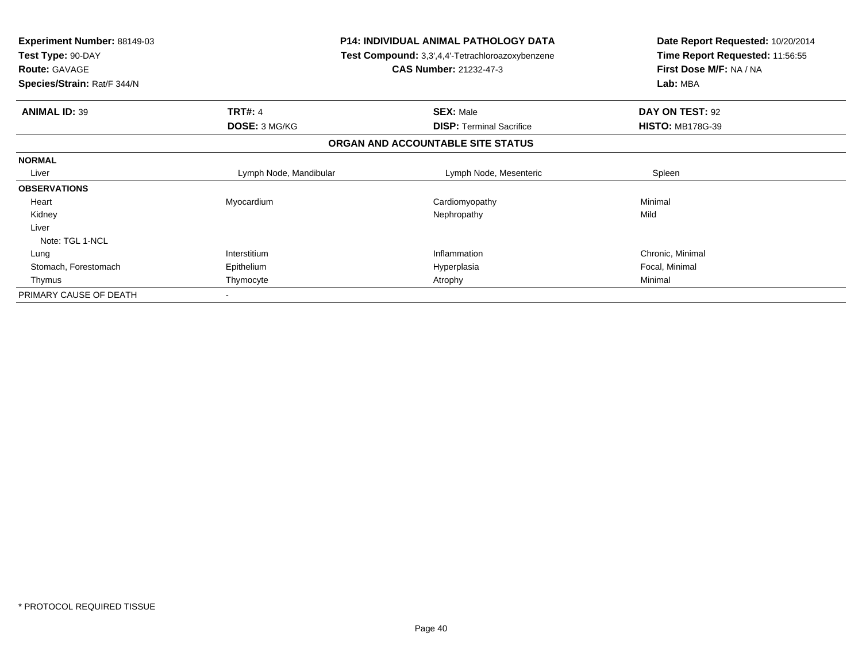| Experiment Number: 88149-03<br>Test Type: 90-DAY<br><b>Route: GAVAGE</b><br>Species/Strain: Rat/F 344/N |                        | <b>P14: INDIVIDUAL ANIMAL PATHOLOGY DATA</b><br>Test Compound: 3,3',4,4'-Tetrachloroazoxybenzene<br><b>CAS Number: 21232-47-3</b> | Date Report Requested: 10/20/2014<br>Time Report Requested: 11:56:55<br>First Dose M/F: NA / NA<br>Lab: MBA |
|---------------------------------------------------------------------------------------------------------|------------------------|-----------------------------------------------------------------------------------------------------------------------------------|-------------------------------------------------------------------------------------------------------------|
| <b>ANIMAL ID: 39</b>                                                                                    | <b>TRT#: 4</b>         | <b>SEX: Male</b>                                                                                                                  | DAY ON TEST: 92                                                                                             |
|                                                                                                         | DOSE: 3 MG/KG          | <b>DISP: Terminal Sacrifice</b>                                                                                                   | <b>HISTO: MB178G-39</b>                                                                                     |
|                                                                                                         |                        | ORGAN AND ACCOUNTABLE SITE STATUS                                                                                                 |                                                                                                             |
| <b>NORMAL</b>                                                                                           |                        |                                                                                                                                   |                                                                                                             |
| Liver                                                                                                   | Lymph Node, Mandibular | Lymph Node, Mesenteric                                                                                                            | Spleen                                                                                                      |
| <b>OBSERVATIONS</b>                                                                                     |                        |                                                                                                                                   |                                                                                                             |
| Heart                                                                                                   | Myocardium             | Cardiomyopathy                                                                                                                    | Minimal                                                                                                     |
| Kidney                                                                                                  |                        | Nephropathy                                                                                                                       | Mild                                                                                                        |
| Liver                                                                                                   |                        |                                                                                                                                   |                                                                                                             |
| Note: TGL 1-NCL                                                                                         |                        |                                                                                                                                   |                                                                                                             |
| Lung                                                                                                    | Interstitium           | Inflammation                                                                                                                      | Chronic, Minimal                                                                                            |
| Stomach, Forestomach                                                                                    | Epithelium             | Hyperplasia                                                                                                                       | Focal, Minimal                                                                                              |
| Thymus                                                                                                  | Thymocyte              | Atrophy                                                                                                                           | Minimal                                                                                                     |
| PRIMARY CAUSE OF DEATH                                                                                  |                        |                                                                                                                                   |                                                                                                             |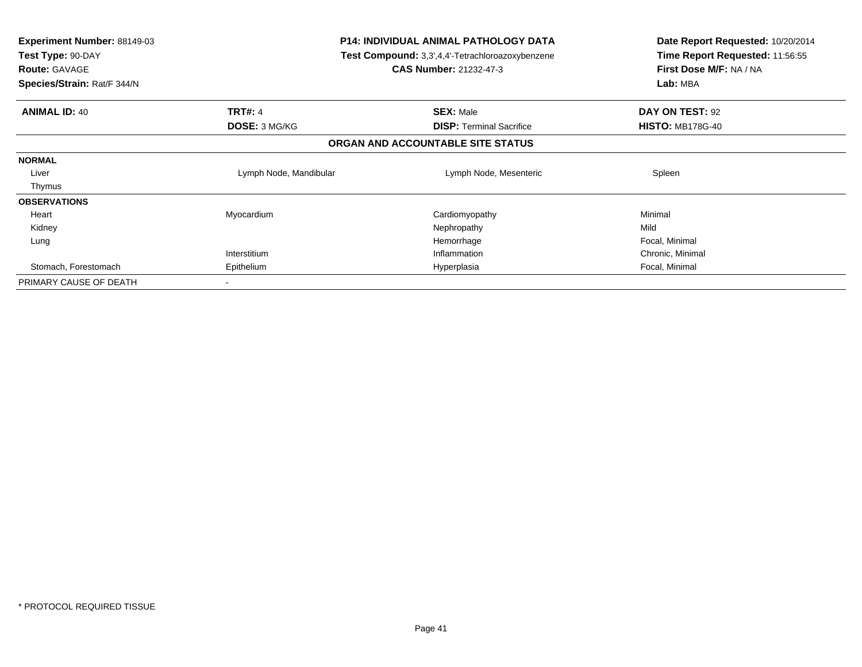| <b>Experiment Number: 88149-03</b><br>Test Type: 90-DAY<br><b>Route: GAVAGE</b><br>Species/Strain: Rat/F 344/N |                        | <b>P14: INDIVIDUAL ANIMAL PATHOLOGY DATA</b><br>Test Compound: 3,3',4,4'-Tetrachloroazoxybenzene<br><b>CAS Number: 21232-47-3</b> | Date Report Requested: 10/20/2014<br>Time Report Requested: 11:56:55<br>First Dose M/F: NA / NA<br>Lab: MBA |  |
|----------------------------------------------------------------------------------------------------------------|------------------------|-----------------------------------------------------------------------------------------------------------------------------------|-------------------------------------------------------------------------------------------------------------|--|
| <b>ANIMAL ID: 40</b>                                                                                           | <b>TRT#: 4</b>         | <b>SEX: Male</b>                                                                                                                  | DAY ON TEST: 92                                                                                             |  |
|                                                                                                                | DOSE: 3 MG/KG          | <b>DISP:</b> Terminal Sacrifice                                                                                                   | <b>HISTO: MB178G-40</b>                                                                                     |  |
|                                                                                                                |                        | ORGAN AND ACCOUNTABLE SITE STATUS                                                                                                 |                                                                                                             |  |
| <b>NORMAL</b>                                                                                                  |                        |                                                                                                                                   |                                                                                                             |  |
| Liver                                                                                                          | Lymph Node, Mandibular | Lymph Node, Mesenteric                                                                                                            | Spleen                                                                                                      |  |
| Thymus                                                                                                         |                        |                                                                                                                                   |                                                                                                             |  |
| <b>OBSERVATIONS</b>                                                                                            |                        |                                                                                                                                   |                                                                                                             |  |
| Heart                                                                                                          | Myocardium             | Cardiomyopathy                                                                                                                    | Minimal                                                                                                     |  |
| Kidney                                                                                                         |                        | Nephropathy                                                                                                                       | Mild                                                                                                        |  |
| Lung                                                                                                           |                        | Hemorrhage                                                                                                                        | Focal, Minimal                                                                                              |  |
|                                                                                                                | Interstitium           | Inflammation                                                                                                                      | Chronic, Minimal                                                                                            |  |
| Stomach, Forestomach                                                                                           | Epithelium             | Hyperplasia                                                                                                                       | Focal, Minimal                                                                                              |  |
| PRIMARY CAUSE OF DEATH                                                                                         |                        |                                                                                                                                   |                                                                                                             |  |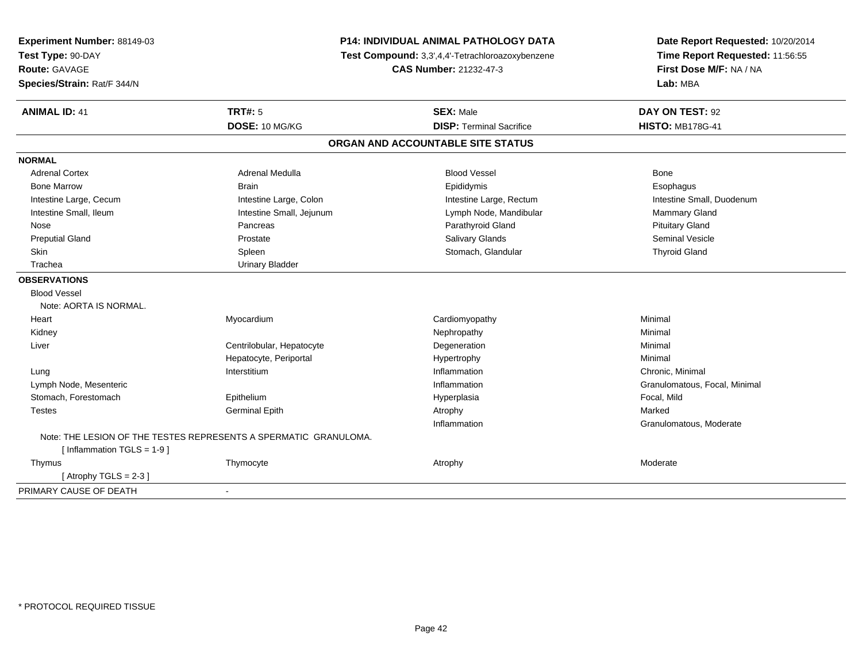| Experiment Number: 88149-03   | <b>P14: INDIVIDUAL ANIMAL PATHOLOGY DATA</b><br>Test Compound: 3,3',4,4'-Tetrachloroazoxybenzene |                                   | Date Report Requested: 10/20/2014 |  |
|-------------------------------|--------------------------------------------------------------------------------------------------|-----------------------------------|-----------------------------------|--|
| Test Type: 90-DAY             |                                                                                                  |                                   | Time Report Requested: 11:56:55   |  |
| <b>Route: GAVAGE</b>          |                                                                                                  | CAS Number: 21232-47-3            | First Dose M/F: NA / NA           |  |
| Species/Strain: Rat/F 344/N   |                                                                                                  |                                   | Lab: MBA                          |  |
| <b>ANIMAL ID: 41</b>          | <b>TRT#: 5</b>                                                                                   | <b>SEX: Male</b>                  | DAY ON TEST: 92                   |  |
|                               | DOSE: 10 MG/KG                                                                                   | <b>DISP: Terminal Sacrifice</b>   | <b>HISTO: MB178G-41</b>           |  |
|                               |                                                                                                  | ORGAN AND ACCOUNTABLE SITE STATUS |                                   |  |
| <b>NORMAL</b>                 |                                                                                                  |                                   |                                   |  |
| <b>Adrenal Cortex</b>         | Adrenal Medulla                                                                                  | <b>Blood Vessel</b>               | Bone                              |  |
| <b>Bone Marrow</b>            | <b>Brain</b>                                                                                     | Epididymis                        | Esophagus                         |  |
| Intestine Large, Cecum        | Intestine Large, Colon                                                                           | Intestine Large, Rectum           | Intestine Small, Duodenum         |  |
| Intestine Small, Ileum        | Intestine Small, Jejunum                                                                         | Lymph Node, Mandibular            | Mammary Gland                     |  |
| Nose                          | Pancreas                                                                                         | Parathyroid Gland                 | <b>Pituitary Gland</b>            |  |
| <b>Preputial Gland</b>        | Prostate                                                                                         | Salivary Glands                   | Seminal Vesicle                   |  |
| <b>Skin</b>                   | Spleen                                                                                           | Stomach, Glandular                | <b>Thyroid Gland</b>              |  |
| Trachea                       | <b>Urinary Bladder</b>                                                                           |                                   |                                   |  |
| <b>OBSERVATIONS</b>           |                                                                                                  |                                   |                                   |  |
| <b>Blood Vessel</b>           |                                                                                                  |                                   |                                   |  |
| Note: AORTA IS NORMAL.        |                                                                                                  |                                   |                                   |  |
| Heart                         | Myocardium                                                                                       | Cardiomyopathy                    | Minimal                           |  |
| Kidney                        |                                                                                                  | Nephropathy                       | Minimal                           |  |
| Liver                         | Centrilobular, Hepatocyte                                                                        | Degeneration                      | Minimal                           |  |
|                               | Hepatocyte, Periportal                                                                           | Hypertrophy                       | Minimal                           |  |
| Lung                          | Interstitium                                                                                     | Inflammation                      | Chronic, Minimal                  |  |
| Lymph Node, Mesenteric        |                                                                                                  | Inflammation                      | Granulomatous, Focal, Minimal     |  |
| Stomach, Forestomach          | Epithelium                                                                                       | Hyperplasia                       | Focal, Mild                       |  |
| <b>Testes</b>                 | <b>Germinal Epith</b>                                                                            | Atrophy                           | Marked                            |  |
|                               |                                                                                                  | Inflammation                      | Granulomatous, Moderate           |  |
|                               | Note: THE LESION OF THE TESTES REPRESENTS A SPERMATIC GRANULOMA.                                 |                                   |                                   |  |
| [ Inflammation $TGLS = 1-9$ ] |                                                                                                  |                                   |                                   |  |
| Thymus                        | Thymocyte                                                                                        | Atrophy                           | Moderate                          |  |
| [Atrophy TGLS = $2-3$ ]       |                                                                                                  |                                   |                                   |  |
| PRIMARY CAUSE OF DEATH        |                                                                                                  |                                   |                                   |  |
|                               |                                                                                                  |                                   |                                   |  |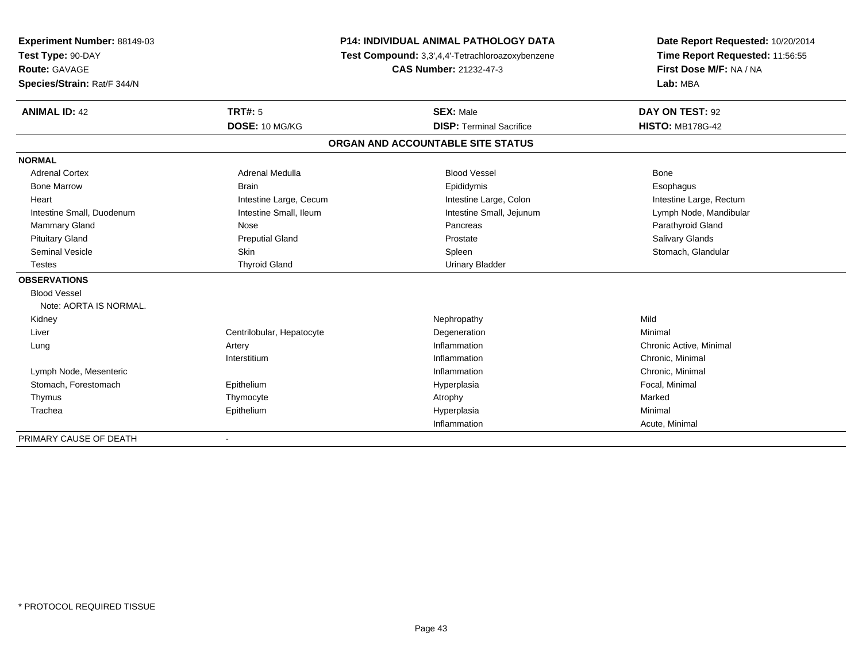| Experiment Number: 88149-03 |                           | <b>P14: INDIVIDUAL ANIMAL PATHOLOGY DATA</b>     | Date Report Requested: 10/20/2014 |
|-----------------------------|---------------------------|--------------------------------------------------|-----------------------------------|
| Test Type: 90-DAY           |                           | Test Compound: 3,3',4,4'-Tetrachloroazoxybenzene |                                   |
| <b>Route: GAVAGE</b>        |                           | <b>CAS Number: 21232-47-3</b>                    | First Dose M/F: NA / NA           |
| Species/Strain: Rat/F 344/N |                           |                                                  | Lab: MBA                          |
| <b>ANIMAL ID: 42</b>        | <b>TRT#: 5</b>            | <b>SEX: Male</b>                                 | DAY ON TEST: 92                   |
|                             | DOSE: 10 MG/KG            | <b>DISP: Terminal Sacrifice</b>                  | <b>HISTO: MB178G-42</b>           |
|                             |                           | ORGAN AND ACCOUNTABLE SITE STATUS                |                                   |
| <b>NORMAL</b>               |                           |                                                  |                                   |
| <b>Adrenal Cortex</b>       | Adrenal Medulla           | <b>Blood Vessel</b>                              | Bone                              |
| <b>Bone Marrow</b>          | <b>Brain</b>              | Epididymis                                       | Esophagus                         |
| Heart                       | Intestine Large, Cecum    | Intestine Large, Colon                           | Intestine Large, Rectum           |
| Intestine Small, Duodenum   | Intestine Small, Ileum    | Intestine Small, Jejunum                         | Lymph Node, Mandibular            |
| Mammary Gland               | Nose                      | Pancreas                                         | Parathyroid Gland                 |
| <b>Pituitary Gland</b>      | <b>Preputial Gland</b>    | Prostate                                         | <b>Salivary Glands</b>            |
| <b>Seminal Vesicle</b>      | <b>Skin</b>               | Spleen                                           | Stomach, Glandular                |
| <b>Testes</b>               | <b>Thyroid Gland</b>      | <b>Urinary Bladder</b>                           |                                   |
| <b>OBSERVATIONS</b>         |                           |                                                  |                                   |
| <b>Blood Vessel</b>         |                           |                                                  |                                   |
| Note: AORTA IS NORMAL.      |                           |                                                  |                                   |
| Kidney                      |                           | Nephropathy                                      | Mild                              |
| Liver                       | Centrilobular, Hepatocyte | Degeneration                                     | Minimal                           |
| Lung                        | Artery                    | Inflammation                                     | Chronic Active, Minimal           |
|                             | Interstitium              | Inflammation                                     | Chronic, Minimal                  |
| Lymph Node, Mesenteric      |                           | Inflammation                                     | Chronic, Minimal                  |
| Stomach, Forestomach        | Epithelium                | Hyperplasia                                      | Focal, Minimal                    |
| Thymus                      | Thymocyte                 | Atrophy                                          | Marked                            |
| Trachea                     | Epithelium                | Hyperplasia                                      | Minimal                           |
|                             |                           | Inflammation                                     | Acute, Minimal                    |

-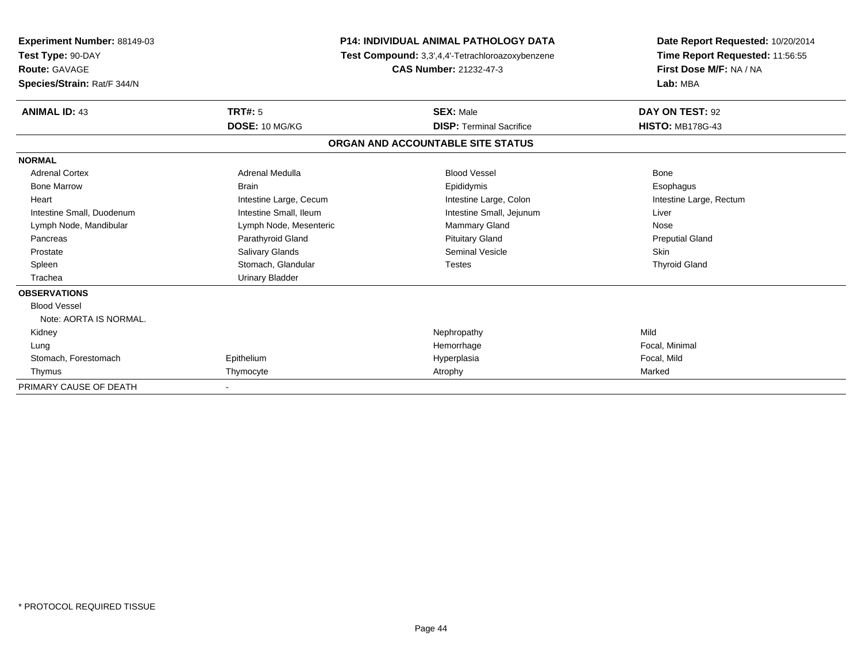| <b>Experiment Number: 88149-03</b><br>Test Type: 90-DAY<br><b>Route: GAVAGE</b><br>Species/Strain: Rat/F 344/N |                        | <b>P14: INDIVIDUAL ANIMAL PATHOLOGY DATA</b><br>Test Compound: 3,3',4,4'-Tetrachloroazoxybenzene<br><b>CAS Number: 21232-47-3</b> | Date Report Requested: 10/20/2014<br>Time Report Requested: 11:56:55<br>First Dose M/F: NA / NA<br>Lab: MBA |
|----------------------------------------------------------------------------------------------------------------|------------------------|-----------------------------------------------------------------------------------------------------------------------------------|-------------------------------------------------------------------------------------------------------------|
| <b>ANIMAL ID: 43</b>                                                                                           | TRT#: 5                | <b>SEX: Male</b>                                                                                                                  | DAY ON TEST: 92                                                                                             |
|                                                                                                                | DOSE: 10 MG/KG         | <b>DISP: Terminal Sacrifice</b>                                                                                                   | <b>HISTO: MB178G-43</b>                                                                                     |
|                                                                                                                |                        | ORGAN AND ACCOUNTABLE SITE STATUS                                                                                                 |                                                                                                             |
| <b>NORMAL</b>                                                                                                  |                        |                                                                                                                                   |                                                                                                             |
| <b>Adrenal Cortex</b>                                                                                          | <b>Adrenal Medulla</b> | <b>Blood Vessel</b>                                                                                                               | Bone                                                                                                        |
| <b>Bone Marrow</b>                                                                                             | <b>Brain</b>           | Epididymis                                                                                                                        | Esophagus                                                                                                   |
| Heart                                                                                                          | Intestine Large, Cecum | Intestine Large, Colon                                                                                                            | Intestine Large, Rectum                                                                                     |
| Intestine Small, Duodenum                                                                                      | Intestine Small, Ileum | Intestine Small, Jejunum                                                                                                          | Liver                                                                                                       |
| Lymph Node, Mandibular                                                                                         | Lymph Node, Mesenteric | <b>Mammary Gland</b>                                                                                                              | Nose                                                                                                        |
| Pancreas                                                                                                       | Parathyroid Gland      | <b>Pituitary Gland</b>                                                                                                            | <b>Preputial Gland</b>                                                                                      |
| Prostate                                                                                                       | <b>Salivary Glands</b> | Seminal Vesicle                                                                                                                   | <b>Skin</b>                                                                                                 |
| Spleen                                                                                                         | Stomach, Glandular     | <b>Testes</b>                                                                                                                     | <b>Thyroid Gland</b>                                                                                        |
| Trachea                                                                                                        | <b>Urinary Bladder</b> |                                                                                                                                   |                                                                                                             |
| <b>OBSERVATIONS</b>                                                                                            |                        |                                                                                                                                   |                                                                                                             |
| <b>Blood Vessel</b>                                                                                            |                        |                                                                                                                                   |                                                                                                             |
| Note: AORTA IS NORMAL.                                                                                         |                        |                                                                                                                                   |                                                                                                             |
| Kidney                                                                                                         |                        | Nephropathy                                                                                                                       | Mild                                                                                                        |
| Lung                                                                                                           |                        | Hemorrhage                                                                                                                        | Focal, Minimal                                                                                              |
| Stomach, Forestomach                                                                                           | Epithelium             | Hyperplasia                                                                                                                       | Focal, Mild                                                                                                 |
| Thymus                                                                                                         | Thymocyte              | Atrophy                                                                                                                           | Marked                                                                                                      |
| PRIMARY CAUSE OF DEATH                                                                                         |                        |                                                                                                                                   |                                                                                                             |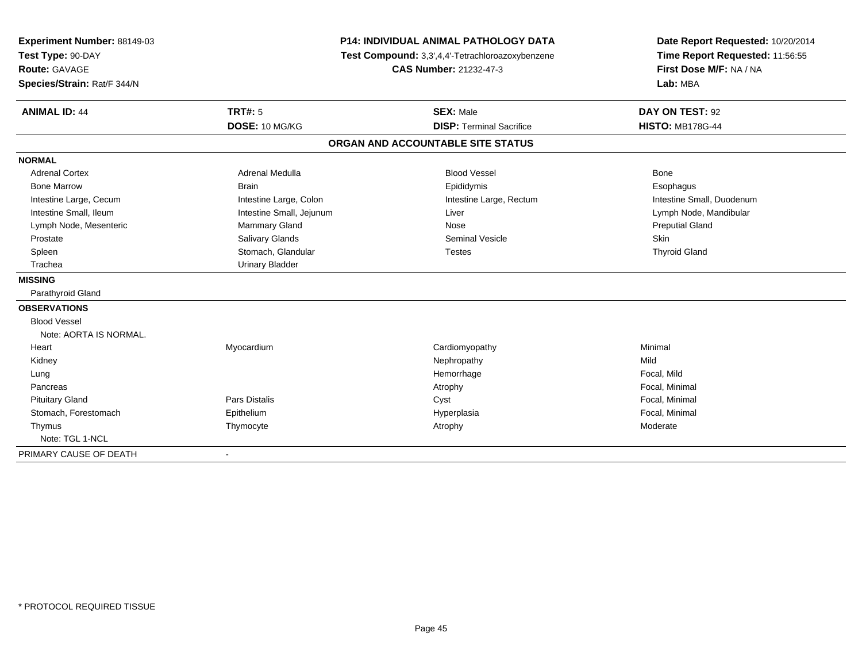| Experiment Number: 88149-03<br>Test Type: 90-DAY |                          | P14: INDIVIDUAL ANIMAL PATHOLOGY DATA<br>Test Compound: 3,3',4,4'-Tetrachloroazoxybenzene | Date Report Requested: 10/20/2014<br>Time Report Requested: 11:56:55 |
|--------------------------------------------------|--------------------------|-------------------------------------------------------------------------------------------|----------------------------------------------------------------------|
| <b>Route: GAVAGE</b>                             |                          | <b>CAS Number: 21232-47-3</b>                                                             | First Dose M/F: NA / NA                                              |
| Species/Strain: Rat/F 344/N                      |                          |                                                                                           | Lab: MBA                                                             |
|                                                  |                          |                                                                                           |                                                                      |
| <b>ANIMAL ID: 44</b>                             | <b>TRT#: 5</b>           | <b>SEX: Male</b>                                                                          | DAY ON TEST: 92                                                      |
|                                                  | DOSE: 10 MG/KG           | <b>DISP: Terminal Sacrifice</b>                                                           | <b>HISTO: MB178G-44</b>                                              |
|                                                  |                          | ORGAN AND ACCOUNTABLE SITE STATUS                                                         |                                                                      |
| <b>NORMAL</b>                                    |                          |                                                                                           |                                                                      |
| <b>Adrenal Cortex</b>                            | Adrenal Medulla          | <b>Blood Vessel</b>                                                                       | <b>Bone</b>                                                          |
| <b>Bone Marrow</b>                               | <b>Brain</b>             | Epididymis                                                                                | Esophagus                                                            |
| Intestine Large, Cecum                           | Intestine Large, Colon   | Intestine Large, Rectum                                                                   | Intestine Small, Duodenum                                            |
| Intestine Small, Ileum                           | Intestine Small, Jejunum | Liver                                                                                     | Lymph Node, Mandibular                                               |
| Lymph Node, Mesenteric                           | Mammary Gland            | Nose                                                                                      | <b>Preputial Gland</b>                                               |
| Prostate                                         | Salivary Glands          | <b>Seminal Vesicle</b>                                                                    | <b>Skin</b>                                                          |
| Spleen                                           | Stomach, Glandular       | <b>Testes</b>                                                                             | <b>Thyroid Gland</b>                                                 |
| Trachea                                          | <b>Urinary Bladder</b>   |                                                                                           |                                                                      |
| <b>MISSING</b>                                   |                          |                                                                                           |                                                                      |
| Parathyroid Gland                                |                          |                                                                                           |                                                                      |
| <b>OBSERVATIONS</b>                              |                          |                                                                                           |                                                                      |
| <b>Blood Vessel</b>                              |                          |                                                                                           |                                                                      |
| Note: AORTA IS NORMAL.                           |                          |                                                                                           |                                                                      |
| Heart                                            | Myocardium               | Cardiomyopathy                                                                            | Minimal                                                              |
| Kidney                                           |                          | Nephropathy                                                                               | Mild                                                                 |
| Lung                                             |                          | Hemorrhage                                                                                | Focal, Mild                                                          |
| Pancreas                                         |                          | Atrophy                                                                                   | Focal, Minimal                                                       |
| <b>Pituitary Gland</b>                           | <b>Pars Distalis</b>     | Cyst                                                                                      | Focal, Minimal                                                       |
| Stomach, Forestomach                             | Epithelium               | Hyperplasia                                                                               | Focal, Minimal                                                       |
| Thymus                                           | Thymocyte                | Atrophy                                                                                   | Moderate                                                             |
| Note: TGL 1-NCL                                  |                          |                                                                                           |                                                                      |
| PRIMARY CAUSE OF DEATH                           |                          |                                                                                           |                                                                      |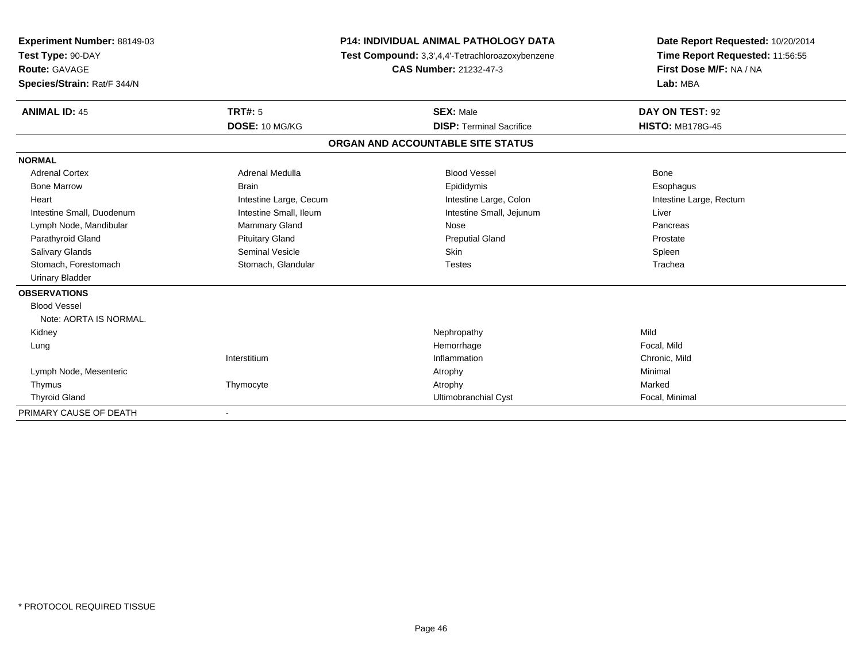| Experiment Number: 88149-03 |                        | <b>P14: INDIVIDUAL ANIMAL PATHOLOGY DATA</b>     | Date Report Requested: 10/20/2014 |
|-----------------------------|------------------------|--------------------------------------------------|-----------------------------------|
| Test Type: 90-DAY           |                        | Test Compound: 3,3',4,4'-Tetrachloroazoxybenzene | Time Report Requested: 11:56:55   |
| Route: GAVAGE               |                        | <b>CAS Number: 21232-47-3</b>                    | First Dose M/F: NA / NA           |
| Species/Strain: Rat/F 344/N |                        |                                                  | Lab: MBA                          |
| <b>ANIMAL ID: 45</b>        | TRT#: 5                | <b>SEX: Male</b>                                 | DAY ON TEST: 92                   |
|                             | DOSE: 10 MG/KG         | <b>DISP: Terminal Sacrifice</b>                  | <b>HISTO: MB178G-45</b>           |
|                             |                        | ORGAN AND ACCOUNTABLE SITE STATUS                |                                   |
| <b>NORMAL</b>               |                        |                                                  |                                   |
| <b>Adrenal Cortex</b>       | <b>Adrenal Medulla</b> | <b>Blood Vessel</b>                              | Bone                              |
| <b>Bone Marrow</b>          | <b>Brain</b>           | Epididymis                                       | Esophagus                         |
| Heart                       | Intestine Large, Cecum | Intestine Large, Colon                           | Intestine Large, Rectum           |
| Intestine Small, Duodenum   | Intestine Small, Ileum | Intestine Small, Jejunum                         | Liver                             |
| Lymph Node, Mandibular      | <b>Mammary Gland</b>   | Nose                                             | Pancreas                          |
| Parathyroid Gland           | <b>Pituitary Gland</b> | <b>Preputial Gland</b>                           | Prostate                          |
| Salivary Glands             | <b>Seminal Vesicle</b> | <b>Skin</b>                                      | Spleen                            |
| Stomach, Forestomach        | Stomach, Glandular     | <b>Testes</b>                                    | Trachea                           |
| <b>Urinary Bladder</b>      |                        |                                                  |                                   |
| <b>OBSERVATIONS</b>         |                        |                                                  |                                   |
| <b>Blood Vessel</b>         |                        |                                                  |                                   |
| Note: AORTA IS NORMAL.      |                        |                                                  |                                   |
| Kidney                      |                        | Nephropathy                                      | Mild                              |
| Lung                        |                        | Hemorrhage                                       | Focal, Mild                       |
|                             | Interstitium           | Inflammation                                     | Chronic, Mild                     |
| Lymph Node, Mesenteric      |                        | Atrophy                                          | Minimal                           |
| Thymus                      | Thymocyte              | Atrophy                                          | Marked                            |
| <b>Thyroid Gland</b>        |                        | <b>Ultimobranchial Cyst</b>                      | Focal, Minimal                    |
| PRIMARY CAUSE OF DEATH      |                        |                                                  |                                   |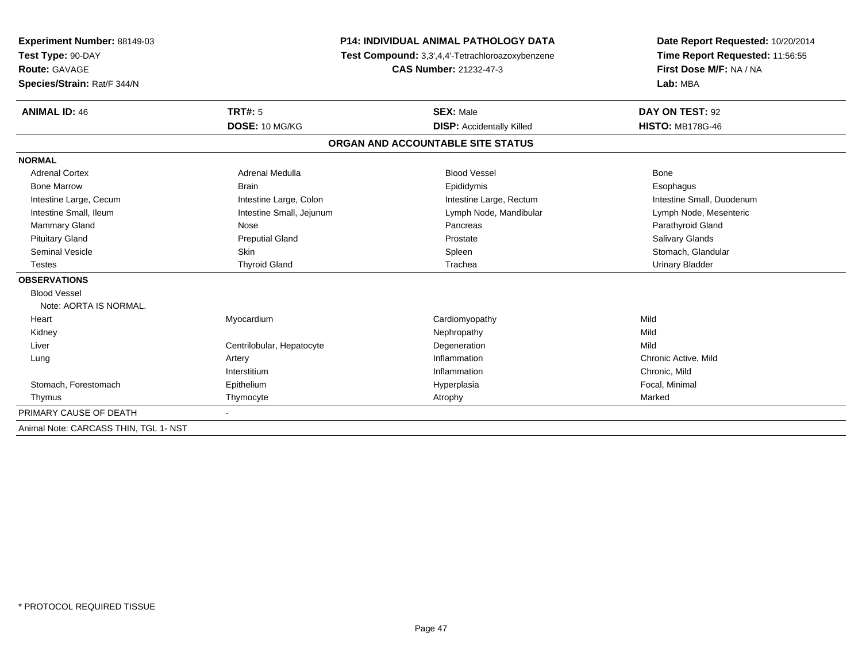| Experiment Number: 88149-03           | <b>P14: INDIVIDUAL ANIMAL PATHOLOGY DATA</b><br>Test Compound: 3,3',4,4'-Tetrachloroazoxybenzene |                                   | Date Report Requested: 10/20/2014 |  |
|---------------------------------------|--------------------------------------------------------------------------------------------------|-----------------------------------|-----------------------------------|--|
| Test Type: 90-DAY                     |                                                                                                  |                                   | Time Report Requested: 11:56:55   |  |
| Route: GAVAGE                         |                                                                                                  | <b>CAS Number: 21232-47-3</b>     | First Dose M/F: NA / NA           |  |
| Species/Strain: Rat/F 344/N           |                                                                                                  |                                   | Lab: MBA                          |  |
| <b>ANIMAL ID: 46</b>                  | <b>TRT#: 5</b>                                                                                   | <b>SEX: Male</b>                  | DAY ON TEST: 92                   |  |
|                                       | DOSE: 10 MG/KG                                                                                   | <b>DISP:</b> Accidentally Killed  | <b>HISTO: MB178G-46</b>           |  |
|                                       |                                                                                                  | ORGAN AND ACCOUNTABLE SITE STATUS |                                   |  |
| <b>NORMAL</b>                         |                                                                                                  |                                   |                                   |  |
| <b>Adrenal Cortex</b>                 | Adrenal Medulla                                                                                  | <b>Blood Vessel</b>               | Bone                              |  |
| <b>Bone Marrow</b>                    | <b>Brain</b>                                                                                     | Epididymis                        | Esophagus                         |  |
| Intestine Large, Cecum                | Intestine Large, Colon                                                                           | Intestine Large, Rectum           | Intestine Small, Duodenum         |  |
| Intestine Small, Ileum                | Intestine Small, Jejunum                                                                         | Lymph Node, Mandibular            | Lymph Node, Mesenteric            |  |
| <b>Mammary Gland</b>                  | Nose                                                                                             | Pancreas                          | Parathyroid Gland                 |  |
| <b>Pituitary Gland</b>                | <b>Preputial Gland</b>                                                                           | Prostate                          | <b>Salivary Glands</b>            |  |
| <b>Seminal Vesicle</b>                | <b>Skin</b>                                                                                      | Spleen                            | Stomach, Glandular                |  |
| Testes                                | <b>Thyroid Gland</b>                                                                             | Trachea                           | <b>Urinary Bladder</b>            |  |
| <b>OBSERVATIONS</b>                   |                                                                                                  |                                   |                                   |  |
| <b>Blood Vessel</b>                   |                                                                                                  |                                   |                                   |  |
| Note: AORTA IS NORMAL.                |                                                                                                  |                                   |                                   |  |
| Heart                                 | Myocardium                                                                                       | Cardiomyopathy                    | Mild                              |  |
| Kidney                                |                                                                                                  | Nephropathy                       | Mild                              |  |
| Liver                                 | Centrilobular, Hepatocyte                                                                        | Degeneration                      | Mild                              |  |
| Lung                                  | Artery                                                                                           | Inflammation                      | Chronic Active, Mild              |  |
|                                       | Interstitium                                                                                     | Inflammation                      | Chronic, Mild                     |  |
| Stomach, Forestomach                  | Epithelium                                                                                       | Hyperplasia                       | Focal, Minimal                    |  |
| Thymus                                | Thymocyte                                                                                        | Atrophy                           | Marked                            |  |
| PRIMARY CAUSE OF DEATH                | $\sim$                                                                                           |                                   |                                   |  |
| Animal Note: CARCASS THIN, TGL 1- NST |                                                                                                  |                                   |                                   |  |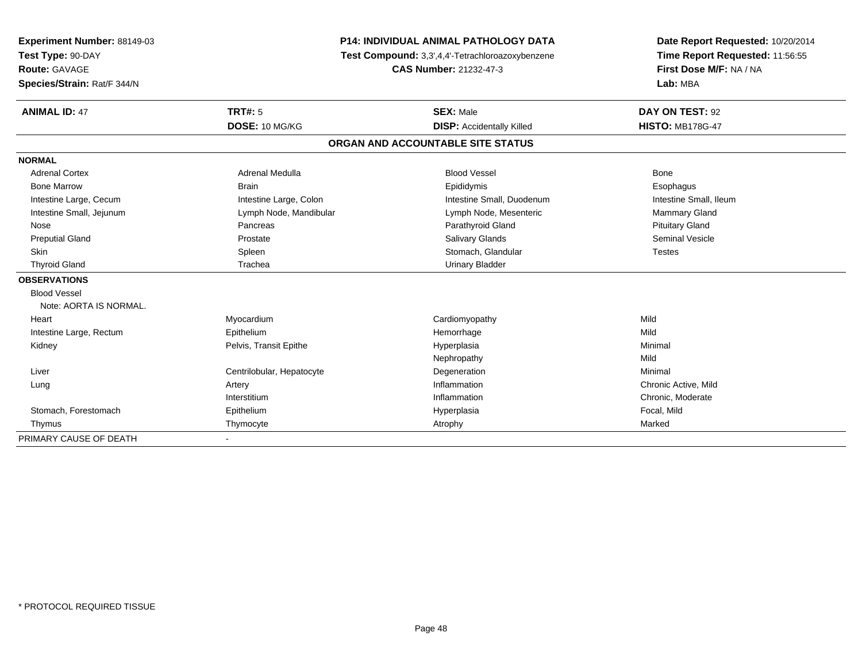| Experiment Number: 88149-03 | <b>P14: INDIVIDUAL ANIMAL PATHOLOGY DATA</b> |                                                  | Date Report Requested: 10/20/2014                          |  |
|-----------------------------|----------------------------------------------|--------------------------------------------------|------------------------------------------------------------|--|
| Test Type: 90-DAY           |                                              | Test Compound: 3,3',4,4'-Tetrachloroazoxybenzene |                                                            |  |
| Route: GAVAGE               |                                              | <b>CAS Number: 21232-47-3</b>                    | Time Report Requested: 11:56:55<br>First Dose M/F: NA / NA |  |
| Species/Strain: Rat/F 344/N |                                              |                                                  | Lab: MBA                                                   |  |
| <b>ANIMAL ID: 47</b>        | <b>TRT#: 5</b>                               | <b>SEX: Male</b>                                 | DAY ON TEST: 92                                            |  |
|                             | DOSE: 10 MG/KG                               | <b>DISP:</b> Accidentally Killed                 | <b>HISTO: MB178G-47</b>                                    |  |
|                             |                                              | ORGAN AND ACCOUNTABLE SITE STATUS                |                                                            |  |
| <b>NORMAL</b>               |                                              |                                                  |                                                            |  |
| <b>Adrenal Cortex</b>       | <b>Adrenal Medulla</b>                       | <b>Blood Vessel</b>                              | Bone                                                       |  |
| <b>Bone Marrow</b>          | <b>Brain</b>                                 | Epididymis                                       | Esophagus                                                  |  |
| Intestine Large, Cecum      | Intestine Large, Colon                       | Intestine Small, Duodenum                        | Intestine Small, Ileum                                     |  |
| Intestine Small, Jejunum    | Lymph Node, Mandibular                       | Lymph Node, Mesenteric                           | <b>Mammary Gland</b>                                       |  |
| Nose                        | Pancreas                                     | Parathyroid Gland                                | <b>Pituitary Gland</b>                                     |  |
| <b>Preputial Gland</b>      | Prostate                                     | <b>Salivary Glands</b>                           | <b>Seminal Vesicle</b>                                     |  |
| Skin                        | Spleen                                       | Stomach, Glandular                               | <b>Testes</b>                                              |  |
| <b>Thyroid Gland</b>        | Trachea                                      | <b>Urinary Bladder</b>                           |                                                            |  |
| <b>OBSERVATIONS</b>         |                                              |                                                  |                                                            |  |
| <b>Blood Vessel</b>         |                                              |                                                  |                                                            |  |
| Note: AORTA IS NORMAL.      |                                              |                                                  |                                                            |  |
| Heart                       | Myocardium                                   | Cardiomyopathy                                   | Mild                                                       |  |
| Intestine Large, Rectum     | Epithelium                                   | Hemorrhage                                       | Mild                                                       |  |
| Kidney                      | Pelvis, Transit Epithe                       | Hyperplasia                                      | Minimal                                                    |  |
|                             |                                              | Nephropathy                                      | Mild                                                       |  |
| Liver                       | Centrilobular, Hepatocyte                    | Degeneration                                     | Minimal                                                    |  |
| Lung                        | Artery                                       | Inflammation                                     | Chronic Active, Mild                                       |  |
|                             | Interstitium                                 | Inflammation                                     | Chronic, Moderate                                          |  |
| Stomach, Forestomach        | Epithelium                                   | Hyperplasia                                      | Focal, Mild                                                |  |
| Thymus                      | Thymocyte                                    | Atrophy                                          | Marked                                                     |  |
| PRIMARY CAUSE OF DEATH      |                                              |                                                  |                                                            |  |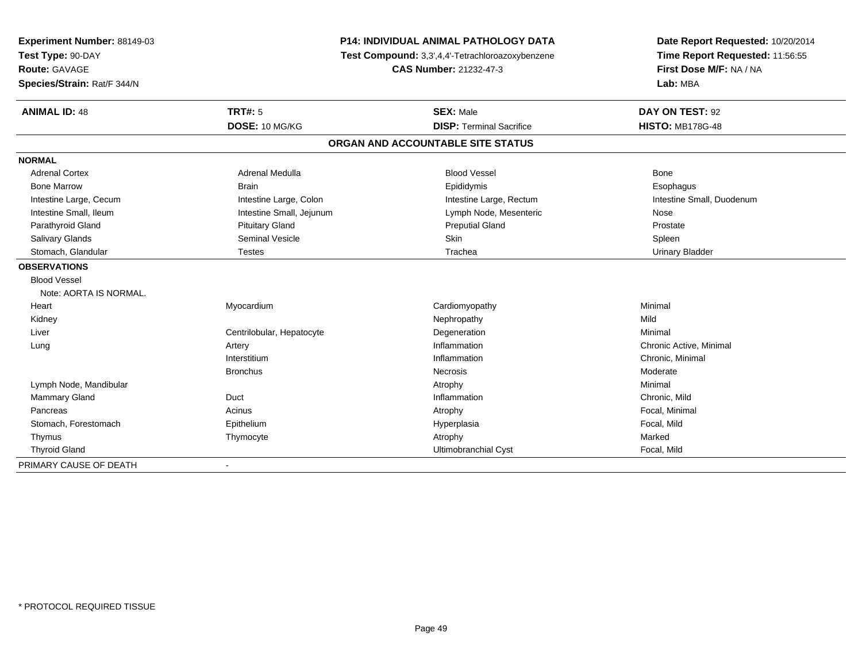| Experiment Number: 88149-03 | P14: INDIVIDUAL ANIMAL PATHOLOGY DATA |                                                                            | Date Report Requested: 10/20/2014 |
|-----------------------------|---------------------------------------|----------------------------------------------------------------------------|-----------------------------------|
| Test Type: 90-DAY           |                                       | Test Compound: 3,3',4,4'-Tetrachloroazoxybenzene<br>CAS Number: 21232-47-3 |                                   |
| <b>Route: GAVAGE</b>        |                                       |                                                                            |                                   |
| Species/Strain: Rat/F 344/N |                                       |                                                                            | Lab: MBA                          |
| <b>ANIMAL ID: 48</b>        | <b>TRT#: 5</b>                        | <b>SEX: Male</b>                                                           | DAY ON TEST: 92                   |
|                             | DOSE: 10 MG/KG                        | <b>DISP: Terminal Sacrifice</b>                                            | <b>HISTO: MB178G-48</b>           |
|                             |                                       | ORGAN AND ACCOUNTABLE SITE STATUS                                          |                                   |
| <b>NORMAL</b>               |                                       |                                                                            |                                   |
| <b>Adrenal Cortex</b>       | <b>Adrenal Medulla</b>                | <b>Blood Vessel</b>                                                        | Bone                              |
| <b>Bone Marrow</b>          | <b>Brain</b>                          | Epididymis                                                                 | Esophagus                         |
| Intestine Large, Cecum      | Intestine Large, Colon                | Intestine Large, Rectum                                                    | Intestine Small, Duodenum         |
| Intestine Small, Ileum      | Intestine Small, Jejunum              | Lymph Node, Mesenteric                                                     | Nose                              |
| Parathyroid Gland           | <b>Pituitary Gland</b>                | <b>Preputial Gland</b>                                                     | Prostate                          |
| Salivary Glands             | Seminal Vesicle                       | Skin                                                                       | Spleen                            |
| Stomach, Glandular          | <b>Testes</b>                         | Trachea                                                                    | <b>Urinary Bladder</b>            |
| <b>OBSERVATIONS</b>         |                                       |                                                                            |                                   |
| <b>Blood Vessel</b>         |                                       |                                                                            |                                   |
| Note: AORTA IS NORMAL.      |                                       |                                                                            |                                   |
| Heart                       | Myocardium                            | Cardiomyopathy                                                             | Minimal                           |
| Kidney                      |                                       | Nephropathy                                                                | Mild                              |
| Liver                       | Centrilobular, Hepatocyte             | Degeneration                                                               | Minimal                           |
| Lung                        | Artery                                | Inflammation                                                               | Chronic Active, Minimal           |
|                             | Interstitium                          | Inflammation                                                               | Chronic, Minimal                  |
|                             | <b>Bronchus</b>                       | Necrosis                                                                   | Moderate                          |
| Lymph Node, Mandibular      |                                       | Atrophy                                                                    | Minimal                           |
| Mammary Gland               | Duct                                  | Inflammation                                                               | Chronic, Mild                     |
| Pancreas                    | Acinus                                | Atrophy                                                                    | Focal, Minimal                    |
| Stomach, Forestomach        | Epithelium                            | Hyperplasia                                                                | Focal, Mild                       |
| Thymus                      | Thymocyte                             | Atrophy                                                                    | Marked                            |
| <b>Thyroid Gland</b>        |                                       | Ultimobranchial Cyst                                                       | Focal, Mild                       |
| PRIMARY CAUSE OF DEATH      | $\blacksquare$                        |                                                                            |                                   |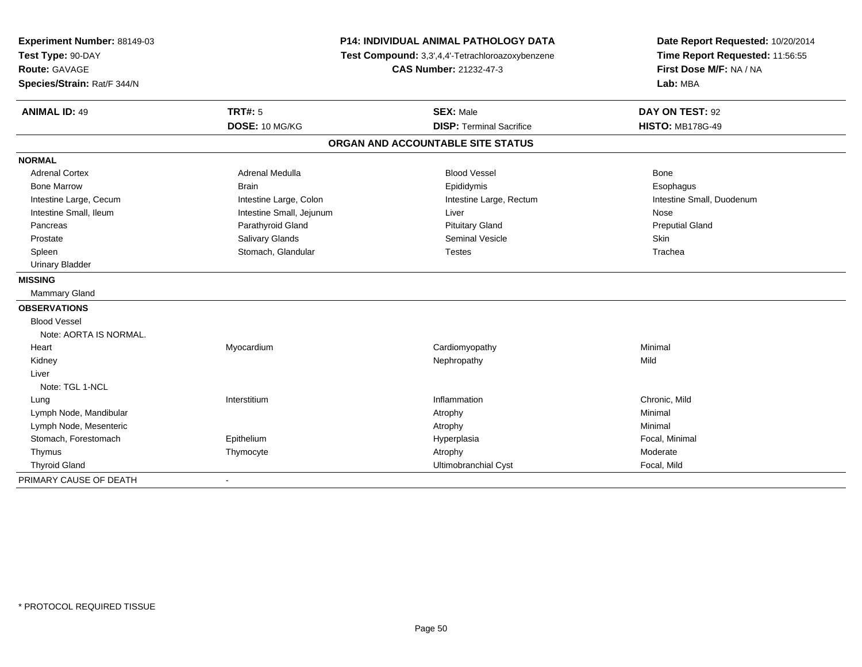| Experiment Number: 88149-03 | <b>P14: INDIVIDUAL ANIMAL PATHOLOGY DATA</b> |                                                  | Date Report Requested: 10/20/2014                          |  |
|-----------------------------|----------------------------------------------|--------------------------------------------------|------------------------------------------------------------|--|
| Test Type: 90-DAY           |                                              | Test Compound: 3,3',4,4'-Tetrachloroazoxybenzene | Time Report Requested: 11:56:55<br>First Dose M/F: NA / NA |  |
| Route: GAVAGE               |                                              | <b>CAS Number: 21232-47-3</b>                    |                                                            |  |
| Species/Strain: Rat/F 344/N |                                              |                                                  | Lab: MBA                                                   |  |
| <b>ANIMAL ID: 49</b>        | <b>TRT#: 5</b>                               | <b>SEX: Male</b>                                 | DAY ON TEST: 92                                            |  |
|                             | DOSE: 10 MG/KG                               | <b>DISP: Terminal Sacrifice</b>                  | <b>HISTO: MB178G-49</b>                                    |  |
|                             |                                              | ORGAN AND ACCOUNTABLE SITE STATUS                |                                                            |  |
| <b>NORMAL</b>               |                                              |                                                  |                                                            |  |
| <b>Adrenal Cortex</b>       | Adrenal Medulla                              | <b>Blood Vessel</b>                              | Bone                                                       |  |
| <b>Bone Marrow</b>          | <b>Brain</b>                                 | Epididymis                                       | Esophagus                                                  |  |
| Intestine Large, Cecum      | Intestine Large, Colon                       | Intestine Large, Rectum                          | Intestine Small, Duodenum                                  |  |
| Intestine Small, Ileum      | Intestine Small, Jejunum                     | Liver                                            | Nose                                                       |  |
| Pancreas                    | Parathyroid Gland                            | <b>Pituitary Gland</b>                           | <b>Preputial Gland</b>                                     |  |
| Prostate                    | Salivary Glands                              | <b>Seminal Vesicle</b>                           | Skin                                                       |  |
| Spleen                      | Stomach, Glandular                           | <b>Testes</b>                                    | Trachea                                                    |  |
| <b>Urinary Bladder</b>      |                                              |                                                  |                                                            |  |
| <b>MISSING</b>              |                                              |                                                  |                                                            |  |
| <b>Mammary Gland</b>        |                                              |                                                  |                                                            |  |
| <b>OBSERVATIONS</b>         |                                              |                                                  |                                                            |  |
| <b>Blood Vessel</b>         |                                              |                                                  |                                                            |  |
| Note: AORTA IS NORMAL.      |                                              |                                                  |                                                            |  |
| Heart                       | Myocardium                                   | Cardiomyopathy                                   | Minimal                                                    |  |
| Kidney                      |                                              | Nephropathy                                      | Mild                                                       |  |
| Liver                       |                                              |                                                  |                                                            |  |
| Note: TGL 1-NCL             |                                              |                                                  |                                                            |  |
| Lung                        | Interstitium                                 | Inflammation                                     | Chronic, Mild                                              |  |
| Lymph Node, Mandibular      |                                              | Atrophy                                          | Minimal                                                    |  |
| Lymph Node, Mesenteric      |                                              | Atrophy                                          | Minimal                                                    |  |
| Stomach, Forestomach        | Epithelium                                   | Hyperplasia                                      | Focal, Minimal                                             |  |
| Thymus                      | Thymocyte                                    | Atrophy                                          | Moderate                                                   |  |
| <b>Thyroid Gland</b>        |                                              | Ultimobranchial Cyst                             | Focal, Mild                                                |  |
| PRIMARY CAUSE OF DEATH      | $\blacksquare$                               |                                                  |                                                            |  |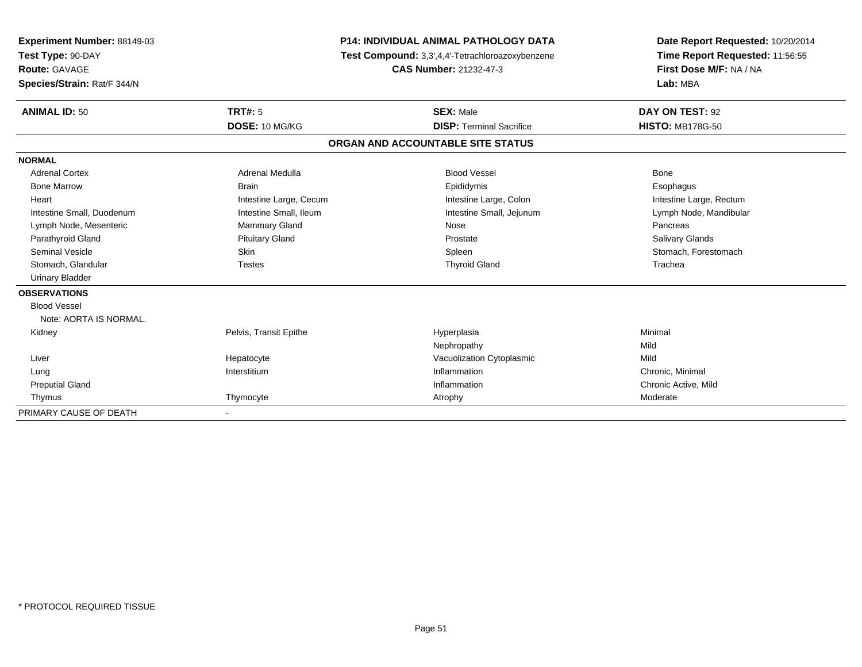| Experiment Number: 88149-03 | <b>P14: INDIVIDUAL ANIMAL PATHOLOGY DATA</b> |                                                  | Date Report Requested: 10/20/2014 |  |
|-----------------------------|----------------------------------------------|--------------------------------------------------|-----------------------------------|--|
| Test Type: 90-DAY           |                                              | Test Compound: 3,3',4,4'-Tetrachloroazoxybenzene | Time Report Requested: 11:56:55   |  |
| <b>Route: GAVAGE</b>        |                                              | <b>CAS Number: 21232-47-3</b>                    | First Dose M/F: NA / NA           |  |
| Species/Strain: Rat/F 344/N |                                              |                                                  | Lab: MBA                          |  |
| <b>ANIMAL ID: 50</b>        | <b>TRT#: 5</b>                               | <b>SEX: Male</b>                                 | DAY ON TEST: 92                   |  |
|                             | DOSE: 10 MG/KG                               | <b>DISP: Terminal Sacrifice</b>                  | <b>HISTO: MB178G-50</b>           |  |
|                             |                                              | ORGAN AND ACCOUNTABLE SITE STATUS                |                                   |  |
| <b>NORMAL</b>               |                                              |                                                  |                                   |  |
| <b>Adrenal Cortex</b>       | Adrenal Medulla                              | <b>Blood Vessel</b>                              | <b>Bone</b>                       |  |
| <b>Bone Marrow</b>          | <b>Brain</b>                                 | Epididymis                                       | Esophagus                         |  |
| Heart                       | Intestine Large, Cecum                       | Intestine Large, Colon                           | Intestine Large, Rectum           |  |
| Intestine Small, Duodenum   | Intestine Small, Ileum                       | Intestine Small, Jejunum                         | Lymph Node, Mandibular            |  |
| Lymph Node, Mesenteric      | <b>Mammary Gland</b>                         | Nose                                             | Pancreas                          |  |
| Parathyroid Gland           | <b>Pituitary Gland</b>                       | Prostate                                         | Salivary Glands                   |  |
| <b>Seminal Vesicle</b>      | <b>Skin</b>                                  | Spleen                                           | Stomach, Forestomach              |  |
| Stomach, Glandular          | <b>Testes</b>                                | <b>Thyroid Gland</b>                             | Trachea                           |  |
| <b>Urinary Bladder</b>      |                                              |                                                  |                                   |  |
| <b>OBSERVATIONS</b>         |                                              |                                                  |                                   |  |
| <b>Blood Vessel</b>         |                                              |                                                  |                                   |  |
| Note: AORTA IS NORMAL.      |                                              |                                                  |                                   |  |
| Kidney                      | Pelvis, Transit Epithe                       | Hyperplasia                                      | Minimal                           |  |
|                             |                                              | Nephropathy                                      | Mild                              |  |
| Liver                       | Hepatocyte                                   | Vacuolization Cytoplasmic                        | Mild                              |  |
| Lung                        | Interstitium                                 | Inflammation                                     | Chronic, Minimal                  |  |
| <b>Preputial Gland</b>      |                                              | Inflammation                                     | Chronic Active, Mild              |  |
| Thymus                      | Thymocyte                                    | Atrophy                                          | Moderate                          |  |
| PRIMARY CAUSE OF DEATH      |                                              |                                                  |                                   |  |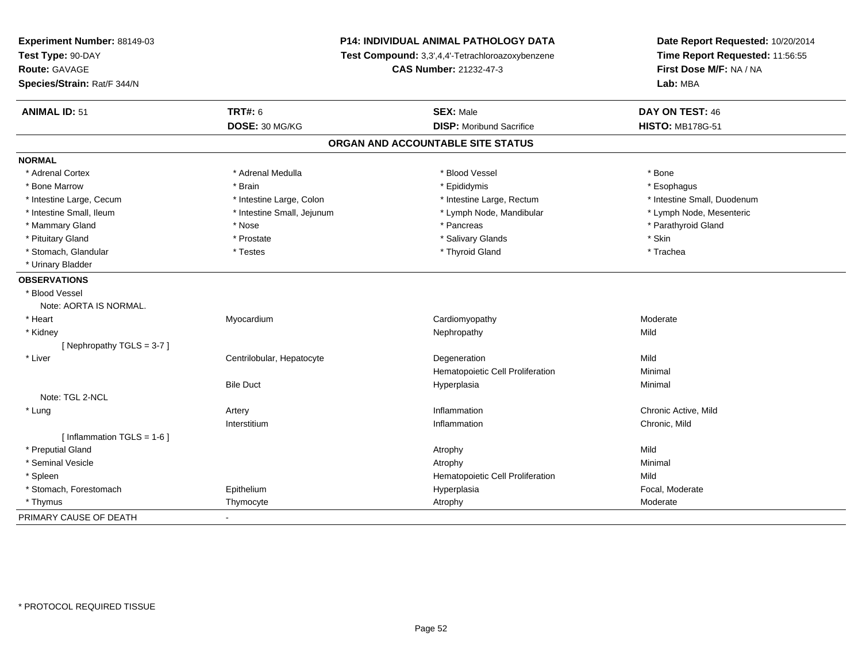| Experiment Number: 88149-03<br>Test Type: 90-DAY |                               | <b>P14: INDIVIDUAL ANIMAL PATHOLOGY DATA</b><br>Test Compound: 3,3',4,4'-Tetrachloroazoxybenzene | Date Report Requested: 10/20/2014<br>Time Report Requested: 11:56:55 |  |
|--------------------------------------------------|-------------------------------|--------------------------------------------------------------------------------------------------|----------------------------------------------------------------------|--|
| <b>Route: GAVAGE</b>                             | <b>CAS Number: 21232-47-3</b> |                                                                                                  | First Dose M/F: NA / NA                                              |  |
| Species/Strain: Rat/F 344/N                      |                               |                                                                                                  | Lab: MBA                                                             |  |
| <b>ANIMAL ID: 51</b>                             | <b>TRT#: 6</b>                | <b>SEX: Male</b>                                                                                 | DAY ON TEST: 46                                                      |  |
|                                                  | DOSE: 30 MG/KG                | <b>DISP: Moribund Sacrifice</b>                                                                  | <b>HISTO: MB178G-51</b>                                              |  |
|                                                  |                               | ORGAN AND ACCOUNTABLE SITE STATUS                                                                |                                                                      |  |
| <b>NORMAL</b>                                    |                               |                                                                                                  |                                                                      |  |
| * Adrenal Cortex                                 | * Adrenal Medulla             | * Blood Vessel                                                                                   | * Bone                                                               |  |
| * Bone Marrow                                    | * Brain                       | * Epididymis                                                                                     | * Esophagus                                                          |  |
| * Intestine Large, Cecum                         | * Intestine Large, Colon      | * Intestine Large, Rectum                                                                        | * Intestine Small, Duodenum                                          |  |
| * Intestine Small, Ileum                         | * Intestine Small, Jejunum    | * Lymph Node, Mandibular                                                                         | * Lymph Node, Mesenteric                                             |  |
| * Mammary Gland                                  | * Nose                        | * Pancreas                                                                                       | * Parathyroid Gland                                                  |  |
| * Pituitary Gland                                | * Prostate                    | * Salivary Glands                                                                                | * Skin                                                               |  |
| * Stomach, Glandular                             | * Testes                      | * Thyroid Gland                                                                                  | * Trachea                                                            |  |
| * Urinary Bladder                                |                               |                                                                                                  |                                                                      |  |
| <b>OBSERVATIONS</b>                              |                               |                                                                                                  |                                                                      |  |
| * Blood Vessel                                   |                               |                                                                                                  |                                                                      |  |
| Note: AORTA IS NORMAL.                           |                               |                                                                                                  |                                                                      |  |
| * Heart                                          | Myocardium                    | Cardiomyopathy                                                                                   | Moderate                                                             |  |
| * Kidney                                         |                               | Nephropathy                                                                                      | Mild                                                                 |  |
| [Nephropathy TGLS = 3-7]                         |                               |                                                                                                  |                                                                      |  |
| * Liver                                          | Centrilobular, Hepatocyte     | Degeneration                                                                                     | Mild                                                                 |  |
|                                                  |                               | Hematopoietic Cell Proliferation                                                                 | Minimal                                                              |  |
|                                                  | <b>Bile Duct</b>              | Hyperplasia                                                                                      | Minimal                                                              |  |
| Note: TGL 2-NCL                                  |                               |                                                                                                  |                                                                      |  |
| * Lung                                           | Artery                        | Inflammation                                                                                     | Chronic Active, Mild                                                 |  |
|                                                  | Interstitium                  | Inflammation                                                                                     | Chronic, Mild                                                        |  |
| [Inflammation TGLS = $1-6$ ]                     |                               |                                                                                                  |                                                                      |  |
| * Preputial Gland                                |                               | Atrophy                                                                                          | Mild                                                                 |  |
| * Seminal Vesicle                                |                               | Atrophy                                                                                          | Minimal                                                              |  |
| * Spleen                                         |                               | Hematopoietic Cell Proliferation                                                                 | Mild                                                                 |  |
| * Stomach, Forestomach                           | Epithelium                    | Hyperplasia                                                                                      | Focal, Moderate                                                      |  |
| * Thymus                                         | Thymocyte                     | Atrophy                                                                                          | Moderate                                                             |  |
| PRIMARY CAUSE OF DEATH                           |                               |                                                                                                  |                                                                      |  |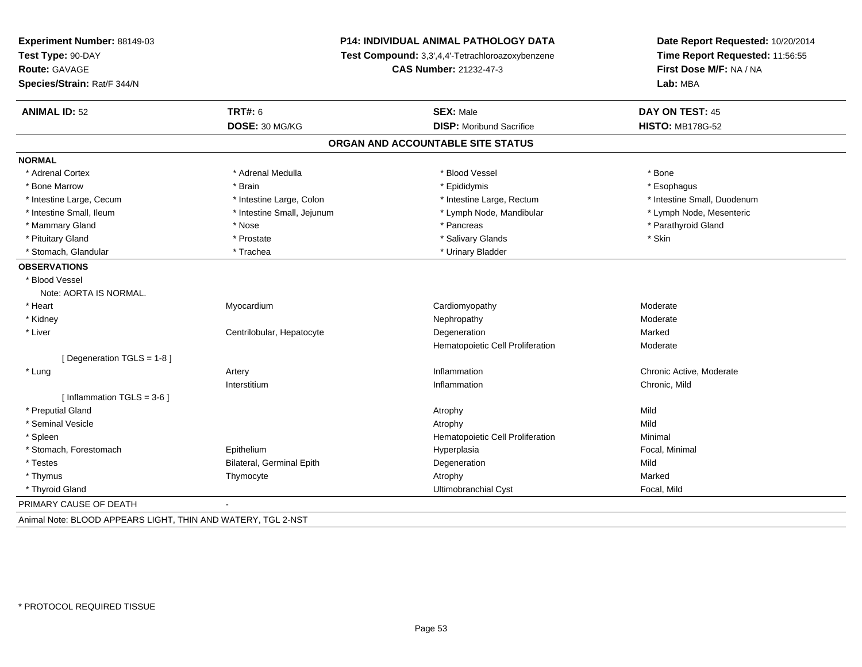| Experiment Number: 88149-03  | P14: INDIVIDUAL ANIMAL PATHOLOGY DATA<br>Test Compound: 3,3',4,4'-Tetrachloroazoxybenzene<br><b>CAS Number: 21232-47-3</b> |                                   | Date Report Requested: 10/20/2014<br>Time Report Requested: 11:56:55<br>First Dose M/F: NA / NA |
|------------------------------|----------------------------------------------------------------------------------------------------------------------------|-----------------------------------|-------------------------------------------------------------------------------------------------|
| Test Type: 90-DAY            |                                                                                                                            |                                   |                                                                                                 |
| Route: GAVAGE                |                                                                                                                            |                                   |                                                                                                 |
| Species/Strain: Rat/F 344/N  |                                                                                                                            |                                   | Lab: MBA                                                                                        |
| <b>ANIMAL ID: 52</b>         | <b>TRT#: 6</b>                                                                                                             | <b>SEX: Male</b>                  | DAY ON TEST: 45                                                                                 |
|                              | DOSE: 30 MG/KG                                                                                                             | <b>DISP:</b> Moribund Sacrifice   | <b>HISTO: MB178G-52</b>                                                                         |
|                              |                                                                                                                            | ORGAN AND ACCOUNTABLE SITE STATUS |                                                                                                 |
| <b>NORMAL</b>                |                                                                                                                            |                                   |                                                                                                 |
| * Adrenal Cortex             | * Adrenal Medulla                                                                                                          | * Blood Vessel                    | * Bone                                                                                          |
| * Bone Marrow                | * Brain                                                                                                                    | * Epididymis                      | * Esophagus                                                                                     |
| * Intestine Large, Cecum     | * Intestine Large, Colon                                                                                                   | * Intestine Large, Rectum         | * Intestine Small, Duodenum                                                                     |
| * Intestine Small, Ileum     | * Intestine Small, Jejunum                                                                                                 | * Lymph Node, Mandibular          | * Lymph Node, Mesenteric                                                                        |
| * Mammary Gland              | * Nose                                                                                                                     | * Pancreas                        | * Parathyroid Gland                                                                             |
| * Pituitary Gland            | * Prostate                                                                                                                 | * Salivary Glands                 | * Skin                                                                                          |
| * Stomach, Glandular         | * Trachea                                                                                                                  | * Urinary Bladder                 |                                                                                                 |
| <b>OBSERVATIONS</b>          |                                                                                                                            |                                   |                                                                                                 |
| * Blood Vessel               |                                                                                                                            |                                   |                                                                                                 |
| Note: AORTA IS NORMAL.       |                                                                                                                            |                                   |                                                                                                 |
| * Heart                      | Myocardium                                                                                                                 | Cardiomyopathy                    | Moderate                                                                                        |
| * Kidney                     |                                                                                                                            | Nephropathy                       | Moderate                                                                                        |
| * Liver                      | Centrilobular, Hepatocyte                                                                                                  | Degeneration                      | Marked                                                                                          |
|                              |                                                                                                                            | Hematopoietic Cell Proliferation  | Moderate                                                                                        |
| [ Degeneration TGLS = 1-8 ]  |                                                                                                                            |                                   |                                                                                                 |
| * Lung                       | Artery                                                                                                                     | Inflammation                      | Chronic Active, Moderate                                                                        |
|                              | Interstitium                                                                                                               | Inflammation                      | Chronic, Mild                                                                                   |
| [Inflammation TGLS = $3-6$ ] |                                                                                                                            |                                   |                                                                                                 |
| * Preputial Gland            |                                                                                                                            | Atrophy                           | Mild                                                                                            |
| * Seminal Vesicle            |                                                                                                                            | Atrophy                           | Mild                                                                                            |
| * Spleen                     |                                                                                                                            | Hematopoietic Cell Proliferation  | Minimal                                                                                         |
| * Stomach, Forestomach       | Epithelium                                                                                                                 | Hyperplasia                       | Focal, Minimal                                                                                  |
| * Testes                     | Bilateral, Germinal Epith                                                                                                  | Degeneration                      | Mild                                                                                            |
| * Thymus                     | Thymocyte                                                                                                                  | Atrophy                           | Marked                                                                                          |
| * Thyroid Gland              |                                                                                                                            | Ultimobranchial Cyst              | Focal, Mild                                                                                     |
| PRIMARY CAUSE OF DEATH       | $\blacksquare$                                                                                                             |                                   |                                                                                                 |

Animal Note: BLOOD APPEARS LIGHT, THIN AND WATERY, TGL 2-NST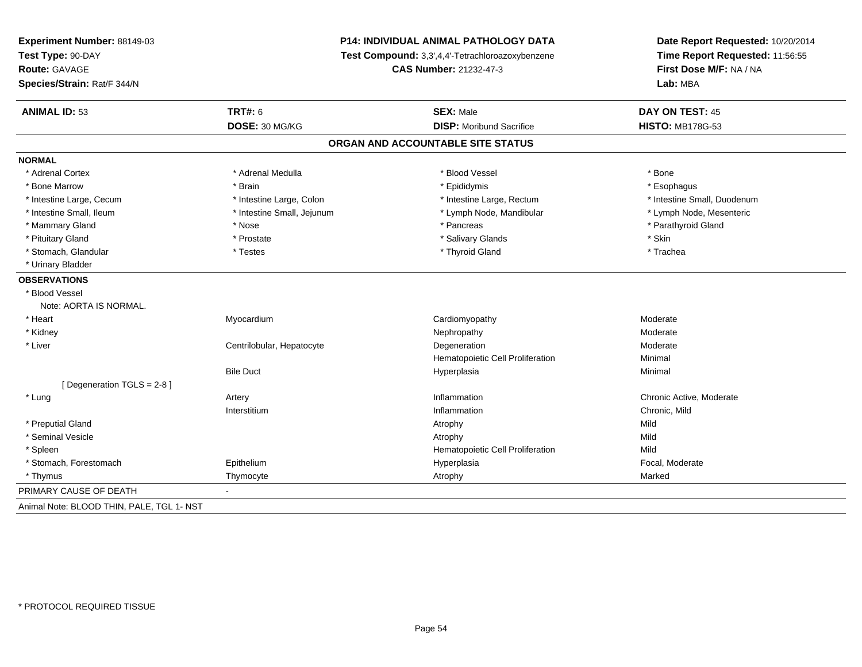| Experiment Number: 88149-03               | P14: INDIVIDUAL ANIMAL PATHOLOGY DATA<br>Test Compound: 3,3',4,4'-Tetrachloroazoxybenzene |                                   | Date Report Requested: 10/20/2014<br>Time Report Requested: 11:56:55 |
|-------------------------------------------|-------------------------------------------------------------------------------------------|-----------------------------------|----------------------------------------------------------------------|
| Test Type: 90-DAY                         |                                                                                           |                                   |                                                                      |
| Route: GAVAGE                             |                                                                                           | <b>CAS Number: 21232-47-3</b>     | First Dose M/F: NA / NA                                              |
| Species/Strain: Rat/F 344/N               |                                                                                           |                                   | Lab: MBA                                                             |
| <b>ANIMAL ID: 53</b>                      | <b>TRT#: 6</b>                                                                            | <b>SEX: Male</b>                  | <b>DAY ON TEST: 45</b>                                               |
|                                           | DOSE: 30 MG/KG                                                                            | <b>DISP: Moribund Sacrifice</b>   | <b>HISTO: MB178G-53</b>                                              |
|                                           |                                                                                           | ORGAN AND ACCOUNTABLE SITE STATUS |                                                                      |
| <b>NORMAL</b>                             |                                                                                           |                                   |                                                                      |
| * Adrenal Cortex                          | * Adrenal Medulla                                                                         | * Blood Vessel                    | * Bone                                                               |
| * Bone Marrow                             | * Brain                                                                                   | * Epididymis                      | * Esophagus                                                          |
| * Intestine Large, Cecum                  | * Intestine Large, Colon                                                                  | * Intestine Large, Rectum         | * Intestine Small, Duodenum                                          |
| * Intestine Small, Ileum                  | * Intestine Small, Jejunum                                                                | * Lymph Node, Mandibular          | * Lymph Node, Mesenteric                                             |
| * Mammary Gland                           | * Nose                                                                                    | * Pancreas                        | * Parathyroid Gland                                                  |
| * Pituitary Gland                         | * Prostate                                                                                | * Salivary Glands                 | * Skin                                                               |
| * Stomach, Glandular                      | * Testes                                                                                  | * Thyroid Gland                   | * Trachea                                                            |
| * Urinary Bladder                         |                                                                                           |                                   |                                                                      |
| <b>OBSERVATIONS</b>                       |                                                                                           |                                   |                                                                      |
| * Blood Vessel                            |                                                                                           |                                   |                                                                      |
| Note: AORTA IS NORMAL.                    |                                                                                           |                                   |                                                                      |
| * Heart                                   | Myocardium                                                                                | Cardiomyopathy                    | Moderate                                                             |
| * Kidney                                  |                                                                                           | Nephropathy                       | Moderate                                                             |
| * Liver                                   | Centrilobular, Hepatocyte                                                                 | Degeneration                      | Moderate                                                             |
|                                           |                                                                                           | Hematopoietic Cell Proliferation  | Minimal                                                              |
|                                           | <b>Bile Duct</b>                                                                          | Hyperplasia                       | Minimal                                                              |
| [ Degeneration TGLS = 2-8 ]               |                                                                                           |                                   |                                                                      |
| * Lung                                    | Artery                                                                                    | Inflammation                      | Chronic Active, Moderate                                             |
|                                           | Interstitium                                                                              | Inflammation                      | Chronic, Mild                                                        |
| * Preputial Gland                         |                                                                                           | Atrophy                           | Mild                                                                 |
| * Seminal Vesicle                         |                                                                                           | Atrophy                           | Mild                                                                 |
| * Spleen                                  |                                                                                           | Hematopoietic Cell Proliferation  | Mild                                                                 |
| * Stomach, Forestomach                    | Epithelium                                                                                | Hyperplasia                       | Focal, Moderate                                                      |
| * Thymus                                  | Thymocyte                                                                                 | Atrophy                           | Marked                                                               |
| PRIMARY CAUSE OF DEATH                    |                                                                                           |                                   |                                                                      |
| Animal Note: BLOOD THIN, PALE, TGL 1- NST |                                                                                           |                                   |                                                                      |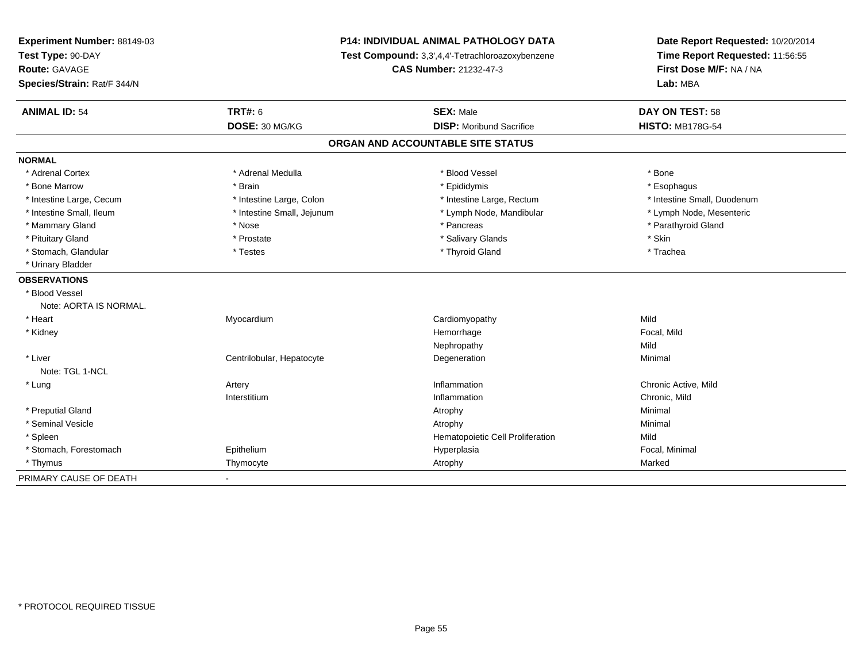| Experiment Number: 88149-03 | P14: INDIVIDUAL ANIMAL PATHOLOGY DATA<br>Test Compound: 3,3',4,4'-Tetrachloroazoxybenzene<br><b>CAS Number: 21232-47-3</b> |                                   | Date Report Requested: 10/20/2014<br>Time Report Requested: 11:56:55<br>First Dose M/F: NA / NA |
|-----------------------------|----------------------------------------------------------------------------------------------------------------------------|-----------------------------------|-------------------------------------------------------------------------------------------------|
| Test Type: 90-DAY           |                                                                                                                            |                                   |                                                                                                 |
| <b>Route: GAVAGE</b>        |                                                                                                                            |                                   |                                                                                                 |
| Species/Strain: Rat/F 344/N |                                                                                                                            |                                   | Lab: MBA                                                                                        |
| <b>ANIMAL ID: 54</b>        | <b>TRT#: 6</b>                                                                                                             | <b>SEX: Male</b>                  | <b>DAY ON TEST: 58</b>                                                                          |
|                             | DOSE: 30 MG/KG                                                                                                             | <b>DISP:</b> Moribund Sacrifice   | <b>HISTO: MB178G-54</b>                                                                         |
|                             |                                                                                                                            | ORGAN AND ACCOUNTABLE SITE STATUS |                                                                                                 |
| <b>NORMAL</b>               |                                                                                                                            |                                   |                                                                                                 |
| * Adrenal Cortex            | * Adrenal Medulla                                                                                                          | * Blood Vessel                    | * Bone                                                                                          |
| * Bone Marrow               | * Brain                                                                                                                    | * Epididymis                      | * Esophagus                                                                                     |
| * Intestine Large, Cecum    | * Intestine Large, Colon                                                                                                   | * Intestine Large, Rectum         | * Intestine Small, Duodenum                                                                     |
| * Intestine Small, Ileum    | * Intestine Small, Jejunum                                                                                                 | * Lymph Node, Mandibular          | * Lymph Node, Mesenteric                                                                        |
| * Mammary Gland             | * Nose                                                                                                                     | * Pancreas                        | * Parathyroid Gland                                                                             |
| * Pituitary Gland           | * Prostate                                                                                                                 | * Salivary Glands                 | * Skin                                                                                          |
| * Stomach, Glandular        | * Testes                                                                                                                   | * Thyroid Gland                   | * Trachea                                                                                       |
| * Urinary Bladder           |                                                                                                                            |                                   |                                                                                                 |
| <b>OBSERVATIONS</b>         |                                                                                                                            |                                   |                                                                                                 |
| * Blood Vessel              |                                                                                                                            |                                   |                                                                                                 |
| Note: AORTA IS NORMAL.      |                                                                                                                            |                                   |                                                                                                 |
| * Heart                     | Myocardium                                                                                                                 | Cardiomyopathy                    | Mild                                                                                            |
| * Kidney                    |                                                                                                                            | Hemorrhage                        | Focal, Mild                                                                                     |
|                             |                                                                                                                            | Nephropathy                       | Mild                                                                                            |
| * Liver                     | Centrilobular, Hepatocyte                                                                                                  | Degeneration                      | Minimal                                                                                         |
| Note: TGL 1-NCL             |                                                                                                                            |                                   |                                                                                                 |
| * Lung                      | Artery                                                                                                                     | Inflammation                      | Chronic Active, Mild                                                                            |
|                             | Interstitium                                                                                                               | Inflammation                      | Chronic, Mild                                                                                   |
| * Preputial Gland           |                                                                                                                            | Atrophy                           | Minimal                                                                                         |
| * Seminal Vesicle           |                                                                                                                            | Atrophy                           | Minimal                                                                                         |
| * Spleen                    |                                                                                                                            | Hematopoietic Cell Proliferation  | Mild                                                                                            |
| * Stomach, Forestomach      | Epithelium                                                                                                                 | Hyperplasia                       | Focal, Minimal                                                                                  |
| * Thymus                    | Thymocyte                                                                                                                  | Atrophy                           | Marked                                                                                          |
| PRIMARY CAUSE OF DEATH      |                                                                                                                            |                                   |                                                                                                 |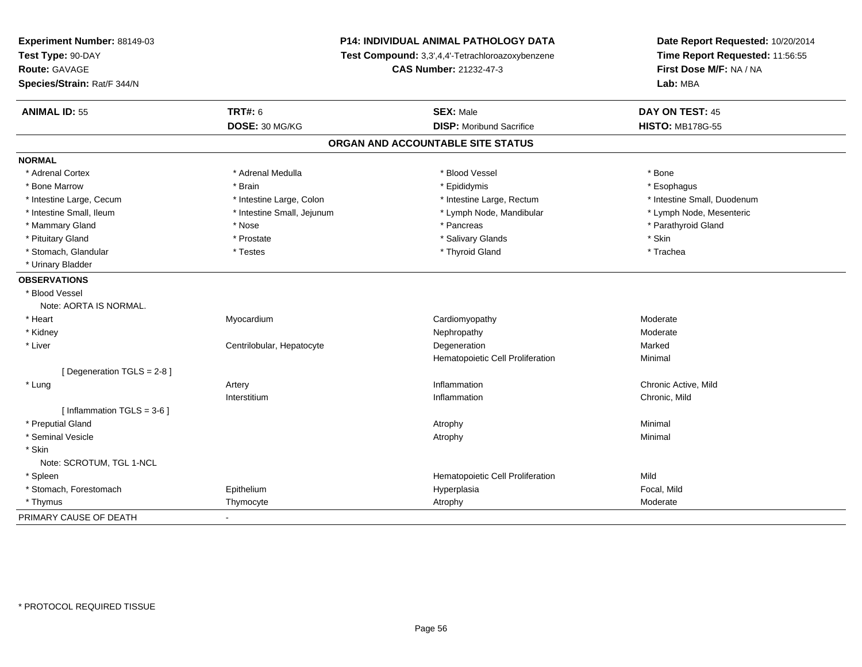| Experiment Number: 88149-03  | <b>P14: INDIVIDUAL ANIMAL PATHOLOGY DATA</b><br>Test Compound: 3,3',4,4'-Tetrachloroazoxybenzene<br><b>CAS Number: 21232-47-3</b> |                                   | Date Report Requested: 10/20/2014 |  |
|------------------------------|-----------------------------------------------------------------------------------------------------------------------------------|-----------------------------------|-----------------------------------|--|
| Test Type: 90-DAY            |                                                                                                                                   |                                   | Time Report Requested: 11:56:55   |  |
| Route: GAVAGE                |                                                                                                                                   |                                   | First Dose M/F: NA / NA           |  |
| Species/Strain: Rat/F 344/N  |                                                                                                                                   |                                   | Lab: MBA                          |  |
| <b>ANIMAL ID: 55</b>         | <b>TRT#: 6</b>                                                                                                                    | <b>SEX: Male</b>                  | DAY ON TEST: 45                   |  |
|                              | DOSE: 30 MG/KG                                                                                                                    | <b>DISP:</b> Moribund Sacrifice   | <b>HISTO: MB178G-55</b>           |  |
|                              |                                                                                                                                   | ORGAN AND ACCOUNTABLE SITE STATUS |                                   |  |
| <b>NORMAL</b>                |                                                                                                                                   |                                   |                                   |  |
| * Adrenal Cortex             | * Adrenal Medulla                                                                                                                 | * Blood Vessel                    | * Bone                            |  |
| * Bone Marrow                | * Brain                                                                                                                           | * Epididymis                      | * Esophagus                       |  |
| * Intestine Large, Cecum     | * Intestine Large, Colon                                                                                                          | * Intestine Large, Rectum         | * Intestine Small, Duodenum       |  |
| * Intestine Small, Ileum     | * Intestine Small, Jejunum                                                                                                        | * Lymph Node, Mandibular          | * Lymph Node, Mesenteric          |  |
| * Mammary Gland              | * Nose                                                                                                                            | * Pancreas                        | * Parathyroid Gland               |  |
| * Pituitary Gland            | * Prostate                                                                                                                        | * Salivary Glands                 | * Skin                            |  |
| * Stomach, Glandular         | * Testes                                                                                                                          | * Thyroid Gland                   | * Trachea                         |  |
| * Urinary Bladder            |                                                                                                                                   |                                   |                                   |  |
| <b>OBSERVATIONS</b>          |                                                                                                                                   |                                   |                                   |  |
| * Blood Vessel               |                                                                                                                                   |                                   |                                   |  |
| Note: AORTA IS NORMAL.       |                                                                                                                                   |                                   |                                   |  |
| * Heart                      | Myocardium                                                                                                                        | Cardiomyopathy                    | Moderate                          |  |
| * Kidney                     |                                                                                                                                   | Nephropathy                       | Moderate                          |  |
| * Liver                      | Centrilobular, Hepatocyte                                                                                                         | Degeneration                      | Marked                            |  |
|                              |                                                                                                                                   | Hematopoietic Cell Proliferation  | Minimal                           |  |
| [ Degeneration TGLS = 2-8 ]  |                                                                                                                                   |                                   |                                   |  |
| * Lung                       | Artery                                                                                                                            | Inflammation                      | Chronic Active, Mild              |  |
|                              | Interstitium                                                                                                                      | Inflammation                      | Chronic, Mild                     |  |
| [Inflammation TGLS = $3-6$ ] |                                                                                                                                   |                                   |                                   |  |
| * Preputial Gland            |                                                                                                                                   | Atrophy                           | Minimal                           |  |
| * Seminal Vesicle            |                                                                                                                                   | Atrophy                           | Minimal                           |  |
| * Skin                       |                                                                                                                                   |                                   |                                   |  |
| Note: SCROTUM, TGL 1-NCL     |                                                                                                                                   |                                   |                                   |  |
| * Spleen                     |                                                                                                                                   | Hematopoietic Cell Proliferation  | Mild                              |  |
| * Stomach, Forestomach       | Epithelium                                                                                                                        | Hyperplasia                       | Focal, Mild                       |  |
| * Thymus                     | Thymocyte                                                                                                                         | Atrophy                           | Moderate                          |  |
| PRIMARY CAUSE OF DEATH       |                                                                                                                                   |                                   |                                   |  |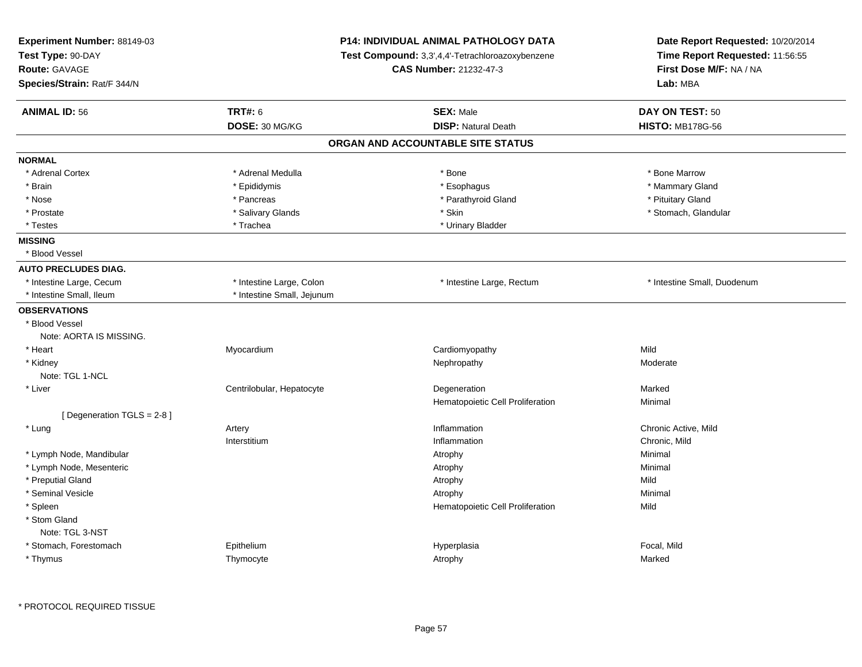| Experiment Number: 88149-03<br>Test Type: 90-DAY<br>Route: GAVAGE<br>Species/Strain: Rat/F 344/N |                            | <b>P14: INDIVIDUAL ANIMAL PATHOLOGY DATA</b><br><b>Test Compound:</b> 3.3'.4.4'-Tetrachloroazoxybenzene<br><b>CAS Number: 21232-47-3</b> |                             |
|--------------------------------------------------------------------------------------------------|----------------------------|------------------------------------------------------------------------------------------------------------------------------------------|-----------------------------|
| <b>ANIMAL ID: 56</b>                                                                             | <b>TRT#: 6</b>             | <b>SEX: Male</b>                                                                                                                         | DAY ON TEST: 50             |
|                                                                                                  | DOSE: 30 MG/KG             | <b>DISP: Natural Death</b>                                                                                                               | <b>HISTO: MB178G-56</b>     |
|                                                                                                  |                            | ORGAN AND ACCOUNTABLE SITE STATUS                                                                                                        |                             |
| <b>NORMAL</b>                                                                                    |                            |                                                                                                                                          |                             |
| * Adrenal Cortex                                                                                 | * Adrenal Medulla          | * Bone                                                                                                                                   | * Bone Marrow               |
| * Brain                                                                                          | * Epididymis               | * Esophagus                                                                                                                              | * Mammary Gland             |
| * Nose                                                                                           | * Pancreas                 | * Parathyroid Gland                                                                                                                      | * Pituitary Gland           |
| * Prostate                                                                                       | * Salivary Glands          | * Skin                                                                                                                                   | * Stomach, Glandular        |
| * Testes                                                                                         | * Trachea                  | * Urinary Bladder                                                                                                                        |                             |
| <b>MISSING</b>                                                                                   |                            |                                                                                                                                          |                             |
| * Blood Vessel                                                                                   |                            |                                                                                                                                          |                             |
| <b>AUTO PRECLUDES DIAG.</b>                                                                      |                            |                                                                                                                                          |                             |
| * Intestine Large, Cecum                                                                         | * Intestine Large, Colon   | * Intestine Large, Rectum                                                                                                                | * Intestine Small, Duodenum |
| * Intestine Small, Ileum                                                                         | * Intestine Small, Jejunum |                                                                                                                                          |                             |
| <b>OBSERVATIONS</b>                                                                              |                            |                                                                                                                                          |                             |
| * Blood Vessel                                                                                   |                            |                                                                                                                                          |                             |
| Note: AORTA IS MISSING.                                                                          |                            |                                                                                                                                          |                             |
| * Heart                                                                                          | Myocardium                 | Cardiomyopathy                                                                                                                           | Mild                        |
| * Kidney                                                                                         |                            | Nephropathy                                                                                                                              | Moderate                    |
| Note: TGL 1-NCL                                                                                  |                            |                                                                                                                                          |                             |
| * Liver                                                                                          | Centrilobular, Hepatocyte  | Degeneration                                                                                                                             | Marked                      |
|                                                                                                  |                            | Hematopoietic Cell Proliferation                                                                                                         | Minimal                     |
| [ Degeneration TGLS = 2-8 ]                                                                      |                            |                                                                                                                                          |                             |
| * Lung                                                                                           | Artery                     | Inflammation                                                                                                                             | Chronic Active, Mild        |
|                                                                                                  | Interstitium               | Inflammation                                                                                                                             | Chronic, Mild               |
| * Lymph Node, Mandibular                                                                         |                            | Atrophy                                                                                                                                  | Minimal                     |
| * Lymph Node, Mesenteric                                                                         |                            | Atrophy                                                                                                                                  | Minimal                     |
| * Preputial Gland                                                                                |                            | Atrophy                                                                                                                                  | Mild                        |
| * Seminal Vesicle                                                                                |                            | Atrophy                                                                                                                                  | Minimal                     |
| * Spleen                                                                                         |                            | Hematopoietic Cell Proliferation                                                                                                         | Mild                        |
| * Stom Gland                                                                                     |                            |                                                                                                                                          |                             |
| Note: TGL 3-NST                                                                                  |                            |                                                                                                                                          |                             |
| * Stomach, Forestomach                                                                           | Epithelium                 | Hyperplasia                                                                                                                              | Focal, Mild                 |
| * Thymus                                                                                         | Thymocyte                  | Atrophy                                                                                                                                  | Marked                      |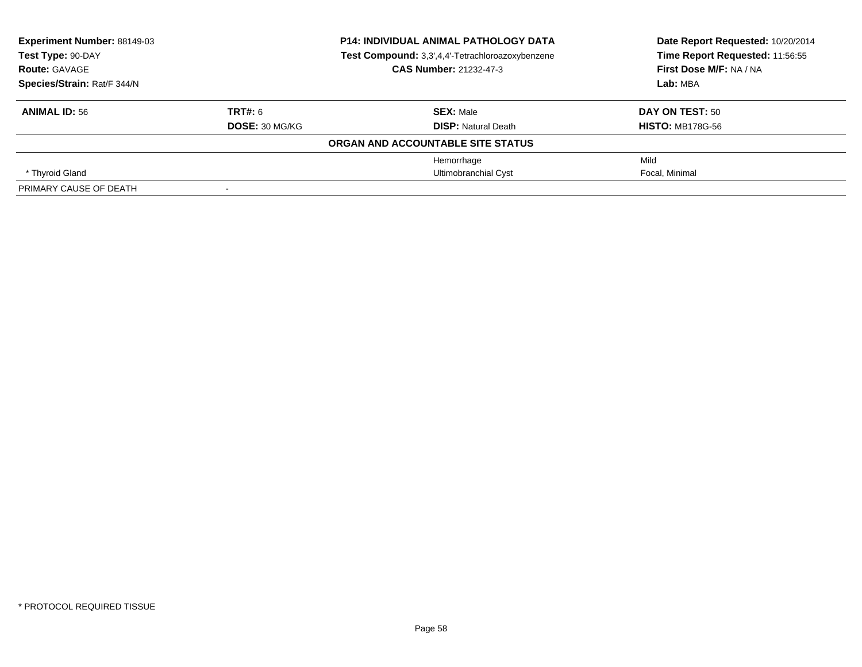| <b>Experiment Number: 88149-03</b><br>Test Type: 90-DAY<br><b>Route: GAVAGE</b> |                | <b>P14: INDIVIDUAL ANIMAL PATHOLOGY DATA</b>     | Date Report Requested: 10/20/2014                          |  |
|---------------------------------------------------------------------------------|----------------|--------------------------------------------------|------------------------------------------------------------|--|
|                                                                                 |                | Test Compound: 3,3',4,4'-Tetrachloroazoxybenzene | Time Report Requested: 11:56:55<br>First Dose M/F: NA / NA |  |
|                                                                                 |                | <b>CAS Number: 21232-47-3</b>                    |                                                            |  |
| Species/Strain: Rat/F 344/N                                                     |                |                                                  | Lab: MBA                                                   |  |
| <b>ANIMAL ID: 56</b>                                                            | TRT#: 6        | <b>SEX: Male</b>                                 | DAY ON TEST: 50                                            |  |
|                                                                                 | DOSE: 30 MG/KG | <b>DISP:</b> Natural Death                       | <b>HISTO: MB178G-56</b>                                    |  |
|                                                                                 |                | ORGAN AND ACCOUNTABLE SITE STATUS                |                                                            |  |
|                                                                                 |                | Hemorrhage                                       | Mild                                                       |  |
| * Thyroid Gland                                                                 |                | <b>Ultimobranchial Cyst</b>                      | Focal, Minimal                                             |  |
| PRIMARY CAUSE OF DEATH                                                          |                |                                                  |                                                            |  |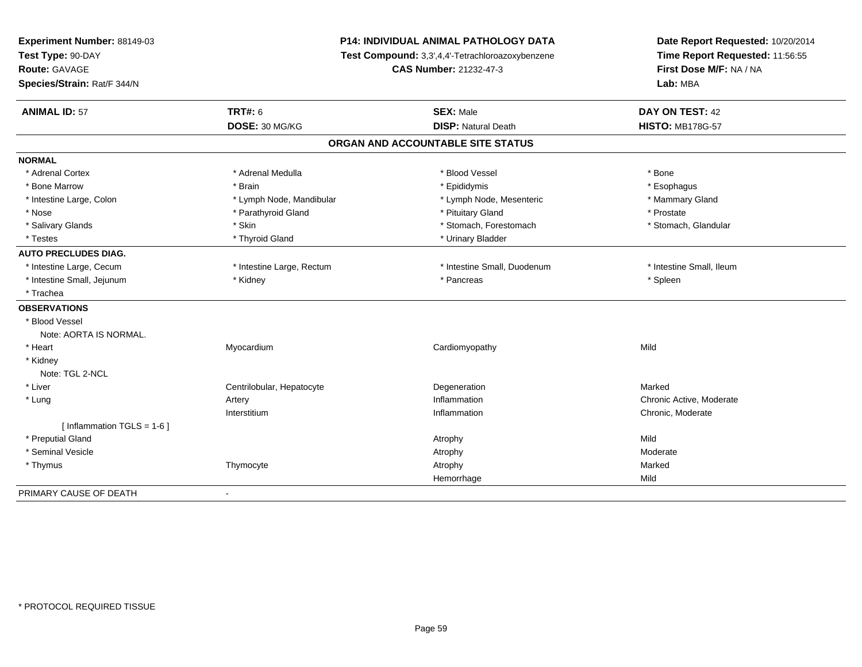| <b>P14: INDIVIDUAL ANIMAL PATHOLOGY DATA</b><br>Experiment Number: 88149-03<br>Test Type: 90-DAY<br>Test Compound: 3,3',4,4'-Tetrachloroazoxybenzene<br>Route: GAVAGE<br><b>CAS Number: 21232-47-3</b> |                           | Date Report Requested: 10/20/2014<br>Time Report Requested: 11:56:55<br>First Dose M/F: NA / NA |                          |
|--------------------------------------------------------------------------------------------------------------------------------------------------------------------------------------------------------|---------------------------|-------------------------------------------------------------------------------------------------|--------------------------|
| Species/Strain: Rat/F 344/N                                                                                                                                                                            |                           |                                                                                                 | Lab: MBA                 |
| <b>ANIMAL ID: 57</b>                                                                                                                                                                                   | <b>TRT#: 6</b>            | <b>SEX: Male</b>                                                                                | DAY ON TEST: 42          |
|                                                                                                                                                                                                        | DOSE: 30 MG/KG            | <b>DISP: Natural Death</b>                                                                      | <b>HISTO: MB178G-57</b>  |
|                                                                                                                                                                                                        |                           | ORGAN AND ACCOUNTABLE SITE STATUS                                                               |                          |
| <b>NORMAL</b>                                                                                                                                                                                          |                           |                                                                                                 |                          |
| * Adrenal Cortex                                                                                                                                                                                       | * Adrenal Medulla         | * Blood Vessel                                                                                  | * Bone                   |
| * Bone Marrow                                                                                                                                                                                          | * Brain                   | * Epididymis                                                                                    | * Esophagus              |
| * Intestine Large, Colon                                                                                                                                                                               | * Lymph Node, Mandibular  | * Lymph Node, Mesenteric                                                                        | * Mammary Gland          |
| * Nose                                                                                                                                                                                                 | * Parathyroid Gland       | * Pituitary Gland                                                                               | * Prostate               |
| * Salivary Glands                                                                                                                                                                                      | * Skin                    | * Stomach, Forestomach                                                                          | * Stomach, Glandular     |
| * Testes                                                                                                                                                                                               | * Thyroid Gland           | * Urinary Bladder                                                                               |                          |
| <b>AUTO PRECLUDES DIAG.</b>                                                                                                                                                                            |                           |                                                                                                 |                          |
| * Intestine Large, Cecum                                                                                                                                                                               | * Intestine Large, Rectum | * Intestine Small, Duodenum                                                                     | * Intestine Small, Ileum |
| * Intestine Small, Jejunum                                                                                                                                                                             | * Kidney                  | * Pancreas                                                                                      | * Spleen                 |
| * Trachea                                                                                                                                                                                              |                           |                                                                                                 |                          |
| <b>OBSERVATIONS</b>                                                                                                                                                                                    |                           |                                                                                                 |                          |
| * Blood Vessel                                                                                                                                                                                         |                           |                                                                                                 |                          |
| Note: AORTA IS NORMAL.                                                                                                                                                                                 |                           |                                                                                                 |                          |
| * Heart                                                                                                                                                                                                | Myocardium                | Cardiomyopathy                                                                                  | Mild                     |
| * Kidney                                                                                                                                                                                               |                           |                                                                                                 |                          |
| Note: TGL 2-NCL                                                                                                                                                                                        |                           |                                                                                                 |                          |
| * Liver                                                                                                                                                                                                | Centrilobular, Hepatocyte | Degeneration                                                                                    | Marked                   |
| * Lung                                                                                                                                                                                                 | Artery                    | Inflammation                                                                                    | Chronic Active, Moderate |
|                                                                                                                                                                                                        | Interstitium              | Inflammation                                                                                    | Chronic, Moderate        |
| [Inflammation TGLS = $1-6$ ]                                                                                                                                                                           |                           |                                                                                                 |                          |
| * Preputial Gland                                                                                                                                                                                      |                           | Atrophy                                                                                         | Mild                     |
| * Seminal Vesicle                                                                                                                                                                                      |                           | Atrophy                                                                                         | Moderate                 |
| * Thymus                                                                                                                                                                                               | Thymocyte                 | Atrophy                                                                                         | Marked                   |
|                                                                                                                                                                                                        |                           | Hemorrhage                                                                                      | Mild                     |
| PRIMARY CAUSE OF DEATH                                                                                                                                                                                 | $\blacksquare$            |                                                                                                 |                          |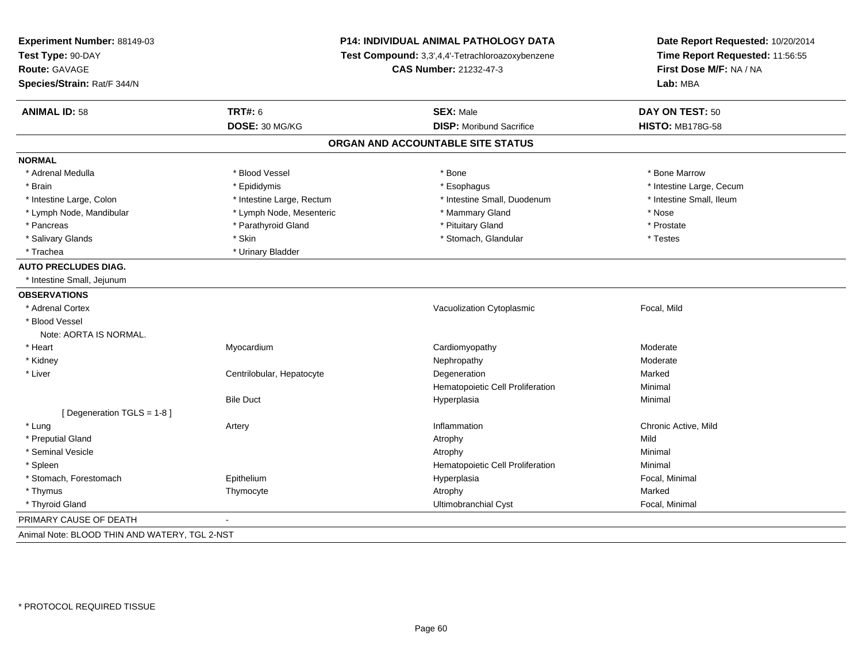| Experiment Number: 88149-03<br>Test Type: 90-DAY<br><b>Route: GAVAGE</b><br>Species/Strain: Rat/F 344/N | P14: INDIVIDUAL ANIMAL PATHOLOGY DATA<br>Test Compound: 3,3',4,4'-Tetrachloroazoxybenzene<br>CAS Number: 21232-47-3 |                                   | Date Report Requested: 10/20/2014<br>Time Report Requested: 11:56:55<br>First Dose M/F: NA / NA<br>Lab: MBA |
|---------------------------------------------------------------------------------------------------------|---------------------------------------------------------------------------------------------------------------------|-----------------------------------|-------------------------------------------------------------------------------------------------------------|
| <b>ANIMAL ID: 58</b>                                                                                    | <b>TRT#: 6</b>                                                                                                      | <b>SEX: Male</b>                  | DAY ON TEST: 50                                                                                             |
|                                                                                                         | DOSE: 30 MG/KG                                                                                                      | <b>DISP:</b> Moribund Sacrifice   | <b>HISTO: MB178G-58</b>                                                                                     |
|                                                                                                         |                                                                                                                     | ORGAN AND ACCOUNTABLE SITE STATUS |                                                                                                             |
| <b>NORMAL</b>                                                                                           |                                                                                                                     |                                   |                                                                                                             |
| * Adrenal Medulla                                                                                       | * Blood Vessel                                                                                                      | * Bone                            | * Bone Marrow                                                                                               |
| * Brain                                                                                                 | * Epididymis                                                                                                        | * Esophagus                       | * Intestine Large, Cecum                                                                                    |
| * Intestine Large, Colon                                                                                | * Intestine Large, Rectum                                                                                           | * Intestine Small, Duodenum       | * Intestine Small, Ileum                                                                                    |
| * Lymph Node, Mandibular                                                                                | * Lymph Node, Mesenteric                                                                                            | * Mammary Gland                   | * Nose                                                                                                      |
| * Pancreas                                                                                              | * Parathyroid Gland                                                                                                 | * Pituitary Gland                 | * Prostate                                                                                                  |
| * Salivary Glands                                                                                       | * Skin                                                                                                              | * Stomach, Glandular              | * Testes                                                                                                    |
| * Trachea                                                                                               | * Urinary Bladder                                                                                                   |                                   |                                                                                                             |
| <b>AUTO PRECLUDES DIAG.</b>                                                                             |                                                                                                                     |                                   |                                                                                                             |
| * Intestine Small, Jejunum                                                                              |                                                                                                                     |                                   |                                                                                                             |
| <b>OBSERVATIONS</b>                                                                                     |                                                                                                                     |                                   |                                                                                                             |
| * Adrenal Cortex                                                                                        |                                                                                                                     | Vacuolization Cytoplasmic         | Focal, Mild                                                                                                 |
| * Blood Vessel                                                                                          |                                                                                                                     |                                   |                                                                                                             |
| Note: AORTA IS NORMAL.                                                                                  |                                                                                                                     |                                   |                                                                                                             |
| * Heart                                                                                                 | Myocardium                                                                                                          | Cardiomyopathy                    | Moderate                                                                                                    |
| * Kidney                                                                                                |                                                                                                                     | Nephropathy                       | Moderate                                                                                                    |
| * Liver                                                                                                 | Centrilobular, Hepatocyte                                                                                           | Degeneration                      | Marked                                                                                                      |
|                                                                                                         |                                                                                                                     | Hematopoietic Cell Proliferation  | Minimal                                                                                                     |
|                                                                                                         | <b>Bile Duct</b>                                                                                                    | Hyperplasia                       | Minimal                                                                                                     |
| [ Degeneration TGLS = 1-8 ]                                                                             |                                                                                                                     |                                   |                                                                                                             |
| * Lung                                                                                                  | Artery                                                                                                              | Inflammation                      | Chronic Active, Mild                                                                                        |
| * Preputial Gland                                                                                       |                                                                                                                     | Atrophy                           | Mild                                                                                                        |
| * Seminal Vesicle                                                                                       |                                                                                                                     | Atrophy                           | Minimal                                                                                                     |
| * Spleen                                                                                                |                                                                                                                     | Hematopoietic Cell Proliferation  | Minimal                                                                                                     |
| * Stomach, Forestomach                                                                                  | Epithelium                                                                                                          | Hyperplasia                       | Focal, Minimal                                                                                              |
| * Thymus                                                                                                | Thymocyte                                                                                                           | Atrophy                           | Marked                                                                                                      |
| * Thyroid Gland                                                                                         |                                                                                                                     | Ultimobranchial Cyst              | Focal, Minimal                                                                                              |
| PRIMARY CAUSE OF DEATH                                                                                  |                                                                                                                     |                                   |                                                                                                             |
| Animal Note: BLOOD THIN AND WATERY, TGL 2-NST                                                           |                                                                                                                     |                                   |                                                                                                             |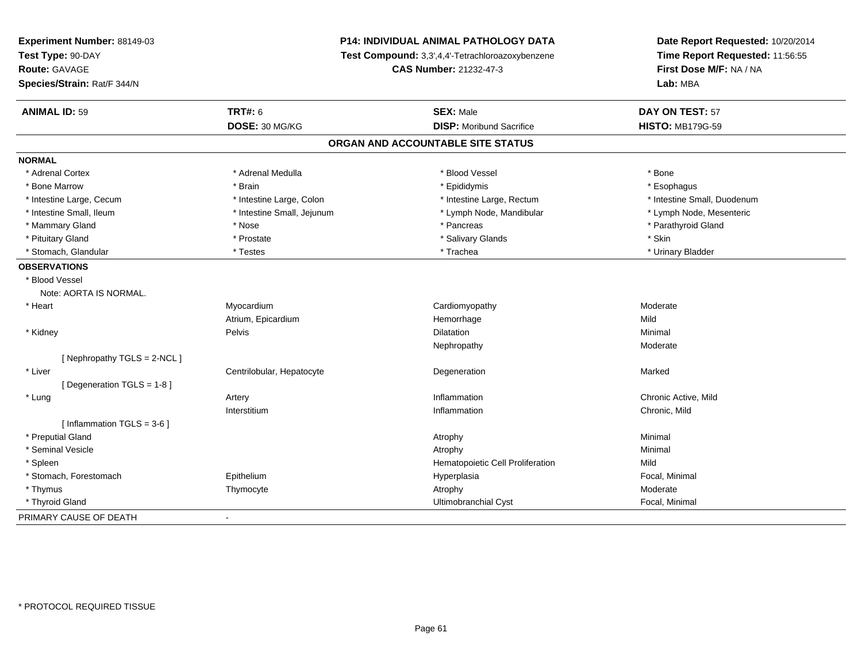| Experiment Number: 88149-03  | <b>P14: INDIVIDUAL ANIMAL PATHOLOGY DATA</b> |                                                  | Date Report Requested: 10/20/2014                                      |  |
|------------------------------|----------------------------------------------|--------------------------------------------------|------------------------------------------------------------------------|--|
| Test Type: 90-DAY            |                                              | Test Compound: 3,3',4,4'-Tetrachloroazoxybenzene | Time Report Requested: 11:56:55<br>First Dose M/F: NA / NA<br>Lab: MBA |  |
| Route: GAVAGE                |                                              | <b>CAS Number: 21232-47-3</b>                    |                                                                        |  |
| Species/Strain: Rat/F 344/N  |                                              |                                                  |                                                                        |  |
| <b>ANIMAL ID: 59</b>         | <b>TRT#: 6</b>                               | <b>SEX: Male</b>                                 | DAY ON TEST: 57                                                        |  |
|                              | DOSE: 30 MG/KG                               | <b>DISP:</b> Moribund Sacrifice                  | <b>HISTO: MB179G-59</b>                                                |  |
|                              |                                              | ORGAN AND ACCOUNTABLE SITE STATUS                |                                                                        |  |
| <b>NORMAL</b>                |                                              |                                                  |                                                                        |  |
| * Adrenal Cortex             | * Adrenal Medulla                            | * Blood Vessel                                   | * Bone                                                                 |  |
| * Bone Marrow                | * Brain                                      | * Epididymis                                     | * Esophagus                                                            |  |
| * Intestine Large, Cecum     | * Intestine Large, Colon                     | * Intestine Large, Rectum                        | * Intestine Small, Duodenum                                            |  |
| * Intestine Small, Ileum     | * Intestine Small, Jejunum                   | * Lymph Node, Mandibular                         | * Lymph Node, Mesenteric                                               |  |
| * Mammary Gland              | * Nose                                       | * Pancreas                                       | * Parathyroid Gland                                                    |  |
| * Pituitary Gland            | * Prostate                                   | * Salivary Glands                                | * Skin                                                                 |  |
| * Stomach, Glandular         | * Testes                                     | * Trachea                                        | * Urinary Bladder                                                      |  |
| <b>OBSERVATIONS</b>          |                                              |                                                  |                                                                        |  |
| * Blood Vessel               |                                              |                                                  |                                                                        |  |
| Note: AORTA IS NORMAL.       |                                              |                                                  |                                                                        |  |
| * Heart                      | Myocardium                                   | Cardiomyopathy                                   | Moderate                                                               |  |
|                              | Atrium, Epicardium                           | Hemorrhage                                       | Mild                                                                   |  |
| * Kidney                     | Pelvis                                       | Dilatation                                       | Minimal                                                                |  |
|                              |                                              | Nephropathy                                      | Moderate                                                               |  |
| [Nephropathy TGLS = 2-NCL]   |                                              |                                                  |                                                                        |  |
| * Liver                      | Centrilobular, Hepatocyte                    | Degeneration                                     | Marked                                                                 |  |
| [Degeneration TGLS = 1-8]    |                                              |                                                  |                                                                        |  |
| * Lung                       | Artery                                       | Inflammation                                     | Chronic Active, Mild                                                   |  |
|                              | Interstitium                                 | Inflammation                                     | Chronic, Mild                                                          |  |
| [Inflammation TGLS = $3-6$ ] |                                              |                                                  |                                                                        |  |
| * Preputial Gland            |                                              | Atrophy                                          | Minimal                                                                |  |
| * Seminal Vesicle            |                                              | Atrophy                                          | Minimal                                                                |  |
| * Spleen                     |                                              | Hematopoietic Cell Proliferation                 | Mild                                                                   |  |
| * Stomach, Forestomach       | Epithelium                                   | Hyperplasia                                      | Focal, Minimal                                                         |  |
| * Thymus                     | Thymocyte                                    | Atrophy                                          | Moderate                                                               |  |
| * Thyroid Gland              |                                              | Ultimobranchial Cyst                             | Focal, Minimal                                                         |  |
| PRIMARY CAUSE OF DEATH       | $\blacksquare$                               |                                                  |                                                                        |  |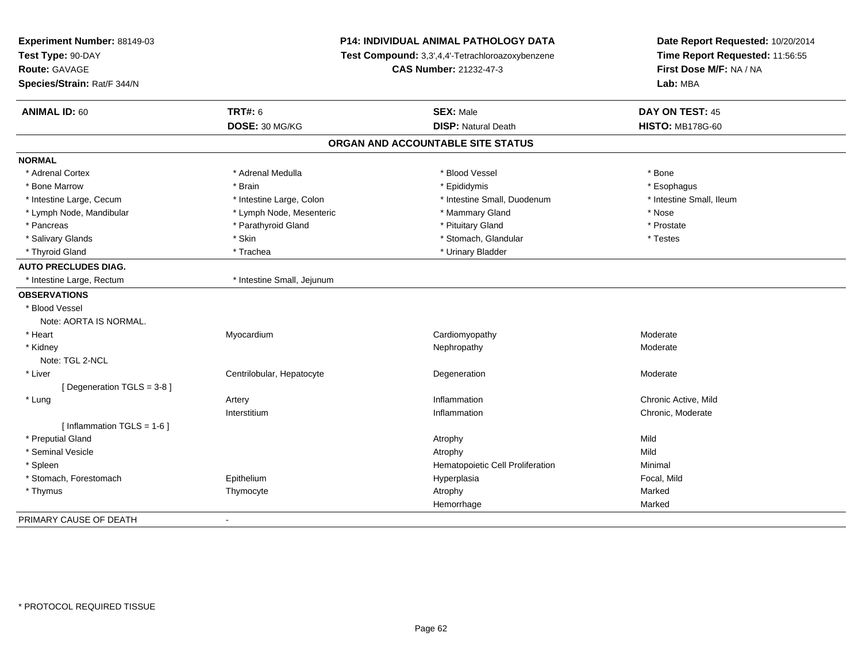| Experiment Number: 88149-03<br>Test Type: 90-DAY<br>Route: GAVAGE<br>Species/Strain: Rat/F 344/N |                            | <b>P14: INDIVIDUAL ANIMAL PATHOLOGY DATA</b><br>Test Compound: 3,3',4,4'-Tetrachloroazoxybenzene<br><b>CAS Number: 21232-47-3</b> | Date Report Requested: 10/20/2014<br>Time Report Requested: 11:56:55<br>First Dose M/F: NA / NA<br>Lab: MBA |
|--------------------------------------------------------------------------------------------------|----------------------------|-----------------------------------------------------------------------------------------------------------------------------------|-------------------------------------------------------------------------------------------------------------|
| <b>ANIMAL ID: 60</b>                                                                             | <b>TRT#: 6</b>             | <b>SEX: Male</b>                                                                                                                  | DAY ON TEST: 45                                                                                             |
|                                                                                                  | DOSE: 30 MG/KG             | <b>DISP: Natural Death</b>                                                                                                        | <b>HISTO: MB178G-60</b>                                                                                     |
|                                                                                                  |                            | ORGAN AND ACCOUNTABLE SITE STATUS                                                                                                 |                                                                                                             |
| <b>NORMAL</b>                                                                                    |                            |                                                                                                                                   |                                                                                                             |
| * Adrenal Cortex                                                                                 | * Adrenal Medulla          | * Blood Vessel                                                                                                                    | * Bone                                                                                                      |
| * Bone Marrow                                                                                    | * Brain                    | * Epididymis                                                                                                                      | * Esophagus                                                                                                 |
| * Intestine Large, Cecum                                                                         | * Intestine Large, Colon   | * Intestine Small, Duodenum                                                                                                       | * Intestine Small, Ileum                                                                                    |
| * Lymph Node, Mandibular                                                                         | * Lymph Node, Mesenteric   | * Mammary Gland                                                                                                                   | * Nose                                                                                                      |
| * Pancreas                                                                                       | * Parathyroid Gland        | * Pituitary Gland                                                                                                                 | * Prostate                                                                                                  |
| * Salivary Glands                                                                                | * Skin                     | * Stomach, Glandular                                                                                                              | * Testes                                                                                                    |
| * Thyroid Gland                                                                                  | * Trachea                  | * Urinary Bladder                                                                                                                 |                                                                                                             |
| <b>AUTO PRECLUDES DIAG.</b>                                                                      |                            |                                                                                                                                   |                                                                                                             |
| * Intestine Large, Rectum                                                                        | * Intestine Small, Jejunum |                                                                                                                                   |                                                                                                             |
| <b>OBSERVATIONS</b>                                                                              |                            |                                                                                                                                   |                                                                                                             |
| * Blood Vessel                                                                                   |                            |                                                                                                                                   |                                                                                                             |
| Note: AORTA IS NORMAL.                                                                           |                            |                                                                                                                                   |                                                                                                             |
| * Heart                                                                                          | Myocardium                 | Cardiomyopathy                                                                                                                    | Moderate                                                                                                    |
| * Kidney                                                                                         |                            | Nephropathy                                                                                                                       | Moderate                                                                                                    |
| Note: TGL 2-NCL                                                                                  |                            |                                                                                                                                   |                                                                                                             |
| * Liver                                                                                          | Centrilobular, Hepatocyte  | Degeneration                                                                                                                      | Moderate                                                                                                    |
| [Degeneration TGLS = 3-8]                                                                        |                            |                                                                                                                                   |                                                                                                             |
| * Lung                                                                                           | Artery                     | Inflammation                                                                                                                      | Chronic Active, Mild                                                                                        |
|                                                                                                  | Interstitium               | Inflammation                                                                                                                      | Chronic, Moderate                                                                                           |
| [Inflammation TGLS = $1-6$ ]                                                                     |                            |                                                                                                                                   |                                                                                                             |
| * Preputial Gland                                                                                |                            | Atrophy                                                                                                                           | Mild                                                                                                        |
| * Seminal Vesicle                                                                                |                            | Atrophy                                                                                                                           | Mild                                                                                                        |
| * Spleen                                                                                         |                            | Hematopoietic Cell Proliferation                                                                                                  | Minimal                                                                                                     |
| * Stomach, Forestomach                                                                           | Epithelium                 | Hyperplasia                                                                                                                       | Focal, Mild                                                                                                 |
| * Thymus                                                                                         | Thymocyte                  | Atrophy                                                                                                                           | Marked                                                                                                      |
|                                                                                                  |                            | Hemorrhage                                                                                                                        | Marked                                                                                                      |
| PRIMARY CAUSE OF DEATH                                                                           |                            |                                                                                                                                   |                                                                                                             |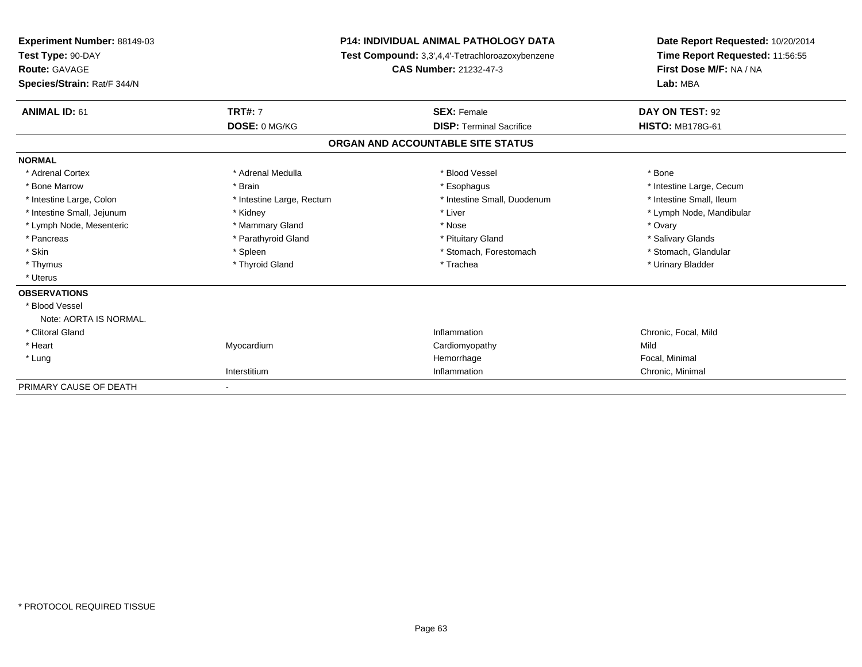| Experiment Number: 88149-03<br>Test Type: 90-DAY |                           | <b>P14: INDIVIDUAL ANIMAL PATHOLOGY DATA</b>     | Date Report Requested: 10/20/2014<br>Time Report Requested: 11:56:55 |  |
|--------------------------------------------------|---------------------------|--------------------------------------------------|----------------------------------------------------------------------|--|
|                                                  |                           | Test Compound: 3,3',4,4'-Tetrachloroazoxybenzene |                                                                      |  |
| <b>Route: GAVAGE</b>                             |                           | <b>CAS Number: 21232-47-3</b>                    | First Dose M/F: NA / NA<br>Lab: MBA                                  |  |
| Species/Strain: Rat/F 344/N                      |                           |                                                  |                                                                      |  |
| <b>ANIMAL ID: 61</b>                             | <b>TRT#: 7</b>            | <b>SEX: Female</b>                               | DAY ON TEST: 92                                                      |  |
|                                                  | DOSE: 0 MG/KG             | <b>DISP: Terminal Sacrifice</b>                  | <b>HISTO: MB178G-61</b>                                              |  |
|                                                  |                           | ORGAN AND ACCOUNTABLE SITE STATUS                |                                                                      |  |
| <b>NORMAL</b>                                    |                           |                                                  |                                                                      |  |
| * Adrenal Cortex                                 | * Adrenal Medulla         | * Blood Vessel                                   | * Bone                                                               |  |
| * Bone Marrow                                    | * Brain                   | * Esophagus                                      | * Intestine Large, Cecum                                             |  |
| * Intestine Large, Colon                         | * Intestine Large, Rectum | * Intestine Small, Duodenum                      | * Intestine Small. Ileum                                             |  |
| * Intestine Small, Jejunum                       | * Kidney                  | * Liver                                          | * Lymph Node, Mandibular                                             |  |
| * Lymph Node, Mesenteric                         | * Mammary Gland           | * Nose                                           | * Ovary                                                              |  |
| * Pancreas                                       | * Parathyroid Gland       | * Pituitary Gland                                | * Salivary Glands                                                    |  |
| * Skin                                           | * Spleen                  | * Stomach, Forestomach                           | * Stomach, Glandular                                                 |  |
| * Thymus                                         | * Thyroid Gland           | * Trachea                                        | * Urinary Bladder                                                    |  |
| * Uterus                                         |                           |                                                  |                                                                      |  |
| <b>OBSERVATIONS</b>                              |                           |                                                  |                                                                      |  |
| * Blood Vessel                                   |                           |                                                  |                                                                      |  |
| Note: AORTA IS NORMAL.                           |                           |                                                  |                                                                      |  |
| * Clitoral Gland                                 |                           | Inflammation                                     | Chronic, Focal, Mild                                                 |  |
| * Heart                                          | Myocardium                | Cardiomyopathy                                   | Mild                                                                 |  |
| * Lung                                           |                           | Hemorrhage                                       | Focal, Minimal                                                       |  |
|                                                  | Interstitium              | Inflammation                                     | Chronic, Minimal                                                     |  |
| PRIMARY CAUSE OF DEATH                           |                           |                                                  |                                                                      |  |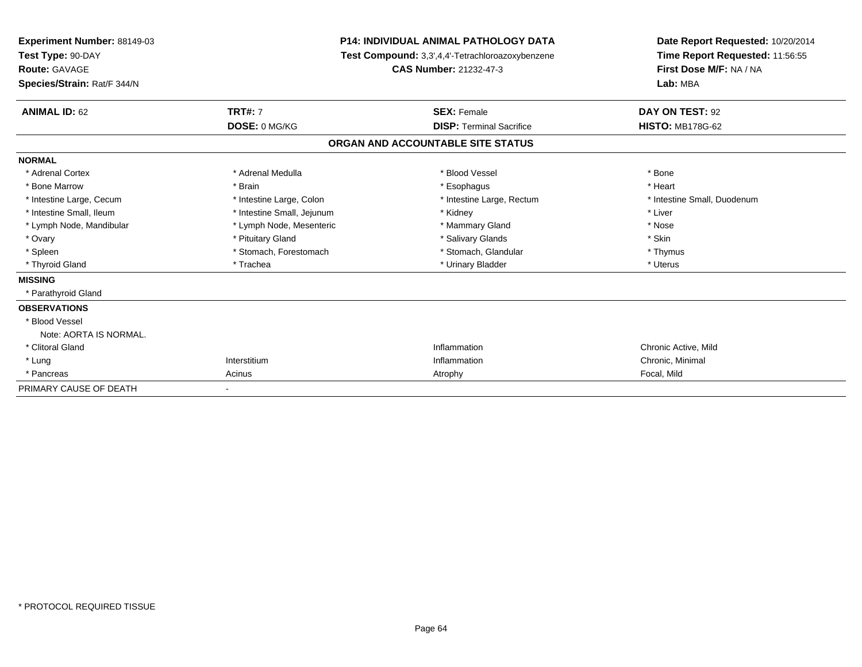| Experiment Number: 88149-03<br>Test Type: 90-DAY<br>Route: GAVAGE<br>Species/Strain: Rat/F 344/N |                            | <b>P14: INDIVIDUAL ANIMAL PATHOLOGY DATA</b><br>Test Compound: 3,3',4,4'-Tetrachloroazoxybenzene<br>CAS Number: 21232-47-3 | Date Report Requested: 10/20/2014<br>Time Report Requested: 11:56:55<br>First Dose M/F: NA / NA<br>Lab: MBA |  |
|--------------------------------------------------------------------------------------------------|----------------------------|----------------------------------------------------------------------------------------------------------------------------|-------------------------------------------------------------------------------------------------------------|--|
| <b>ANIMAL ID: 62</b>                                                                             | <b>TRT#: 7</b>             | <b>SEX: Female</b>                                                                                                         | DAY ON TEST: 92                                                                                             |  |
|                                                                                                  | DOSE: 0 MG/KG              | <b>DISP: Terminal Sacrifice</b>                                                                                            | <b>HISTO: MB178G-62</b>                                                                                     |  |
|                                                                                                  |                            | ORGAN AND ACCOUNTABLE SITE STATUS                                                                                          |                                                                                                             |  |
| <b>NORMAL</b>                                                                                    |                            |                                                                                                                            |                                                                                                             |  |
| * Adrenal Cortex                                                                                 | * Adrenal Medulla          | * Blood Vessel                                                                                                             | * Bone                                                                                                      |  |
| * Bone Marrow                                                                                    | * Brain                    | * Esophagus                                                                                                                | * Heart                                                                                                     |  |
| * Intestine Large, Cecum                                                                         | * Intestine Large, Colon   | * Intestine Large, Rectum                                                                                                  | * Intestine Small, Duodenum                                                                                 |  |
| * Intestine Small, Ileum                                                                         | * Intestine Small, Jejunum | * Kidney                                                                                                                   | * Liver                                                                                                     |  |
| * Lymph Node, Mandibular                                                                         | * Lymph Node, Mesenteric   | * Mammary Gland                                                                                                            | * Nose                                                                                                      |  |
| * Ovary                                                                                          | * Pituitary Gland          | * Salivary Glands                                                                                                          | * Skin                                                                                                      |  |
| * Spleen                                                                                         | * Stomach, Forestomach     | * Stomach, Glandular                                                                                                       | * Thymus                                                                                                    |  |
| * Thyroid Gland                                                                                  | * Trachea                  | * Urinary Bladder                                                                                                          | * Uterus                                                                                                    |  |
| <b>MISSING</b>                                                                                   |                            |                                                                                                                            |                                                                                                             |  |
| * Parathyroid Gland                                                                              |                            |                                                                                                                            |                                                                                                             |  |
| <b>OBSERVATIONS</b>                                                                              |                            |                                                                                                                            |                                                                                                             |  |
| * Blood Vessel                                                                                   |                            |                                                                                                                            |                                                                                                             |  |
| Note: AORTA IS NORMAL.                                                                           |                            |                                                                                                                            |                                                                                                             |  |
| * Clitoral Gland                                                                                 |                            | Inflammation                                                                                                               | Chronic Active, Mild                                                                                        |  |
| * Lung                                                                                           | Interstitium               | Inflammation                                                                                                               | Chronic, Minimal                                                                                            |  |
| * Pancreas                                                                                       | Acinus                     | Atrophy                                                                                                                    | Focal, Mild                                                                                                 |  |
| PRIMARY CAUSE OF DEATH                                                                           |                            |                                                                                                                            |                                                                                                             |  |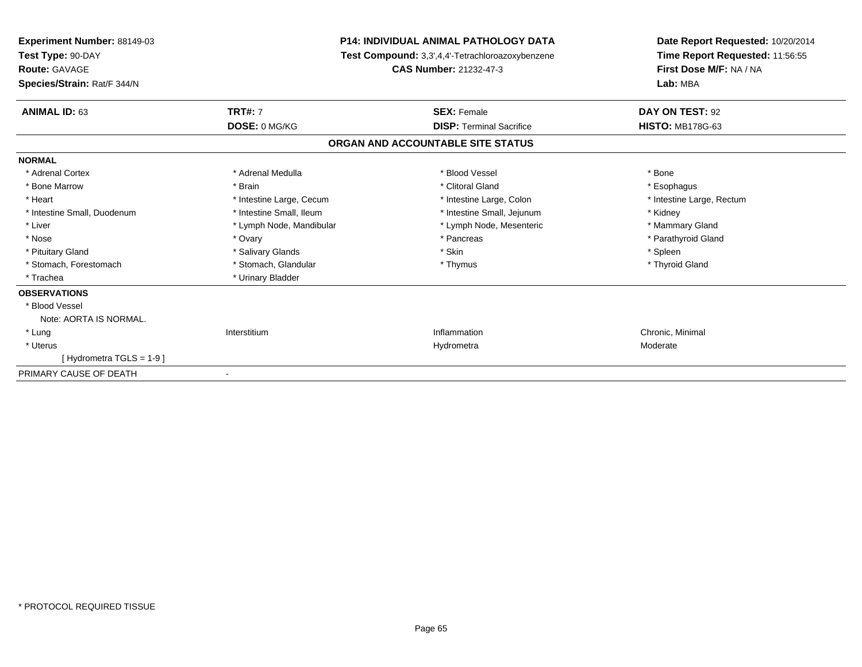| <b>Experiment Number: 88149-03</b><br>Test Type: 90-DAY<br><b>Route: GAVAGE</b> |                          | <b>P14: INDIVIDUAL ANIMAL PATHOLOGY DATA</b><br>Test Compound: 3,3',4,4'-Tetrachloroazoxybenzene<br><b>CAS Number: 21232-47-3</b> | Date Report Requested: 10/20/2014<br>Time Report Requested: 11:56:55<br>First Dose M/F: NA / NA |  |
|---------------------------------------------------------------------------------|--------------------------|-----------------------------------------------------------------------------------------------------------------------------------|-------------------------------------------------------------------------------------------------|--|
| Species/Strain: Rat/F 344/N                                                     |                          |                                                                                                                                   | Lab: MBA                                                                                        |  |
| <b>ANIMAL ID: 63</b>                                                            | <b>TRT#: 7</b>           | <b>SEX: Female</b>                                                                                                                | DAY ON TEST: 92                                                                                 |  |
|                                                                                 | DOSE: 0 MG/KG            | <b>DISP: Terminal Sacrifice</b>                                                                                                   | <b>HISTO: MB178G-63</b>                                                                         |  |
|                                                                                 |                          | ORGAN AND ACCOUNTABLE SITE STATUS                                                                                                 |                                                                                                 |  |
| <b>NORMAL</b>                                                                   |                          |                                                                                                                                   |                                                                                                 |  |
| * Adrenal Cortex                                                                | * Adrenal Medulla        | * Blood Vessel                                                                                                                    | * Bone                                                                                          |  |
| * Bone Marrow                                                                   | * Brain                  | * Clitoral Gland                                                                                                                  | * Esophagus                                                                                     |  |
| * Heart                                                                         | * Intestine Large, Cecum | * Intestine Large, Colon                                                                                                          | * Intestine Large, Rectum                                                                       |  |
| * Intestine Small, Duodenum                                                     | * Intestine Small, Ileum | * Intestine Small, Jejunum                                                                                                        | * Kidney                                                                                        |  |
| * Liver                                                                         | * Lymph Node, Mandibular | * Lymph Node, Mesenteric                                                                                                          | * Mammary Gland                                                                                 |  |
| * Nose                                                                          | * Ovary                  | * Pancreas                                                                                                                        | * Parathyroid Gland                                                                             |  |
| * Pituitary Gland                                                               | * Salivary Glands        | * Skin                                                                                                                            | * Spleen                                                                                        |  |
| * Stomach, Forestomach                                                          | * Stomach, Glandular     | * Thymus                                                                                                                          | * Thyroid Gland                                                                                 |  |
| * Trachea                                                                       | * Urinary Bladder        |                                                                                                                                   |                                                                                                 |  |
| <b>OBSERVATIONS</b>                                                             |                          |                                                                                                                                   |                                                                                                 |  |
| * Blood Vessel                                                                  |                          |                                                                                                                                   |                                                                                                 |  |
| Note: AORTA IS NORMAL.                                                          |                          |                                                                                                                                   |                                                                                                 |  |
| * Lung                                                                          | Interstitium             | Inflammation                                                                                                                      | Chronic, Minimal                                                                                |  |
| * Uterus                                                                        |                          | Hydrometra                                                                                                                        | Moderate                                                                                        |  |
| [Hydrometra TGLS = 1-9]                                                         |                          |                                                                                                                                   |                                                                                                 |  |
| PRIMARY CAUSE OF DEATH                                                          |                          |                                                                                                                                   |                                                                                                 |  |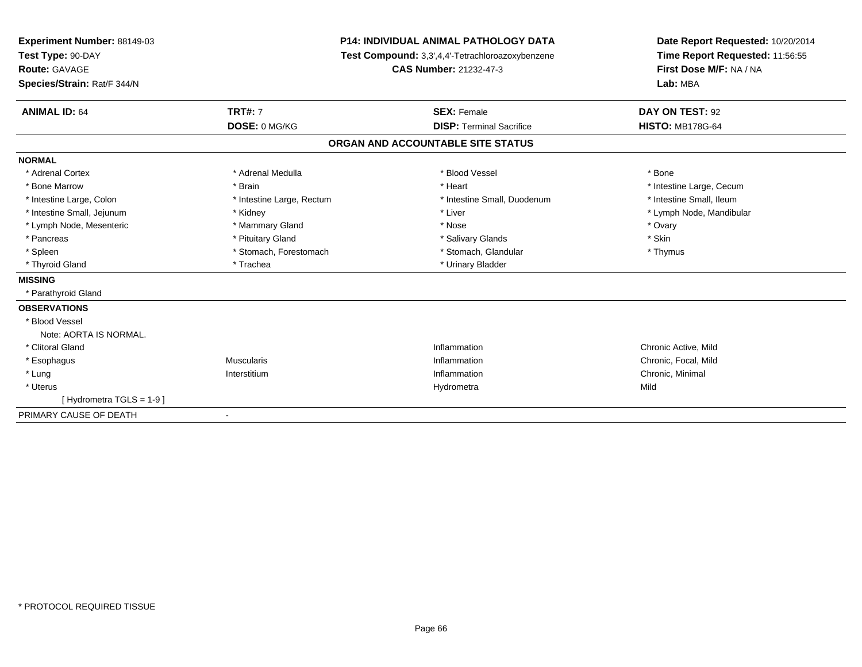| Experiment Number: 88149-03<br>Test Type: 90-DAY<br><b>Route: GAVAGE</b> | <b>P14: INDIVIDUAL ANIMAL PATHOLOGY DATA</b><br>Test Compound: 3,3',4,4'-Tetrachloroazoxybenzene<br><b>CAS Number: 21232-47-3</b> |                                   | Date Report Requested: 10/20/2014<br>Time Report Requested: 11:56:55<br>First Dose M/F: NA / NA |  |
|--------------------------------------------------------------------------|-----------------------------------------------------------------------------------------------------------------------------------|-----------------------------------|-------------------------------------------------------------------------------------------------|--|
| Species/Strain: Rat/F 344/N                                              |                                                                                                                                   |                                   | Lab: MBA                                                                                        |  |
| <b>ANIMAL ID: 64</b>                                                     | <b>TRT#: 7</b>                                                                                                                    | <b>SEX: Female</b>                | DAY ON TEST: 92                                                                                 |  |
|                                                                          | DOSE: 0 MG/KG                                                                                                                     | <b>DISP: Terminal Sacrifice</b>   | <b>HISTO: MB178G-64</b>                                                                         |  |
|                                                                          |                                                                                                                                   | ORGAN AND ACCOUNTABLE SITE STATUS |                                                                                                 |  |
| <b>NORMAL</b>                                                            |                                                                                                                                   |                                   |                                                                                                 |  |
| * Adrenal Cortex                                                         | * Adrenal Medulla                                                                                                                 | * Blood Vessel                    | * Bone                                                                                          |  |
| * Bone Marrow                                                            | * Brain                                                                                                                           | * Heart                           | * Intestine Large, Cecum                                                                        |  |
| * Intestine Large, Colon                                                 | * Intestine Large, Rectum                                                                                                         | * Intestine Small. Duodenum       | * Intestine Small, Ileum                                                                        |  |
| * Intestine Small, Jejunum                                               | * Kidney                                                                                                                          | * Liver                           | * Lymph Node, Mandibular                                                                        |  |
| * Lymph Node, Mesenteric                                                 | * Mammary Gland                                                                                                                   | * Nose                            | * Ovary                                                                                         |  |
| * Pancreas                                                               | * Pituitary Gland                                                                                                                 | * Salivary Glands                 | * Skin                                                                                          |  |
| * Spleen                                                                 | * Stomach, Forestomach                                                                                                            | * Stomach, Glandular              | * Thymus                                                                                        |  |
| * Thyroid Gland                                                          | * Trachea                                                                                                                         | * Urinary Bladder                 |                                                                                                 |  |
| <b>MISSING</b>                                                           |                                                                                                                                   |                                   |                                                                                                 |  |
| * Parathyroid Gland                                                      |                                                                                                                                   |                                   |                                                                                                 |  |
| <b>OBSERVATIONS</b>                                                      |                                                                                                                                   |                                   |                                                                                                 |  |
| * Blood Vessel                                                           |                                                                                                                                   |                                   |                                                                                                 |  |
| Note: AORTA IS NORMAL.                                                   |                                                                                                                                   |                                   |                                                                                                 |  |
| * Clitoral Gland                                                         |                                                                                                                                   | Inflammation                      | Chronic Active, Mild                                                                            |  |
| * Esophagus                                                              | <b>Muscularis</b>                                                                                                                 | Inflammation                      | Chronic, Focal, Mild                                                                            |  |
| * Lung                                                                   | Interstitium                                                                                                                      | Inflammation                      | Chronic, Minimal                                                                                |  |
| * Uterus                                                                 |                                                                                                                                   | Hydrometra                        | Mild                                                                                            |  |
| [Hydrometra TGLS = 1-9]                                                  |                                                                                                                                   |                                   |                                                                                                 |  |
| PRIMARY CAUSE OF DEATH                                                   | $\overline{\phantom{a}}$                                                                                                          |                                   |                                                                                                 |  |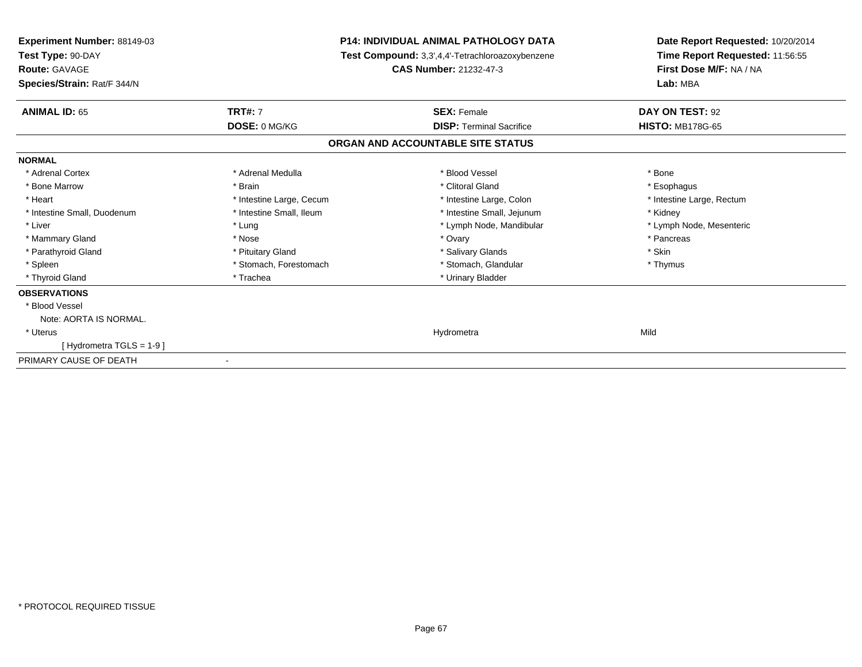| Experiment Number: 88149-03<br>Test Type: 90-DAY    |                          | <b>P14: INDIVIDUAL ANIMAL PATHOLOGY DATA</b><br>Test Compound: 3,3',4,4'-Tetrachloroazoxybenzene | Date Report Requested: 10/20/2014<br>Time Report Requested: 11:56:55 |  |
|-----------------------------------------------------|--------------------------|--------------------------------------------------------------------------------------------------|----------------------------------------------------------------------|--|
| <b>Route: GAVAGE</b><br>Species/Strain: Rat/F 344/N |                          | CAS Number: 21232-47-3                                                                           | First Dose M/F: NA / NA<br>Lab: MBA                                  |  |
| <b>ANIMAL ID: 65</b>                                | <b>TRT#: 7</b>           | <b>SEX: Female</b>                                                                               | DAY ON TEST: 92                                                      |  |
|                                                     | DOSE: 0 MG/KG            | <b>DISP: Terminal Sacrifice</b>                                                                  | <b>HISTO: MB178G-65</b>                                              |  |
|                                                     |                          | ORGAN AND ACCOUNTABLE SITE STATUS                                                                |                                                                      |  |
| <b>NORMAL</b>                                       |                          |                                                                                                  |                                                                      |  |
| * Adrenal Cortex                                    | * Adrenal Medulla        | * Blood Vessel                                                                                   | * Bone                                                               |  |
| * Bone Marrow                                       | * Brain                  | * Clitoral Gland                                                                                 | * Esophagus                                                          |  |
| * Heart                                             | * Intestine Large, Cecum | * Intestine Large, Colon                                                                         | * Intestine Large, Rectum                                            |  |
| * Intestine Small, Duodenum                         | * Intestine Small, Ileum | * Intestine Small, Jejunum                                                                       | * Kidney                                                             |  |
| * Liver                                             | * Lung                   | * Lymph Node, Mandibular                                                                         | * Lymph Node, Mesenteric                                             |  |
| * Mammary Gland                                     | * Nose                   | * Ovary                                                                                          | * Pancreas                                                           |  |
| * Parathyroid Gland                                 | * Pituitary Gland        | * Salivary Glands                                                                                | * Skin                                                               |  |
| * Spleen                                            | * Stomach, Forestomach   | * Stomach, Glandular                                                                             | * Thymus                                                             |  |
| * Thyroid Gland                                     | * Trachea                | * Urinary Bladder                                                                                |                                                                      |  |
| <b>OBSERVATIONS</b>                                 |                          |                                                                                                  |                                                                      |  |
| * Blood Vessel                                      |                          |                                                                                                  |                                                                      |  |
| Note: AORTA IS NORMAL.                              |                          |                                                                                                  |                                                                      |  |
| * Uterus                                            |                          | Hydrometra                                                                                       | Mild                                                                 |  |
| [Hydrometra TGLS = 1-9]                             |                          |                                                                                                  |                                                                      |  |
| PRIMARY CAUSE OF DEATH                              |                          |                                                                                                  |                                                                      |  |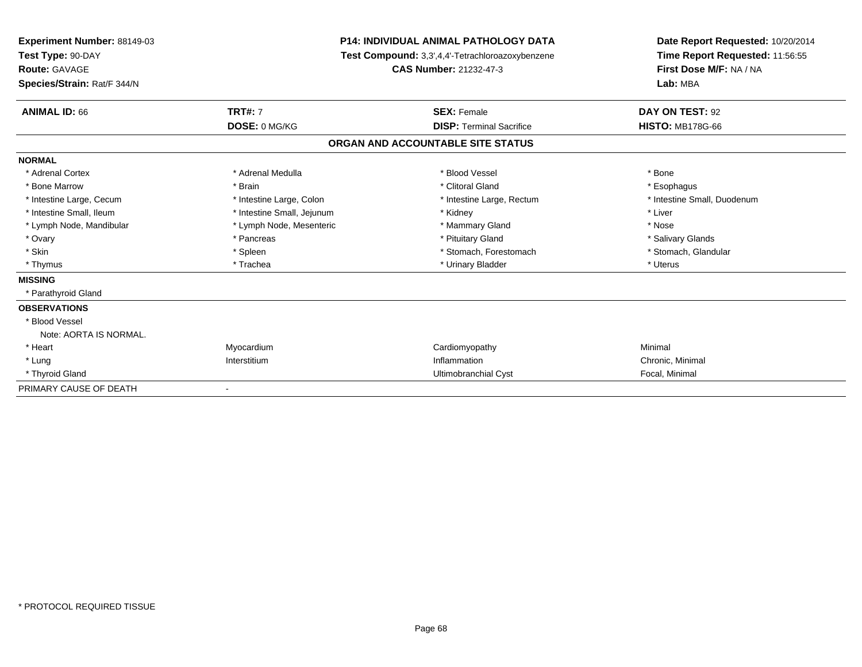| <b>Experiment Number: 88149-03</b><br>Test Type: 90-DAY<br><b>Route: GAVAGE</b><br>Species/Strain: Rat/F 344/N |                            | <b>P14: INDIVIDUAL ANIMAL PATHOLOGY DATA</b><br>Test Compound: 3,3',4,4'-Tetrachloroazoxybenzene<br><b>CAS Number: 21232-47-3</b> | Date Report Requested: 10/20/2014<br>Time Report Requested: 11:56:55<br>First Dose M/F: NA / NA<br>Lab: MBA |  |
|----------------------------------------------------------------------------------------------------------------|----------------------------|-----------------------------------------------------------------------------------------------------------------------------------|-------------------------------------------------------------------------------------------------------------|--|
| <b>ANIMAL ID: 66</b>                                                                                           | <b>TRT#: 7</b>             | <b>SEX: Female</b>                                                                                                                | DAY ON TEST: 92                                                                                             |  |
|                                                                                                                | DOSE: 0 MG/KG              | <b>DISP: Terminal Sacrifice</b>                                                                                                   | <b>HISTO: MB178G-66</b>                                                                                     |  |
|                                                                                                                |                            | ORGAN AND ACCOUNTABLE SITE STATUS                                                                                                 |                                                                                                             |  |
| <b>NORMAL</b>                                                                                                  |                            |                                                                                                                                   |                                                                                                             |  |
| * Adrenal Cortex                                                                                               | * Adrenal Medulla          | * Blood Vessel                                                                                                                    | * Bone                                                                                                      |  |
| * Bone Marrow                                                                                                  | * Brain                    | * Clitoral Gland                                                                                                                  | * Esophagus                                                                                                 |  |
| * Intestine Large, Cecum                                                                                       | * Intestine Large, Colon   | * Intestine Large, Rectum                                                                                                         | * Intestine Small, Duodenum                                                                                 |  |
| * Intestine Small, Ileum                                                                                       | * Intestine Small, Jejunum | * Kidney                                                                                                                          | * Liver                                                                                                     |  |
| * Lymph Node, Mandibular                                                                                       | * Lymph Node, Mesenteric   | * Mammary Gland                                                                                                                   | * Nose                                                                                                      |  |
| * Ovary                                                                                                        | * Pancreas                 | * Pituitary Gland                                                                                                                 | * Salivary Glands                                                                                           |  |
| * Skin                                                                                                         | * Spleen                   | * Stomach, Forestomach                                                                                                            | * Stomach, Glandular                                                                                        |  |
| * Thymus                                                                                                       | * Trachea                  | * Urinary Bladder                                                                                                                 | * Uterus                                                                                                    |  |
| <b>MISSING</b>                                                                                                 |                            |                                                                                                                                   |                                                                                                             |  |
| * Parathyroid Gland                                                                                            |                            |                                                                                                                                   |                                                                                                             |  |
| <b>OBSERVATIONS</b>                                                                                            |                            |                                                                                                                                   |                                                                                                             |  |
| * Blood Vessel                                                                                                 |                            |                                                                                                                                   |                                                                                                             |  |
| Note: AORTA IS NORMAL.                                                                                         |                            |                                                                                                                                   |                                                                                                             |  |
| * Heart                                                                                                        | Myocardium                 | Cardiomyopathy                                                                                                                    | Minimal                                                                                                     |  |
| * Lung                                                                                                         | Interstitium               | Inflammation                                                                                                                      | Chronic, Minimal                                                                                            |  |
| * Thyroid Gland                                                                                                |                            | Ultimobranchial Cyst                                                                                                              | Focal, Minimal                                                                                              |  |
| PRIMARY CAUSE OF DEATH                                                                                         |                            |                                                                                                                                   |                                                                                                             |  |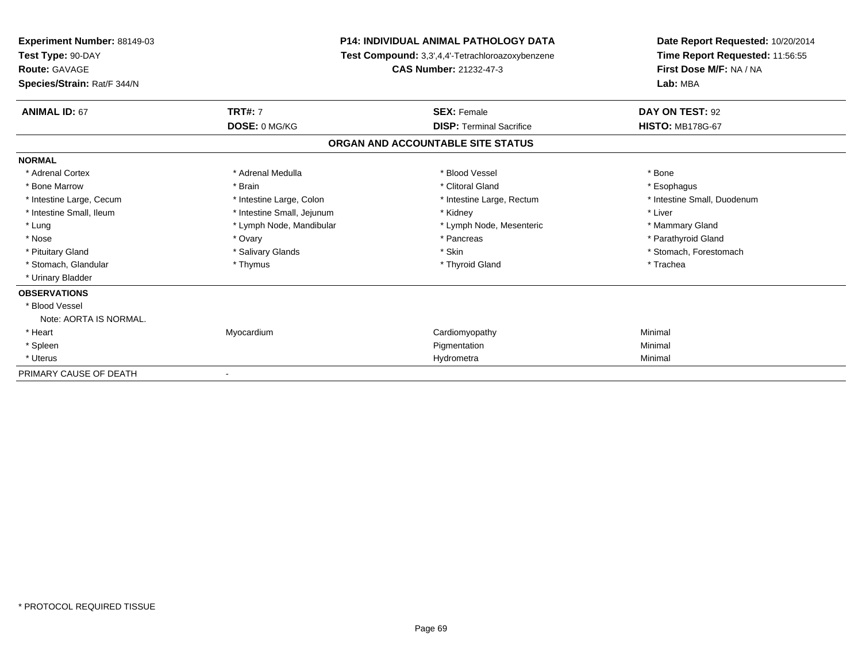| <b>Experiment Number: 88149-03</b><br>Test Type: 90-DAY<br><b>Route: GAVAGE</b><br>Species/Strain: Rat/F 344/N |                            | <b>P14: INDIVIDUAL ANIMAL PATHOLOGY DATA</b><br>Test Compound: 3,3',4,4'-Tetrachloroazoxybenzene<br><b>CAS Number: 21232-47-3</b> | Date Report Requested: 10/20/2014<br>Time Report Requested: 11:56:55<br>First Dose M/F: NA / NA<br>Lab: MBA |  |
|----------------------------------------------------------------------------------------------------------------|----------------------------|-----------------------------------------------------------------------------------------------------------------------------------|-------------------------------------------------------------------------------------------------------------|--|
| <b>ANIMAL ID: 67</b>                                                                                           | <b>TRT#: 7</b>             | <b>SEX: Female</b>                                                                                                                | DAY ON TEST: 92                                                                                             |  |
|                                                                                                                | DOSE: 0 MG/KG              | <b>DISP: Terminal Sacrifice</b>                                                                                                   | <b>HISTO: MB178G-67</b>                                                                                     |  |
|                                                                                                                |                            | ORGAN AND ACCOUNTABLE SITE STATUS                                                                                                 |                                                                                                             |  |
| <b>NORMAL</b>                                                                                                  |                            |                                                                                                                                   |                                                                                                             |  |
| * Adrenal Cortex                                                                                               | * Adrenal Medulla          | * Blood Vessel                                                                                                                    | * Bone                                                                                                      |  |
| * Bone Marrow                                                                                                  | * Brain                    | * Clitoral Gland                                                                                                                  | * Esophagus                                                                                                 |  |
| * Intestine Large, Cecum                                                                                       | * Intestine Large, Colon   | * Intestine Large, Rectum                                                                                                         | * Intestine Small, Duodenum                                                                                 |  |
| * Intestine Small, Ileum                                                                                       | * Intestine Small, Jejunum | * Kidney                                                                                                                          | * Liver                                                                                                     |  |
| * Lung                                                                                                         | * Lymph Node, Mandibular   | * Lymph Node, Mesenteric                                                                                                          | * Mammary Gland                                                                                             |  |
| * Nose                                                                                                         | * Ovary                    | * Pancreas                                                                                                                        | * Parathyroid Gland                                                                                         |  |
| * Pituitary Gland                                                                                              | * Salivary Glands          | * Skin                                                                                                                            | * Stomach, Forestomach                                                                                      |  |
| * Stomach, Glandular                                                                                           | * Thymus                   | * Thyroid Gland                                                                                                                   | * Trachea                                                                                                   |  |
| * Urinary Bladder                                                                                              |                            |                                                                                                                                   |                                                                                                             |  |
| <b>OBSERVATIONS</b>                                                                                            |                            |                                                                                                                                   |                                                                                                             |  |
| * Blood Vessel                                                                                                 |                            |                                                                                                                                   |                                                                                                             |  |
| Note: AORTA IS NORMAL.                                                                                         |                            |                                                                                                                                   |                                                                                                             |  |
| * Heart                                                                                                        | Myocardium                 | Cardiomyopathy                                                                                                                    | Minimal                                                                                                     |  |
| * Spleen                                                                                                       |                            | Pigmentation                                                                                                                      | Minimal                                                                                                     |  |
| * Uterus                                                                                                       |                            | Hydrometra                                                                                                                        | Minimal                                                                                                     |  |
| PRIMARY CAUSE OF DEATH                                                                                         |                            |                                                                                                                                   |                                                                                                             |  |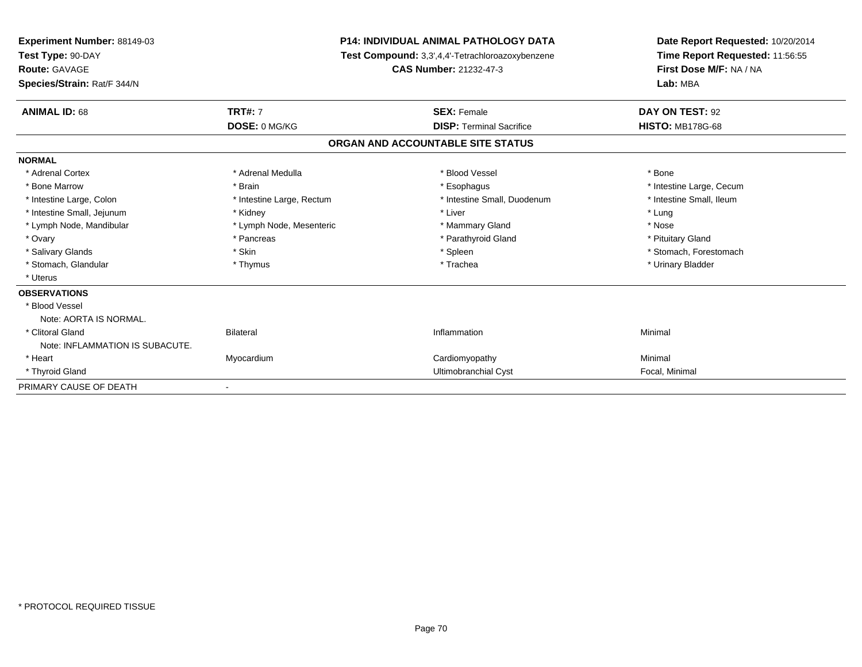| Experiment Number: 88149-03<br>Test Type: 90-DAY<br><b>Route: GAVAGE</b><br>Species/Strain: Rat/F 344/N |                           | <b>P14: INDIVIDUAL ANIMAL PATHOLOGY DATA</b><br>Test Compound: 3,3',4,4'-Tetrachloroazoxybenzene<br><b>CAS Number: 21232-47-3</b> |                                 | Date Report Requested: 10/20/2014<br>Time Report Requested: 11:56:55<br>First Dose M/F: NA / NA<br>Lab: MBA |  |
|---------------------------------------------------------------------------------------------------------|---------------------------|-----------------------------------------------------------------------------------------------------------------------------------|---------------------------------|-------------------------------------------------------------------------------------------------------------|--|
| <b>ANIMAL ID: 68</b>                                                                                    | <b>TRT#: 7</b>            |                                                                                                                                   | <b>SEX: Female</b>              | DAY ON TEST: 92                                                                                             |  |
|                                                                                                         | DOSE: 0 MG/KG             |                                                                                                                                   | <b>DISP: Terminal Sacrifice</b> | <b>HISTO: MB178G-68</b>                                                                                     |  |
|                                                                                                         |                           | ORGAN AND ACCOUNTABLE SITE STATUS                                                                                                 |                                 |                                                                                                             |  |
| <b>NORMAL</b>                                                                                           |                           |                                                                                                                                   |                                 |                                                                                                             |  |
| * Adrenal Cortex                                                                                        | * Adrenal Medulla         |                                                                                                                                   | * Blood Vessel                  | * Bone                                                                                                      |  |
| * Bone Marrow                                                                                           | * Brain                   |                                                                                                                                   | * Esophagus                     | * Intestine Large, Cecum                                                                                    |  |
| * Intestine Large, Colon                                                                                | * Intestine Large, Rectum |                                                                                                                                   | * Intestine Small, Duodenum     | * Intestine Small, Ileum                                                                                    |  |
| * Intestine Small, Jejunum                                                                              | * Kidney                  |                                                                                                                                   | * Liver                         | * Lung                                                                                                      |  |
| * Lymph Node, Mandibular                                                                                | * Lymph Node, Mesenteric  |                                                                                                                                   | * Mammary Gland                 | * Nose                                                                                                      |  |
| * Ovary                                                                                                 | * Pancreas                |                                                                                                                                   | * Parathyroid Gland             | * Pituitary Gland                                                                                           |  |
| * Salivary Glands                                                                                       | * Skin                    |                                                                                                                                   | * Spleen                        | * Stomach, Forestomach                                                                                      |  |
| * Stomach, Glandular                                                                                    | * Thymus                  |                                                                                                                                   | * Trachea                       | * Urinary Bladder                                                                                           |  |
| * Uterus                                                                                                |                           |                                                                                                                                   |                                 |                                                                                                             |  |
| <b>OBSERVATIONS</b>                                                                                     |                           |                                                                                                                                   |                                 |                                                                                                             |  |
| * Blood Vessel                                                                                          |                           |                                                                                                                                   |                                 |                                                                                                             |  |
| Note: AORTA IS NORMAL.                                                                                  |                           |                                                                                                                                   |                                 |                                                                                                             |  |
| * Clitoral Gland                                                                                        | <b>Bilateral</b>          |                                                                                                                                   | Inflammation                    | Minimal                                                                                                     |  |
| Note: INFLAMMATION IS SUBACUTE.                                                                         |                           |                                                                                                                                   |                                 |                                                                                                             |  |
| * Heart                                                                                                 | Myocardium                |                                                                                                                                   | Cardiomyopathy                  | Minimal                                                                                                     |  |
| * Thyroid Gland                                                                                         |                           |                                                                                                                                   | Ultimobranchial Cyst            | Focal, Minimal                                                                                              |  |
| PRIMARY CAUSE OF DEATH                                                                                  |                           |                                                                                                                                   |                                 |                                                                                                             |  |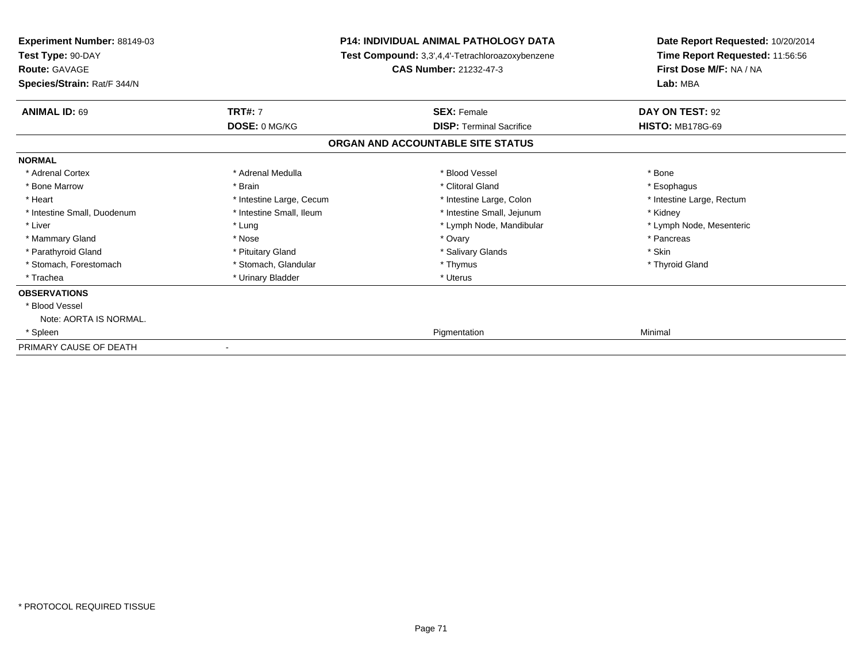| <b>Experiment Number: 88149-03</b><br>Test Type: 90-DAY<br><b>Route: GAVAGE</b><br>Species/Strain: Rat/F 344/N |                          | <b>P14: INDIVIDUAL ANIMAL PATHOLOGY DATA</b><br>Test Compound: 3,3',4,4'-Tetrachloroazoxybenzene<br><b>CAS Number: 21232-47-3</b> | Date Report Requested: 10/20/2014<br>Time Report Requested: 11:56:56<br>First Dose M/F: NA / NA<br>Lab: MBA |  |
|----------------------------------------------------------------------------------------------------------------|--------------------------|-----------------------------------------------------------------------------------------------------------------------------------|-------------------------------------------------------------------------------------------------------------|--|
| <b>ANIMAL ID: 69</b>                                                                                           | <b>TRT#: 7</b>           | <b>SEX: Female</b>                                                                                                                | DAY ON TEST: 92                                                                                             |  |
|                                                                                                                | DOSE: 0 MG/KG            | <b>DISP: Terminal Sacrifice</b>                                                                                                   | <b>HISTO: MB178G-69</b>                                                                                     |  |
|                                                                                                                |                          | ORGAN AND ACCOUNTABLE SITE STATUS                                                                                                 |                                                                                                             |  |
| <b>NORMAL</b>                                                                                                  |                          |                                                                                                                                   |                                                                                                             |  |
| * Adrenal Cortex                                                                                               | * Adrenal Medulla        | * Blood Vessel                                                                                                                    | * Bone                                                                                                      |  |
| * Bone Marrow                                                                                                  | * Brain                  | * Clitoral Gland                                                                                                                  | * Esophagus                                                                                                 |  |
| * Heart                                                                                                        | * Intestine Large, Cecum | * Intestine Large, Colon                                                                                                          | * Intestine Large, Rectum                                                                                   |  |
| * Intestine Small, Duodenum                                                                                    | * Intestine Small. Ileum | * Intestine Small, Jejunum                                                                                                        | * Kidney                                                                                                    |  |
| * Liver                                                                                                        | * Lung                   | * Lymph Node, Mandibular                                                                                                          | * Lymph Node, Mesenteric                                                                                    |  |
| * Mammary Gland                                                                                                | * Nose                   | * Ovary                                                                                                                           | * Pancreas                                                                                                  |  |
| * Parathyroid Gland                                                                                            | * Pituitary Gland        | * Salivary Glands                                                                                                                 | * Skin                                                                                                      |  |
| * Stomach, Forestomach                                                                                         | * Stomach, Glandular     | * Thymus                                                                                                                          | * Thyroid Gland                                                                                             |  |
| * Trachea                                                                                                      | * Urinary Bladder        | * Uterus                                                                                                                          |                                                                                                             |  |
| <b>OBSERVATIONS</b>                                                                                            |                          |                                                                                                                                   |                                                                                                             |  |
| * Blood Vessel                                                                                                 |                          |                                                                                                                                   |                                                                                                             |  |
| Note: AORTA IS NORMAL.                                                                                         |                          |                                                                                                                                   |                                                                                                             |  |
| * Spleen                                                                                                       |                          | Pigmentation                                                                                                                      | Minimal                                                                                                     |  |
| PRIMARY CAUSE OF DEATH                                                                                         |                          |                                                                                                                                   |                                                                                                             |  |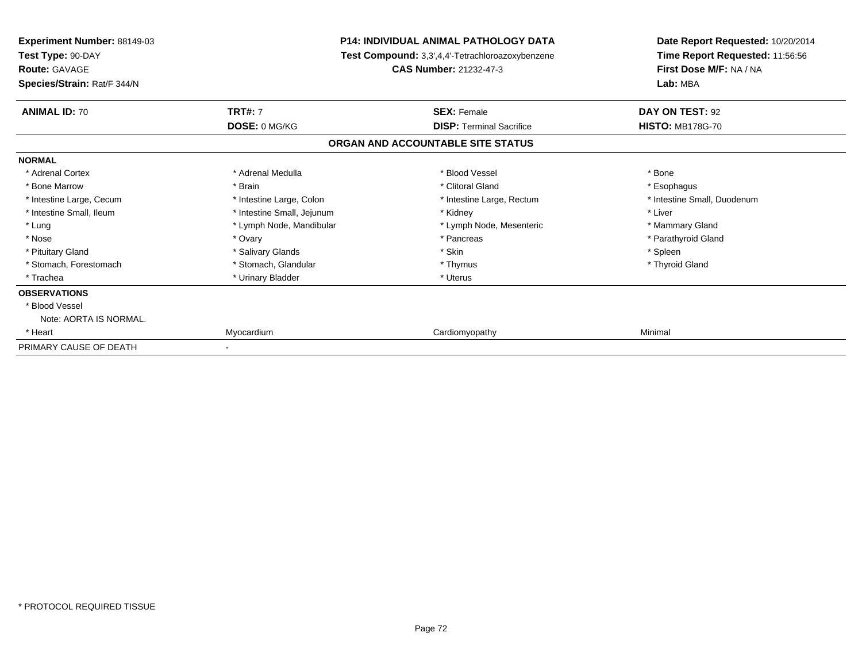| <b>Experiment Number: 88149-03</b><br>Test Type: 90-DAY<br><b>Route: GAVAGE</b><br>Species/Strain: Rat/F 344/N | <b>P14: INDIVIDUAL ANIMAL PATHOLOGY DATA</b><br>Test Compound: 3,3',4,4'-Tetrachloroazoxybenzene<br><b>CAS Number: 21232-47-3</b> |                                   | Date Report Requested: 10/20/2014<br>Time Report Requested: 11:56:56<br>First Dose M/F: NA / NA<br>Lab: MBA |  |
|----------------------------------------------------------------------------------------------------------------|-----------------------------------------------------------------------------------------------------------------------------------|-----------------------------------|-------------------------------------------------------------------------------------------------------------|--|
| <b>ANIMAL ID: 70</b>                                                                                           | <b>TRT#: 7</b>                                                                                                                    | <b>SEX: Female</b>                | DAY ON TEST: 92                                                                                             |  |
|                                                                                                                | DOSE: 0 MG/KG                                                                                                                     | <b>DISP: Terminal Sacrifice</b>   | <b>HISTO: MB178G-70</b>                                                                                     |  |
|                                                                                                                |                                                                                                                                   | ORGAN AND ACCOUNTABLE SITE STATUS |                                                                                                             |  |
| <b>NORMAL</b>                                                                                                  |                                                                                                                                   |                                   |                                                                                                             |  |
| * Adrenal Cortex                                                                                               | * Adrenal Medulla                                                                                                                 | * Blood Vessel                    | * Bone                                                                                                      |  |
| * Bone Marrow                                                                                                  | * Brain                                                                                                                           | * Clitoral Gland                  | * Esophagus                                                                                                 |  |
| * Intestine Large, Cecum                                                                                       | * Intestine Large, Colon                                                                                                          | * Intestine Large, Rectum         | * Intestine Small, Duodenum                                                                                 |  |
| * Intestine Small. Ileum                                                                                       | * Intestine Small, Jejunum                                                                                                        | * Kidney                          | * Liver                                                                                                     |  |
| * Lung                                                                                                         | * Lymph Node, Mandibular                                                                                                          | * Lymph Node, Mesenteric          | * Mammary Gland                                                                                             |  |
| * Nose                                                                                                         | * Ovary                                                                                                                           | * Pancreas                        | * Parathyroid Gland                                                                                         |  |
| * Pituitary Gland                                                                                              | * Salivary Glands                                                                                                                 | * Skin                            | * Spleen                                                                                                    |  |
| * Stomach, Forestomach                                                                                         | * Stomach, Glandular                                                                                                              | * Thymus                          | * Thyroid Gland                                                                                             |  |
| * Trachea                                                                                                      | * Urinary Bladder                                                                                                                 | * Uterus                          |                                                                                                             |  |
| <b>OBSERVATIONS</b>                                                                                            |                                                                                                                                   |                                   |                                                                                                             |  |
| * Blood Vessel                                                                                                 |                                                                                                                                   |                                   |                                                                                                             |  |
| Note: AORTA IS NORMAL.                                                                                         |                                                                                                                                   |                                   |                                                                                                             |  |
| * Heart                                                                                                        | Myocardium                                                                                                                        | Cardiomyopathy                    | Minimal                                                                                                     |  |
| PRIMARY CAUSE OF DEATH                                                                                         |                                                                                                                                   |                                   |                                                                                                             |  |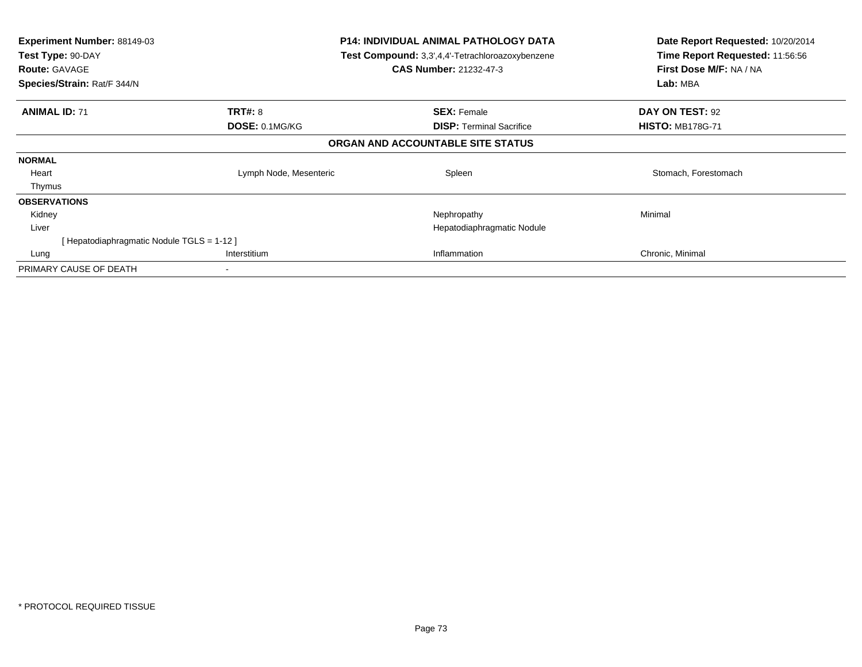| Experiment Number: 88149-03<br>Test Type: 90-DAY<br><b>Route: GAVAGE</b><br>Species/Strain: Rat/F 344/N |                        | <b>P14: INDIVIDUAL ANIMAL PATHOLOGY DATA</b><br><b>Test Compound:</b> 3,3',4,4'-Tetrachloroazoxybenzene<br><b>CAS Number: 21232-47-3</b> | Date Report Requested: 10/20/2014<br>Time Report Requested: 11:56:56<br>First Dose M/F: NA / NA<br>Lab: MBA |
|---------------------------------------------------------------------------------------------------------|------------------------|------------------------------------------------------------------------------------------------------------------------------------------|-------------------------------------------------------------------------------------------------------------|
| <b>ANIMAL ID: 71</b>                                                                                    | <b>TRT#: 8</b>         | <b>SEX: Female</b>                                                                                                                       | DAY ON TEST: 92                                                                                             |
|                                                                                                         | DOSE: 0.1MG/KG         | <b>DISP:</b> Terminal Sacrifice                                                                                                          | <b>HISTO: MB178G-71</b>                                                                                     |
|                                                                                                         |                        | ORGAN AND ACCOUNTABLE SITE STATUS                                                                                                        |                                                                                                             |
| <b>NORMAL</b>                                                                                           |                        |                                                                                                                                          |                                                                                                             |
| Heart                                                                                                   | Lymph Node, Mesenteric | Spleen                                                                                                                                   | Stomach, Forestomach                                                                                        |
| Thymus                                                                                                  |                        |                                                                                                                                          |                                                                                                             |
| <b>OBSERVATIONS</b>                                                                                     |                        |                                                                                                                                          |                                                                                                             |
| Kidney                                                                                                  |                        | Nephropathy                                                                                                                              | Minimal                                                                                                     |
| Liver                                                                                                   |                        | Hepatodiaphragmatic Nodule                                                                                                               |                                                                                                             |
| [Hepatodiaphragmatic Nodule TGLS = 1-12 ]                                                               |                        |                                                                                                                                          |                                                                                                             |
| Lung                                                                                                    | Interstitium           | Inflammation                                                                                                                             | Chronic, Minimal                                                                                            |
| PRIMARY CAUSE OF DEATH                                                                                  |                        |                                                                                                                                          |                                                                                                             |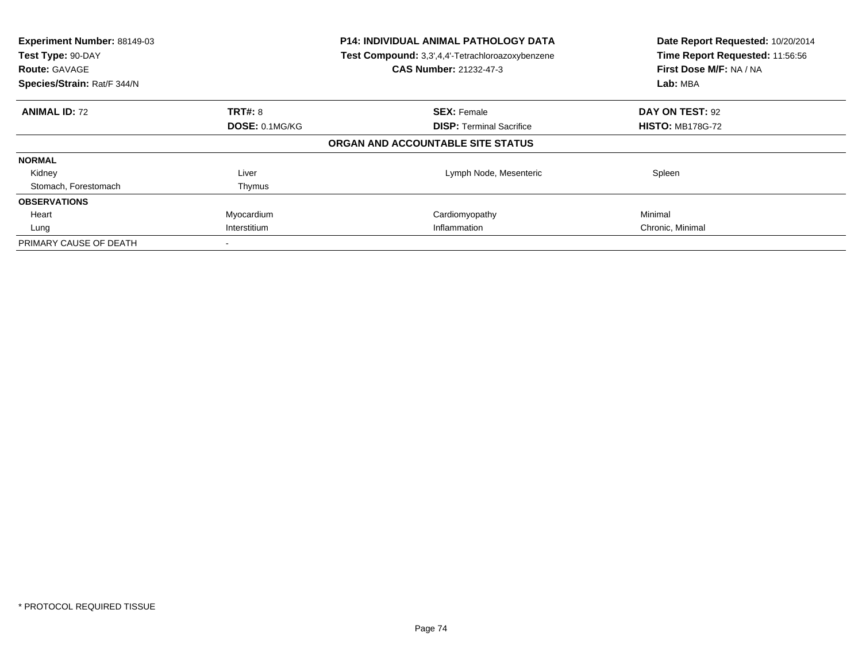| Experiment Number: 88149-03<br>Test Type: 90-DAY<br><b>Route: GAVAGE</b><br>Species/Strain: Rat/F 344/N |                       | <b>P14: INDIVIDUAL ANIMAL PATHOLOGY DATA</b><br>Test Compound: 3,3',4,4'-Tetrachloroazoxybenzene<br><b>CAS Number: 21232-47-3</b> | Date Report Requested: 10/20/2014<br>Time Report Requested: 11:56:56<br>First Dose M/F: NA / NA<br>Lab: MBA |
|---------------------------------------------------------------------------------------------------------|-----------------------|-----------------------------------------------------------------------------------------------------------------------------------|-------------------------------------------------------------------------------------------------------------|
| <b>ANIMAL ID: 72</b>                                                                                    | TRT#: 8               | <b>SEX: Female</b>                                                                                                                | DAY ON TEST: 92                                                                                             |
|                                                                                                         | <b>DOSE: 0.1MG/KG</b> | <b>DISP:</b> Terminal Sacrifice                                                                                                   | <b>HISTO: MB178G-72</b>                                                                                     |
|                                                                                                         |                       | ORGAN AND ACCOUNTABLE SITE STATUS                                                                                                 |                                                                                                             |
| <b>NORMAL</b>                                                                                           |                       |                                                                                                                                   |                                                                                                             |
| Kidney                                                                                                  | Liver                 | Lymph Node, Mesenteric                                                                                                            | Spleen                                                                                                      |
| Stomach, Forestomach                                                                                    | Thymus                |                                                                                                                                   |                                                                                                             |
| <b>OBSERVATIONS</b>                                                                                     |                       |                                                                                                                                   |                                                                                                             |
| Heart                                                                                                   | Myocardium            | Cardiomyopathy                                                                                                                    | Minimal                                                                                                     |
| Lung                                                                                                    | Interstitium          | Inflammation                                                                                                                      | Chronic, Minimal                                                                                            |
| PRIMARY CAUSE OF DEATH                                                                                  |                       |                                                                                                                                   |                                                                                                             |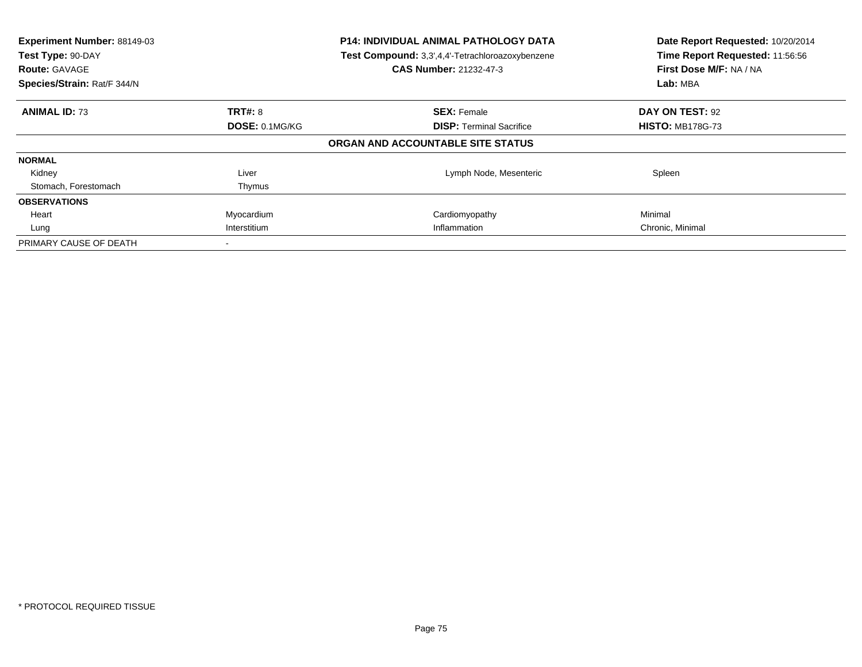| Experiment Number: 88149-03<br>Test Type: 90-DAY<br><b>Route: GAVAGE</b><br>Species/Strain: Rat/F 344/N |                       | <b>P14: INDIVIDUAL ANIMAL PATHOLOGY DATA</b><br>Test Compound: 3,3',4,4'-Tetrachloroazoxybenzene<br><b>CAS Number: 21232-47-3</b> | Date Report Requested: 10/20/2014<br>Time Report Requested: 11:56:56<br>First Dose M/F: NA / NA<br>Lab: MBA |
|---------------------------------------------------------------------------------------------------------|-----------------------|-----------------------------------------------------------------------------------------------------------------------------------|-------------------------------------------------------------------------------------------------------------|
| <b>ANIMAL ID: 73</b>                                                                                    | <b>TRT#: 8</b>        | <b>SEX: Female</b>                                                                                                                | DAY ON TEST: 92                                                                                             |
|                                                                                                         | <b>DOSE: 0.1MG/KG</b> | <b>DISP:</b> Terminal Sacrifice                                                                                                   | <b>HISTO: MB178G-73</b>                                                                                     |
|                                                                                                         |                       | ORGAN AND ACCOUNTABLE SITE STATUS                                                                                                 |                                                                                                             |
| <b>NORMAL</b>                                                                                           |                       |                                                                                                                                   |                                                                                                             |
| Kidney                                                                                                  | Liver                 | Lymph Node, Mesenteric                                                                                                            | Spleen                                                                                                      |
| Stomach, Forestomach                                                                                    | Thymus                |                                                                                                                                   |                                                                                                             |
| <b>OBSERVATIONS</b>                                                                                     |                       |                                                                                                                                   |                                                                                                             |
| Heart                                                                                                   | Myocardium            | Cardiomyopathy                                                                                                                    | Minimal                                                                                                     |
| Lung                                                                                                    | Interstitium          | Inflammation                                                                                                                      | Chronic, Minimal                                                                                            |
| PRIMARY CAUSE OF DEATH                                                                                  |                       |                                                                                                                                   |                                                                                                             |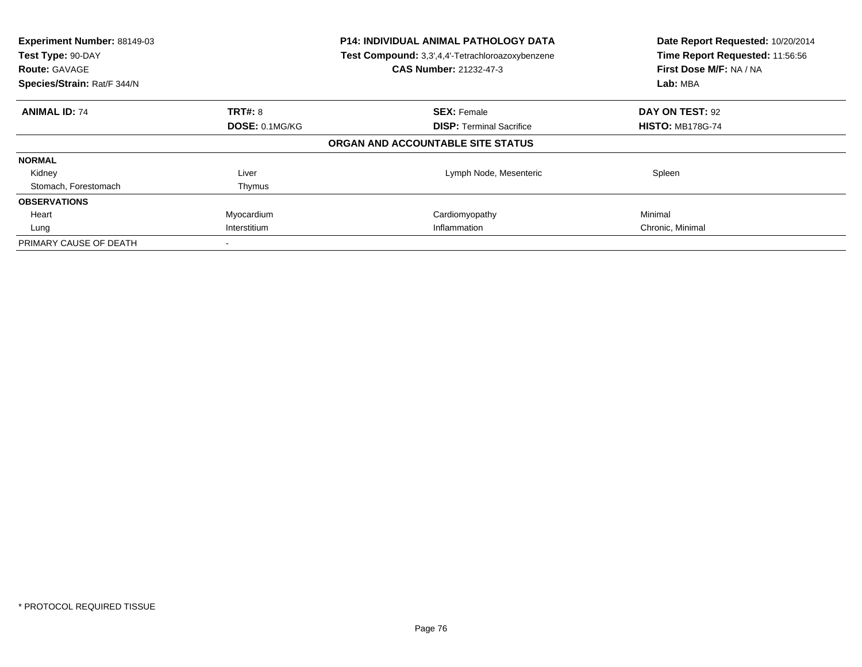| Experiment Number: 88149-03<br>Test Type: 90-DAY<br><b>Route: GAVAGE</b><br>Species/Strain: Rat/F 344/N |                       | <b>P14: INDIVIDUAL ANIMAL PATHOLOGY DATA</b><br>Test Compound: 3,3',4,4'-Tetrachloroazoxybenzene<br><b>CAS Number: 21232-47-3</b> | Date Report Requested: 10/20/2014<br>Time Report Requested: 11:56:56<br>First Dose M/F: NA / NA<br>Lab: MBA |
|---------------------------------------------------------------------------------------------------------|-----------------------|-----------------------------------------------------------------------------------------------------------------------------------|-------------------------------------------------------------------------------------------------------------|
| <b>ANIMAL ID: 74</b>                                                                                    | <b>TRT#: 8</b>        | <b>SEX: Female</b>                                                                                                                | DAY ON TEST: 92                                                                                             |
|                                                                                                         | <b>DOSE: 0.1MG/KG</b> | <b>DISP:</b> Terminal Sacrifice                                                                                                   | <b>HISTO: MB178G-74</b>                                                                                     |
|                                                                                                         |                       | ORGAN AND ACCOUNTABLE SITE STATUS                                                                                                 |                                                                                                             |
| <b>NORMAL</b>                                                                                           |                       |                                                                                                                                   |                                                                                                             |
| Kidney                                                                                                  | Liver                 | Lymph Node, Mesenteric                                                                                                            | Spleen                                                                                                      |
| Stomach, Forestomach                                                                                    | Thymus                |                                                                                                                                   |                                                                                                             |
| <b>OBSERVATIONS</b>                                                                                     |                       |                                                                                                                                   |                                                                                                             |
| Heart                                                                                                   | Myocardium            | Cardiomyopathy                                                                                                                    | Minimal                                                                                                     |
| Lung                                                                                                    | Interstitium          | Inflammation                                                                                                                      | Chronic, Minimal                                                                                            |
| PRIMARY CAUSE OF DEATH                                                                                  |                       |                                                                                                                                   |                                                                                                             |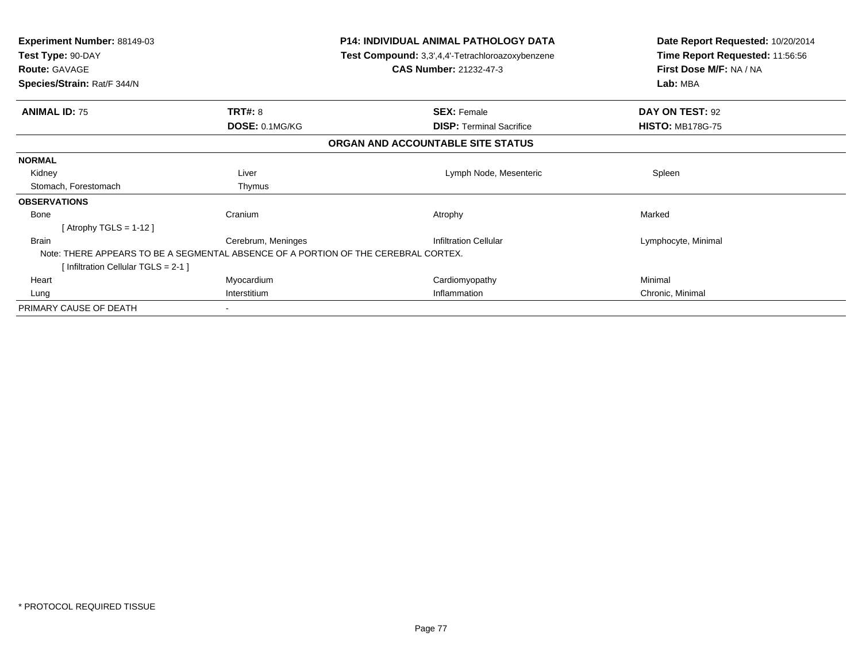| <b>Experiment Number: 88149-03</b><br>Test Type: 90-DAY<br><b>Route: GAVAGE</b>    |                    | <b>P14: INDIVIDUAL ANIMAL PATHOLOGY DATA</b><br>Test Compound: 3,3',4,4'-Tetrachloroazoxybenzene<br><b>CAS Number: 21232-47-3</b> | Date Report Requested: 10/20/2014<br>Time Report Requested: 11:56:56<br>First Dose M/F: NA / NA<br>Lab: MBA |  |
|------------------------------------------------------------------------------------|--------------------|-----------------------------------------------------------------------------------------------------------------------------------|-------------------------------------------------------------------------------------------------------------|--|
| Species/Strain: Rat/F 344/N                                                        |                    |                                                                                                                                   |                                                                                                             |  |
| <b>ANIMAL ID: 75</b>                                                               | <b>TRT#: 8</b>     | <b>SEX: Female</b>                                                                                                                | DAY ON TEST: 92                                                                                             |  |
|                                                                                    | DOSE: 0.1MG/KG     | <b>DISP:</b> Terminal Sacrifice                                                                                                   | <b>HISTO: MB178G-75</b>                                                                                     |  |
|                                                                                    |                    | ORGAN AND ACCOUNTABLE SITE STATUS                                                                                                 |                                                                                                             |  |
| <b>NORMAL</b>                                                                      |                    |                                                                                                                                   |                                                                                                             |  |
| Kidney                                                                             | Liver              | Lymph Node, Mesenteric                                                                                                            | Spleen                                                                                                      |  |
| Stomach, Forestomach                                                               | Thymus             |                                                                                                                                   |                                                                                                             |  |
| <b>OBSERVATIONS</b>                                                                |                    |                                                                                                                                   |                                                                                                             |  |
| Bone                                                                               | Cranium            | Atrophy                                                                                                                           | Marked                                                                                                      |  |
| [Atrophy TGLS = 1-12]                                                              |                    |                                                                                                                                   |                                                                                                             |  |
| Brain                                                                              | Cerebrum, Meninges | <b>Infiltration Cellular</b>                                                                                                      | Lymphocyte, Minimal                                                                                         |  |
| Note: THERE APPEARS TO BE A SEGMENTAL ABSENCE OF A PORTION OF THE CEREBRAL CORTEX. |                    |                                                                                                                                   |                                                                                                             |  |
| [Infiltration Cellular TGLS = 2-1 ]                                                |                    |                                                                                                                                   |                                                                                                             |  |
| Heart                                                                              | Myocardium         | Cardiomyopathy                                                                                                                    | Minimal                                                                                                     |  |
| Lung                                                                               | Interstitium       | Inflammation                                                                                                                      | Chronic, Minimal                                                                                            |  |
| PRIMARY CAUSE OF DEATH                                                             |                    |                                                                                                                                   |                                                                                                             |  |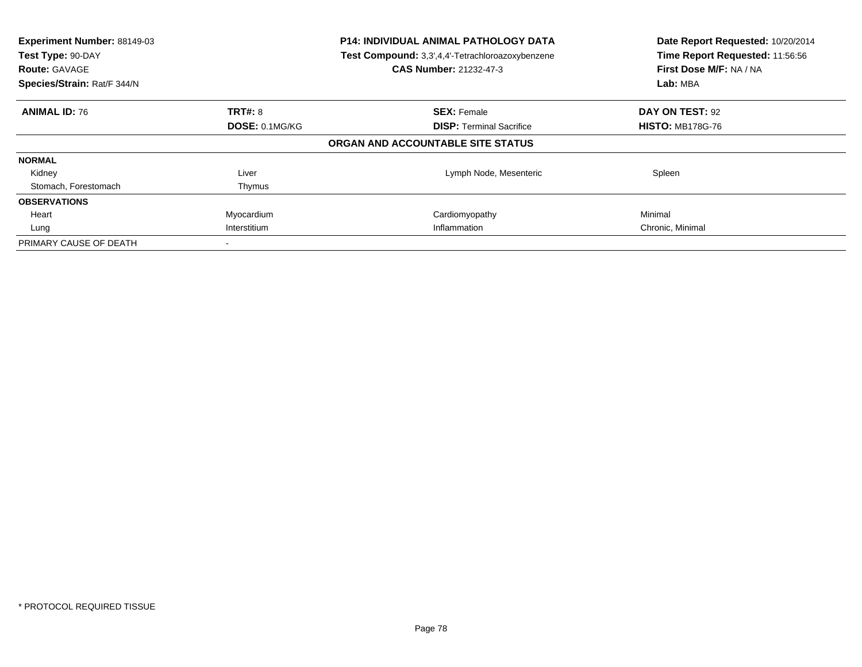| Experiment Number: 88149-03<br>Test Type: 90-DAY<br><b>Route: GAVAGE</b><br>Species/Strain: Rat/F 344/N |                       | <b>P14: INDIVIDUAL ANIMAL PATHOLOGY DATA</b><br>Test Compound: 3,3',4,4'-Tetrachloroazoxybenzene<br><b>CAS Number: 21232-47-3</b> | Date Report Requested: 10/20/2014<br>Time Report Requested: 11:56:56<br>First Dose M/F: NA / NA<br>Lab: MBA |
|---------------------------------------------------------------------------------------------------------|-----------------------|-----------------------------------------------------------------------------------------------------------------------------------|-------------------------------------------------------------------------------------------------------------|
| <b>ANIMAL ID: 76</b>                                                                                    | <b>TRT#: 8</b>        | <b>SEX: Female</b>                                                                                                                | DAY ON TEST: 92                                                                                             |
|                                                                                                         | <b>DOSE: 0.1MG/KG</b> | <b>DISP:</b> Terminal Sacrifice                                                                                                   | <b>HISTO: MB178G-76</b>                                                                                     |
|                                                                                                         |                       | ORGAN AND ACCOUNTABLE SITE STATUS                                                                                                 |                                                                                                             |
| <b>NORMAL</b>                                                                                           |                       |                                                                                                                                   |                                                                                                             |
| Kidney                                                                                                  | Liver                 | Lymph Node, Mesenteric                                                                                                            | Spleen                                                                                                      |
| Stomach, Forestomach                                                                                    | Thymus                |                                                                                                                                   |                                                                                                             |
| <b>OBSERVATIONS</b>                                                                                     |                       |                                                                                                                                   |                                                                                                             |
| Heart                                                                                                   | Myocardium            | Cardiomyopathy                                                                                                                    | Minimal                                                                                                     |
| Lung                                                                                                    | Interstitium          | Inflammation                                                                                                                      | Chronic, Minimal                                                                                            |
| PRIMARY CAUSE OF DEATH                                                                                  |                       |                                                                                                                                   |                                                                                                             |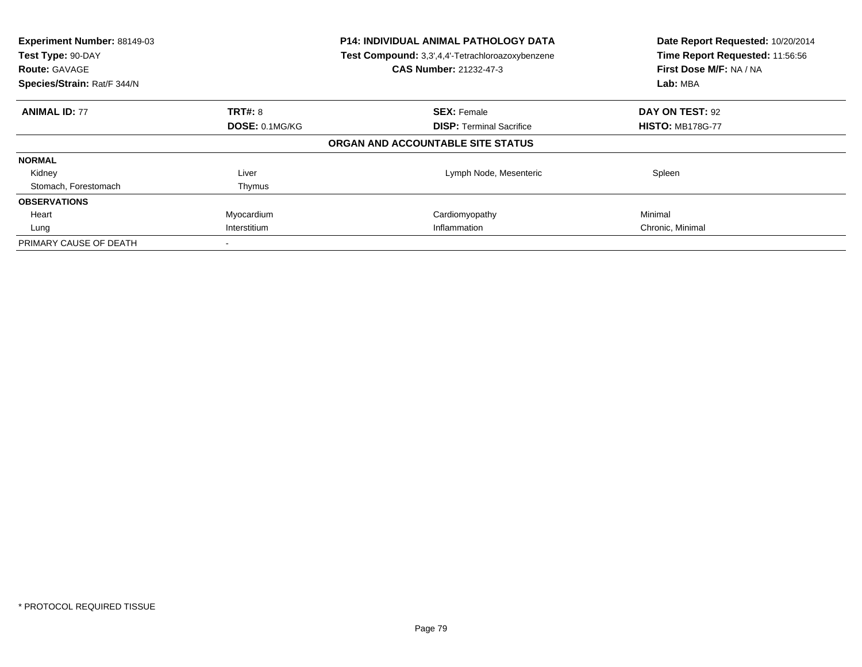| Experiment Number: 88149-03<br>Test Type: 90-DAY<br><b>Route: GAVAGE</b><br>Species/Strain: Rat/F 344/N | <b>P14: INDIVIDUAL ANIMAL PATHOLOGY DATA</b><br>Test Compound: 3,3',4,4'-Tetrachloroazoxybenzene<br><b>CAS Number: 21232-47-3</b> |                                   | Date Report Requested: 10/20/2014<br>Time Report Requested: 11:56:56<br>First Dose M/F: NA / NA<br>Lab: MBA |
|---------------------------------------------------------------------------------------------------------|-----------------------------------------------------------------------------------------------------------------------------------|-----------------------------------|-------------------------------------------------------------------------------------------------------------|
| <b>ANIMAL ID: 77</b>                                                                                    | TRT#: 8                                                                                                                           | <b>SEX: Female</b>                | DAY ON TEST: 92                                                                                             |
|                                                                                                         | DOSE: 0.1MG/KG                                                                                                                    | <b>DISP:</b> Terminal Sacrifice   | <b>HISTO: MB178G-77</b>                                                                                     |
|                                                                                                         |                                                                                                                                   | ORGAN AND ACCOUNTABLE SITE STATUS |                                                                                                             |
| <b>NORMAL</b>                                                                                           |                                                                                                                                   |                                   |                                                                                                             |
| Kidney                                                                                                  | Liver                                                                                                                             | Lymph Node, Mesenteric            | Spleen                                                                                                      |
| Stomach, Forestomach                                                                                    | Thymus                                                                                                                            |                                   |                                                                                                             |
| <b>OBSERVATIONS</b>                                                                                     |                                                                                                                                   |                                   |                                                                                                             |
| Heart                                                                                                   | Myocardium                                                                                                                        | Cardiomyopathy                    | Minimal                                                                                                     |
| Lung                                                                                                    | Interstitium                                                                                                                      | Inflammation                      | Chronic, Minimal                                                                                            |
| PRIMARY CAUSE OF DEATH                                                                                  |                                                                                                                                   |                                   |                                                                                                             |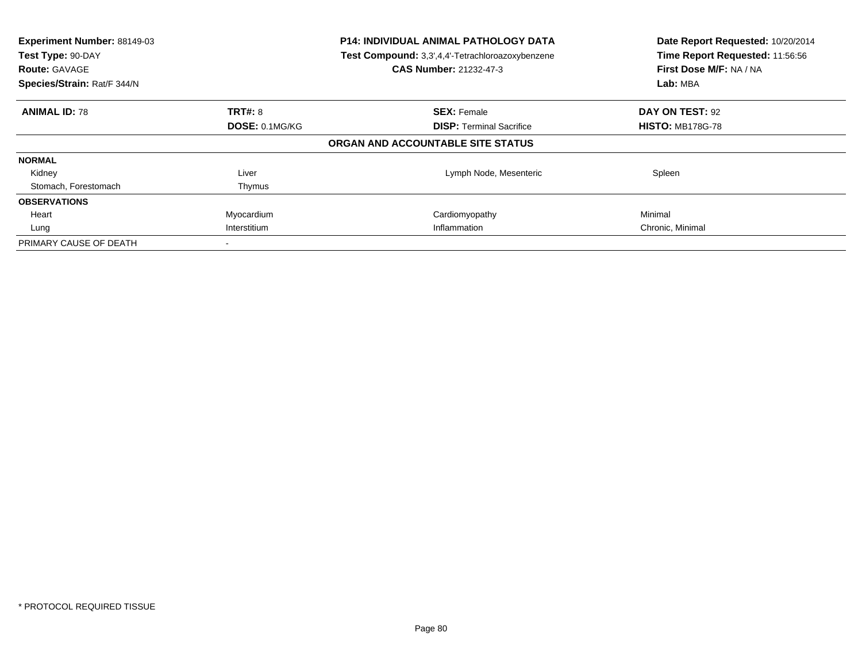| Experiment Number: 88149-03<br>Test Type: 90-DAY<br><b>Route: GAVAGE</b><br>Species/Strain: Rat/F 344/N |                       | <b>P14: INDIVIDUAL ANIMAL PATHOLOGY DATA</b><br>Test Compound: 3,3',4,4'-Tetrachloroazoxybenzene<br><b>CAS Number: 21232-47-3</b> | Date Report Requested: 10/20/2014<br>Time Report Requested: 11:56:56<br>First Dose M/F: NA / NA<br>Lab: MBA |
|---------------------------------------------------------------------------------------------------------|-----------------------|-----------------------------------------------------------------------------------------------------------------------------------|-------------------------------------------------------------------------------------------------------------|
| <b>ANIMAL ID: 78</b>                                                                                    | <b>TRT#: 8</b>        | <b>SEX: Female</b>                                                                                                                | DAY ON TEST: 92                                                                                             |
|                                                                                                         | <b>DOSE: 0.1MG/KG</b> | <b>DISP:</b> Terminal Sacrifice                                                                                                   | <b>HISTO: MB178G-78</b>                                                                                     |
|                                                                                                         |                       | ORGAN AND ACCOUNTABLE SITE STATUS                                                                                                 |                                                                                                             |
| <b>NORMAL</b>                                                                                           |                       |                                                                                                                                   |                                                                                                             |
| Kidney                                                                                                  | Liver                 | Lymph Node, Mesenteric                                                                                                            | Spleen                                                                                                      |
| Stomach, Forestomach                                                                                    | Thymus                |                                                                                                                                   |                                                                                                             |
| <b>OBSERVATIONS</b>                                                                                     |                       |                                                                                                                                   |                                                                                                             |
| Heart                                                                                                   | Myocardium            | Cardiomyopathy                                                                                                                    | Minimal                                                                                                     |
| Lung                                                                                                    | Interstitium          | Inflammation                                                                                                                      | Chronic, Minimal                                                                                            |
| PRIMARY CAUSE OF DEATH                                                                                  |                       |                                                                                                                                   |                                                                                                             |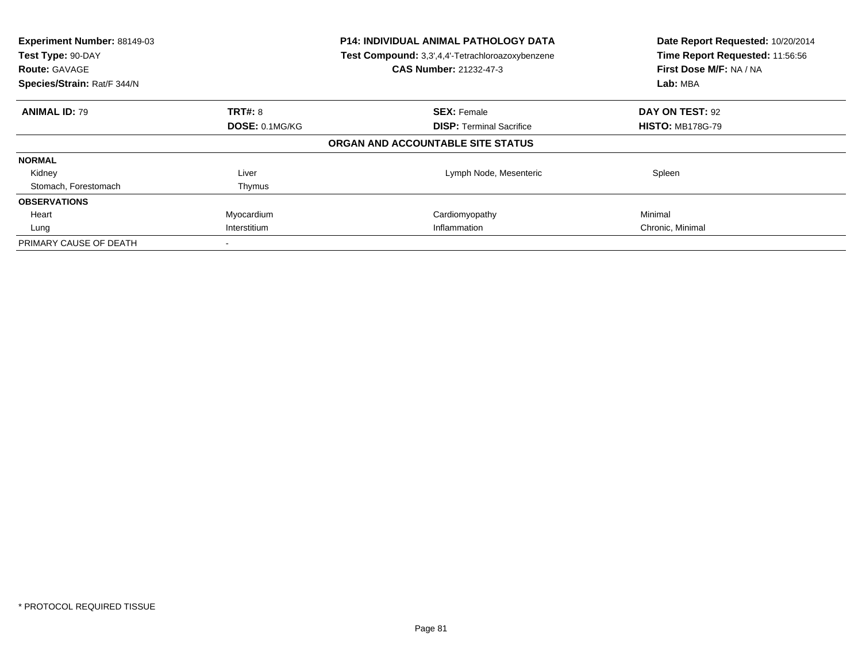| Experiment Number: 88149-03<br>Test Type: 90-DAY<br><b>Route: GAVAGE</b><br>Species/Strain: Rat/F 344/N |                | <b>P14: INDIVIDUAL ANIMAL PATHOLOGY DATA</b><br>Test Compound: 3,3',4,4'-Tetrachloroazoxybenzene<br><b>CAS Number: 21232-47-3</b> | Date Report Requested: 10/20/2014<br>Time Report Requested: 11:56:56<br>First Dose M/F: NA / NA<br>Lab: MBA |
|---------------------------------------------------------------------------------------------------------|----------------|-----------------------------------------------------------------------------------------------------------------------------------|-------------------------------------------------------------------------------------------------------------|
| <b>ANIMAL ID: 79</b>                                                                                    | TRT#: 8        | <b>SEX: Female</b>                                                                                                                | DAY ON TEST: 92                                                                                             |
|                                                                                                         | DOSE: 0.1MG/KG | <b>DISP:</b> Terminal Sacrifice                                                                                                   | <b>HISTO: MB178G-79</b>                                                                                     |
|                                                                                                         |                | ORGAN AND ACCOUNTABLE SITE STATUS                                                                                                 |                                                                                                             |
| <b>NORMAL</b>                                                                                           |                |                                                                                                                                   |                                                                                                             |
| Kidney                                                                                                  | Liver          | Lymph Node, Mesenteric                                                                                                            | Spleen                                                                                                      |
| Stomach, Forestomach                                                                                    | Thymus         |                                                                                                                                   |                                                                                                             |
| <b>OBSERVATIONS</b>                                                                                     |                |                                                                                                                                   |                                                                                                             |
| Heart                                                                                                   | Myocardium     | Cardiomyopathy                                                                                                                    | Minimal                                                                                                     |
| Lung                                                                                                    | Interstitium   | Inflammation                                                                                                                      | Chronic, Minimal                                                                                            |
| PRIMARY CAUSE OF DEATH                                                                                  |                |                                                                                                                                   |                                                                                                             |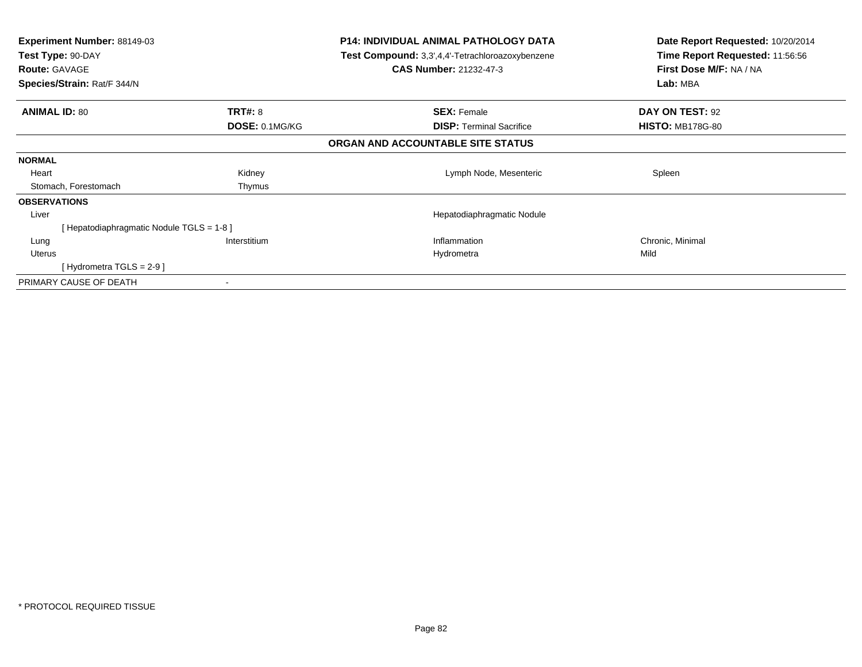| Experiment Number: 88149-03<br>Test Type: 90-DAY<br><b>Route: GAVAGE</b><br>Species/Strain: Rat/F 344/N | <b>P14: INDIVIDUAL ANIMAL PATHOLOGY DATA</b><br>Test Compound: 3,3',4,4'-Tetrachloroazoxybenzene<br><b>CAS Number: 21232-47-3</b> |                                   | Date Report Requested: 10/20/2014<br>Time Report Requested: 11:56:56<br>First Dose M/F: NA / NA<br>Lab: MBA |  |
|---------------------------------------------------------------------------------------------------------|-----------------------------------------------------------------------------------------------------------------------------------|-----------------------------------|-------------------------------------------------------------------------------------------------------------|--|
| <b>ANIMAL ID: 80</b>                                                                                    | <b>TRT#: 8</b>                                                                                                                    | <b>SEX: Female</b>                | DAY ON TEST: 92                                                                                             |  |
|                                                                                                         | DOSE: 0.1MG/KG                                                                                                                    | <b>DISP:</b> Terminal Sacrifice   | <b>HISTO: MB178G-80</b>                                                                                     |  |
|                                                                                                         |                                                                                                                                   | ORGAN AND ACCOUNTABLE SITE STATUS |                                                                                                             |  |
| <b>NORMAL</b>                                                                                           |                                                                                                                                   |                                   |                                                                                                             |  |
| Heart                                                                                                   | Kidney                                                                                                                            | Lymph Node, Mesenteric            | Spleen                                                                                                      |  |
| Stomach, Forestomach                                                                                    | Thymus                                                                                                                            |                                   |                                                                                                             |  |
| <b>OBSERVATIONS</b>                                                                                     |                                                                                                                                   |                                   |                                                                                                             |  |
| Liver                                                                                                   |                                                                                                                                   | Hepatodiaphragmatic Nodule        |                                                                                                             |  |
| [Hepatodiaphragmatic Nodule TGLS = 1-8]                                                                 |                                                                                                                                   |                                   |                                                                                                             |  |
| Lung                                                                                                    | Interstitium                                                                                                                      | Inflammation                      | Chronic, Minimal                                                                                            |  |
| <b>Uterus</b>                                                                                           |                                                                                                                                   | Hydrometra                        | Mild                                                                                                        |  |
| [Hydrometra TGLS = $2-9$ ]                                                                              |                                                                                                                                   |                                   |                                                                                                             |  |
| PRIMARY CAUSE OF DEATH                                                                                  |                                                                                                                                   |                                   |                                                                                                             |  |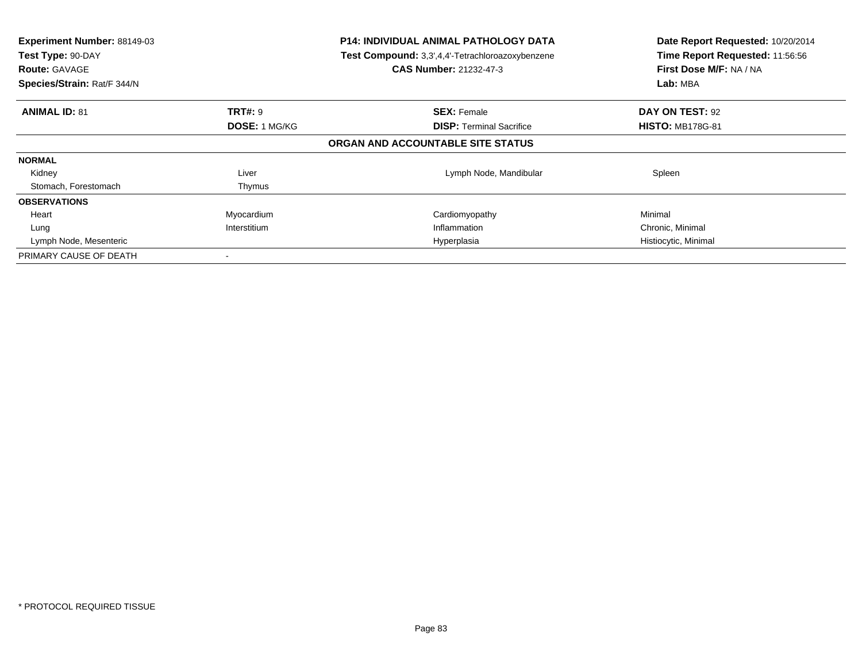| Experiment Number: 88149-03<br>Test Type: 90-DAY<br><b>Route: GAVAGE</b><br>Species/Strain: Rat/F 344/N | <b>P14: INDIVIDUAL ANIMAL PATHOLOGY DATA</b><br>Test Compound: 3,3',4,4'-Tetrachloroazoxybenzene<br>CAS Number: 21232-47-3 |                                   | Date Report Requested: 10/20/2014<br>Time Report Requested: 11:56:56<br>First Dose M/F: NA / NA<br>Lab: MBA |
|---------------------------------------------------------------------------------------------------------|----------------------------------------------------------------------------------------------------------------------------|-----------------------------------|-------------------------------------------------------------------------------------------------------------|
| <b>ANIMAL ID: 81</b>                                                                                    | <b>TRT#: 9</b>                                                                                                             | <b>SEX: Female</b>                | DAY ON TEST: 92                                                                                             |
|                                                                                                         | <b>DOSE: 1 MG/KG</b>                                                                                                       | <b>DISP:</b> Terminal Sacrifice   | <b>HISTO: MB178G-81</b>                                                                                     |
|                                                                                                         |                                                                                                                            | ORGAN AND ACCOUNTABLE SITE STATUS |                                                                                                             |
| <b>NORMAL</b>                                                                                           |                                                                                                                            |                                   |                                                                                                             |
| Kidney                                                                                                  | Liver                                                                                                                      | Lymph Node, Mandibular            | Spleen                                                                                                      |
| Stomach, Forestomach                                                                                    | Thymus                                                                                                                     |                                   |                                                                                                             |
| <b>OBSERVATIONS</b>                                                                                     |                                                                                                                            |                                   |                                                                                                             |
| Heart                                                                                                   | Myocardium                                                                                                                 | Cardiomyopathy                    | Minimal                                                                                                     |
| Lung                                                                                                    | Interstitium                                                                                                               | Inflammation                      | Chronic, Minimal                                                                                            |
| Lymph Node, Mesenteric                                                                                  |                                                                                                                            | Hyperplasia                       | Histiocytic, Minimal                                                                                        |
| PRIMARY CAUSE OF DEATH                                                                                  |                                                                                                                            |                                   |                                                                                                             |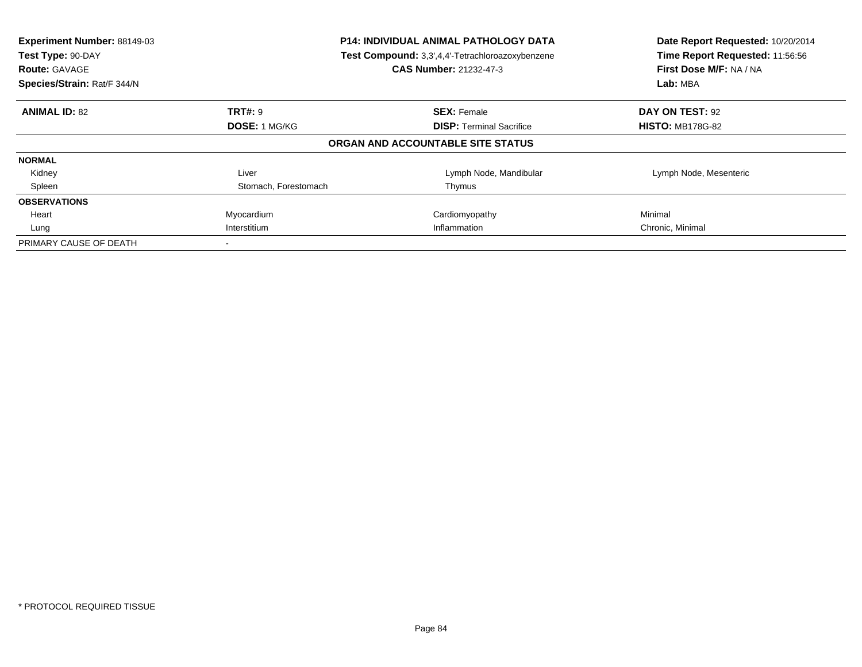| Experiment Number: 88149-03<br>Test Type: 90-DAY<br><b>Route: GAVAGE</b><br>Species/Strain: Rat/F 344/N | <b>P14: INDIVIDUAL ANIMAL PATHOLOGY DATA</b><br>Test Compound: 3,3',4,4'-Tetrachloroazoxybenzene<br><b>CAS Number: 21232-47-3</b> |                                   | Date Report Requested: 10/20/2014<br>Time Report Requested: 11:56:56<br>First Dose M/F: NA / NA<br>Lab: MBA |
|---------------------------------------------------------------------------------------------------------|-----------------------------------------------------------------------------------------------------------------------------------|-----------------------------------|-------------------------------------------------------------------------------------------------------------|
| <b>ANIMAL ID: 82</b>                                                                                    | <b>TRT#: 9</b>                                                                                                                    | <b>SEX: Female</b>                | DAY ON TEST: 92                                                                                             |
|                                                                                                         | <b>DOSE: 1 MG/KG</b>                                                                                                              | <b>DISP:</b> Terminal Sacrifice   | <b>HISTO: MB178G-82</b>                                                                                     |
|                                                                                                         |                                                                                                                                   | ORGAN AND ACCOUNTABLE SITE STATUS |                                                                                                             |
| <b>NORMAL</b>                                                                                           |                                                                                                                                   |                                   |                                                                                                             |
| Kidney                                                                                                  | Liver                                                                                                                             | Lymph Node, Mandibular            | Lymph Node, Mesenteric                                                                                      |
| Spleen                                                                                                  | Stomach, Forestomach                                                                                                              | Thymus                            |                                                                                                             |
| <b>OBSERVATIONS</b>                                                                                     |                                                                                                                                   |                                   |                                                                                                             |
| Heart                                                                                                   | Myocardium                                                                                                                        | Cardiomyopathy                    | Minimal                                                                                                     |
| Lung                                                                                                    | Interstitium                                                                                                                      | Inflammation                      | Chronic, Minimal                                                                                            |
| PRIMARY CAUSE OF DEATH                                                                                  |                                                                                                                                   |                                   |                                                                                                             |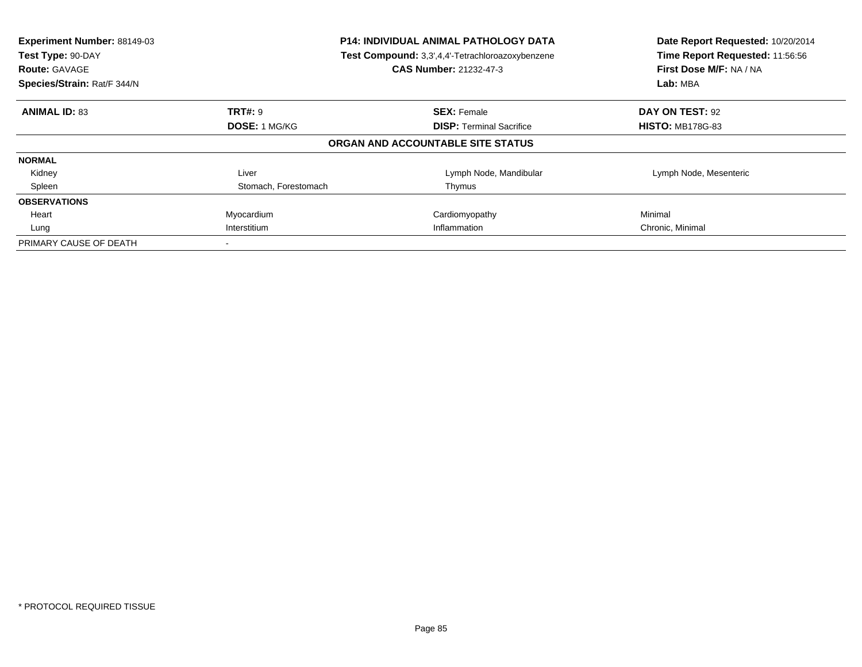| Experiment Number: 88149-03<br>Test Type: 90-DAY<br><b>Route: GAVAGE</b><br>Species/Strain: Rat/F 344/N | <b>P14: INDIVIDUAL ANIMAL PATHOLOGY DATA</b><br>Test Compound: 3,3',4,4'-Tetrachloroazoxybenzene<br><b>CAS Number: 21232-47-3</b> |                                   | Date Report Requested: 10/20/2014<br>Time Report Requested: 11:56:56<br>First Dose M/F: NA / NA<br>Lab: MBA |
|---------------------------------------------------------------------------------------------------------|-----------------------------------------------------------------------------------------------------------------------------------|-----------------------------------|-------------------------------------------------------------------------------------------------------------|
| <b>ANIMAL ID: 83</b>                                                                                    | <b>TRT#: 9</b>                                                                                                                    | <b>SEX: Female</b>                | DAY ON TEST: 92                                                                                             |
|                                                                                                         | DOSE: 1 MG/KG                                                                                                                     | <b>DISP:</b> Terminal Sacrifice   | <b>HISTO: MB178G-83</b>                                                                                     |
|                                                                                                         |                                                                                                                                   | ORGAN AND ACCOUNTABLE SITE STATUS |                                                                                                             |
| <b>NORMAL</b>                                                                                           |                                                                                                                                   |                                   |                                                                                                             |
| Kidney                                                                                                  | Liver                                                                                                                             | Lymph Node, Mandibular            | Lymph Node, Mesenteric                                                                                      |
| Spleen                                                                                                  | Stomach, Forestomach                                                                                                              | Thymus                            |                                                                                                             |
| <b>OBSERVATIONS</b>                                                                                     |                                                                                                                                   |                                   |                                                                                                             |
| Heart                                                                                                   | Myocardium                                                                                                                        | Cardiomyopathy                    | Minimal                                                                                                     |
| Lung                                                                                                    | Interstitium<br>Inflammation                                                                                                      |                                   | Chronic, Minimal                                                                                            |
| PRIMARY CAUSE OF DEATH                                                                                  |                                                                                                                                   |                                   |                                                                                                             |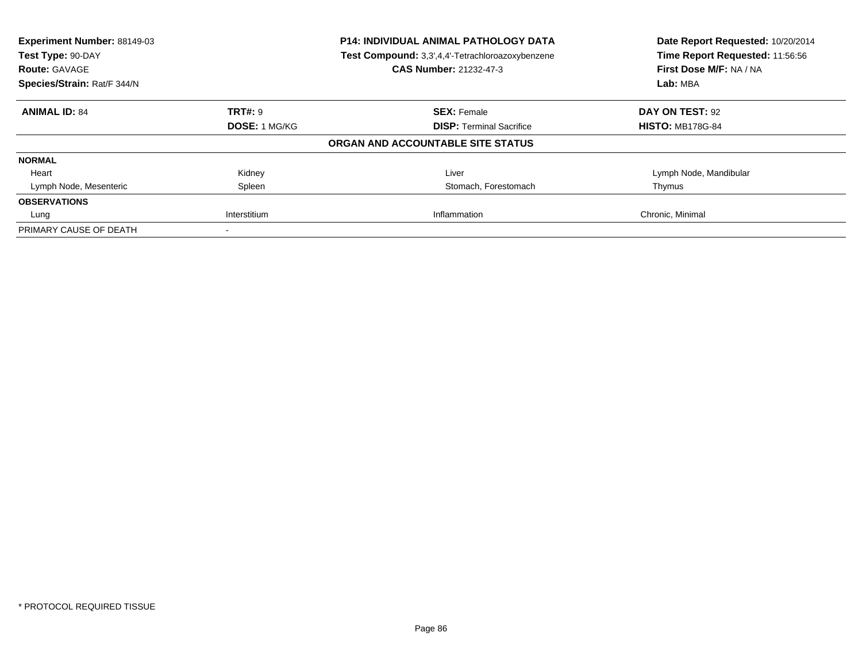| Experiment Number: 88149-03<br>Test Type: 90-DAY<br><b>Route: GAVAGE</b> |                | <b>P14: INDIVIDUAL ANIMAL PATHOLOGY DATA</b><br>Test Compound: 3,3',4,4'-Tetrachloroazoxybenzene<br><b>CAS Number: 21232-47-3</b> | Date Report Requested: 10/20/2014<br>Time Report Requested: 11:56:56<br>First Dose M/F: NA / NA |
|--------------------------------------------------------------------------|----------------|-----------------------------------------------------------------------------------------------------------------------------------|-------------------------------------------------------------------------------------------------|
| Species/Strain: Rat/F 344/N                                              |                |                                                                                                                                   | Lab: MBA                                                                                        |
| <b>ANIMAL ID: 84</b>                                                     | <b>TRT#: 9</b> | <b>SEX: Female</b>                                                                                                                | DAY ON TEST: 92                                                                                 |
|                                                                          | DOSE: 1 MG/KG  | <b>DISP:</b> Terminal Sacrifice                                                                                                   | <b>HISTO: MB178G-84</b>                                                                         |
|                                                                          |                | ORGAN AND ACCOUNTABLE SITE STATUS                                                                                                 |                                                                                                 |
| <b>NORMAL</b>                                                            |                |                                                                                                                                   |                                                                                                 |
| Heart                                                                    | Kidney         | Liver                                                                                                                             | Lymph Node, Mandibular                                                                          |
| Lymph Node, Mesenteric                                                   | Spleen         | Stomach, Forestomach                                                                                                              | Thymus                                                                                          |
| <b>OBSERVATIONS</b>                                                      |                |                                                                                                                                   |                                                                                                 |
| Lung                                                                     | Interstitium   | Inflammation                                                                                                                      | Chronic, Minimal                                                                                |
| PRIMARY CAUSE OF DEATH                                                   |                |                                                                                                                                   |                                                                                                 |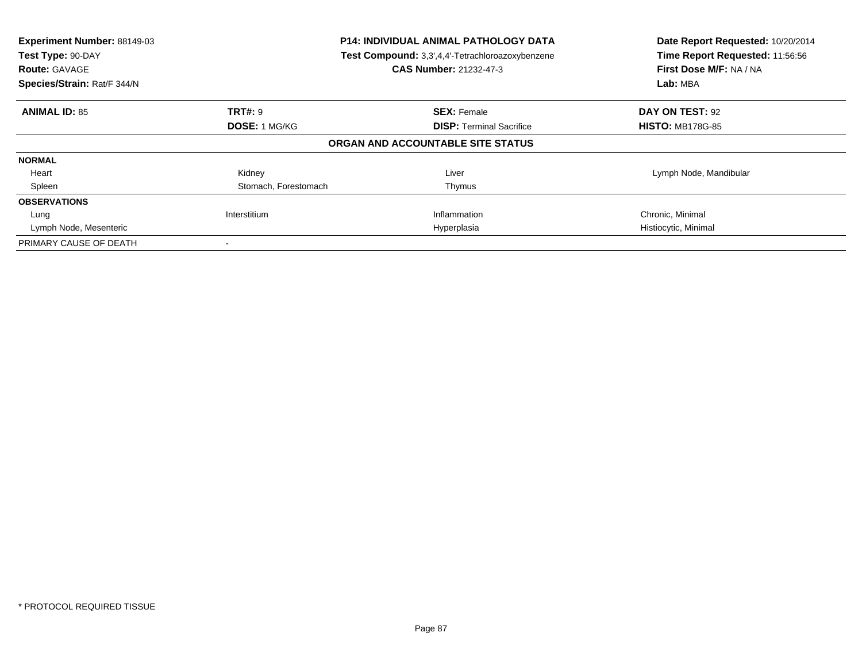| Experiment Number: 88149-03<br>Test Type: 90-DAY<br><b>Route: GAVAGE</b><br>Species/Strain: Rat/F 344/N | <b>P14: INDIVIDUAL ANIMAL PATHOLOGY DATA</b><br>Test Compound: 3,3',4,4'-Tetrachloroazoxybenzene<br><b>CAS Number: 21232-47-3</b> |                                   | Date Report Requested: 10/20/2014<br>Time Report Requested: 11:56:56<br>First Dose M/F: NA / NA<br>Lab: MBA |
|---------------------------------------------------------------------------------------------------------|-----------------------------------------------------------------------------------------------------------------------------------|-----------------------------------|-------------------------------------------------------------------------------------------------------------|
| <b>ANIMAL ID: 85</b>                                                                                    | <b>TRT#: 9</b>                                                                                                                    | <b>SEX: Female</b>                | DAY ON TEST: 92                                                                                             |
|                                                                                                         | <b>DOSE: 1 MG/KG</b>                                                                                                              | <b>DISP:</b> Terminal Sacrifice   | <b>HISTO: MB178G-85</b>                                                                                     |
|                                                                                                         |                                                                                                                                   | ORGAN AND ACCOUNTABLE SITE STATUS |                                                                                                             |
| <b>NORMAL</b>                                                                                           |                                                                                                                                   |                                   |                                                                                                             |
| Heart                                                                                                   | Kidney                                                                                                                            | Liver                             | Lymph Node, Mandibular                                                                                      |
| Spleen                                                                                                  | Stomach, Forestomach                                                                                                              | Thymus                            |                                                                                                             |
| <b>OBSERVATIONS</b>                                                                                     |                                                                                                                                   |                                   |                                                                                                             |
| Lung                                                                                                    | Interstitium                                                                                                                      | Inflammation                      | Chronic, Minimal                                                                                            |
| Lymph Node, Mesenteric                                                                                  |                                                                                                                                   | Hyperplasia                       | Histiocytic, Minimal                                                                                        |
| PRIMARY CAUSE OF DEATH                                                                                  |                                                                                                                                   |                                   |                                                                                                             |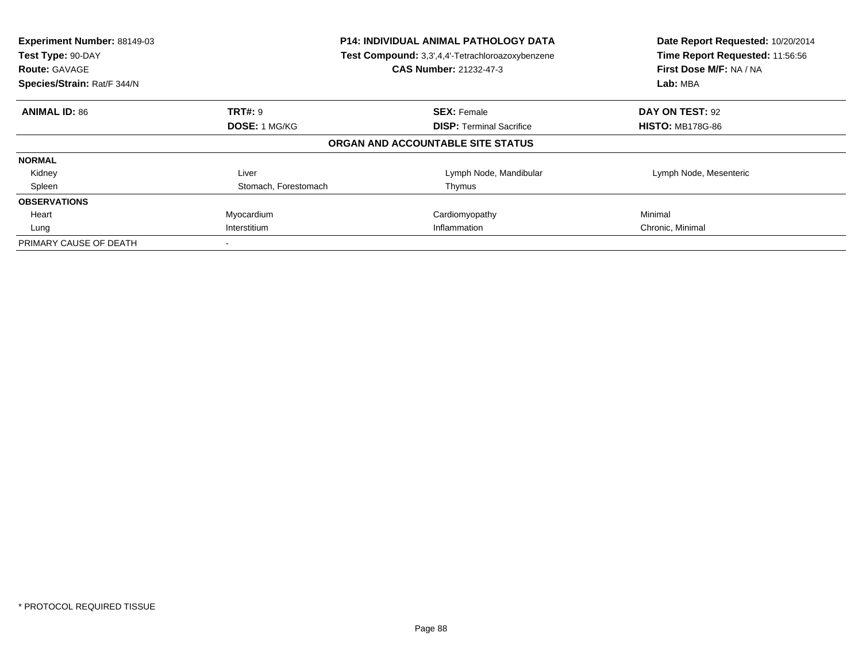| Experiment Number: 88149-03<br>Test Type: 90-DAY<br><b>Route: GAVAGE</b><br>Species/Strain: Rat/F 344/N | <b>P14: INDIVIDUAL ANIMAL PATHOLOGY DATA</b><br>Test Compound: 3,3',4,4'-Tetrachloroazoxybenzene<br><b>CAS Number: 21232-47-3</b> |                                                       | Date Report Requested: 10/20/2014<br>Time Report Requested: 11:56:56<br>First Dose M/F: NA / NA<br>Lab: MBA |
|---------------------------------------------------------------------------------------------------------|-----------------------------------------------------------------------------------------------------------------------------------|-------------------------------------------------------|-------------------------------------------------------------------------------------------------------------|
|                                                                                                         |                                                                                                                                   |                                                       |                                                                                                             |
| <b>ANIMAL ID: 86</b>                                                                                    | <b>TRT#: 9</b><br>DOSE: 1 MG/KG                                                                                                   | <b>SEX: Female</b><br><b>DISP:</b> Terminal Sacrifice | DAY ON TEST: 92<br><b>HISTO: MB178G-86</b>                                                                  |
|                                                                                                         |                                                                                                                                   | ORGAN AND ACCOUNTABLE SITE STATUS                     |                                                                                                             |
| <b>NORMAL</b>                                                                                           |                                                                                                                                   |                                                       |                                                                                                             |
| Kidney                                                                                                  | Liver                                                                                                                             | Lymph Node, Mandibular                                | Lymph Node, Mesenteric                                                                                      |
| Spleen                                                                                                  | Stomach, Forestomach                                                                                                              | Thymus                                                |                                                                                                             |
| <b>OBSERVATIONS</b>                                                                                     |                                                                                                                                   |                                                       |                                                                                                             |
| Heart                                                                                                   | Myocardium                                                                                                                        | Cardiomyopathy                                        | Minimal                                                                                                     |
| Lung                                                                                                    | Interstitium<br>Inflammation                                                                                                      |                                                       | Chronic, Minimal                                                                                            |
| PRIMARY CAUSE OF DEATH                                                                                  |                                                                                                                                   |                                                       |                                                                                                             |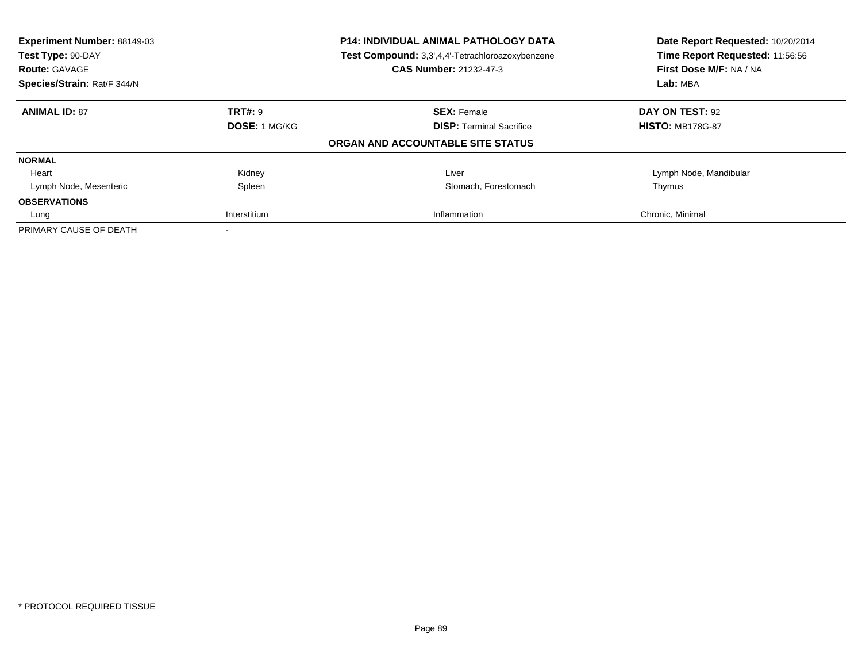| Experiment Number: 88149-03<br>Test Type: 90-DAY<br><b>Route: GAVAGE</b> |                | <b>P14: INDIVIDUAL ANIMAL PATHOLOGY DATA</b><br>Test Compound: 3,3',4,4'-Tetrachloroazoxybenzene<br><b>CAS Number: 21232-47-3</b> | Date Report Requested: 10/20/2014<br>Time Report Requested: 11:56:56<br>First Dose M/F: NA / NA |
|--------------------------------------------------------------------------|----------------|-----------------------------------------------------------------------------------------------------------------------------------|-------------------------------------------------------------------------------------------------|
| Species/Strain: Rat/F 344/N                                              |                |                                                                                                                                   | Lab: MBA                                                                                        |
| <b>ANIMAL ID: 87</b>                                                     | <b>TRT#: 9</b> | <b>SEX: Female</b>                                                                                                                | DAY ON TEST: 92                                                                                 |
|                                                                          | DOSE: 1 MG/KG  | <b>DISP:</b> Terminal Sacrifice                                                                                                   | <b>HISTO: MB178G-87</b>                                                                         |
|                                                                          |                | ORGAN AND ACCOUNTABLE SITE STATUS                                                                                                 |                                                                                                 |
| <b>NORMAL</b>                                                            |                |                                                                                                                                   |                                                                                                 |
| Heart                                                                    | Kidney         | Liver                                                                                                                             | Lymph Node, Mandibular                                                                          |
| Lymph Node, Mesenteric                                                   | Spleen         | Stomach, Forestomach                                                                                                              | Thymus                                                                                          |
| <b>OBSERVATIONS</b>                                                      |                |                                                                                                                                   |                                                                                                 |
| Lung                                                                     | Interstitium   | Inflammation                                                                                                                      | Chronic, Minimal                                                                                |
| PRIMARY CAUSE OF DEATH                                                   |                |                                                                                                                                   |                                                                                                 |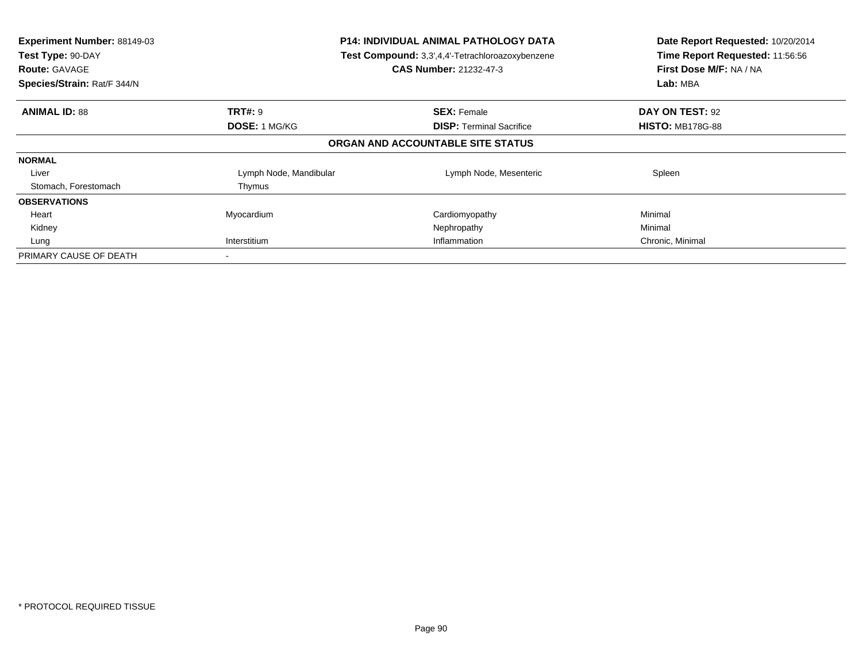| Experiment Number: 88149-03<br>Test Type: 90-DAY<br><b>Route: GAVAGE</b><br>Species/Strain: Rat/F 344/N | <b>P14: INDIVIDUAL ANIMAL PATHOLOGY DATA</b><br>Test Compound: 3,3',4,4'-Tetrachloroazoxybenzene<br><b>CAS Number: 21232-47-3</b> |                                   | Date Report Requested: 10/20/2014<br>Time Report Requested: 11:56:56<br>First Dose M/F: NA / NA<br>Lab: MBA |
|---------------------------------------------------------------------------------------------------------|-----------------------------------------------------------------------------------------------------------------------------------|-----------------------------------|-------------------------------------------------------------------------------------------------------------|
| <b>ANIMAL ID: 88</b>                                                                                    | <b>TRT#: 9</b>                                                                                                                    | <b>SEX: Female</b>                | DAY ON TEST: 92                                                                                             |
|                                                                                                         | <b>DOSE: 1 MG/KG</b>                                                                                                              | <b>DISP: Terminal Sacrifice</b>   | <b>HISTO: MB178G-88</b>                                                                                     |
|                                                                                                         |                                                                                                                                   | ORGAN AND ACCOUNTABLE SITE STATUS |                                                                                                             |
| <b>NORMAL</b>                                                                                           |                                                                                                                                   |                                   |                                                                                                             |
| Liver                                                                                                   | Lymph Node, Mandibular                                                                                                            | Lymph Node, Mesenteric            | Spleen                                                                                                      |
| Stomach, Forestomach                                                                                    | Thymus                                                                                                                            |                                   |                                                                                                             |
| <b>OBSERVATIONS</b>                                                                                     |                                                                                                                                   |                                   |                                                                                                             |
| Heart                                                                                                   | Myocardium                                                                                                                        | Cardiomyopathy                    | Minimal                                                                                                     |
| Kidney                                                                                                  |                                                                                                                                   | Nephropathy                       | Minimal                                                                                                     |
| Lung                                                                                                    | Interstitium                                                                                                                      | Inflammation                      | Chronic, Minimal                                                                                            |
| PRIMARY CAUSE OF DEATH                                                                                  |                                                                                                                                   |                                   |                                                                                                             |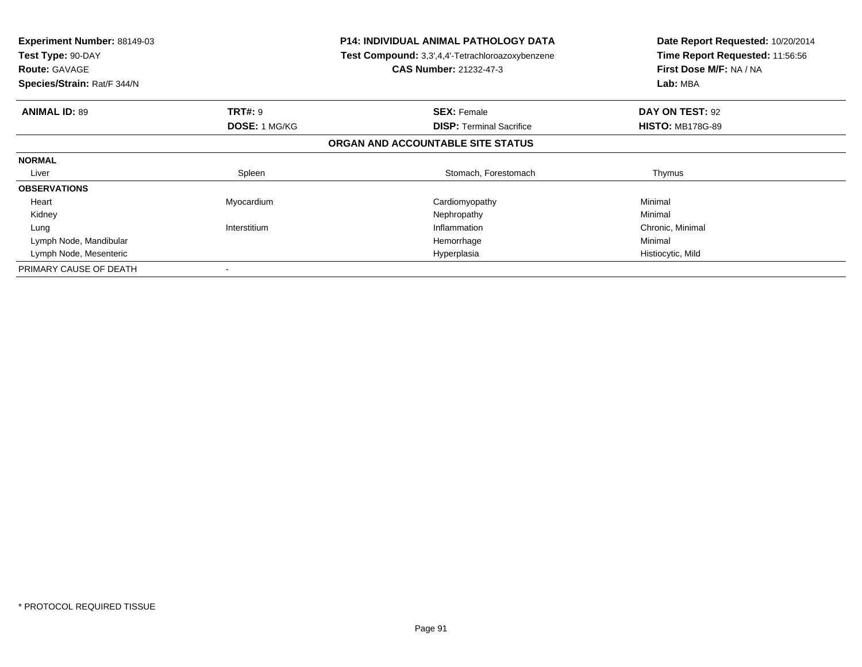| <b>Experiment Number: 88149-03</b><br>Test Type: 90-DAY<br><b>Route: GAVAGE</b><br>Species/Strain: Rat/F 344/N |                      | <b>P14: INDIVIDUAL ANIMAL PATHOLOGY DATA</b><br><b>Test Compound:</b> 3,3',4,4'-Tetrachloroazoxybenzene<br><b>CAS Number: 21232-47-3</b> | Date Report Requested: 10/20/2014<br>Time Report Requested: 11:56:56<br>First Dose M/F: NA / NA<br>Lab: MBA |
|----------------------------------------------------------------------------------------------------------------|----------------------|------------------------------------------------------------------------------------------------------------------------------------------|-------------------------------------------------------------------------------------------------------------|
| <b>ANIMAL ID: 89</b>                                                                                           | <b>TRT#: 9</b>       | <b>SEX: Female</b>                                                                                                                       | DAY ON TEST: 92                                                                                             |
|                                                                                                                | <b>DOSE: 1 MG/KG</b> | <b>DISP:</b> Terminal Sacrifice                                                                                                          | <b>HISTO: MB178G-89</b>                                                                                     |
|                                                                                                                |                      | ORGAN AND ACCOUNTABLE SITE STATUS                                                                                                        |                                                                                                             |
| <b>NORMAL</b>                                                                                                  |                      |                                                                                                                                          |                                                                                                             |
| Liver                                                                                                          | Spleen               | Stomach, Forestomach                                                                                                                     | Thymus                                                                                                      |
| <b>OBSERVATIONS</b>                                                                                            |                      |                                                                                                                                          |                                                                                                             |
| Heart                                                                                                          | Myocardium           | Cardiomyopathy                                                                                                                           | Minimal                                                                                                     |
| Kidney                                                                                                         |                      | Nephropathy                                                                                                                              | Minimal                                                                                                     |
| Lung                                                                                                           | Interstitium         | Inflammation                                                                                                                             | Chronic, Minimal                                                                                            |
| Lymph Node, Mandibular                                                                                         |                      | Hemorrhage                                                                                                                               | Minimal                                                                                                     |
| Lymph Node, Mesenteric                                                                                         |                      | Hyperplasia                                                                                                                              | Histiocytic, Mild                                                                                           |
| PRIMARY CAUSE OF DEATH                                                                                         |                      |                                                                                                                                          |                                                                                                             |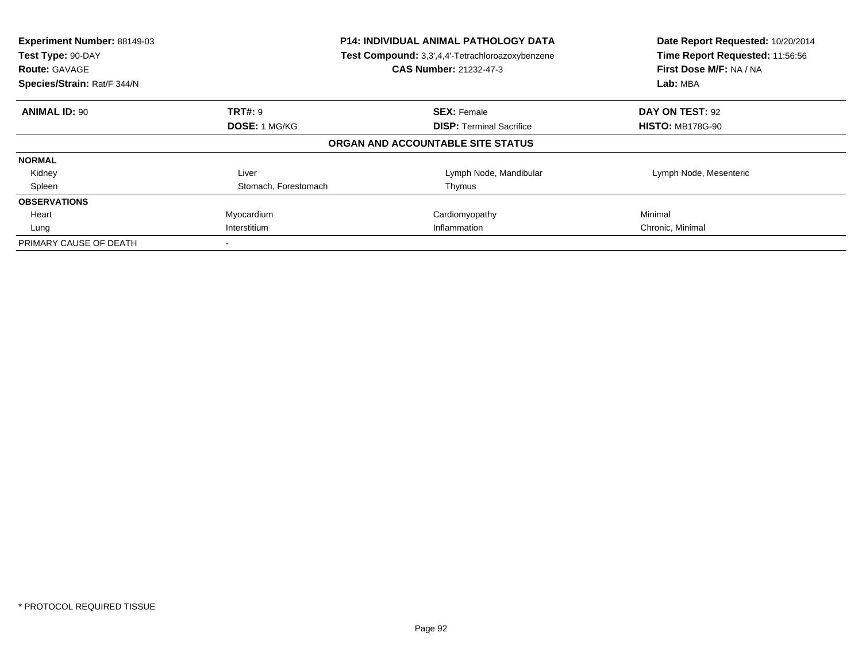| Experiment Number: 88149-03<br>Test Type: 90-DAY<br><b>Route: GAVAGE</b><br>Species/Strain: Rat/F 344/N | <b>P14: INDIVIDUAL ANIMAL PATHOLOGY DATA</b><br>Test Compound: 3,3',4,4'-Tetrachloroazoxybenzene<br><b>CAS Number: 21232-47-3</b> |                                                       | Date Report Requested: 10/20/2014<br>Time Report Requested: 11:56:56<br>First Dose M/F: NA / NA<br>Lab: MBA |
|---------------------------------------------------------------------------------------------------------|-----------------------------------------------------------------------------------------------------------------------------------|-------------------------------------------------------|-------------------------------------------------------------------------------------------------------------|
|                                                                                                         |                                                                                                                                   |                                                       |                                                                                                             |
| <b>ANIMAL ID: 90</b>                                                                                    | <b>TRT#: 9</b><br>DOSE: 1 MG/KG                                                                                                   | <b>SEX: Female</b><br><b>DISP:</b> Terminal Sacrifice | DAY ON TEST: 92<br><b>HISTO: MB178G-90</b>                                                                  |
|                                                                                                         |                                                                                                                                   | ORGAN AND ACCOUNTABLE SITE STATUS                     |                                                                                                             |
| <b>NORMAL</b>                                                                                           |                                                                                                                                   |                                                       |                                                                                                             |
| Kidney                                                                                                  | Liver                                                                                                                             | Lymph Node, Mandibular                                | Lymph Node, Mesenteric                                                                                      |
| Spleen                                                                                                  | Stomach, Forestomach                                                                                                              | Thymus                                                |                                                                                                             |
| <b>OBSERVATIONS</b>                                                                                     |                                                                                                                                   |                                                       |                                                                                                             |
| Heart                                                                                                   | Myocardium                                                                                                                        | Cardiomyopathy                                        | Minimal                                                                                                     |
| Lung                                                                                                    | Interstitium<br>Inflammation                                                                                                      |                                                       | Chronic, Minimal                                                                                            |
| PRIMARY CAUSE OF DEATH                                                                                  |                                                                                                                                   |                                                       |                                                                                                             |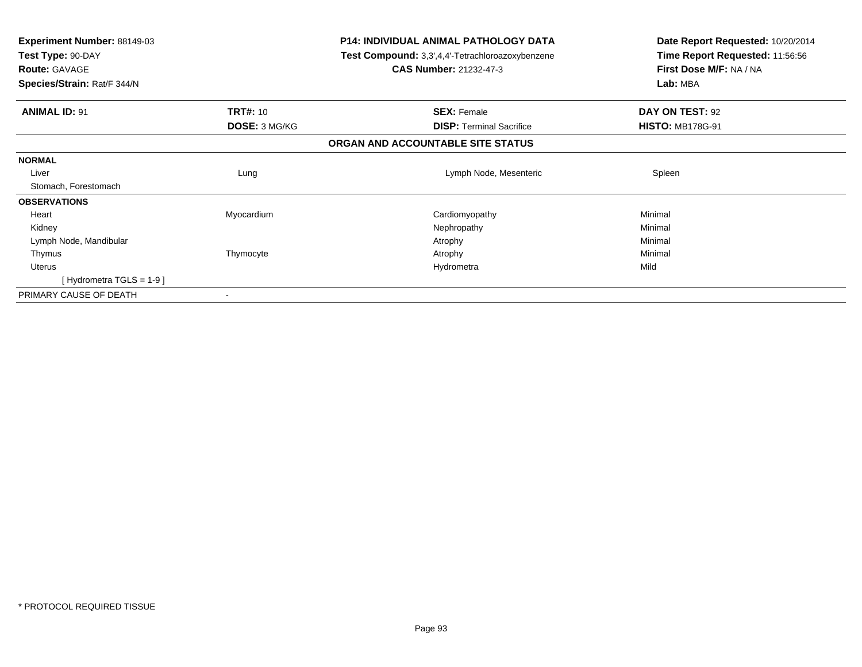| <b>Experiment Number: 88149-03</b><br>Test Type: 90-DAY<br><b>Route: GAVAGE</b> |                 | <b>P14: INDIVIDUAL ANIMAL PATHOLOGY DATA</b><br>Test Compound: 3,3',4,4'-Tetrachloroazoxybenzene<br><b>CAS Number: 21232-47-3</b> | Date Report Requested: 10/20/2014<br>Time Report Requested: 11:56:56<br>First Dose M/F: NA / NA |
|---------------------------------------------------------------------------------|-----------------|-----------------------------------------------------------------------------------------------------------------------------------|-------------------------------------------------------------------------------------------------|
| Species/Strain: Rat/F 344/N                                                     |                 |                                                                                                                                   | Lab: MBA                                                                                        |
| <b>ANIMAL ID: 91</b>                                                            | <b>TRT#: 10</b> | <b>SEX: Female</b>                                                                                                                | DAY ON TEST: 92                                                                                 |
|                                                                                 | DOSE: 3 MG/KG   | <b>DISP:</b> Terminal Sacrifice                                                                                                   | <b>HISTO: MB178G-91</b>                                                                         |
|                                                                                 |                 | ORGAN AND ACCOUNTABLE SITE STATUS                                                                                                 |                                                                                                 |
| <b>NORMAL</b>                                                                   |                 |                                                                                                                                   |                                                                                                 |
| Liver                                                                           | Lung            | Lymph Node, Mesenteric                                                                                                            | Spleen                                                                                          |
| Stomach, Forestomach                                                            |                 |                                                                                                                                   |                                                                                                 |
| <b>OBSERVATIONS</b>                                                             |                 |                                                                                                                                   |                                                                                                 |
| Heart                                                                           | Myocardium      | Cardiomyopathy                                                                                                                    | Minimal                                                                                         |
| Kidney                                                                          |                 | Nephropathy                                                                                                                       | Minimal                                                                                         |
| Lymph Node, Mandibular                                                          |                 | Atrophy                                                                                                                           | Minimal                                                                                         |
| Thymus                                                                          | Thymocyte       | Atrophy                                                                                                                           | Minimal                                                                                         |
| <b>Uterus</b>                                                                   |                 | Hydrometra                                                                                                                        | Mild                                                                                            |
| [Hydrometra TGLS = $1-9$ ]                                                      |                 |                                                                                                                                   |                                                                                                 |
| PRIMARY CAUSE OF DEATH                                                          |                 |                                                                                                                                   |                                                                                                 |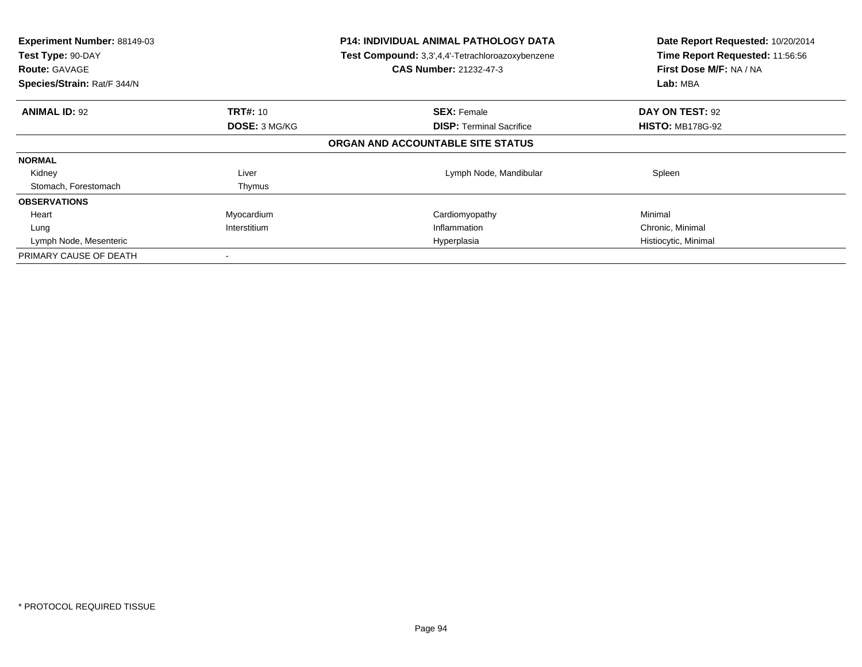| Experiment Number: 88149-03<br>Test Type: 90-DAY<br><b>Route: GAVAGE</b><br>Species/Strain: Rat/F 344/N | <b>P14: INDIVIDUAL ANIMAL PATHOLOGY DATA</b><br>Test Compound: 3,3',4,4'-Tetrachloroazoxybenzene<br>CAS Number: 21232-47-3 |                                   | Date Report Requested: 10/20/2014<br>Time Report Requested: 11:56:56<br>First Dose M/F: NA / NA<br>Lab: MBA |
|---------------------------------------------------------------------------------------------------------|----------------------------------------------------------------------------------------------------------------------------|-----------------------------------|-------------------------------------------------------------------------------------------------------------|
| <b>ANIMAL ID: 92</b>                                                                                    | <b>TRT#: 10</b>                                                                                                            | <b>SEX: Female</b>                | DAY ON TEST: 92                                                                                             |
|                                                                                                         | <b>DOSE: 3 MG/KG</b>                                                                                                       | <b>DISP:</b> Terminal Sacrifice   | <b>HISTO: MB178G-92</b>                                                                                     |
|                                                                                                         |                                                                                                                            | ORGAN AND ACCOUNTABLE SITE STATUS |                                                                                                             |
| <b>NORMAL</b>                                                                                           |                                                                                                                            |                                   |                                                                                                             |
| Kidney                                                                                                  | Liver                                                                                                                      | Lymph Node, Mandibular            | Spleen                                                                                                      |
| Stomach, Forestomach                                                                                    | Thymus                                                                                                                     |                                   |                                                                                                             |
| <b>OBSERVATIONS</b>                                                                                     |                                                                                                                            |                                   |                                                                                                             |
| Heart                                                                                                   | Myocardium                                                                                                                 | Cardiomyopathy                    | Minimal                                                                                                     |
| Lung                                                                                                    | Interstitium                                                                                                               | Inflammation                      | Chronic, Minimal                                                                                            |
| Lymph Node, Mesenteric                                                                                  |                                                                                                                            | Hyperplasia                       | Histiocytic, Minimal                                                                                        |
| PRIMARY CAUSE OF DEATH                                                                                  |                                                                                                                            |                                   |                                                                                                             |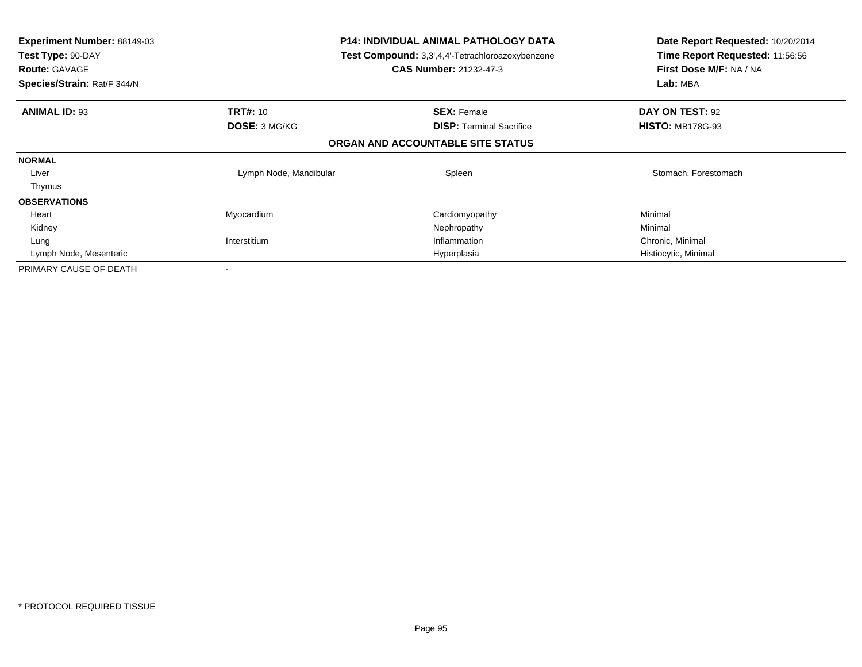| <b>Experiment Number: 88149-03</b><br>Test Type: 90-DAY<br><b>Route: GAVAGE</b><br>Species/Strain: Rat/F 344/N |                        | P14: INDIVIDUAL ANIMAL PATHOLOGY DATA<br><b>Test Compound:</b> 3,3',4,4'-Tetrachloroazoxybenzene<br><b>CAS Number: 21232-47-3</b> | Date Report Requested: 10/20/2014<br>Time Report Requested: 11:56:56<br>First Dose M/F: NA / NA<br>Lab: MBA |
|----------------------------------------------------------------------------------------------------------------|------------------------|-----------------------------------------------------------------------------------------------------------------------------------|-------------------------------------------------------------------------------------------------------------|
| <b>ANIMAL ID: 93</b>                                                                                           | <b>TRT#: 10</b>        | <b>SEX: Female</b>                                                                                                                | DAY ON TEST: 92                                                                                             |
|                                                                                                                | <b>DOSE: 3 MG/KG</b>   | <b>DISP:</b> Terminal Sacrifice                                                                                                   | <b>HISTO: MB178G-93</b>                                                                                     |
|                                                                                                                |                        | ORGAN AND ACCOUNTABLE SITE STATUS                                                                                                 |                                                                                                             |
| <b>NORMAL</b>                                                                                                  |                        |                                                                                                                                   |                                                                                                             |
| Liver                                                                                                          | Lymph Node, Mandibular | Spleen                                                                                                                            | Stomach, Forestomach                                                                                        |
| Thymus                                                                                                         |                        |                                                                                                                                   |                                                                                                             |
| <b>OBSERVATIONS</b>                                                                                            |                        |                                                                                                                                   |                                                                                                             |
| Heart                                                                                                          | Myocardium             | Cardiomyopathy                                                                                                                    | Minimal                                                                                                     |
| Kidney                                                                                                         |                        | Nephropathy                                                                                                                       | Minimal                                                                                                     |
| Lung                                                                                                           | Interstitium           | Inflammation                                                                                                                      | Chronic, Minimal                                                                                            |
| Lymph Node, Mesenteric                                                                                         | Hyperplasia            |                                                                                                                                   | Histiocytic, Minimal                                                                                        |
| PRIMARY CAUSE OF DEATH                                                                                         |                        |                                                                                                                                   |                                                                                                             |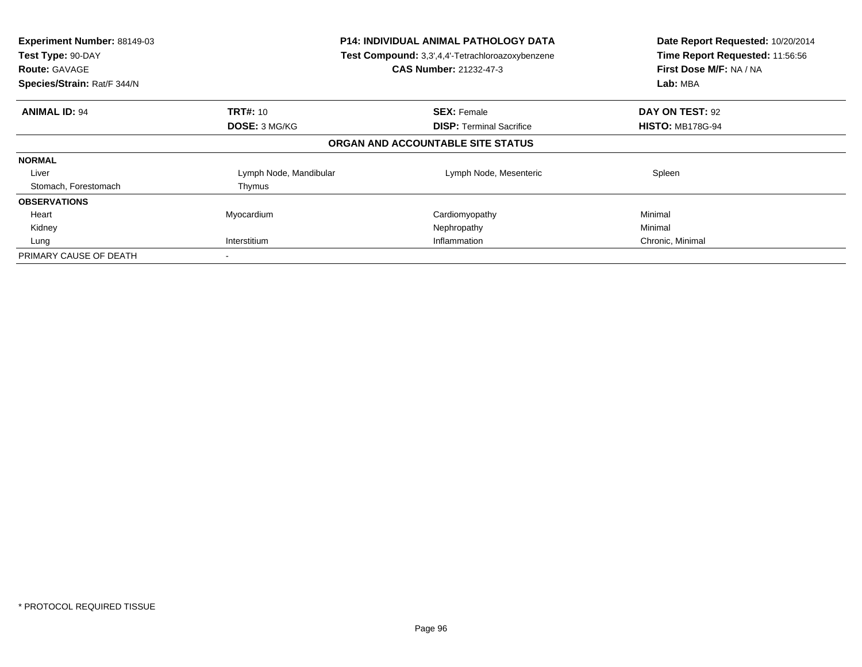| Experiment Number: 88149-03<br>Test Type: 90-DAY<br><b>Route: GAVAGE</b><br>Species/Strain: Rat/F 344/N | P14: INDIVIDUAL ANIMAL PATHOLOGY DATA<br>Test Compound: 3,3',4,4'-Tetrachloroazoxybenzene<br><b>CAS Number: 21232-47-3</b> |                                   | Date Report Requested: 10/20/2014<br>Time Report Requested: 11:56:56<br>First Dose M/F: NA / NA<br>Lab: MBA |
|---------------------------------------------------------------------------------------------------------|----------------------------------------------------------------------------------------------------------------------------|-----------------------------------|-------------------------------------------------------------------------------------------------------------|
| <b>ANIMAL ID: 94</b>                                                                                    | <b>TRT#: 10</b>                                                                                                            | <b>SEX: Female</b>                | DAY ON TEST: 92                                                                                             |
|                                                                                                         | DOSE: 3 MG/KG                                                                                                              | <b>DISP:</b> Terminal Sacrifice   | <b>HISTO: MB178G-94</b>                                                                                     |
|                                                                                                         |                                                                                                                            | ORGAN AND ACCOUNTABLE SITE STATUS |                                                                                                             |
| <b>NORMAL</b>                                                                                           |                                                                                                                            |                                   |                                                                                                             |
| Liver                                                                                                   | Lymph Node, Mandibular                                                                                                     | Lymph Node, Mesenteric            | Spleen                                                                                                      |
| Stomach, Forestomach                                                                                    | Thymus                                                                                                                     |                                   |                                                                                                             |
| <b>OBSERVATIONS</b>                                                                                     |                                                                                                                            |                                   |                                                                                                             |
| Heart                                                                                                   | Myocardium                                                                                                                 | Cardiomyopathy                    | Minimal                                                                                                     |
| Kidney                                                                                                  |                                                                                                                            | Nephropathy                       | Minimal                                                                                                     |
| Lung                                                                                                    | Interstitium<br>Inflammation                                                                                               |                                   | Chronic, Minimal                                                                                            |
| PRIMARY CAUSE OF DEATH                                                                                  |                                                                                                                            |                                   |                                                                                                             |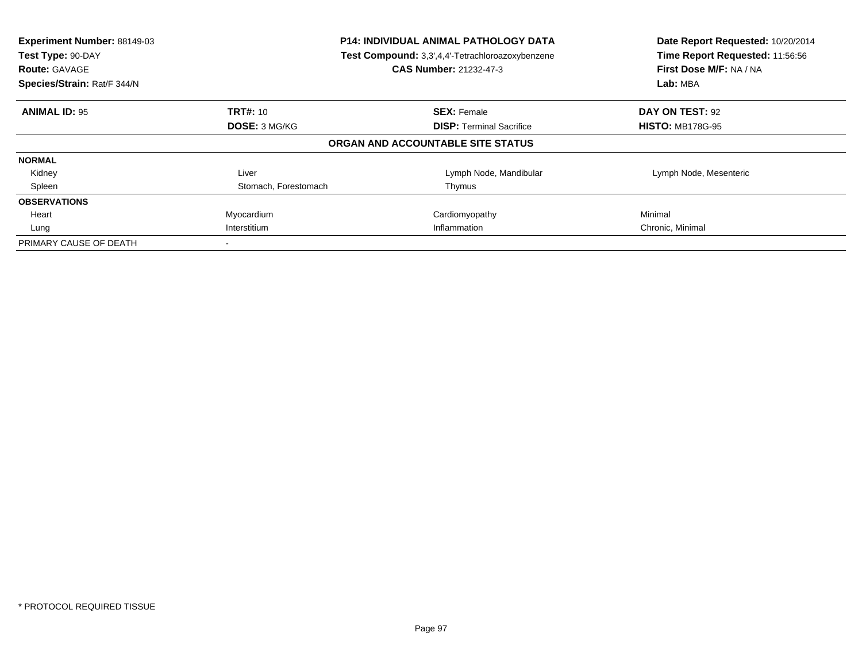| Experiment Number: 88149-03<br>Test Type: 90-DAY<br><b>Route: GAVAGE</b><br>Species/Strain: Rat/F 344/N | <b>P14: INDIVIDUAL ANIMAL PATHOLOGY DATA</b><br>Test Compound: 3,3',4,4'-Tetrachloroazoxybenzene<br><b>CAS Number: 21232-47-3</b> |                                   | Date Report Requested: 10/20/2014<br>Time Report Requested: 11:56:56<br>First Dose M/F: NA / NA<br>Lab: MBA |
|---------------------------------------------------------------------------------------------------------|-----------------------------------------------------------------------------------------------------------------------------------|-----------------------------------|-------------------------------------------------------------------------------------------------------------|
| <b>ANIMAL ID: 95</b>                                                                                    | <b>TRT#: 10</b>                                                                                                                   | <b>SEX: Female</b>                | DAY ON TEST: 92                                                                                             |
|                                                                                                         | DOSE: 3 MG/KG                                                                                                                     | <b>DISP:</b> Terminal Sacrifice   | <b>HISTO: MB178G-95</b>                                                                                     |
|                                                                                                         |                                                                                                                                   | ORGAN AND ACCOUNTABLE SITE STATUS |                                                                                                             |
| <b>NORMAL</b>                                                                                           |                                                                                                                                   |                                   |                                                                                                             |
| Kidney                                                                                                  | Liver                                                                                                                             | Lymph Node, Mandibular            | Lymph Node, Mesenteric                                                                                      |
| Spleen                                                                                                  | Stomach, Forestomach                                                                                                              | Thymus                            |                                                                                                             |
| <b>OBSERVATIONS</b>                                                                                     |                                                                                                                                   |                                   |                                                                                                             |
| Heart                                                                                                   | Myocardium                                                                                                                        | Cardiomyopathy                    | Minimal                                                                                                     |
| Lung                                                                                                    | Interstitium                                                                                                                      | Inflammation                      | Chronic, Minimal                                                                                            |
| PRIMARY CAUSE OF DEATH                                                                                  |                                                                                                                                   |                                   |                                                                                                             |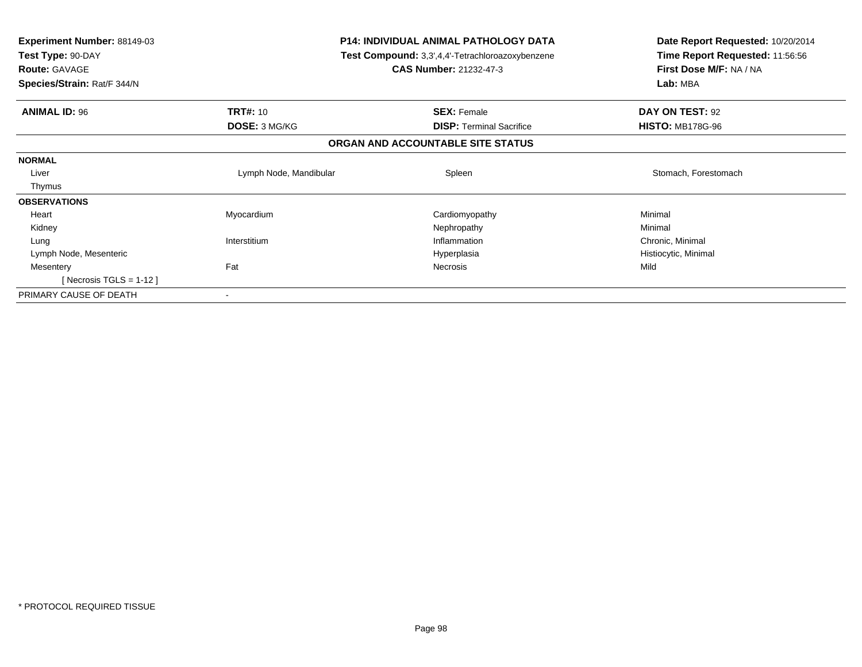| <b>Experiment Number: 88149-03</b><br>Test Type: 90-DAY<br><b>Route: GAVAGE</b><br>Species/Strain: Rat/F 344/N | <b>P14: INDIVIDUAL ANIMAL PATHOLOGY DATA</b><br><b>Test Compound:</b> 3,3',4,4'-Tetrachloroazoxybenzene<br><b>CAS Number: 21232-47-3</b> |                                                       | Date Report Requested: 10/20/2014<br>Time Report Requested: 11:56:56<br>First Dose M/F: NA / NA<br>Lab: MBA |  |
|----------------------------------------------------------------------------------------------------------------|------------------------------------------------------------------------------------------------------------------------------------------|-------------------------------------------------------|-------------------------------------------------------------------------------------------------------------|--|
|                                                                                                                |                                                                                                                                          |                                                       |                                                                                                             |  |
| <b>ANIMAL ID: 96</b>                                                                                           | <b>TRT#: 10</b><br><b>DOSE: 3 MG/KG</b>                                                                                                  | <b>SEX: Female</b><br><b>DISP: Terminal Sacrifice</b> | DAY ON TEST: 92<br><b>HISTO: MB178G-96</b>                                                                  |  |
|                                                                                                                |                                                                                                                                          | ORGAN AND ACCOUNTABLE SITE STATUS                     |                                                                                                             |  |
|                                                                                                                |                                                                                                                                          |                                                       |                                                                                                             |  |
| <b>NORMAL</b>                                                                                                  |                                                                                                                                          |                                                       |                                                                                                             |  |
| Liver                                                                                                          | Lymph Node, Mandibular                                                                                                                   | Spleen                                                | Stomach, Forestomach                                                                                        |  |
| Thymus                                                                                                         |                                                                                                                                          |                                                       |                                                                                                             |  |
| <b>OBSERVATIONS</b>                                                                                            |                                                                                                                                          |                                                       |                                                                                                             |  |
| Heart                                                                                                          | Myocardium                                                                                                                               | Cardiomyopathy                                        | Minimal                                                                                                     |  |
| Kidney                                                                                                         |                                                                                                                                          | Nephropathy                                           | Minimal                                                                                                     |  |
| Lung                                                                                                           | Interstitium                                                                                                                             | Inflammation                                          | Chronic, Minimal                                                                                            |  |
| Lymph Node, Mesenteric                                                                                         |                                                                                                                                          | Hyperplasia                                           | Histiocytic, Minimal                                                                                        |  |
| Mesentery                                                                                                      | Fat                                                                                                                                      | <b>Necrosis</b>                                       | Mild                                                                                                        |  |
| [Necrosis TGLS = $1-12$ ]                                                                                      |                                                                                                                                          |                                                       |                                                                                                             |  |
| PRIMARY CAUSE OF DEATH                                                                                         |                                                                                                                                          |                                                       |                                                                                                             |  |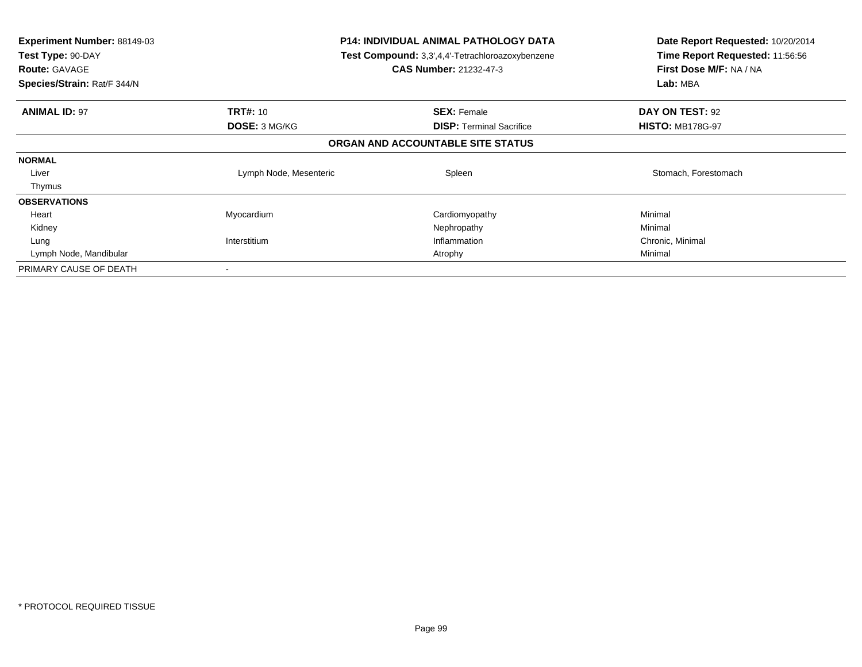| <b>Experiment Number: 88149-03</b><br>Test Type: 90-DAY<br><b>Route: GAVAGE</b><br>Species/Strain: Rat/F 344/N | P14: INDIVIDUAL ANIMAL PATHOLOGY DATA<br><b>Test Compound:</b> 3,3',4,4'-Tetrachloroazoxybenzene<br><b>CAS Number: 21232-47-3</b> |                                   | Date Report Requested: 10/20/2014<br>Time Report Requested: 11:56:56<br>First Dose M/F: NA / NA<br>Lab: MBA |
|----------------------------------------------------------------------------------------------------------------|-----------------------------------------------------------------------------------------------------------------------------------|-----------------------------------|-------------------------------------------------------------------------------------------------------------|
| <b>ANIMAL ID: 97</b>                                                                                           | <b>TRT#: 10</b>                                                                                                                   | <b>SEX: Female</b>                | DAY ON TEST: 92                                                                                             |
|                                                                                                                | <b>DOSE: 3 MG/KG</b>                                                                                                              | <b>DISP:</b> Terminal Sacrifice   | <b>HISTO: MB178G-97</b>                                                                                     |
|                                                                                                                |                                                                                                                                   | ORGAN AND ACCOUNTABLE SITE STATUS |                                                                                                             |
| <b>NORMAL</b>                                                                                                  |                                                                                                                                   |                                   |                                                                                                             |
| Liver                                                                                                          | Lymph Node, Mesenteric                                                                                                            | Spleen                            | Stomach, Forestomach                                                                                        |
| Thymus                                                                                                         |                                                                                                                                   |                                   |                                                                                                             |
| <b>OBSERVATIONS</b>                                                                                            |                                                                                                                                   |                                   |                                                                                                             |
| Heart                                                                                                          | Myocardium                                                                                                                        | Cardiomyopathy                    | Minimal                                                                                                     |
| Kidney                                                                                                         |                                                                                                                                   | Nephropathy                       | Minimal                                                                                                     |
| Lung                                                                                                           | Interstitium                                                                                                                      | Inflammation                      | Chronic, Minimal                                                                                            |
| Lymph Node, Mandibular                                                                                         |                                                                                                                                   | Atrophy                           | Minimal                                                                                                     |
| PRIMARY CAUSE OF DEATH                                                                                         |                                                                                                                                   |                                   |                                                                                                             |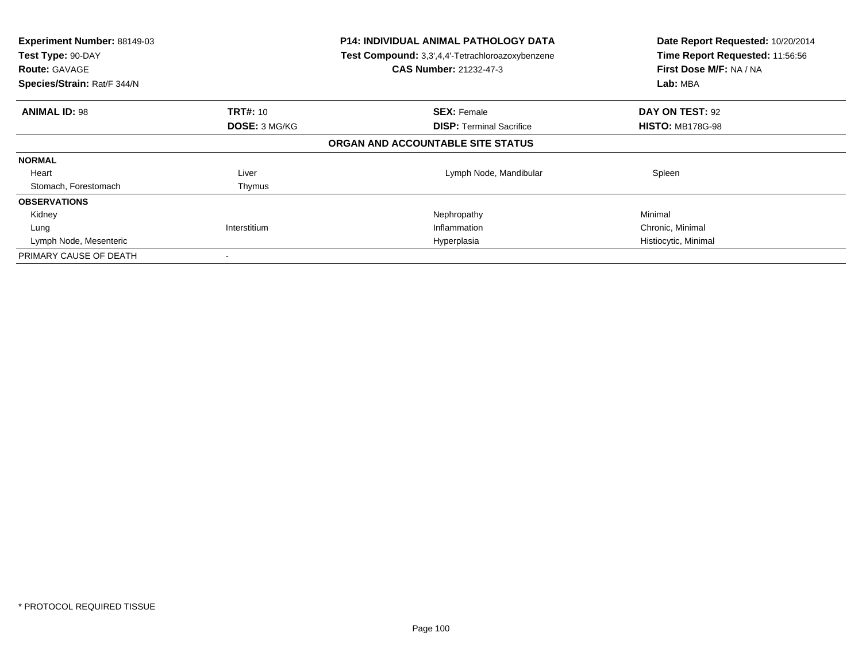| Experiment Number: 88149-03<br>Test Type: 90-DAY<br><b>Route: GAVAGE</b><br>Species/Strain: Rat/F 344/N | <b>P14: INDIVIDUAL ANIMAL PATHOLOGY DATA</b><br>Test Compound: 3,3',4,4'-Tetrachloroazoxybenzene<br><b>CAS Number: 21232-47-3</b> |                                   | Date Report Requested: 10/20/2014<br>Time Report Requested: 11:56:56<br>First Dose M/F: NA / NA<br>Lab: MBA |
|---------------------------------------------------------------------------------------------------------|-----------------------------------------------------------------------------------------------------------------------------------|-----------------------------------|-------------------------------------------------------------------------------------------------------------|
| <b>ANIMAL ID: 98</b>                                                                                    | <b>TRT#: 10</b>                                                                                                                   | <b>SEX: Female</b>                | DAY ON TEST: 92                                                                                             |
|                                                                                                         | <b>DOSE: 3 MG/KG</b>                                                                                                              | <b>DISP:</b> Terminal Sacrifice   | <b>HISTO: MB178G-98</b>                                                                                     |
|                                                                                                         |                                                                                                                                   | ORGAN AND ACCOUNTABLE SITE STATUS |                                                                                                             |
| <b>NORMAL</b>                                                                                           |                                                                                                                                   |                                   |                                                                                                             |
| Heart                                                                                                   | Liver                                                                                                                             | Lymph Node, Mandibular            | Spleen                                                                                                      |
| Stomach, Forestomach                                                                                    | Thymus                                                                                                                            |                                   |                                                                                                             |
| <b>OBSERVATIONS</b>                                                                                     |                                                                                                                                   |                                   |                                                                                                             |
| Kidney                                                                                                  |                                                                                                                                   | Nephropathy                       | Minimal                                                                                                     |
| Lung                                                                                                    | Interstitium                                                                                                                      | Inflammation                      | Chronic, Minimal                                                                                            |
| Lymph Node, Mesenteric                                                                                  |                                                                                                                                   | Hyperplasia                       | Histiocytic, Minimal                                                                                        |
| PRIMARY CAUSE OF DEATH                                                                                  |                                                                                                                                   |                                   |                                                                                                             |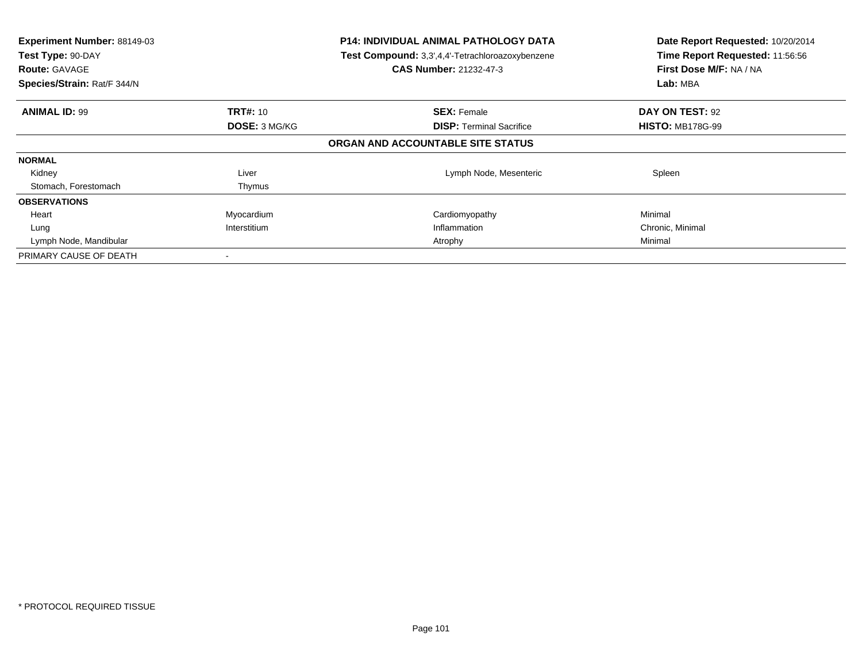| Experiment Number: 88149-03<br>Test Type: 90-DAY<br><b>Route: GAVAGE</b><br>Species/Strain: Rat/F 344/N | <b>P14: INDIVIDUAL ANIMAL PATHOLOGY DATA</b><br>Test Compound: 3,3',4,4'-Tetrachloroazoxybenzene<br><b>CAS Number: 21232-47-3</b> |                                   | Date Report Requested: 10/20/2014<br>Time Report Requested: 11:56:56<br>First Dose M/F: NA / NA<br>Lab: MBA |
|---------------------------------------------------------------------------------------------------------|-----------------------------------------------------------------------------------------------------------------------------------|-----------------------------------|-------------------------------------------------------------------------------------------------------------|
| <b>ANIMAL ID: 99</b>                                                                                    | <b>TRT#: 10</b>                                                                                                                   | <b>SEX: Female</b>                | DAY ON TEST: 92                                                                                             |
|                                                                                                         | <b>DOSE: 3 MG/KG</b>                                                                                                              | <b>DISP:</b> Terminal Sacrifice   | <b>HISTO: MB178G-99</b>                                                                                     |
|                                                                                                         |                                                                                                                                   | ORGAN AND ACCOUNTABLE SITE STATUS |                                                                                                             |
| <b>NORMAL</b>                                                                                           |                                                                                                                                   |                                   |                                                                                                             |
| Kidney                                                                                                  | Liver                                                                                                                             | Lymph Node, Mesenteric            | Spleen                                                                                                      |
| Stomach, Forestomach                                                                                    | Thymus                                                                                                                            |                                   |                                                                                                             |
| <b>OBSERVATIONS</b>                                                                                     |                                                                                                                                   |                                   |                                                                                                             |
| Heart                                                                                                   | Myocardium                                                                                                                        | Cardiomyopathy                    | Minimal                                                                                                     |
| Lung                                                                                                    | Interstitium                                                                                                                      | Inflammation                      | Chronic, Minimal                                                                                            |
| Lymph Node, Mandibular                                                                                  |                                                                                                                                   | Atrophy                           | Minimal                                                                                                     |
| PRIMARY CAUSE OF DEATH                                                                                  |                                                                                                                                   |                                   |                                                                                                             |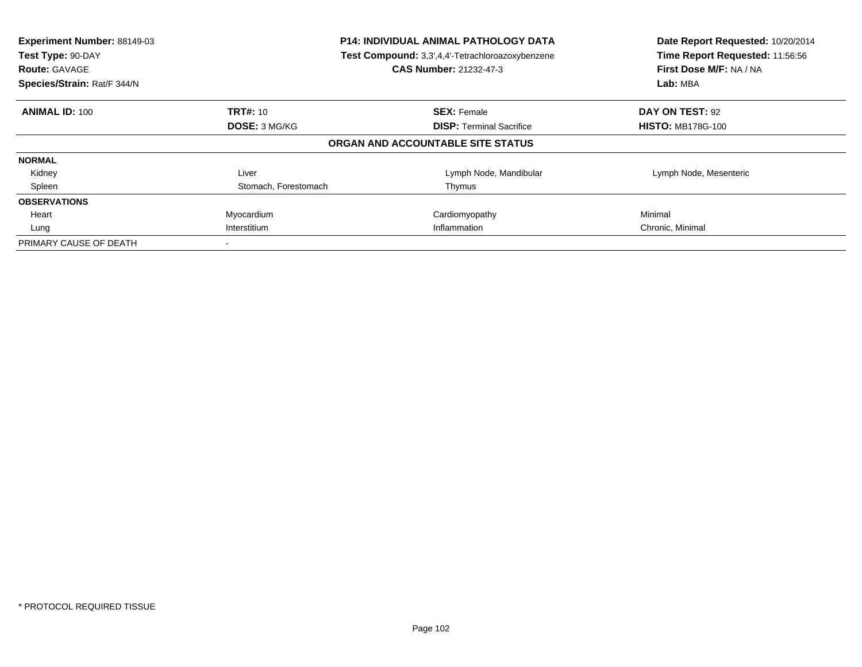| Experiment Number: 88149-03<br>Test Type: 90-DAY<br><b>Route: GAVAGE</b><br>Species/Strain: Rat/F 344/N | <b>P14: INDIVIDUAL ANIMAL PATHOLOGY DATA</b><br>Test Compound: 3,3',4,4'-Tetrachloroazoxybenzene<br><b>CAS Number: 21232-47-3</b> |                                   | Date Report Requested: 10/20/2014<br>Time Report Requested: 11:56:56<br>First Dose M/F: NA / NA<br>Lab: MBA |
|---------------------------------------------------------------------------------------------------------|-----------------------------------------------------------------------------------------------------------------------------------|-----------------------------------|-------------------------------------------------------------------------------------------------------------|
| <b>ANIMAL ID: 100</b>                                                                                   | <b>TRT#: 10</b>                                                                                                                   | <b>SEX: Female</b>                | DAY ON TEST: 92                                                                                             |
|                                                                                                         | DOSE: 3 MG/KG                                                                                                                     | <b>DISP:</b> Terminal Sacrifice   | <b>HISTO: MB178G-100</b>                                                                                    |
|                                                                                                         |                                                                                                                                   | ORGAN AND ACCOUNTABLE SITE STATUS |                                                                                                             |
| <b>NORMAL</b>                                                                                           |                                                                                                                                   |                                   |                                                                                                             |
| Kidney                                                                                                  | Liver                                                                                                                             | Lymph Node, Mandibular            | Lymph Node, Mesenteric                                                                                      |
| Spleen                                                                                                  | Stomach, Forestomach                                                                                                              | Thymus                            |                                                                                                             |
| <b>OBSERVATIONS</b>                                                                                     |                                                                                                                                   |                                   |                                                                                                             |
| Heart                                                                                                   | Myocardium                                                                                                                        | Cardiomyopathy                    | Minimal                                                                                                     |
| Lung                                                                                                    | Interstitium                                                                                                                      | Inflammation                      | Chronic, Minimal                                                                                            |
| PRIMARY CAUSE OF DEATH                                                                                  |                                                                                                                                   |                                   |                                                                                                             |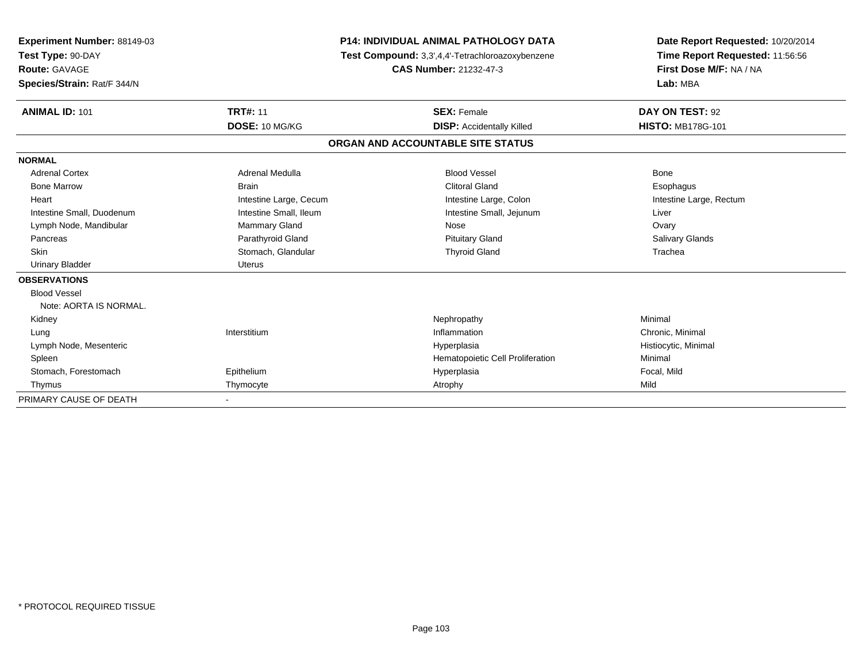| Experiment Number: 88149-03 |                        | <b>P14: INDIVIDUAL ANIMAL PATHOLOGY DATA</b>     | Date Report Requested: 10/20/2014                          |  |
|-----------------------------|------------------------|--------------------------------------------------|------------------------------------------------------------|--|
| Test Type: 90-DAY           |                        | Test Compound: 3,3',4,4'-Tetrachloroazoxybenzene | Time Report Requested: 11:56:56<br>First Dose M/F: NA / NA |  |
| <b>Route: GAVAGE</b>        |                        | <b>CAS Number: 21232-47-3</b>                    |                                                            |  |
| Species/Strain: Rat/F 344/N |                        |                                                  | Lab: MBA                                                   |  |
| <b>ANIMAL ID: 101</b>       | <b>TRT#: 11</b>        | <b>SEX: Female</b>                               | DAY ON TEST: 92                                            |  |
|                             | DOSE: 10 MG/KG         | <b>DISP:</b> Accidentally Killed                 | <b>HISTO: MB178G-101</b>                                   |  |
|                             |                        | ORGAN AND ACCOUNTABLE SITE STATUS                |                                                            |  |
| <b>NORMAL</b>               |                        |                                                  |                                                            |  |
| <b>Adrenal Cortex</b>       | Adrenal Medulla        | <b>Blood Vessel</b>                              | <b>Bone</b>                                                |  |
| <b>Bone Marrow</b>          | <b>Brain</b>           | <b>Clitoral Gland</b>                            | Esophagus                                                  |  |
| Heart                       | Intestine Large, Cecum | Intestine Large, Colon                           | Intestine Large, Rectum                                    |  |
| Intestine Small, Duodenum   | Intestine Small, Ileum | Intestine Small, Jejunum                         | Liver                                                      |  |
| Lymph Node, Mandibular      | <b>Mammary Gland</b>   | Nose                                             | Ovary                                                      |  |
| Pancreas                    | Parathyroid Gland      | <b>Pituitary Gland</b>                           | Salivary Glands                                            |  |
| Skin                        | Stomach, Glandular     | <b>Thyroid Gland</b>                             | Trachea                                                    |  |
| Urinary Bladder             | Uterus                 |                                                  |                                                            |  |
| <b>OBSERVATIONS</b>         |                        |                                                  |                                                            |  |
| <b>Blood Vessel</b>         |                        |                                                  |                                                            |  |
| Note: AORTA IS NORMAL.      |                        |                                                  |                                                            |  |
| Kidney                      |                        | Nephropathy                                      | Minimal                                                    |  |
| Lung                        | Interstitium           | Inflammation                                     | Chronic, Minimal                                           |  |
| Lymph Node, Mesenteric      |                        | Hyperplasia                                      | Histiocytic, Minimal                                       |  |
| Spleen                      |                        | Hematopoietic Cell Proliferation                 | Minimal                                                    |  |
| Stomach, Forestomach        | Epithelium             | Hyperplasia                                      | Focal, Mild                                                |  |
| Thymus                      | Thymocyte              | Atrophy                                          | Mild                                                       |  |
| PRIMARY CAUSE OF DEATH      |                        |                                                  |                                                            |  |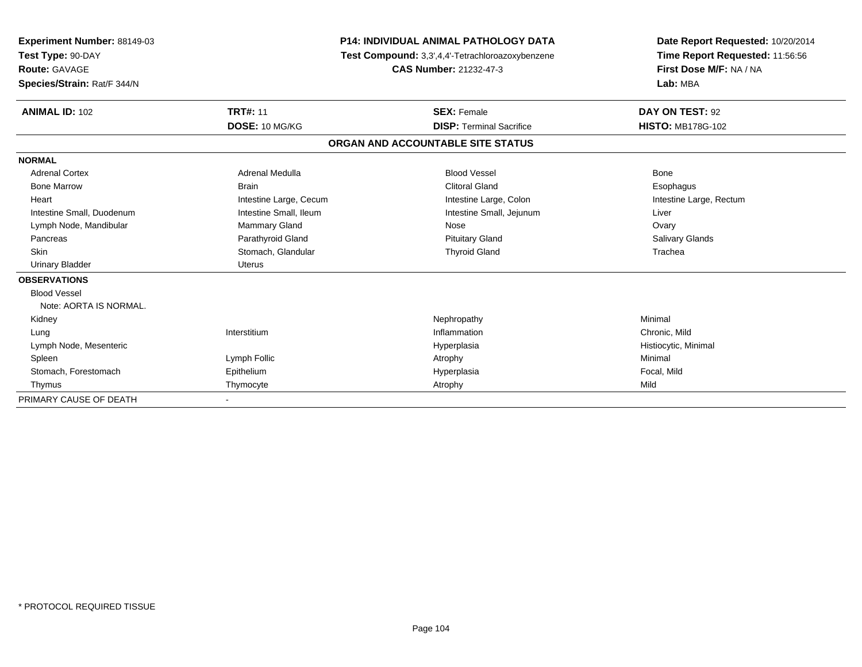| Experiment Number: 88149-03<br>Test Type: 90-DAY |                               | <b>P14: INDIVIDUAL ANIMAL PATHOLOGY DATA</b>     | Date Report Requested: 10/20/2014<br>Time Report Requested: 11:56:56<br>First Dose M/F: NA / NA |  |
|--------------------------------------------------|-------------------------------|--------------------------------------------------|-------------------------------------------------------------------------------------------------|--|
|                                                  |                               | Test Compound: 3,3',4,4'-Tetrachloroazoxybenzene |                                                                                                 |  |
| <b>Route: GAVAGE</b>                             | <b>CAS Number: 21232-47-3</b> |                                                  |                                                                                                 |  |
| Species/Strain: Rat/F 344/N                      |                               |                                                  | Lab: MBA                                                                                        |  |
| <b>ANIMAL ID: 102</b>                            | <b>TRT#: 11</b>               | <b>SEX: Female</b>                               | DAY ON TEST: 92                                                                                 |  |
|                                                  | DOSE: 10 MG/KG                | <b>DISP: Terminal Sacrifice</b>                  | <b>HISTO: MB178G-102</b>                                                                        |  |
|                                                  |                               | ORGAN AND ACCOUNTABLE SITE STATUS                |                                                                                                 |  |
| <b>NORMAL</b>                                    |                               |                                                  |                                                                                                 |  |
| <b>Adrenal Cortex</b>                            | Adrenal Medulla               | <b>Blood Vessel</b>                              | <b>Bone</b>                                                                                     |  |
| <b>Bone Marrow</b>                               | <b>Brain</b>                  | <b>Clitoral Gland</b>                            | Esophagus                                                                                       |  |
| Heart                                            | Intestine Large, Cecum        | Intestine Large, Colon                           | Intestine Large, Rectum                                                                         |  |
| Intestine Small, Duodenum                        | Intestine Small, Ileum        | Intestine Small, Jejunum                         | Liver                                                                                           |  |
| Lymph Node, Mandibular                           | <b>Mammary Gland</b>          | Nose                                             | Ovary                                                                                           |  |
| Pancreas                                         | Parathyroid Gland             | <b>Pituitary Gland</b>                           | Salivary Glands                                                                                 |  |
| Skin                                             | Stomach, Glandular            | <b>Thyroid Gland</b>                             | Trachea                                                                                         |  |
| Urinary Bladder                                  | Uterus                        |                                                  |                                                                                                 |  |
| <b>OBSERVATIONS</b>                              |                               |                                                  |                                                                                                 |  |
| <b>Blood Vessel</b>                              |                               |                                                  |                                                                                                 |  |
| Note: AORTA IS NORMAL.                           |                               |                                                  |                                                                                                 |  |
| Kidney                                           |                               | Nephropathy                                      | Minimal                                                                                         |  |
| Lung                                             | Interstitium                  | Inflammation                                     | Chronic, Mild                                                                                   |  |
| Lymph Node, Mesenteric                           |                               | Hyperplasia                                      | Histiocytic, Minimal                                                                            |  |
| Spleen                                           | Lymph Follic                  | Atrophy                                          | Minimal                                                                                         |  |
| Stomach, Forestomach                             | Epithelium                    | Hyperplasia                                      | Focal, Mild                                                                                     |  |
| Thymus                                           | Thymocyte                     | Atrophy                                          | Mild                                                                                            |  |
| PRIMARY CAUSE OF DEATH                           |                               |                                                  |                                                                                                 |  |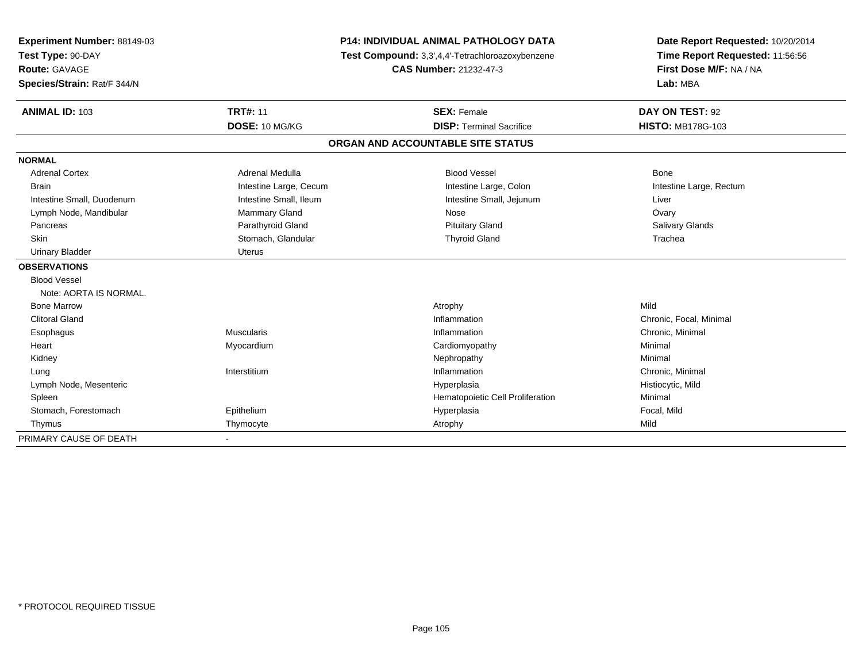| Experiment Number: 88149-03 |                        | <b>P14: INDIVIDUAL ANIMAL PATHOLOGY DATA</b>     | Date Report Requested: 10/20/2014<br>Time Report Requested: 11:56:56 |  |
|-----------------------------|------------------------|--------------------------------------------------|----------------------------------------------------------------------|--|
| Test Type: 90-DAY           |                        | Test Compound: 3,3',4,4'-Tetrachloroazoxybenzene |                                                                      |  |
| <b>Route: GAVAGE</b>        |                        | CAS Number: 21232-47-3                           | First Dose M/F: NA / NA                                              |  |
| Species/Strain: Rat/F 344/N |                        |                                                  | Lab: MBA                                                             |  |
| <b>ANIMAL ID: 103</b>       | <b>TRT#: 11</b>        | <b>SEX: Female</b>                               | DAY ON TEST: 92                                                      |  |
|                             | DOSE: 10 MG/KG         | <b>DISP: Terminal Sacrifice</b>                  | <b>HISTO: MB178G-103</b>                                             |  |
|                             |                        | ORGAN AND ACCOUNTABLE SITE STATUS                |                                                                      |  |
| <b>NORMAL</b>               |                        |                                                  |                                                                      |  |
| <b>Adrenal Cortex</b>       | Adrenal Medulla        | <b>Blood Vessel</b>                              | Bone                                                                 |  |
| <b>Brain</b>                | Intestine Large, Cecum | Intestine Large, Colon                           | Intestine Large, Rectum                                              |  |
| Intestine Small, Duodenum   | Intestine Small, Ileum | Intestine Small, Jejunum                         | Liver                                                                |  |
| Lymph Node, Mandibular      | <b>Mammary Gland</b>   | Nose                                             | Ovary                                                                |  |
| Pancreas                    | Parathyroid Gland      | <b>Pituitary Gland</b>                           | Salivary Glands                                                      |  |
| <b>Skin</b>                 | Stomach, Glandular     | <b>Thyroid Gland</b>                             | Trachea                                                              |  |
| <b>Urinary Bladder</b>      | <b>Uterus</b>          |                                                  |                                                                      |  |
| <b>OBSERVATIONS</b>         |                        |                                                  |                                                                      |  |
| <b>Blood Vessel</b>         |                        |                                                  |                                                                      |  |
| Note: AORTA IS NORMAL.      |                        |                                                  |                                                                      |  |
| <b>Bone Marrow</b>          |                        | Atrophy                                          | Mild                                                                 |  |
| <b>Clitoral Gland</b>       |                        | Inflammation                                     | Chronic, Focal, Minimal                                              |  |
| Esophagus                   | <b>Muscularis</b>      | Inflammation                                     | Chronic, Minimal                                                     |  |
| Heart                       | Myocardium             | Cardiomyopathy                                   | Minimal                                                              |  |
| Kidney                      |                        | Nephropathy                                      | Minimal                                                              |  |
| Lung                        | Interstitium           | Inflammation                                     | Chronic, Minimal                                                     |  |
| Lymph Node, Mesenteric      |                        | Hyperplasia                                      | Histiocytic, Mild                                                    |  |
| Spleen                      |                        | Hematopoietic Cell Proliferation                 | Minimal                                                              |  |
| Stomach, Forestomach        | Epithelium             | Hyperplasia                                      | Focal, Mild                                                          |  |
| Thymus                      | Thymocyte              | Atrophy                                          | Mild                                                                 |  |
| PRIMARY CAUSE OF DEATH      |                        |                                                  |                                                                      |  |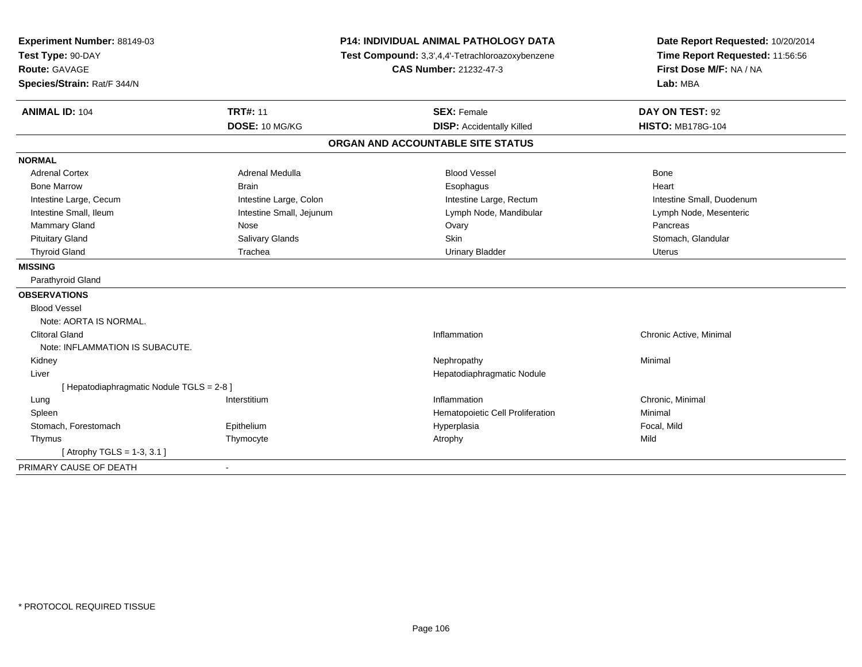| Experiment Number: 88149-03<br>Test Type: 90-DAY |                          | <b>P14: INDIVIDUAL ANIMAL PATHOLOGY DATA</b><br>Test Compound: 3,3',4,4'-Tetrachloroazoxybenzene | Date Report Requested: 10/20/2014<br>Time Report Requested: 11:56:56<br>First Dose M/F: NA / NA |
|--------------------------------------------------|--------------------------|--------------------------------------------------------------------------------------------------|-------------------------------------------------------------------------------------------------|
| Route: GAVAGE                                    |                          | <b>CAS Number: 21232-47-3</b>                                                                    |                                                                                                 |
| Species/Strain: Rat/F 344/N                      |                          |                                                                                                  | Lab: MBA                                                                                        |
| <b>ANIMAL ID: 104</b>                            | <b>TRT#: 11</b>          | <b>SEX: Female</b>                                                                               | DAY ON TEST: 92                                                                                 |
|                                                  | DOSE: 10 MG/KG           | <b>DISP:</b> Accidentally Killed                                                                 | <b>HISTO: MB178G-104</b>                                                                        |
|                                                  |                          | ORGAN AND ACCOUNTABLE SITE STATUS                                                                |                                                                                                 |
| <b>NORMAL</b>                                    |                          |                                                                                                  |                                                                                                 |
| <b>Adrenal Cortex</b>                            | Adrenal Medulla          | <b>Blood Vessel</b>                                                                              | <b>Bone</b>                                                                                     |
| <b>Bone Marrow</b>                               | <b>Brain</b>             | Esophagus                                                                                        | Heart                                                                                           |
| Intestine Large, Cecum                           | Intestine Large, Colon   | Intestine Large, Rectum                                                                          | Intestine Small, Duodenum                                                                       |
| Intestine Small, Ileum                           | Intestine Small, Jejunum | Lymph Node, Mandibular                                                                           | Lymph Node, Mesenteric                                                                          |
| Mammary Gland                                    | Nose                     | Ovary                                                                                            | Pancreas                                                                                        |
| <b>Pituitary Gland</b>                           | Salivary Glands          | Skin                                                                                             | Stomach, Glandular                                                                              |
| <b>Thyroid Gland</b>                             | Trachea                  | <b>Urinary Bladder</b>                                                                           | <b>Uterus</b>                                                                                   |
| <b>MISSING</b>                                   |                          |                                                                                                  |                                                                                                 |
| Parathyroid Gland                                |                          |                                                                                                  |                                                                                                 |
| <b>OBSERVATIONS</b>                              |                          |                                                                                                  |                                                                                                 |
| <b>Blood Vessel</b>                              |                          |                                                                                                  |                                                                                                 |
| Note: AORTA IS NORMAL.                           |                          |                                                                                                  |                                                                                                 |
| <b>Clitoral Gland</b>                            |                          | Inflammation                                                                                     | Chronic Active, Minimal                                                                         |
| Note: INFLAMMATION IS SUBACUTE.                  |                          |                                                                                                  |                                                                                                 |
| Kidney                                           |                          | Nephropathy                                                                                      | Minimal                                                                                         |
| Liver                                            |                          | Hepatodiaphragmatic Nodule                                                                       |                                                                                                 |
| [Hepatodiaphragmatic Nodule TGLS = 2-8]          |                          |                                                                                                  |                                                                                                 |
| Lung                                             | Interstitium             | Inflammation                                                                                     | Chronic, Minimal                                                                                |
| Spleen                                           |                          | Hematopoietic Cell Proliferation                                                                 | Minimal                                                                                         |
| Stomach, Forestomach                             | Epithelium               | Hyperplasia                                                                                      | Focal, Mild                                                                                     |
| Thymus                                           | Thymocyte                | Atrophy                                                                                          | Mild                                                                                            |
| [ Atrophy TGLS = 1-3, 3.1 ]                      |                          |                                                                                                  |                                                                                                 |
| PRIMARY CAUSE OF DEATH                           |                          |                                                                                                  |                                                                                                 |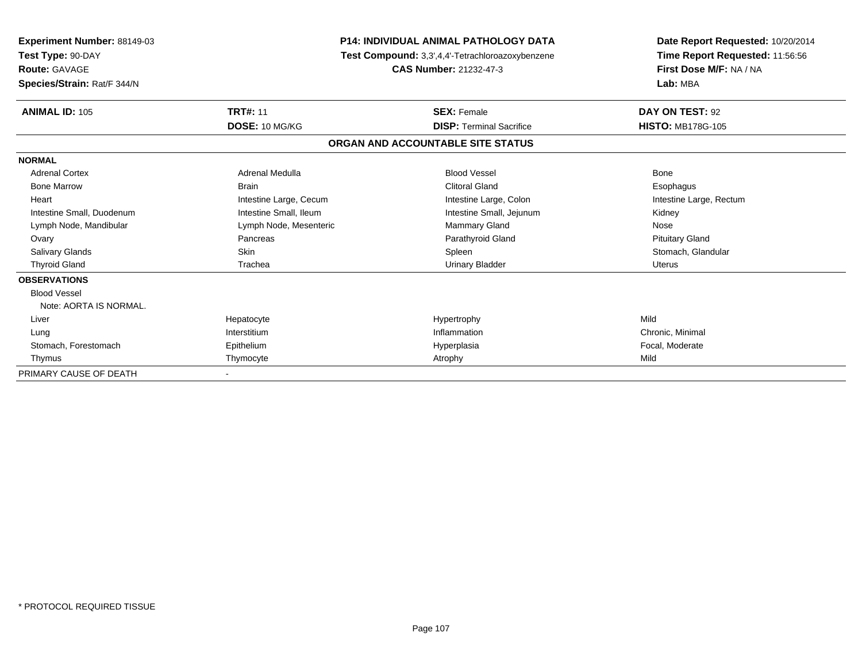| <b>Experiment Number: 88149-03</b><br>Test Type: 90-DAY<br><b>Route: GAVAGE</b><br>Species/Strain: Rat/F 344/N | <b>P14: INDIVIDUAL ANIMAL PATHOLOGY DATA</b><br>Test Compound: 3,3',4,4'-Tetrachloroazoxybenzene<br><b>CAS Number: 21232-47-3</b> |                                   | Date Report Requested: 10/20/2014<br>Time Report Requested: 11:56:56<br>First Dose M/F: NA / NA<br>Lab: MBA |  |
|----------------------------------------------------------------------------------------------------------------|-----------------------------------------------------------------------------------------------------------------------------------|-----------------------------------|-------------------------------------------------------------------------------------------------------------|--|
| <b>ANIMAL ID: 105</b>                                                                                          | <b>TRT#: 11</b>                                                                                                                   | <b>SEX: Female</b>                | DAY ON TEST: 92                                                                                             |  |
|                                                                                                                | DOSE: 10 MG/KG                                                                                                                    | <b>DISP: Terminal Sacrifice</b>   | <b>HISTO: MB178G-105</b>                                                                                    |  |
|                                                                                                                |                                                                                                                                   | ORGAN AND ACCOUNTABLE SITE STATUS |                                                                                                             |  |
| <b>NORMAL</b>                                                                                                  |                                                                                                                                   |                                   |                                                                                                             |  |
| <b>Adrenal Cortex</b>                                                                                          | Adrenal Medulla                                                                                                                   | <b>Blood Vessel</b>               | Bone                                                                                                        |  |
| <b>Bone Marrow</b>                                                                                             | <b>Brain</b>                                                                                                                      | <b>Clitoral Gland</b>             | Esophagus                                                                                                   |  |
| Heart                                                                                                          | Intestine Large, Cecum                                                                                                            | Intestine Large, Colon            | Intestine Large, Rectum                                                                                     |  |
| Intestine Small, Duodenum                                                                                      | Intestine Small, Ileum                                                                                                            | Intestine Small, Jejunum          | Kidney                                                                                                      |  |
| Lymph Node, Mandibular                                                                                         | Lymph Node, Mesenteric                                                                                                            | <b>Mammary Gland</b>              | Nose                                                                                                        |  |
| Ovary                                                                                                          | Pancreas                                                                                                                          | Parathyroid Gland                 | <b>Pituitary Gland</b>                                                                                      |  |
| Salivary Glands                                                                                                | <b>Skin</b>                                                                                                                       | Spleen                            | Stomach, Glandular                                                                                          |  |
| <b>Thyroid Gland</b>                                                                                           | Trachea                                                                                                                           | <b>Urinary Bladder</b>            | <b>Uterus</b>                                                                                               |  |
| <b>OBSERVATIONS</b>                                                                                            |                                                                                                                                   |                                   |                                                                                                             |  |
| <b>Blood Vessel</b>                                                                                            |                                                                                                                                   |                                   |                                                                                                             |  |
| Note: AORTA IS NORMAL.                                                                                         |                                                                                                                                   |                                   |                                                                                                             |  |
| Liver                                                                                                          | Hepatocyte                                                                                                                        | Hypertrophy                       | Mild                                                                                                        |  |
| Lung                                                                                                           | Interstitium                                                                                                                      | Inflammation                      | Chronic, Minimal                                                                                            |  |
| Stomach, Forestomach                                                                                           | Epithelium                                                                                                                        | Hyperplasia                       | Focal, Moderate                                                                                             |  |
| Thymus                                                                                                         | Thymocyte                                                                                                                         | Atrophy                           | Mild                                                                                                        |  |
| PRIMARY CAUSE OF DEATH                                                                                         |                                                                                                                                   |                                   |                                                                                                             |  |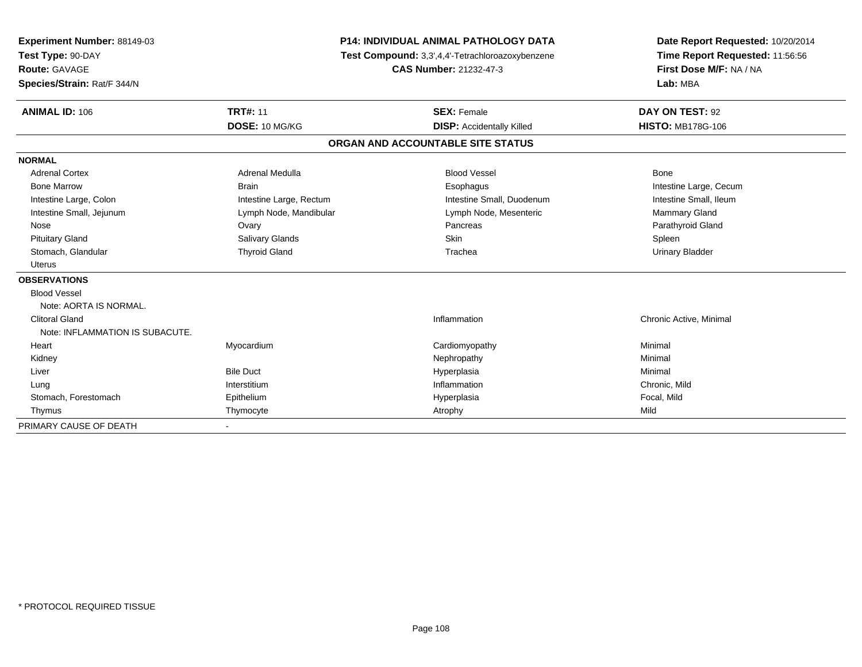| Experiment Number: 88149-03     | <b>P14: INDIVIDUAL ANIMAL PATHOLOGY DATA</b><br>Test Compound: 3,3',4,4'-Tetrachloroazoxybenzene |                                   | Date Report Requested: 10/20/2014<br>Time Report Requested: 11:56:56 |  |
|---------------------------------|--------------------------------------------------------------------------------------------------|-----------------------------------|----------------------------------------------------------------------|--|
| Test Type: 90-DAY               |                                                                                                  |                                   |                                                                      |  |
| <b>Route: GAVAGE</b>            |                                                                                                  | <b>CAS Number: 21232-47-3</b>     | First Dose M/F: NA / NA                                              |  |
| Species/Strain: Rat/F 344/N     |                                                                                                  |                                   | Lab: MBA                                                             |  |
| <b>ANIMAL ID: 106</b>           | <b>TRT#: 11</b>                                                                                  | <b>SEX: Female</b>                | DAY ON TEST: 92                                                      |  |
|                                 | DOSE: 10 MG/KG                                                                                   | <b>DISP:</b> Accidentally Killed  | <b>HISTO: MB178G-106</b>                                             |  |
|                                 |                                                                                                  | ORGAN AND ACCOUNTABLE SITE STATUS |                                                                      |  |
| <b>NORMAL</b>                   |                                                                                                  |                                   |                                                                      |  |
| <b>Adrenal Cortex</b>           | Adrenal Medulla                                                                                  | <b>Blood Vessel</b>               | Bone                                                                 |  |
| <b>Bone Marrow</b>              | <b>Brain</b>                                                                                     | Esophagus                         | Intestine Large, Cecum                                               |  |
| Intestine Large, Colon          | Intestine Large, Rectum                                                                          | Intestine Small, Duodenum         | Intestine Small, Ileum                                               |  |
| Intestine Small, Jejunum        | Lymph Node, Mandibular                                                                           | Lymph Node, Mesenteric            | <b>Mammary Gland</b>                                                 |  |
| Nose                            | Ovary                                                                                            | Pancreas                          | Parathyroid Gland                                                    |  |
| <b>Pituitary Gland</b>          | Salivary Glands                                                                                  | Skin                              | Spleen                                                               |  |
| Stomach, Glandular              | <b>Thyroid Gland</b>                                                                             | Trachea                           | <b>Urinary Bladder</b>                                               |  |
| Uterus                          |                                                                                                  |                                   |                                                                      |  |
| <b>OBSERVATIONS</b>             |                                                                                                  |                                   |                                                                      |  |
| <b>Blood Vessel</b>             |                                                                                                  |                                   |                                                                      |  |
| Note: AORTA IS NORMAL.          |                                                                                                  |                                   |                                                                      |  |
| <b>Clitoral Gland</b>           |                                                                                                  | Inflammation                      | Chronic Active, Minimal                                              |  |
| Note: INFLAMMATION IS SUBACUTE. |                                                                                                  |                                   |                                                                      |  |
| Heart                           | Myocardium                                                                                       | Cardiomyopathy                    | Minimal                                                              |  |
| Kidney                          |                                                                                                  | Nephropathy                       | Minimal                                                              |  |
| Liver                           | <b>Bile Duct</b>                                                                                 | Hyperplasia                       | Minimal                                                              |  |
| Lung                            | Interstitium                                                                                     | Inflammation                      | Chronic, Mild                                                        |  |
| Stomach, Forestomach            | Epithelium                                                                                       | Hyperplasia                       | Focal, Mild                                                          |  |
| Thymus                          | Thymocyte                                                                                        | Atrophy                           | Mild                                                                 |  |
| PRIMARY CAUSE OF DEATH          |                                                                                                  |                                   |                                                                      |  |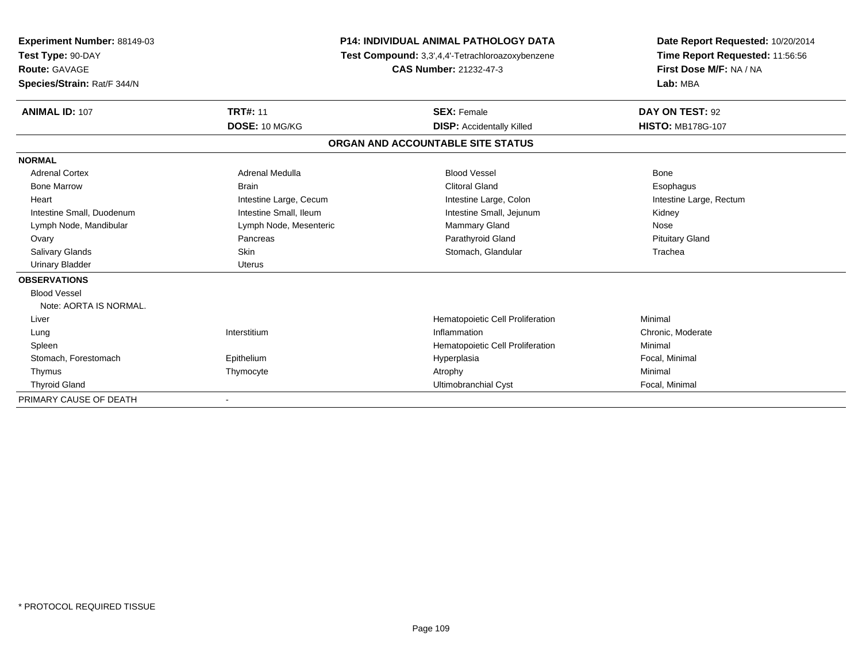| <b>Experiment Number: 88149-03</b> | <b>P14: INDIVIDUAL ANIMAL PATHOLOGY DATA</b> |                                                  | Date Report Requested: 10/20/2014 |  |
|------------------------------------|----------------------------------------------|--------------------------------------------------|-----------------------------------|--|
| Test Type: 90-DAY                  |                                              | Test Compound: 3,3',4,4'-Tetrachloroazoxybenzene | Time Report Requested: 11:56:56   |  |
| Route: GAVAGE                      |                                              | <b>CAS Number: 21232-47-3</b>                    | First Dose M/F: NA / NA           |  |
| Species/Strain: Rat/F 344/N        |                                              |                                                  | Lab: MBA                          |  |
| <b>ANIMAL ID: 107</b>              | <b>TRT#: 11</b>                              | <b>SEX: Female</b>                               | DAY ON TEST: 92                   |  |
|                                    | DOSE: 10 MG/KG                               | <b>DISP:</b> Accidentally Killed                 | <b>HISTO: MB178G-107</b>          |  |
|                                    |                                              | ORGAN AND ACCOUNTABLE SITE STATUS                |                                   |  |
| <b>NORMAL</b>                      |                                              |                                                  |                                   |  |
| <b>Adrenal Cortex</b>              | <b>Adrenal Medulla</b>                       | <b>Blood Vessel</b>                              | Bone                              |  |
| <b>Bone Marrow</b>                 | <b>Brain</b>                                 | <b>Clitoral Gland</b>                            | Esophagus                         |  |
| Heart                              | Intestine Large, Cecum                       | Intestine Large, Colon                           | Intestine Large, Rectum           |  |
| Intestine Small, Duodenum          | Intestine Small, Ileum                       | Intestine Small, Jejunum                         | Kidney                            |  |
| Lymph Node, Mandibular             | Lymph Node, Mesenteric                       | Mammary Gland                                    | Nose                              |  |
| Ovary                              | Pancreas                                     | Parathyroid Gland                                | <b>Pituitary Gland</b>            |  |
| Salivary Glands                    | <b>Skin</b>                                  | Stomach, Glandular                               | Trachea                           |  |
| <b>Urinary Bladder</b>             | Uterus                                       |                                                  |                                   |  |
| <b>OBSERVATIONS</b>                |                                              |                                                  |                                   |  |
| <b>Blood Vessel</b>                |                                              |                                                  |                                   |  |
| Note: AORTA IS NORMAL.             |                                              |                                                  |                                   |  |
| Liver                              |                                              | Hematopoietic Cell Proliferation                 | Minimal                           |  |
| Lung                               | Interstitium                                 | Inflammation                                     | Chronic, Moderate                 |  |
| Spleen                             |                                              | Hematopoietic Cell Proliferation                 | Minimal                           |  |
| Stomach, Forestomach               | Epithelium                                   | Hyperplasia                                      | Focal, Minimal                    |  |
| Thymus                             | Thymocyte                                    | Atrophy                                          | Minimal                           |  |
| <b>Thyroid Gland</b>               |                                              | Ultimobranchial Cyst                             | Focal, Minimal                    |  |
| PRIMARY CAUSE OF DEATH             |                                              |                                                  |                                   |  |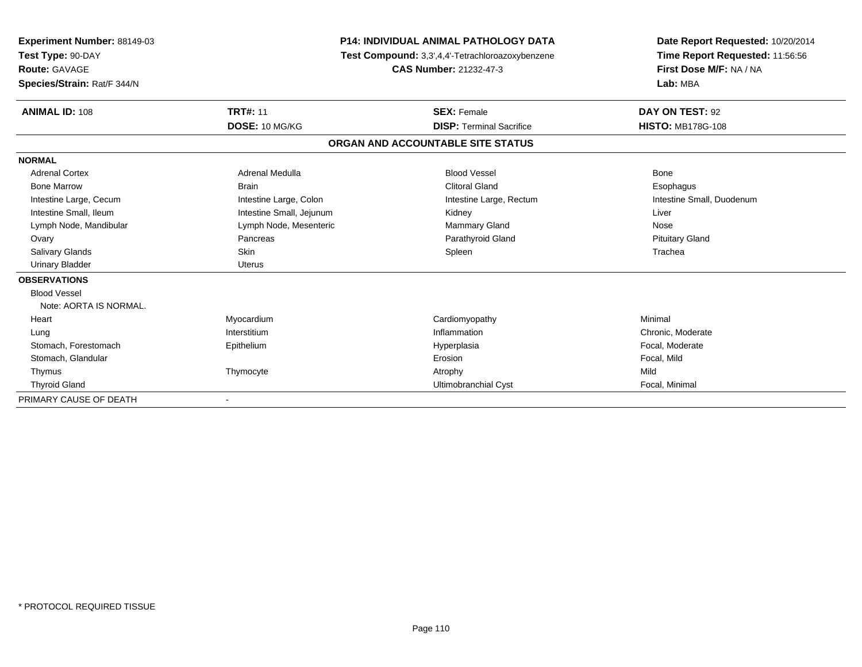| <b>Experiment Number: 88149-03</b><br>Test Type: 90-DAY<br><b>Route: GAVAGE</b><br>Species/Strain: Rat/F 344/N |                          | <b>P14: INDIVIDUAL ANIMAL PATHOLOGY DATA</b><br>Test Compound: 3,3',4,4'-Tetrachloroazoxybenzene<br>CAS Number: 21232-47-3 | Date Report Requested: 10/20/2014<br>Time Report Requested: 11:56:56<br>First Dose M/F: NA / NA<br>Lab: MBA |
|----------------------------------------------------------------------------------------------------------------|--------------------------|----------------------------------------------------------------------------------------------------------------------------|-------------------------------------------------------------------------------------------------------------|
|                                                                                                                |                          |                                                                                                                            |                                                                                                             |
| <b>ANIMAL ID: 108</b>                                                                                          | <b>TRT#: 11</b>          | <b>SEX: Female</b>                                                                                                         | DAY ON TEST: 92                                                                                             |
|                                                                                                                | DOSE: 10 MG/KG           | <b>DISP: Terminal Sacrifice</b>                                                                                            | <b>HISTO: MB178G-108</b>                                                                                    |
|                                                                                                                |                          | ORGAN AND ACCOUNTABLE SITE STATUS                                                                                          |                                                                                                             |
| <b>NORMAL</b>                                                                                                  |                          |                                                                                                                            |                                                                                                             |
| <b>Adrenal Cortex</b>                                                                                          | Adrenal Medulla          | <b>Blood Vessel</b>                                                                                                        | Bone                                                                                                        |
| <b>Bone Marrow</b>                                                                                             | <b>Brain</b>             | <b>Clitoral Gland</b>                                                                                                      | Esophagus                                                                                                   |
| Intestine Large, Cecum                                                                                         | Intestine Large, Colon   | Intestine Large, Rectum                                                                                                    | Intestine Small, Duodenum                                                                                   |
| Intestine Small, Ileum                                                                                         | Intestine Small, Jejunum | Kidney                                                                                                                     | Liver                                                                                                       |
| Lymph Node, Mandibular                                                                                         | Lymph Node, Mesenteric   | Mammary Gland                                                                                                              | Nose                                                                                                        |
| Ovary                                                                                                          | Pancreas                 | Parathyroid Gland                                                                                                          | <b>Pituitary Gland</b>                                                                                      |
| <b>Salivary Glands</b>                                                                                         | Skin                     | Spleen                                                                                                                     | Trachea                                                                                                     |
| <b>Urinary Bladder</b>                                                                                         | <b>Uterus</b>            |                                                                                                                            |                                                                                                             |
| <b>OBSERVATIONS</b>                                                                                            |                          |                                                                                                                            |                                                                                                             |
| <b>Blood Vessel</b>                                                                                            |                          |                                                                                                                            |                                                                                                             |
| Note: AORTA IS NORMAL.                                                                                         |                          |                                                                                                                            |                                                                                                             |
| Heart                                                                                                          | Myocardium               | Cardiomyopathy                                                                                                             | Minimal                                                                                                     |
| Lung                                                                                                           | Interstitium             | Inflammation                                                                                                               | Chronic, Moderate                                                                                           |
| Stomach, Forestomach                                                                                           | Epithelium               | Hyperplasia                                                                                                                | Focal, Moderate                                                                                             |
| Stomach, Glandular                                                                                             |                          | Erosion                                                                                                                    | Focal, Mild                                                                                                 |
| Thymus                                                                                                         | Thymocyte                | Atrophy                                                                                                                    | Mild                                                                                                        |
| <b>Thyroid Gland</b>                                                                                           |                          | Ultimobranchial Cyst                                                                                                       | Focal, Minimal                                                                                              |
| PRIMARY CAUSE OF DEATH                                                                                         |                          |                                                                                                                            |                                                                                                             |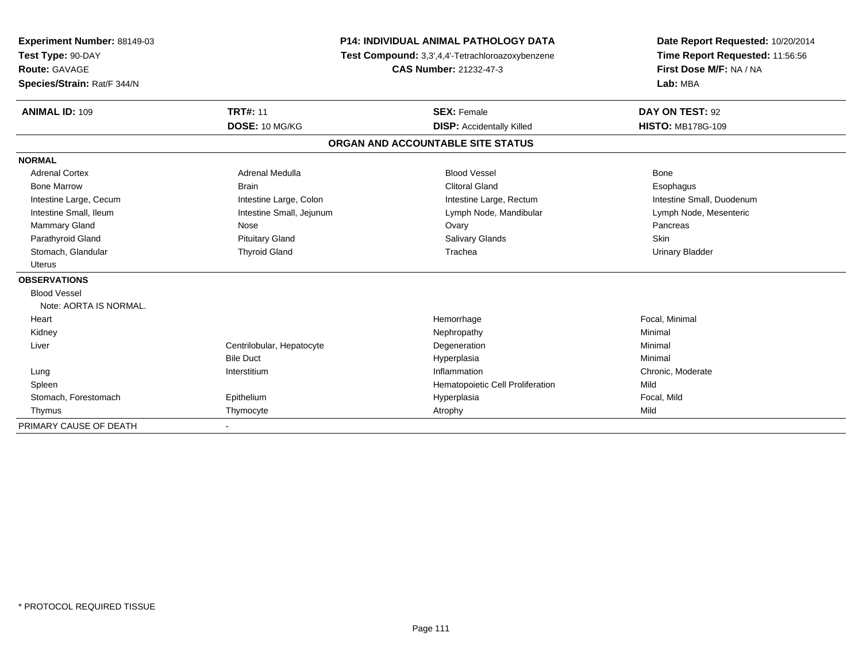| Experiment Number: 88149-03 | <b>P14: INDIVIDUAL ANIMAL PATHOLOGY DATA</b> |                                                  | Date Report Requested: 10/20/2014                          |  |
|-----------------------------|----------------------------------------------|--------------------------------------------------|------------------------------------------------------------|--|
| Test Type: 90-DAY           |                                              | Test Compound: 3,3',4,4'-Tetrachloroazoxybenzene |                                                            |  |
| <b>Route: GAVAGE</b>        |                                              | <b>CAS Number: 21232-47-3</b>                    | Time Report Requested: 11:56:56<br>First Dose M/F: NA / NA |  |
| Species/Strain: Rat/F 344/N |                                              |                                                  | Lab: MBA                                                   |  |
| <b>ANIMAL ID: 109</b>       | <b>TRT#: 11</b>                              | <b>SEX: Female</b>                               | DAY ON TEST: 92                                            |  |
|                             | DOSE: 10 MG/KG                               | <b>DISP:</b> Accidentally Killed                 | <b>HISTO: MB178G-109</b>                                   |  |
|                             |                                              | ORGAN AND ACCOUNTABLE SITE STATUS                |                                                            |  |
| <b>NORMAL</b>               |                                              |                                                  |                                                            |  |
| <b>Adrenal Cortex</b>       | Adrenal Medulla                              | <b>Blood Vessel</b>                              | <b>Bone</b>                                                |  |
| <b>Bone Marrow</b>          | <b>Brain</b>                                 | <b>Clitoral Gland</b>                            | Esophagus                                                  |  |
| Intestine Large, Cecum      | Intestine Large, Colon                       | Intestine Large, Rectum                          | Intestine Small, Duodenum                                  |  |
| Intestine Small, Ileum      | Intestine Small, Jejunum                     | Lymph Node, Mandibular                           | Lymph Node, Mesenteric                                     |  |
| Mammary Gland               | Nose                                         | Ovary                                            | Pancreas                                                   |  |
| Parathyroid Gland           | <b>Pituitary Gland</b>                       | <b>Salivary Glands</b>                           | Skin                                                       |  |
| Stomach, Glandular          | <b>Thyroid Gland</b>                         | Trachea                                          | <b>Urinary Bladder</b>                                     |  |
| <b>Uterus</b>               |                                              |                                                  |                                                            |  |
| <b>OBSERVATIONS</b>         |                                              |                                                  |                                                            |  |
| <b>Blood Vessel</b>         |                                              |                                                  |                                                            |  |
| Note: AORTA IS NORMAL.      |                                              |                                                  |                                                            |  |
| Heart                       |                                              | Hemorrhage                                       | Focal, Minimal                                             |  |
| Kidney                      |                                              | Nephropathy                                      | Minimal                                                    |  |
| Liver                       | Centrilobular, Hepatocyte                    | Degeneration                                     | Minimal                                                    |  |
|                             | <b>Bile Duct</b>                             | Hyperplasia                                      | Minimal                                                    |  |
| Lung                        | Interstitium                                 | Inflammation                                     | Chronic, Moderate                                          |  |
| Spleen                      |                                              | Hematopoietic Cell Proliferation                 | Mild                                                       |  |
| Stomach, Forestomach        | Epithelium                                   | Hyperplasia                                      | Focal, Mild                                                |  |
| Thymus                      | Thymocyte                                    | Atrophy                                          | Mild                                                       |  |
| PRIMARY CAUSE OF DEATH      |                                              |                                                  |                                                            |  |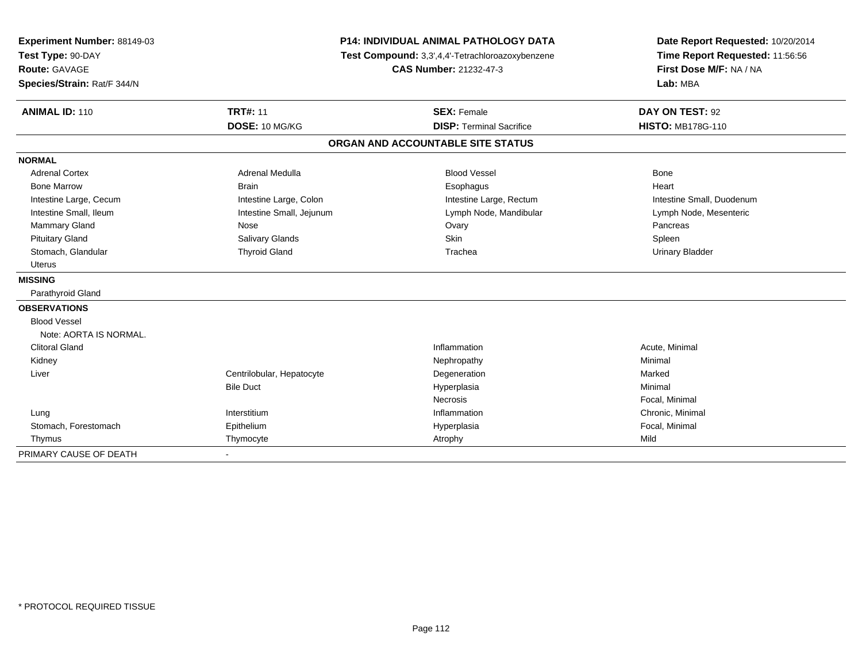| Experiment Number: 88149-03<br>Test Type: 90-DAY |                           | P14: INDIVIDUAL ANIMAL PATHOLOGY DATA<br>Test Compound: 3,3',4,4'-Tetrachloroazoxybenzene | Date Report Requested: 10/20/2014<br>Time Report Requested: 11:56:56<br>First Dose M/F: NA / NA |  |
|--------------------------------------------------|---------------------------|-------------------------------------------------------------------------------------------|-------------------------------------------------------------------------------------------------|--|
| <b>Route: GAVAGE</b>                             |                           | <b>CAS Number: 21232-47-3</b>                                                             |                                                                                                 |  |
| Species/Strain: Rat/F 344/N                      |                           |                                                                                           | Lab: MBA                                                                                        |  |
| <b>ANIMAL ID: 110</b>                            | <b>TRT#: 11</b>           | <b>SEX: Female</b>                                                                        | DAY ON TEST: 92                                                                                 |  |
|                                                  | DOSE: 10 MG/KG            | <b>DISP: Terminal Sacrifice</b>                                                           | <b>HISTO: MB178G-110</b>                                                                        |  |
|                                                  |                           | ORGAN AND ACCOUNTABLE SITE STATUS                                                         |                                                                                                 |  |
| <b>NORMAL</b>                                    |                           |                                                                                           |                                                                                                 |  |
| <b>Adrenal Cortex</b>                            | <b>Adrenal Medulla</b>    | <b>Blood Vessel</b>                                                                       | <b>Bone</b>                                                                                     |  |
| <b>Bone Marrow</b>                               | <b>Brain</b>              | Esophagus                                                                                 | Heart                                                                                           |  |
| Intestine Large, Cecum                           | Intestine Large, Colon    | Intestine Large, Rectum                                                                   | Intestine Small, Duodenum                                                                       |  |
| Intestine Small, Ileum                           | Intestine Small, Jejunum  | Lymph Node, Mandibular                                                                    | Lymph Node, Mesenteric                                                                          |  |
| <b>Mammary Gland</b>                             | Nose                      | Ovary                                                                                     | Pancreas                                                                                        |  |
| <b>Pituitary Gland</b>                           | Salivary Glands           | Skin                                                                                      | Spleen                                                                                          |  |
| Stomach, Glandular                               | <b>Thyroid Gland</b>      | Trachea                                                                                   | <b>Urinary Bladder</b>                                                                          |  |
| <b>Uterus</b>                                    |                           |                                                                                           |                                                                                                 |  |
| <b>MISSING</b>                                   |                           |                                                                                           |                                                                                                 |  |
| Parathyroid Gland                                |                           |                                                                                           |                                                                                                 |  |
| <b>OBSERVATIONS</b>                              |                           |                                                                                           |                                                                                                 |  |
| <b>Blood Vessel</b>                              |                           |                                                                                           |                                                                                                 |  |
| Note: AORTA IS NORMAL.                           |                           |                                                                                           |                                                                                                 |  |
| <b>Clitoral Gland</b>                            |                           | Inflammation                                                                              | Acute, Minimal                                                                                  |  |
| Kidney                                           |                           | Nephropathy                                                                               | Minimal                                                                                         |  |
| Liver                                            | Centrilobular, Hepatocyte | Degeneration                                                                              | Marked                                                                                          |  |
|                                                  | <b>Bile Duct</b>          | Hyperplasia                                                                               | Minimal                                                                                         |  |
|                                                  |                           | Necrosis                                                                                  | Focal, Minimal                                                                                  |  |
| Lung                                             | Interstitium              | Inflammation                                                                              | Chronic, Minimal                                                                                |  |
| Stomach, Forestomach                             | Epithelium                | Hyperplasia                                                                               | Focal, Minimal                                                                                  |  |
| Thymus                                           | Thymocyte                 | Atrophy                                                                                   | Mild                                                                                            |  |
| PRIMARY CAUSE OF DEATH                           |                           |                                                                                           |                                                                                                 |  |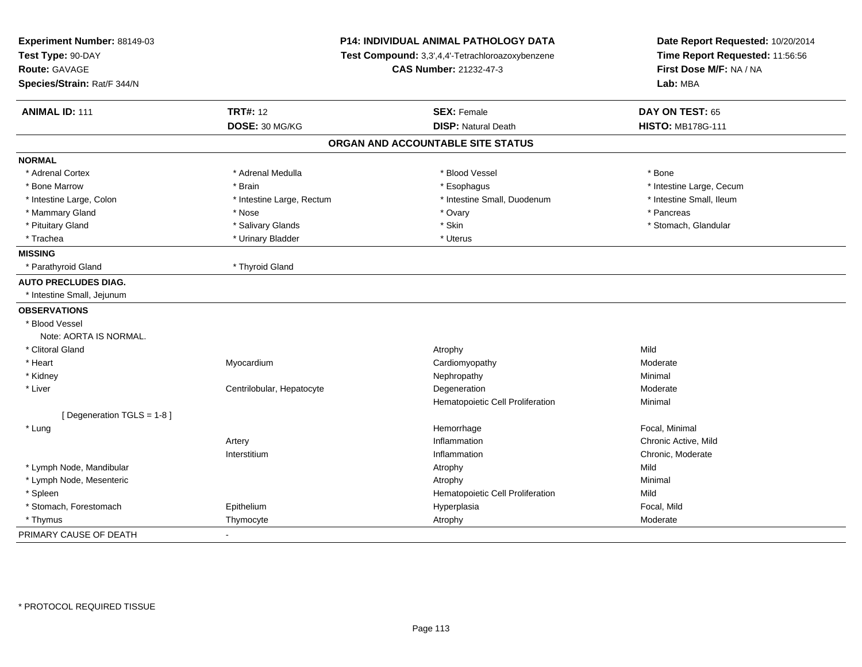| Experiment Number: 88149-03<br>Test Type: 90-DAY<br><b>Route: GAVAGE</b> | P14: INDIVIDUAL ANIMAL PATHOLOGY DATA<br>Test Compound: 3,3',4,4'-Tetrachloroazoxybenzene<br><b>CAS Number: 21232-47-3</b> |                                   | Date Report Requested: 10/20/2014<br>Time Report Requested: 11:56:56<br>First Dose M/F: NA / NA |
|--------------------------------------------------------------------------|----------------------------------------------------------------------------------------------------------------------------|-----------------------------------|-------------------------------------------------------------------------------------------------|
| Species/Strain: Rat/F 344/N                                              |                                                                                                                            |                                   | Lab: MBA                                                                                        |
| <b>ANIMAL ID: 111</b>                                                    | <b>TRT#: 12</b>                                                                                                            | <b>SEX: Female</b>                | DAY ON TEST: 65                                                                                 |
|                                                                          | DOSE: 30 MG/KG                                                                                                             | <b>DISP: Natural Death</b>        | <b>HISTO: MB178G-111</b>                                                                        |
|                                                                          |                                                                                                                            | ORGAN AND ACCOUNTABLE SITE STATUS |                                                                                                 |
| <b>NORMAL</b>                                                            |                                                                                                                            |                                   |                                                                                                 |
| * Adrenal Cortex                                                         | * Adrenal Medulla                                                                                                          | * Blood Vessel                    | * Bone                                                                                          |
| * Bone Marrow                                                            | * Brain                                                                                                                    | * Esophagus                       | * Intestine Large, Cecum                                                                        |
| * Intestine Large, Colon                                                 | * Intestine Large, Rectum                                                                                                  | * Intestine Small, Duodenum       | * Intestine Small, Ileum                                                                        |
| * Mammary Gland                                                          | * Nose                                                                                                                     | * Ovary                           | * Pancreas                                                                                      |
| * Pituitary Gland                                                        | * Salivary Glands                                                                                                          | * Skin                            | * Stomach, Glandular                                                                            |
| * Trachea                                                                | * Urinary Bladder                                                                                                          | * Uterus                          |                                                                                                 |
| <b>MISSING</b>                                                           |                                                                                                                            |                                   |                                                                                                 |
| * Parathyroid Gland                                                      | * Thyroid Gland                                                                                                            |                                   |                                                                                                 |
| <b>AUTO PRECLUDES DIAG.</b>                                              |                                                                                                                            |                                   |                                                                                                 |
| * Intestine Small, Jejunum                                               |                                                                                                                            |                                   |                                                                                                 |
| <b>OBSERVATIONS</b>                                                      |                                                                                                                            |                                   |                                                                                                 |
| * Blood Vessel                                                           |                                                                                                                            |                                   |                                                                                                 |
| Note: AORTA IS NORMAL.                                                   |                                                                                                                            |                                   |                                                                                                 |
| * Clitoral Gland                                                         |                                                                                                                            | Atrophy                           | Mild                                                                                            |
| * Heart                                                                  | Myocardium                                                                                                                 | Cardiomyopathy                    | Moderate                                                                                        |
| * Kidney                                                                 |                                                                                                                            | Nephropathy                       | Minimal                                                                                         |
| * Liver                                                                  | Centrilobular, Hepatocyte                                                                                                  | Degeneration                      | Moderate                                                                                        |
|                                                                          |                                                                                                                            | Hematopoietic Cell Proliferation  | Minimal                                                                                         |
| [Degeneration TGLS = 1-8]                                                |                                                                                                                            |                                   |                                                                                                 |
| * Lung                                                                   |                                                                                                                            | Hemorrhage                        | Focal, Minimal                                                                                  |
|                                                                          | Artery                                                                                                                     | Inflammation                      | Chronic Active, Mild                                                                            |
|                                                                          | Interstitium                                                                                                               | Inflammation                      | Chronic, Moderate                                                                               |
| * Lymph Node, Mandibular                                                 |                                                                                                                            | Atrophy                           | Mild                                                                                            |
| * Lymph Node, Mesenteric                                                 |                                                                                                                            | Atrophy                           | Minimal                                                                                         |
| * Spleen                                                                 |                                                                                                                            | Hematopoietic Cell Proliferation  | Mild                                                                                            |
| * Stomach, Forestomach                                                   | Epithelium                                                                                                                 | Hyperplasia                       | Focal, Mild                                                                                     |
| * Thymus                                                                 | Thymocyte                                                                                                                  | Atrophy                           | Moderate                                                                                        |
| PRIMARY CAUSE OF DEATH                                                   |                                                                                                                            |                                   |                                                                                                 |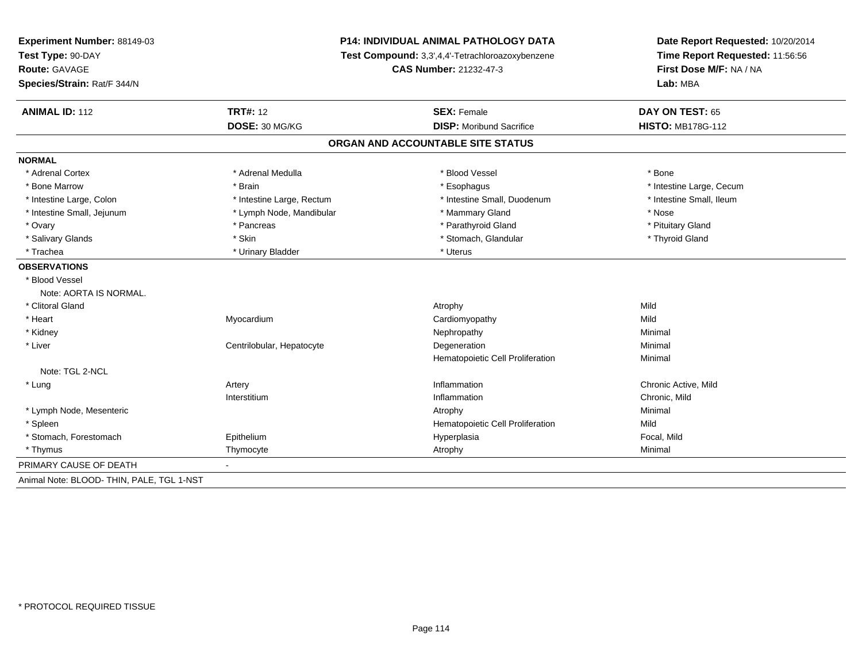| Experiment Number: 88149-03<br>Test Type: 90-DAY | P14: INDIVIDUAL ANIMAL PATHOLOGY DATA<br>Test Compound: 3,3',4,4'-Tetrachloroazoxybenzene<br>CAS Number: 21232-47-3 |                                   | Date Report Requested: 10/20/2014<br>Time Report Requested: 11:56:56<br>First Dose M/F: NA / NA |  |
|--------------------------------------------------|---------------------------------------------------------------------------------------------------------------------|-----------------------------------|-------------------------------------------------------------------------------------------------|--|
| Route: GAVAGE<br>Species/Strain: Rat/F 344/N     |                                                                                                                     |                                   |                                                                                                 |  |
|                                                  |                                                                                                                     |                                   | Lab: MBA                                                                                        |  |
| <b>ANIMAL ID: 112</b>                            | <b>TRT#: 12</b>                                                                                                     | <b>SEX: Female</b>                | DAY ON TEST: 65                                                                                 |  |
|                                                  | DOSE: 30 MG/KG                                                                                                      | <b>DISP:</b> Moribund Sacrifice   | <b>HISTO: MB178G-112</b>                                                                        |  |
|                                                  |                                                                                                                     | ORGAN AND ACCOUNTABLE SITE STATUS |                                                                                                 |  |
| <b>NORMAL</b>                                    |                                                                                                                     |                                   |                                                                                                 |  |
| * Adrenal Cortex                                 | * Adrenal Medulla                                                                                                   | * Blood Vessel                    | * Bone                                                                                          |  |
| * Bone Marrow                                    | * Brain                                                                                                             | * Esophagus                       | * Intestine Large, Cecum                                                                        |  |
| * Intestine Large, Colon                         | * Intestine Large, Rectum                                                                                           | * Intestine Small, Duodenum       | * Intestine Small, Ileum                                                                        |  |
| * Intestine Small, Jejunum                       | * Lymph Node, Mandibular                                                                                            | * Mammary Gland                   | * Nose                                                                                          |  |
| * Ovary                                          | * Pancreas                                                                                                          | * Parathyroid Gland               | * Pituitary Gland                                                                               |  |
| * Salivary Glands                                | * Skin                                                                                                              | * Stomach, Glandular              | * Thyroid Gland                                                                                 |  |
| * Trachea                                        | * Urinary Bladder                                                                                                   | * Uterus                          |                                                                                                 |  |
| <b>OBSERVATIONS</b>                              |                                                                                                                     |                                   |                                                                                                 |  |
| * Blood Vessel                                   |                                                                                                                     |                                   |                                                                                                 |  |
| Note: AORTA IS NORMAL.                           |                                                                                                                     |                                   |                                                                                                 |  |
| * Clitoral Gland                                 |                                                                                                                     | Atrophy                           | Mild                                                                                            |  |
| * Heart                                          | Myocardium                                                                                                          | Cardiomyopathy                    | Mild                                                                                            |  |
| * Kidney                                         |                                                                                                                     | Nephropathy                       | Minimal                                                                                         |  |
| * Liver                                          | Centrilobular, Hepatocyte                                                                                           | Degeneration                      | Minimal                                                                                         |  |
|                                                  |                                                                                                                     | Hematopoietic Cell Proliferation  | Minimal                                                                                         |  |
| Note: TGL 2-NCL                                  |                                                                                                                     |                                   |                                                                                                 |  |
| * Lung                                           | Artery                                                                                                              | Inflammation                      | Chronic Active, Mild                                                                            |  |
|                                                  | Interstitium                                                                                                        | Inflammation                      | Chronic, Mild                                                                                   |  |
| * Lymph Node, Mesenteric                         |                                                                                                                     | Atrophy                           | Minimal                                                                                         |  |
| * Spleen                                         |                                                                                                                     | Hematopoietic Cell Proliferation  | Mild                                                                                            |  |
| * Stomach, Forestomach                           | Epithelium                                                                                                          | Hyperplasia                       | Focal, Mild                                                                                     |  |
| * Thymus                                         | Thymocyte                                                                                                           | Atrophy                           | Minimal                                                                                         |  |
| PRIMARY CAUSE OF DEATH                           |                                                                                                                     |                                   |                                                                                                 |  |
| Animal Note: BLOOD- THIN, PALE, TGL 1-NST        |                                                                                                                     |                                   |                                                                                                 |  |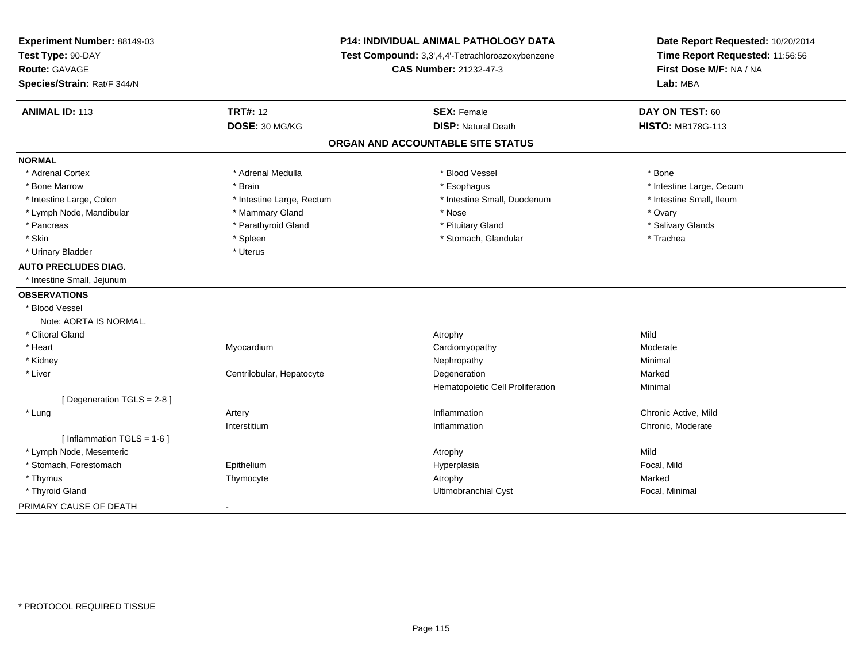| Experiment Number: 88149-03<br>Test Type: 90-DAY<br>Route: GAVAGE<br>Species/Strain: Rat/F 344/N | <b>P14: INDIVIDUAL ANIMAL PATHOLOGY DATA</b><br>Test Compound: 3,3',4,4'-Tetrachloroazoxybenzene<br>CAS Number: 21232-47-3 |                                                  | Date Report Requested: 10/20/2014<br>Time Report Requested: 11:56:56<br>First Dose M/F: NA / NA<br>Lab: MBA |  |
|--------------------------------------------------------------------------------------------------|----------------------------------------------------------------------------------------------------------------------------|--------------------------------------------------|-------------------------------------------------------------------------------------------------------------|--|
| <b>ANIMAL ID: 113</b>                                                                            | <b>TRT#: 12</b>                                                                                                            |                                                  | DAY ON TEST: 60                                                                                             |  |
|                                                                                                  | DOSE: 30 MG/KG                                                                                                             | <b>SEX: Female</b><br><b>DISP: Natural Death</b> | <b>HISTO: MB178G-113</b>                                                                                    |  |
|                                                                                                  |                                                                                                                            | ORGAN AND ACCOUNTABLE SITE STATUS                |                                                                                                             |  |
| <b>NORMAL</b>                                                                                    |                                                                                                                            |                                                  |                                                                                                             |  |
| * Adrenal Cortex                                                                                 | * Adrenal Medulla                                                                                                          | * Blood Vessel                                   | * Bone                                                                                                      |  |
| * Bone Marrow                                                                                    | * Brain                                                                                                                    | * Esophagus                                      | * Intestine Large, Cecum                                                                                    |  |
| * Intestine Large, Colon                                                                         | * Intestine Large, Rectum                                                                                                  | * Intestine Small, Duodenum                      | * Intestine Small, Ileum                                                                                    |  |
| * Lymph Node, Mandibular                                                                         | * Mammary Gland                                                                                                            | * Nose                                           | * Ovary                                                                                                     |  |
| * Pancreas                                                                                       | * Parathyroid Gland                                                                                                        | * Pituitary Gland                                | * Salivary Glands                                                                                           |  |
| * Skin                                                                                           | * Spleen                                                                                                                   | * Stomach, Glandular                             | * Trachea                                                                                                   |  |
| * Urinary Bladder                                                                                | * Uterus                                                                                                                   |                                                  |                                                                                                             |  |
| <b>AUTO PRECLUDES DIAG.</b>                                                                      |                                                                                                                            |                                                  |                                                                                                             |  |
| * Intestine Small, Jejunum                                                                       |                                                                                                                            |                                                  |                                                                                                             |  |
| <b>OBSERVATIONS</b>                                                                              |                                                                                                                            |                                                  |                                                                                                             |  |
| * Blood Vessel                                                                                   |                                                                                                                            |                                                  |                                                                                                             |  |
| Note: AORTA IS NORMAL.                                                                           |                                                                                                                            |                                                  |                                                                                                             |  |
| * Clitoral Gland                                                                                 |                                                                                                                            | Atrophy                                          | Mild                                                                                                        |  |
| * Heart                                                                                          | Myocardium                                                                                                                 | Cardiomyopathy                                   | Moderate                                                                                                    |  |
| * Kidney                                                                                         |                                                                                                                            | Nephropathy                                      | Minimal                                                                                                     |  |
| * Liver                                                                                          | Centrilobular, Hepatocyte                                                                                                  | Degeneration                                     | Marked                                                                                                      |  |
|                                                                                                  |                                                                                                                            | Hematopoietic Cell Proliferation                 | Minimal                                                                                                     |  |
| [ Degeneration TGLS = 2-8 ]                                                                      |                                                                                                                            |                                                  |                                                                                                             |  |
| * Lung                                                                                           | Artery                                                                                                                     | Inflammation                                     | Chronic Active, Mild                                                                                        |  |
|                                                                                                  | Interstitium                                                                                                               | Inflammation                                     | Chronic, Moderate                                                                                           |  |
| [ Inflammation $TGLS = 1-6$ ]                                                                    |                                                                                                                            |                                                  |                                                                                                             |  |
| * Lymph Node, Mesenteric                                                                         |                                                                                                                            | Atrophy                                          | Mild                                                                                                        |  |
| * Stomach, Forestomach                                                                           | Epithelium                                                                                                                 | Hyperplasia                                      | Focal, Mild                                                                                                 |  |
| * Thymus                                                                                         | Thymocyte                                                                                                                  | Atrophy                                          | Marked                                                                                                      |  |
| * Thyroid Gland                                                                                  |                                                                                                                            | Ultimobranchial Cyst                             | Focal, Minimal                                                                                              |  |
| PRIMARY CAUSE OF DEATH                                                                           | $\blacksquare$                                                                                                             |                                                  |                                                                                                             |  |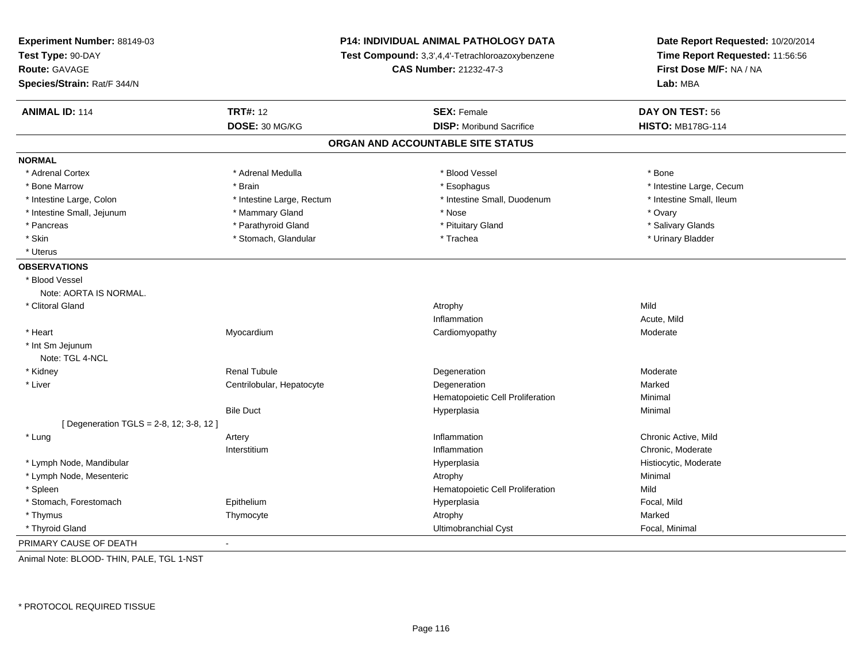| Experiment Number: 88149-03<br>Test Type: 90-DAY<br><b>Route: GAVAGE</b><br>Species/Strain: Rat/F 344/N |                           | P14: INDIVIDUAL ANIMAL PATHOLOGY DATA<br>Test Compound: 3,3',4,4'-Tetrachloroazoxybenzene<br><b>CAS Number: 21232-47-3</b> | Date Report Requested: 10/20/2014<br>Time Report Requested: 11:56:56<br>First Dose M/F: NA / NA<br>Lab: MBA |
|---------------------------------------------------------------------------------------------------------|---------------------------|----------------------------------------------------------------------------------------------------------------------------|-------------------------------------------------------------------------------------------------------------|
| <b>ANIMAL ID: 114</b>                                                                                   | <b>TRT#: 12</b>           | <b>SEX: Female</b>                                                                                                         | DAY ON TEST: 56                                                                                             |
|                                                                                                         | DOSE: 30 MG/KG            | <b>DISP:</b> Moribund Sacrifice                                                                                            | <b>HISTO: MB178G-114</b>                                                                                    |
|                                                                                                         |                           | ORGAN AND ACCOUNTABLE SITE STATUS                                                                                          |                                                                                                             |
| <b>NORMAL</b>                                                                                           |                           |                                                                                                                            |                                                                                                             |
| * Adrenal Cortex                                                                                        | * Adrenal Medulla         | * Blood Vessel                                                                                                             | * Bone                                                                                                      |
| * Bone Marrow                                                                                           | * Brain                   | * Esophagus                                                                                                                | * Intestine Large, Cecum                                                                                    |
| * Intestine Large, Colon                                                                                | * Intestine Large, Rectum | * Intestine Small, Duodenum                                                                                                | * Intestine Small, Ileum                                                                                    |
| * Intestine Small, Jejunum                                                                              | * Mammary Gland           | * Nose                                                                                                                     | * Ovary                                                                                                     |
| * Pancreas                                                                                              | * Parathyroid Gland       | * Pituitary Gland                                                                                                          | * Salivary Glands                                                                                           |
| * Skin                                                                                                  | * Stomach, Glandular      | * Trachea                                                                                                                  | * Urinary Bladder                                                                                           |
| * Uterus                                                                                                |                           |                                                                                                                            |                                                                                                             |
| <b>OBSERVATIONS</b>                                                                                     |                           |                                                                                                                            |                                                                                                             |
| * Blood Vessel                                                                                          |                           |                                                                                                                            |                                                                                                             |
| Note: AORTA IS NORMAL.                                                                                  |                           |                                                                                                                            |                                                                                                             |
| * Clitoral Gland                                                                                        |                           | Atrophy                                                                                                                    | Mild                                                                                                        |
|                                                                                                         |                           | Inflammation                                                                                                               | Acute, Mild                                                                                                 |
| * Heart                                                                                                 | Myocardium                | Cardiomyopathy                                                                                                             | Moderate                                                                                                    |
| * Int Sm Jejunum                                                                                        |                           |                                                                                                                            |                                                                                                             |
| Note: TGL 4-NCL                                                                                         |                           |                                                                                                                            |                                                                                                             |
| * Kidney                                                                                                | <b>Renal Tubule</b>       | Degeneration                                                                                                               | Moderate                                                                                                    |
| * Liver                                                                                                 | Centrilobular, Hepatocyte | Degeneration                                                                                                               | Marked                                                                                                      |
|                                                                                                         |                           | Hematopoietic Cell Proliferation                                                                                           | Minimal                                                                                                     |
|                                                                                                         | <b>Bile Duct</b>          | Hyperplasia                                                                                                                | Minimal                                                                                                     |
| [ Degeneration TGLS = 2-8, 12; 3-8, 12 ]                                                                |                           |                                                                                                                            |                                                                                                             |
| * Lung                                                                                                  | Artery                    | Inflammation                                                                                                               | Chronic Active, Mild                                                                                        |
|                                                                                                         | Interstitium              | Inflammation                                                                                                               | Chronic, Moderate                                                                                           |
| * Lymph Node, Mandibular                                                                                |                           | Hyperplasia                                                                                                                | Histiocytic, Moderate                                                                                       |
| * Lymph Node, Mesenteric                                                                                |                           | Atrophy                                                                                                                    | Minimal                                                                                                     |
| * Spleen                                                                                                |                           | Hematopoietic Cell Proliferation                                                                                           | Mild                                                                                                        |
| * Stomach, Forestomach                                                                                  | Epithelium                | Hyperplasia                                                                                                                | Focal, Mild                                                                                                 |
| * Thymus                                                                                                | Thymocyte                 | Atrophy                                                                                                                    | Marked                                                                                                      |
| * Thyroid Gland                                                                                         |                           | <b>Ultimobranchial Cyst</b>                                                                                                | Focal, Minimal                                                                                              |
| PRIMARY CAUSE OF DEATH                                                                                  | $\blacksquare$            |                                                                                                                            |                                                                                                             |

Animal Note: BLOOD- THIN, PALE, TGL 1-NST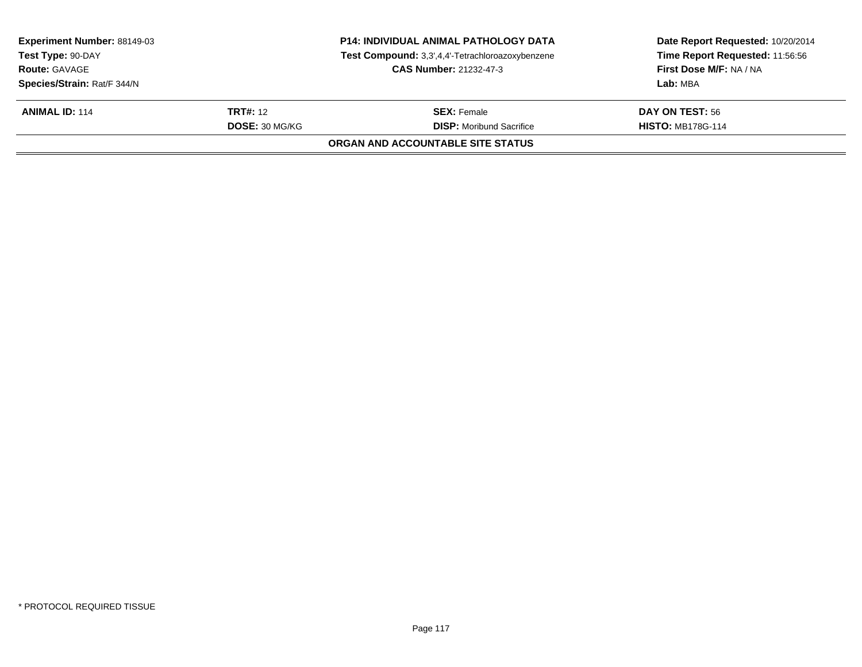| Experiment Number: 88149-03<br>Test Type: 90-DAY<br><b>Route: GAVAGE</b> |                 | <b>P14: INDIVIDUAL ANIMAL PATHOLOGY DATA</b><br>Test Compound: 3,3',4,4'-Tetrachloroazoxybenzene<br><b>CAS Number: 21232-47-3</b> | Date Report Requested: 10/20/2014<br>Time Report Requested: 11:56:56<br>First Dose M/F: NA / NA |
|--------------------------------------------------------------------------|-----------------|-----------------------------------------------------------------------------------------------------------------------------------|-------------------------------------------------------------------------------------------------|
| Species/Strain: Rat/F 344/N                                              |                 |                                                                                                                                   | Lab: MBA                                                                                        |
| <b>ANIMAL ID: 114</b>                                                    | <b>TRT#:</b> 12 | <b>SEX:</b> Female                                                                                                                | <b>DAY ON TEST: 56</b>                                                                          |
|                                                                          | DOSE: 30 MG/KG  | <b>DISP:</b> Moribund Sacrifice                                                                                                   | <b>HISTO: MB178G-114</b>                                                                        |
|                                                                          |                 | <b>ORGAN AND ACCOUNTABLE SITE STATUS</b>                                                                                          |                                                                                                 |
|                                                                          |                 |                                                                                                                                   |                                                                                                 |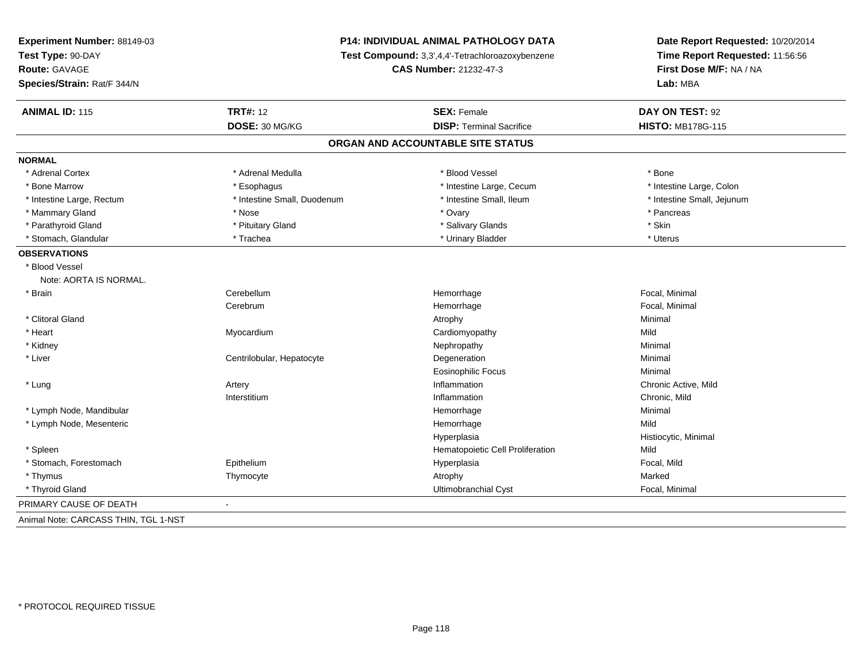| Experiment Number: 88149-03          | <b>P14: INDIVIDUAL ANIMAL PATHOLOGY DATA</b><br>Test Compound: 3,3',4,4'-Tetrachloroazoxybenzene |                                   | Date Report Requested: 10/20/2014<br>Time Report Requested: 11:56:56 |
|--------------------------------------|--------------------------------------------------------------------------------------------------|-----------------------------------|----------------------------------------------------------------------|
| Test Type: 90-DAY                    |                                                                                                  |                                   |                                                                      |
| Route: GAVAGE                        |                                                                                                  | CAS Number: 21232-47-3            | First Dose M/F: NA / NA<br>Lab: MBA                                  |
| Species/Strain: Rat/F 344/N          |                                                                                                  |                                   |                                                                      |
| <b>ANIMAL ID: 115</b>                | <b>TRT#: 12</b>                                                                                  | <b>SEX: Female</b>                | DAY ON TEST: 92                                                      |
|                                      | DOSE: 30 MG/KG                                                                                   | <b>DISP: Terminal Sacrifice</b>   | <b>HISTO: MB178G-115</b>                                             |
|                                      |                                                                                                  | ORGAN AND ACCOUNTABLE SITE STATUS |                                                                      |
| <b>NORMAL</b>                        |                                                                                                  |                                   |                                                                      |
| * Adrenal Cortex                     | * Adrenal Medulla                                                                                | * Blood Vessel                    | * Bone                                                               |
| * Bone Marrow                        | * Esophagus                                                                                      | * Intestine Large, Cecum          | * Intestine Large, Colon                                             |
| * Intestine Large, Rectum            | * Intestine Small, Duodenum                                                                      | * Intestine Small, Ileum          | * Intestine Small, Jejunum                                           |
| * Mammary Gland                      | * Nose                                                                                           | * Ovary                           | * Pancreas                                                           |
| * Parathyroid Gland                  | * Pituitary Gland                                                                                | * Salivary Glands                 | * Skin                                                               |
| * Stomach, Glandular                 | * Trachea                                                                                        | * Urinary Bladder                 | * Uterus                                                             |
| <b>OBSERVATIONS</b>                  |                                                                                                  |                                   |                                                                      |
| * Blood Vessel                       |                                                                                                  |                                   |                                                                      |
| Note: AORTA IS NORMAL.               |                                                                                                  |                                   |                                                                      |
| * Brain                              | Cerebellum                                                                                       | Hemorrhage                        | Focal, Minimal                                                       |
|                                      | Cerebrum                                                                                         | Hemorrhage                        | Focal, Minimal                                                       |
| * Clitoral Gland                     |                                                                                                  | Atrophy                           | Minimal                                                              |
| * Heart                              | Myocardium                                                                                       | Cardiomyopathy                    | Mild                                                                 |
| * Kidney                             |                                                                                                  | Nephropathy                       | Minimal                                                              |
| * Liver                              | Centrilobular, Hepatocyte                                                                        | Degeneration                      | Minimal                                                              |
|                                      |                                                                                                  | Eosinophilic Focus                | Minimal                                                              |
| * Lung                               | Artery                                                                                           | Inflammation                      | Chronic Active, Mild                                                 |
|                                      | Interstitium                                                                                     | Inflammation                      | Chronic, Mild                                                        |
| * Lymph Node, Mandibular             |                                                                                                  | Hemorrhage                        | Minimal                                                              |
| * Lymph Node, Mesenteric             |                                                                                                  | Hemorrhage                        | Mild                                                                 |
|                                      |                                                                                                  | Hyperplasia                       | Histiocytic, Minimal                                                 |
| * Spleen                             |                                                                                                  | Hematopoietic Cell Proliferation  | Mild                                                                 |
| * Stomach, Forestomach               | Epithelium                                                                                       | Hyperplasia                       | Focal, Mild                                                          |
| * Thymus                             | Thymocyte                                                                                        | Atrophy                           | Marked                                                               |
| * Thyroid Gland                      |                                                                                                  | <b>Ultimobranchial Cyst</b>       | Focal, Minimal                                                       |
| PRIMARY CAUSE OF DEATH               |                                                                                                  |                                   |                                                                      |
| Animal Note: CARCASS THIN, TGL 1-NST |                                                                                                  |                                   |                                                                      |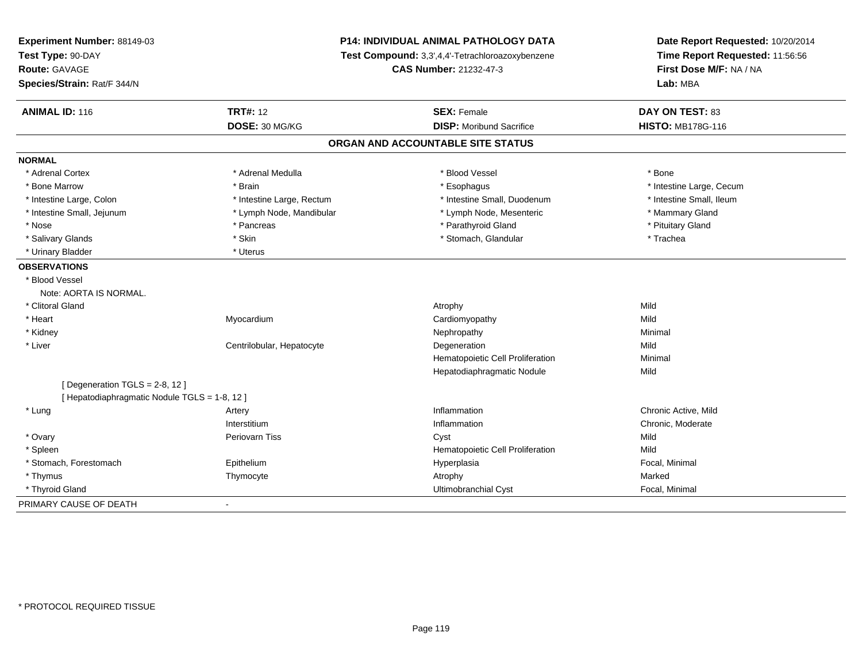| Experiment Number: 88149-03<br>Test Type: 90-DAY | P14: INDIVIDUAL ANIMAL PATHOLOGY DATA<br>Test Compound: 3,3',4,4'-Tetrachloroazoxybenzene |                                   | Date Report Requested: 10/20/2014<br>Time Report Requested: 11:56:56 |
|--------------------------------------------------|-------------------------------------------------------------------------------------------|-----------------------------------|----------------------------------------------------------------------|
| Route: GAVAGE                                    |                                                                                           | <b>CAS Number: 21232-47-3</b>     |                                                                      |
| Species/Strain: Rat/F 344/N                      |                                                                                           |                                   | First Dose M/F: NA / NA<br>Lab: MBA                                  |
| <b>ANIMAL ID: 116</b>                            | <b>TRT#: 12</b>                                                                           | <b>SEX: Female</b>                | DAY ON TEST: 83                                                      |
|                                                  | DOSE: 30 MG/KG                                                                            | <b>DISP: Moribund Sacrifice</b>   | <b>HISTO: MB178G-116</b>                                             |
|                                                  |                                                                                           | ORGAN AND ACCOUNTABLE SITE STATUS |                                                                      |
| <b>NORMAL</b>                                    |                                                                                           |                                   |                                                                      |
| * Adrenal Cortex                                 | * Adrenal Medulla                                                                         | * Blood Vessel                    | * Bone                                                               |
| * Bone Marrow                                    | * Brain                                                                                   | * Esophagus                       | * Intestine Large, Cecum                                             |
| * Intestine Large, Colon                         | * Intestine Large, Rectum                                                                 | * Intestine Small, Duodenum       | * Intestine Small, Ileum                                             |
| * Intestine Small, Jejunum                       | * Lymph Node, Mandibular                                                                  | * Lymph Node, Mesenteric          | * Mammary Gland                                                      |
| * Nose                                           | * Pancreas                                                                                | * Parathyroid Gland               | * Pituitary Gland                                                    |
| * Salivary Glands                                | * Skin                                                                                    | * Stomach, Glandular              | * Trachea                                                            |
| * Urinary Bladder                                | * Uterus                                                                                  |                                   |                                                                      |
| <b>OBSERVATIONS</b>                              |                                                                                           |                                   |                                                                      |
| * Blood Vessel                                   |                                                                                           |                                   |                                                                      |
| Note: AORTA IS NORMAL.                           |                                                                                           |                                   |                                                                      |
| * Clitoral Gland                                 |                                                                                           | Atrophy                           | Mild                                                                 |
| * Heart                                          | Myocardium                                                                                | Cardiomyopathy                    | Mild                                                                 |
| * Kidney                                         |                                                                                           | Nephropathy                       | Minimal                                                              |
| * Liver                                          | Centrilobular, Hepatocyte                                                                 | Degeneration                      | Mild                                                                 |
|                                                  |                                                                                           | Hematopoietic Cell Proliferation  | Minimal                                                              |
|                                                  |                                                                                           | Hepatodiaphragmatic Nodule        | Mild                                                                 |
| [Degeneration TGLS = $2-8$ , 12]                 |                                                                                           |                                   |                                                                      |
| [Hepatodiaphragmatic Nodule TGLS = 1-8, 12]      |                                                                                           |                                   |                                                                      |
| * Lung                                           | Artery                                                                                    | Inflammation                      | Chronic Active, Mild                                                 |
|                                                  | Interstitium                                                                              | Inflammation                      | Chronic, Moderate                                                    |
| * Ovary                                          | <b>Periovarn Tiss</b>                                                                     | Cyst                              | Mild                                                                 |
| * Spleen                                         |                                                                                           | Hematopoietic Cell Proliferation  | Mild                                                                 |
| * Stomach, Forestomach                           | Epithelium                                                                                | Hyperplasia                       | Focal, Minimal                                                       |
| * Thymus                                         | Thymocyte                                                                                 | Atrophy                           | Marked                                                               |
| * Thyroid Gland                                  |                                                                                           | Ultimobranchial Cyst              | Focal, Minimal                                                       |
| PRIMARY CAUSE OF DEATH                           | $\blacksquare$                                                                            |                                   |                                                                      |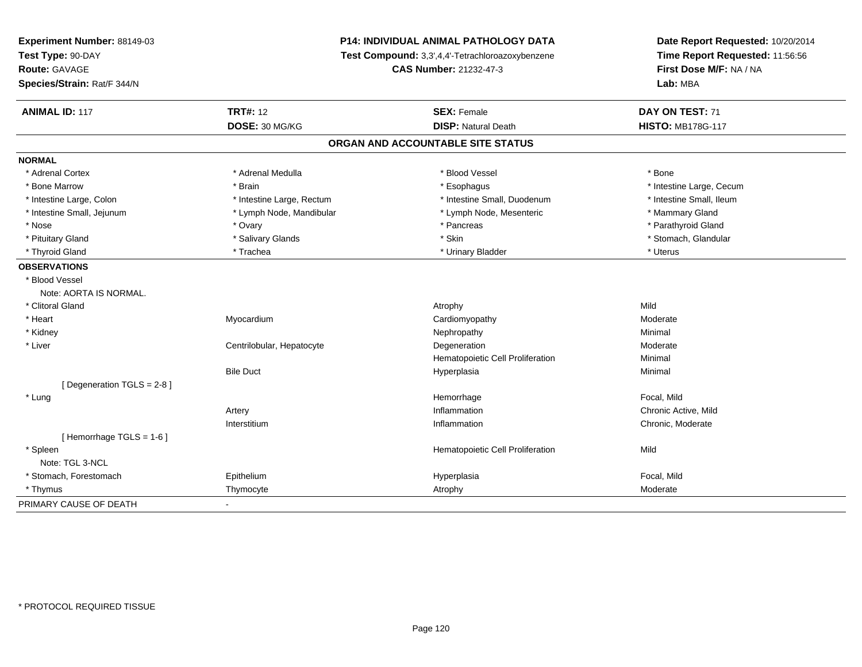| Experiment Number: 88149-03 | P14: INDIVIDUAL ANIMAL PATHOLOGY DATA<br>Test Compound: 3,3',4,4'-Tetrachloroazoxybenzene<br>CAS Number: 21232-47-3 |                                   | Date Report Requested: 10/20/2014<br>Time Report Requested: 11:56:56<br>First Dose M/F: NA / NA |  |
|-----------------------------|---------------------------------------------------------------------------------------------------------------------|-----------------------------------|-------------------------------------------------------------------------------------------------|--|
| Test Type: 90-DAY           |                                                                                                                     |                                   |                                                                                                 |  |
| Route: GAVAGE               |                                                                                                                     |                                   |                                                                                                 |  |
| Species/Strain: Rat/F 344/N |                                                                                                                     |                                   | Lab: MBA                                                                                        |  |
| <b>ANIMAL ID: 117</b>       | <b>TRT#: 12</b>                                                                                                     | <b>SEX: Female</b>                | DAY ON TEST: 71                                                                                 |  |
|                             | DOSE: 30 MG/KG                                                                                                      | <b>DISP: Natural Death</b>        | <b>HISTO: MB178G-117</b>                                                                        |  |
|                             |                                                                                                                     | ORGAN AND ACCOUNTABLE SITE STATUS |                                                                                                 |  |
| <b>NORMAL</b>               |                                                                                                                     |                                   |                                                                                                 |  |
| * Adrenal Cortex            | * Adrenal Medulla                                                                                                   | * Blood Vessel                    | * Bone                                                                                          |  |
| * Bone Marrow               | * Brain                                                                                                             | * Esophagus                       | * Intestine Large, Cecum                                                                        |  |
| * Intestine Large, Colon    | * Intestine Large, Rectum                                                                                           | * Intestine Small, Duodenum       | * Intestine Small, Ileum                                                                        |  |
| * Intestine Small, Jejunum  | * Lymph Node, Mandibular                                                                                            | * Lymph Node, Mesenteric          | * Mammary Gland                                                                                 |  |
| * Nose                      | * Ovary                                                                                                             | * Pancreas                        | * Parathyroid Gland                                                                             |  |
| * Pituitary Gland           | * Salivary Glands                                                                                                   | * Skin                            | * Stomach, Glandular                                                                            |  |
| * Thyroid Gland             | * Trachea                                                                                                           | * Urinary Bladder                 | * Uterus                                                                                        |  |
| <b>OBSERVATIONS</b>         |                                                                                                                     |                                   |                                                                                                 |  |
| * Blood Vessel              |                                                                                                                     |                                   |                                                                                                 |  |
| Note: AORTA IS NORMAL.      |                                                                                                                     |                                   |                                                                                                 |  |
| * Clitoral Gland            |                                                                                                                     | Atrophy                           | Mild                                                                                            |  |
| * Heart                     | Myocardium                                                                                                          | Cardiomyopathy                    | Moderate                                                                                        |  |
| * Kidney                    |                                                                                                                     | Nephropathy                       | Minimal                                                                                         |  |
| * Liver                     | Centrilobular, Hepatocyte                                                                                           | Degeneration                      | Moderate                                                                                        |  |
|                             |                                                                                                                     | Hematopoietic Cell Proliferation  | Minimal                                                                                         |  |
|                             | <b>Bile Duct</b>                                                                                                    | Hyperplasia                       | Minimal                                                                                         |  |
| [Degeneration TGLS = 2-8]   |                                                                                                                     |                                   |                                                                                                 |  |
| * Lung                      |                                                                                                                     | Hemorrhage                        | Focal. Mild                                                                                     |  |
|                             | Artery                                                                                                              | Inflammation                      | Chronic Active, Mild                                                                            |  |
|                             | Interstitium                                                                                                        | Inflammation                      | Chronic, Moderate                                                                               |  |
| [Hemorrhage TGLS = 1-6]     |                                                                                                                     |                                   |                                                                                                 |  |
| * Spleen                    |                                                                                                                     | Hematopoietic Cell Proliferation  | Mild                                                                                            |  |
| Note: TGL 3-NCL             |                                                                                                                     |                                   |                                                                                                 |  |
| * Stomach, Forestomach      | Epithelium                                                                                                          | Hyperplasia                       | Focal, Mild                                                                                     |  |
| * Thymus                    | Thymocyte                                                                                                           | Atrophy                           | Moderate                                                                                        |  |
| PRIMARY CAUSE OF DEATH      | $\blacksquare$                                                                                                      |                                   |                                                                                                 |  |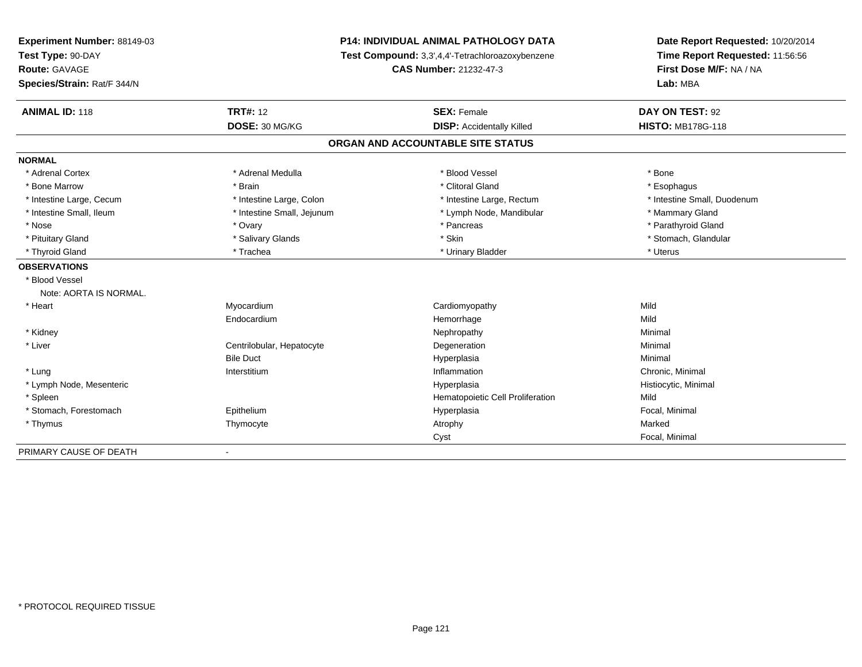| Experiment Number: 88149-03 | <b>P14: INDIVIDUAL ANIMAL PATHOLOGY DATA</b> |                                                  | Date Report Requested: 10/20/2014                          |  |
|-----------------------------|----------------------------------------------|--------------------------------------------------|------------------------------------------------------------|--|
| Test Type: 90-DAY           |                                              | Test Compound: 3,3',4,4'-Tetrachloroazoxybenzene | Time Report Requested: 11:56:56<br>First Dose M/F: NA / NA |  |
| Route: GAVAGE               |                                              | <b>CAS Number: 21232-47-3</b>                    |                                                            |  |
| Species/Strain: Rat/F 344/N |                                              |                                                  | Lab: MBA                                                   |  |
| <b>ANIMAL ID: 118</b>       | <b>TRT#: 12</b>                              | <b>SEX: Female</b>                               | DAY ON TEST: 92                                            |  |
|                             | DOSE: 30 MG/KG                               | <b>DISP:</b> Accidentally Killed                 | <b>HISTO: MB178G-118</b>                                   |  |
|                             |                                              | ORGAN AND ACCOUNTABLE SITE STATUS                |                                                            |  |
| <b>NORMAL</b>               |                                              |                                                  |                                                            |  |
| * Adrenal Cortex            | * Adrenal Medulla                            | * Blood Vessel                                   | * Bone                                                     |  |
| * Bone Marrow               | * Brain                                      | * Clitoral Gland                                 | * Esophagus                                                |  |
| * Intestine Large, Cecum    | * Intestine Large, Colon                     | * Intestine Large, Rectum                        | * Intestine Small, Duodenum                                |  |
| * Intestine Small, Ileum    | * Intestine Small, Jejunum                   | * Lymph Node, Mandibular                         | * Mammary Gland                                            |  |
| * Nose                      | * Ovary                                      | * Pancreas                                       | * Parathyroid Gland                                        |  |
| * Pituitary Gland           | * Salivary Glands                            | * Skin                                           | * Stomach, Glandular                                       |  |
| * Thyroid Gland             | * Trachea                                    | * Urinary Bladder                                | * Uterus                                                   |  |
| <b>OBSERVATIONS</b>         |                                              |                                                  |                                                            |  |
| * Blood Vessel              |                                              |                                                  |                                                            |  |
| Note: AORTA IS NORMAL.      |                                              |                                                  |                                                            |  |
| * Heart                     | Myocardium                                   | Cardiomyopathy                                   | Mild                                                       |  |
|                             | Endocardium                                  | Hemorrhage                                       | Mild                                                       |  |
| * Kidney                    |                                              | Nephropathy                                      | Minimal                                                    |  |
| * Liver                     | Centrilobular, Hepatocyte                    | Degeneration                                     | Minimal                                                    |  |
|                             | <b>Bile Duct</b>                             | Hyperplasia                                      | Minimal                                                    |  |
| * Lung                      | Interstitium                                 | Inflammation                                     | Chronic, Minimal                                           |  |
| * Lymph Node, Mesenteric    |                                              | Hyperplasia                                      | Histiocytic, Minimal                                       |  |
| * Spleen                    |                                              | Hematopoietic Cell Proliferation                 | Mild                                                       |  |
| * Stomach, Forestomach      | Epithelium                                   | Hyperplasia                                      | Focal, Minimal                                             |  |
| * Thymus                    | Thymocyte                                    | Atrophy                                          | Marked                                                     |  |
|                             |                                              | Cyst                                             | Focal, Minimal                                             |  |
| PRIMARY CAUSE OF DEATH      |                                              |                                                  |                                                            |  |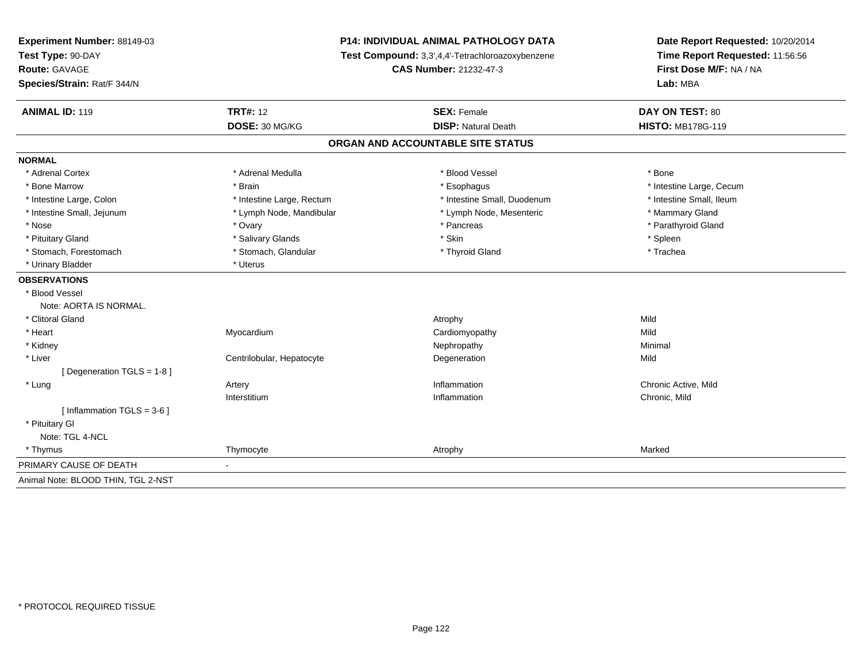| Experiment Number: 88149-03        | <b>P14: INDIVIDUAL ANIMAL PATHOLOGY DATA</b><br>Test Compound: 3,3',4,4'-Tetrachloroazoxybenzene<br><b>CAS Number: 21232-47-3</b> |                                   | Date Report Requested: 10/20/2014<br>Time Report Requested: 11:56:56<br>First Dose M/F: NA / NA<br>Lab: MBA |
|------------------------------------|-----------------------------------------------------------------------------------------------------------------------------------|-----------------------------------|-------------------------------------------------------------------------------------------------------------|
| Test Type: 90-DAY                  |                                                                                                                                   |                                   |                                                                                                             |
| <b>Route: GAVAGE</b>               |                                                                                                                                   |                                   |                                                                                                             |
| Species/Strain: Rat/F 344/N        |                                                                                                                                   |                                   |                                                                                                             |
| <b>ANIMAL ID: 119</b>              | <b>TRT#: 12</b>                                                                                                                   | <b>SEX: Female</b>                | <b>DAY ON TEST: 80</b>                                                                                      |
|                                    | DOSE: 30 MG/KG                                                                                                                    | <b>DISP: Natural Death</b>        | <b>HISTO: MB178G-119</b>                                                                                    |
|                                    |                                                                                                                                   | ORGAN AND ACCOUNTABLE SITE STATUS |                                                                                                             |
| <b>NORMAL</b>                      |                                                                                                                                   |                                   |                                                                                                             |
| * Adrenal Cortex                   | * Adrenal Medulla                                                                                                                 | * Blood Vessel                    | * Bone                                                                                                      |
| * Bone Marrow                      | * Brain                                                                                                                           | * Esophagus                       | * Intestine Large, Cecum                                                                                    |
| * Intestine Large, Colon           | * Intestine Large, Rectum                                                                                                         | * Intestine Small, Duodenum       | * Intestine Small, Ileum                                                                                    |
| * Intestine Small, Jejunum         | * Lymph Node, Mandibular                                                                                                          | * Lymph Node, Mesenteric          | * Mammary Gland                                                                                             |
| * Nose                             | * Ovary                                                                                                                           | * Pancreas                        | * Parathyroid Gland                                                                                         |
| * Pituitary Gland                  | * Salivary Glands                                                                                                                 | * Skin                            | * Spleen                                                                                                    |
| * Stomach, Forestomach             | * Stomach, Glandular                                                                                                              | * Thyroid Gland                   | * Trachea                                                                                                   |
| * Urinary Bladder                  | * Uterus                                                                                                                          |                                   |                                                                                                             |
| <b>OBSERVATIONS</b>                |                                                                                                                                   |                                   |                                                                                                             |
| * Blood Vessel                     |                                                                                                                                   |                                   |                                                                                                             |
| Note: AORTA IS NORMAL.             |                                                                                                                                   |                                   |                                                                                                             |
| * Clitoral Gland                   |                                                                                                                                   | Atrophy                           | Mild                                                                                                        |
| * Heart                            | Myocardium                                                                                                                        | Cardiomyopathy                    | Mild                                                                                                        |
| * Kidney                           |                                                                                                                                   | Nephropathy                       | Minimal                                                                                                     |
| * Liver                            | Centrilobular, Hepatocyte                                                                                                         | Degeneration                      | Mild                                                                                                        |
| [Degeneration TGLS = 1-8]          |                                                                                                                                   |                                   |                                                                                                             |
| * Lung                             | Artery                                                                                                                            | Inflammation                      | Chronic Active, Mild                                                                                        |
|                                    | Interstitium                                                                                                                      | Inflammation                      | Chronic, Mild                                                                                               |
| [Inflammation TGLS = $3-6$ ]       |                                                                                                                                   |                                   |                                                                                                             |
| * Pituitary Gl                     |                                                                                                                                   |                                   |                                                                                                             |
| Note: TGL 4-NCL                    |                                                                                                                                   |                                   |                                                                                                             |
| * Thymus                           | Thymocyte                                                                                                                         | Atrophy                           | Marked                                                                                                      |
| PRIMARY CAUSE OF DEATH             |                                                                                                                                   |                                   |                                                                                                             |
| Animal Note: BLOOD THIN, TGL 2-NST |                                                                                                                                   |                                   |                                                                                                             |